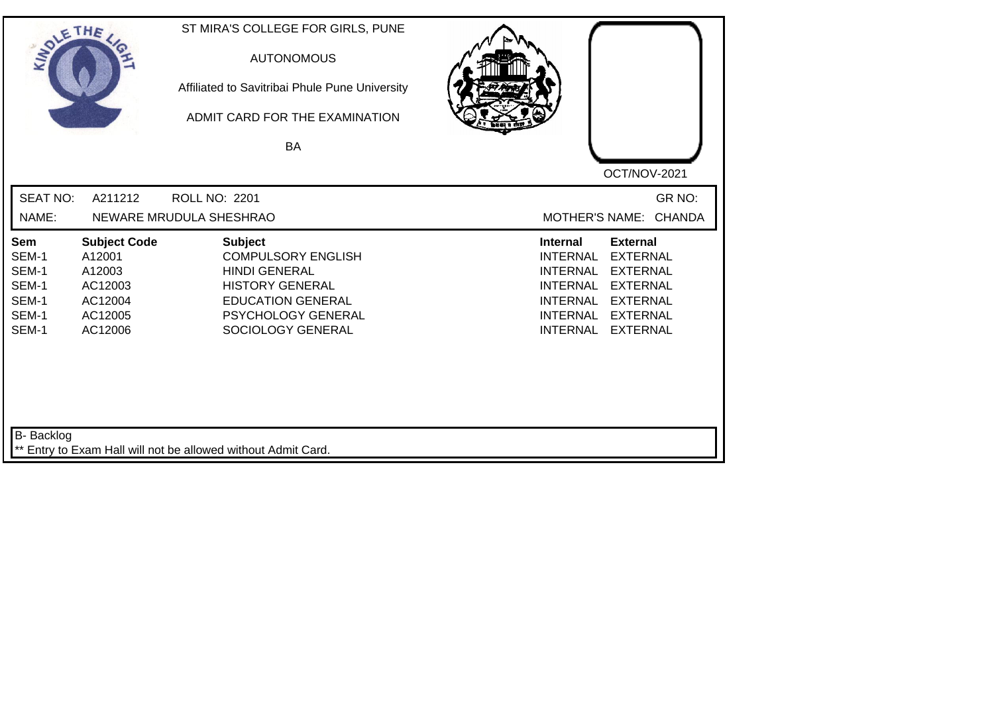| SOLE THE                                                         |                                                                                     | ST MIRA'S COLLEGE FOR GIRLS, PUNE<br><b>AUTONOMOUS</b><br>Affiliated to Savitribai Phule Pune University<br>ADMIT CARD FOR THE EXAMINATION<br><b>BA</b>              |                                                                                                                                                                                                                                                                        |
|------------------------------------------------------------------|-------------------------------------------------------------------------------------|----------------------------------------------------------------------------------------------------------------------------------------------------------------------|------------------------------------------------------------------------------------------------------------------------------------------------------------------------------------------------------------------------------------------------------------------------|
|                                                                  |                                                                                     |                                                                                                                                                                      | OCT/NOV-2021                                                                                                                                                                                                                                                           |
| <b>SEAT NO:</b>                                                  | A211212                                                                             | <b>ROLL NO: 2201</b>                                                                                                                                                 | GR NO:                                                                                                                                                                                                                                                                 |
| NAME:                                                            |                                                                                     | NEWARE MRUDULA SHESHRAO                                                                                                                                              | MOTHER'S NAME: CHANDA                                                                                                                                                                                                                                                  |
| <b>Sem</b><br>SEM-1<br>SEM-1<br>SEM-1<br>SEM-1<br>SEM-1<br>SEM-1 | <b>Subject Code</b><br>A12001<br>A12003<br>AC12003<br>AC12004<br>AC12005<br>AC12006 | <b>Subject</b><br><b>COMPULSORY ENGLISH</b><br><b>HINDI GENERAL</b><br><b>HISTORY GENERAL</b><br><b>EDUCATION GENERAL</b><br>PSYCHOLOGY GENERAL<br>SOCIOLOGY GENERAL | <b>Internal</b><br><b>External</b><br><b>INTERNAL</b><br><b>EXTERNAL</b><br><b>INTERNAL</b><br><b>EXTERNAL</b><br><b>INTERNAL</b><br><b>EXTERNAL</b><br><b>EXTERNAL</b><br><b>INTERNAL</b><br><b>INTERNAL</b><br><b>EXTERNAL</b><br><b>INTERNAL</b><br><b>EXTERNAL</b> |
| <b>B-</b> Backlog                                                |                                                                                     | ** Entry to Exam Hall will not be allowed without Admit Card.                                                                                                        |                                                                                                                                                                                                                                                                        |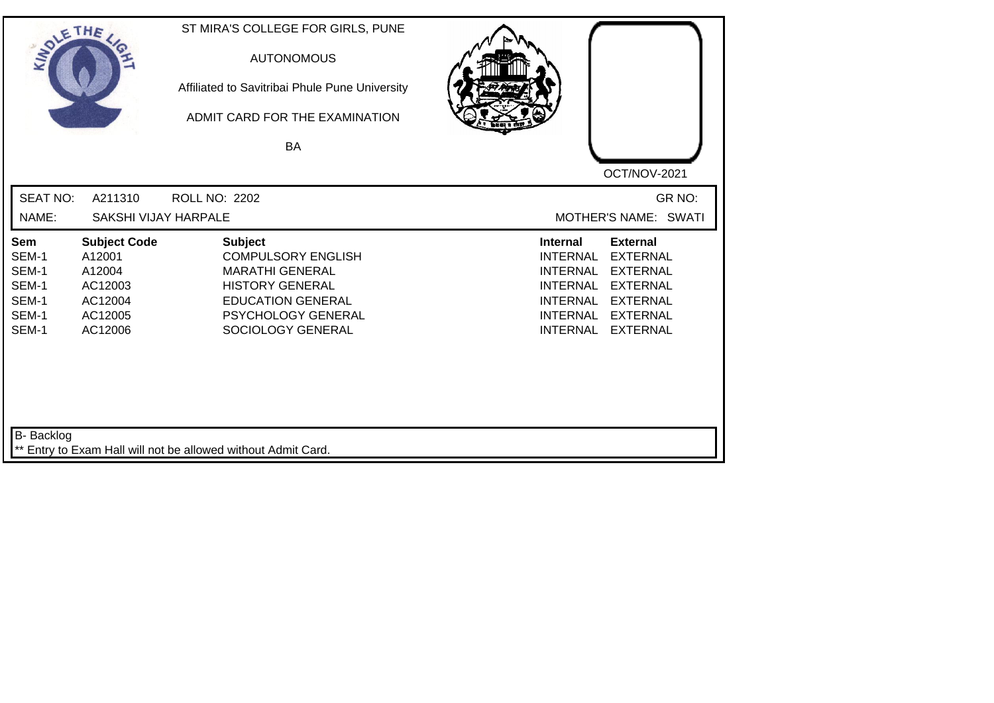| SOLETHE ,                                                 |                                                                                     | ST MIRA'S COLLEGE FOR GIRLS, PUNE<br><b>AUTONOMOUS</b><br>Affiliated to Savitribai Phule Pune University<br>ADMIT CARD FOR THE EXAMINATION<br>BA                       | OCT/NOV-2021                                                                                                                                                                                                                                                           |
|-----------------------------------------------------------|-------------------------------------------------------------------------------------|------------------------------------------------------------------------------------------------------------------------------------------------------------------------|------------------------------------------------------------------------------------------------------------------------------------------------------------------------------------------------------------------------------------------------------------------------|
| <b>SEAT NO:</b><br>NAME:                                  | A211310<br>SAKSHI VIJAY HARPALE                                                     | <b>ROLL NO: 2202</b>                                                                                                                                                   | GR NO:<br>MOTHER'S NAME: SWATI                                                                                                                                                                                                                                         |
| Sem<br>SEM-1<br>SEM-1<br>SEM-1<br>SEM-1<br>SEM-1<br>SEM-1 | <b>Subject Code</b><br>A12001<br>A12004<br>AC12003<br>AC12004<br>AC12005<br>AC12006 | <b>Subject</b><br><b>COMPULSORY ENGLISH</b><br><b>MARATHI GENERAL</b><br><b>HISTORY GENERAL</b><br><b>EDUCATION GENERAL</b><br>PSYCHOLOGY GENERAL<br>SOCIOLOGY GENERAL | <b>External</b><br><b>Internal</b><br><b>EXTERNAL</b><br><b>INTERNAL</b><br><b>INTERNAL</b><br><b>EXTERNAL</b><br><b>INTERNAL</b><br><b>EXTERNAL</b><br><b>INTERNAL</b><br><b>EXTERNAL</b><br><b>INTERNAL</b><br><b>EXTERNAL</b><br><b>INTERNAL</b><br><b>EXTERNAL</b> |
| B- Backlog                                                |                                                                                     | ** Entry to Exam Hall will not be allowed without Admit Card.                                                                                                          |                                                                                                                                                                                                                                                                        |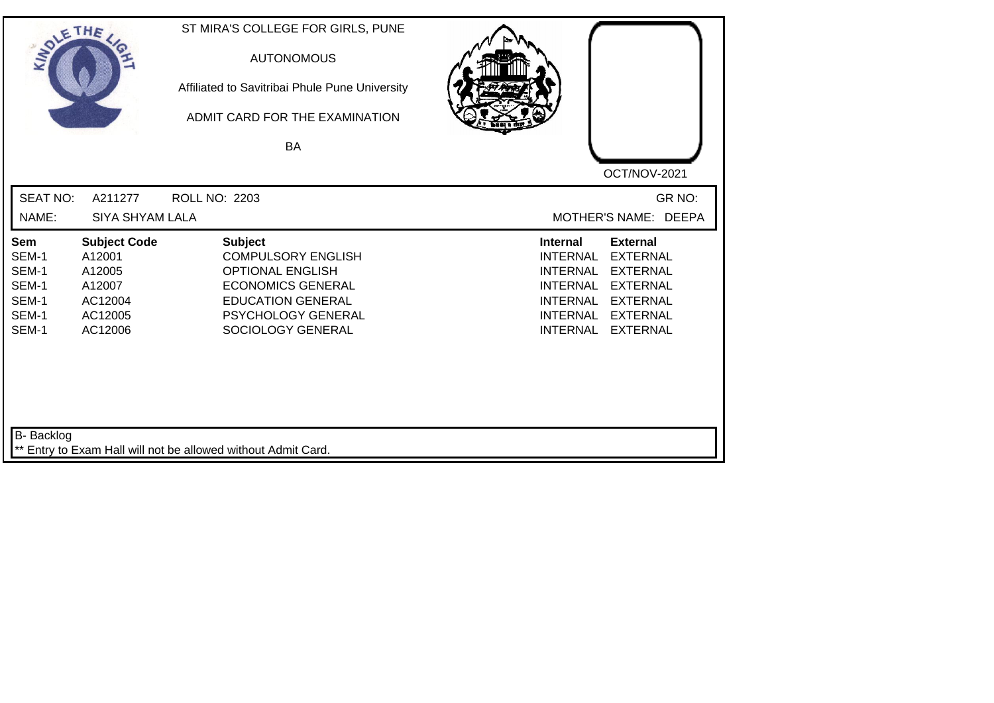| SOLE THE                                                  |                                                                                    | ST MIRA'S COLLEGE FOR GIRLS, PUNE<br><b>AUTONOMOUS</b><br>Affiliated to Savitribai Phule Pune University<br>ADMIT CARD FOR THE EXAMINATION<br><b>BA</b>                   |                                                                                                                                                                                                                                                                        |
|-----------------------------------------------------------|------------------------------------------------------------------------------------|---------------------------------------------------------------------------------------------------------------------------------------------------------------------------|------------------------------------------------------------------------------------------------------------------------------------------------------------------------------------------------------------------------------------------------------------------------|
|                                                           |                                                                                    |                                                                                                                                                                           | OCT/NOV-2021                                                                                                                                                                                                                                                           |
| <b>SEAT NO:</b>                                           | A211277                                                                            | ROLL NO: 2203                                                                                                                                                             | GR NO:                                                                                                                                                                                                                                                                 |
| NAME:                                                     | <b>SIYA SHYAM LALA</b>                                                             |                                                                                                                                                                           | MOTHER'S NAME: DEEPA                                                                                                                                                                                                                                                   |
| Sem<br>SEM-1<br>SEM-1<br>SEM-1<br>SEM-1<br>SEM-1<br>SEM-1 | <b>Subject Code</b><br>A12001<br>A12005<br>A12007<br>AC12004<br>AC12005<br>AC12006 | <b>Subject</b><br><b>COMPULSORY ENGLISH</b><br><b>OPTIONAL ENGLISH</b><br><b>ECONOMICS GENERAL</b><br><b>EDUCATION GENERAL</b><br>PSYCHOLOGY GENERAL<br>SOCIOLOGY GENERAL | <b>Internal</b><br><b>External</b><br><b>INTERNAL</b><br><b>EXTERNAL</b><br><b>EXTERNAL</b><br><b>INTERNAL</b><br><b>INTERNAL</b><br><b>EXTERNAL</b><br><b>INTERNAL</b><br><b>EXTERNAL</b><br><b>INTERNAL</b><br><b>EXTERNAL</b><br><b>INTERNAL</b><br><b>EXTERNAL</b> |
| <b>B-</b> Backlog                                         |                                                                                    | ** Entry to Exam Hall will not be allowed without Admit Card.                                                                                                             |                                                                                                                                                                                                                                                                        |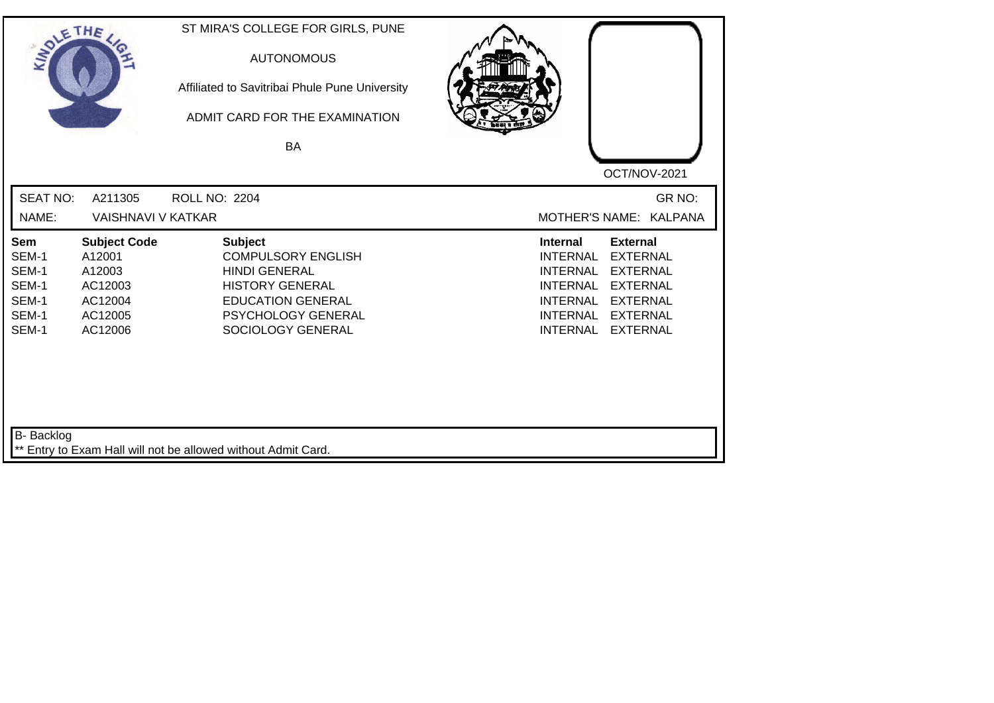| SOLE THE                                                         |                                                                                     | ST MIRA'S COLLEGE FOR GIRLS, PUNE<br><b>AUTONOMOUS</b><br>Affiliated to Savitribai Phule Pune University<br>ADMIT CARD FOR THE EXAMINATION<br>BA                            |                                                                                                                                                                                                                                                                        |
|------------------------------------------------------------------|-------------------------------------------------------------------------------------|-----------------------------------------------------------------------------------------------------------------------------------------------------------------------------|------------------------------------------------------------------------------------------------------------------------------------------------------------------------------------------------------------------------------------------------------------------------|
|                                                                  |                                                                                     |                                                                                                                                                                             | OCT/NOV-2021                                                                                                                                                                                                                                                           |
| <b>SEAT NO:</b><br>NAME:                                         | A211305<br><b>VAISHNAVI V KATKAR</b>                                                | <b>ROLL NO: 2204</b>                                                                                                                                                        | GR NO:<br>MOTHER'S NAME: KALPANA                                                                                                                                                                                                                                       |
| <b>Sem</b><br>SEM-1<br>SEM-1<br>SEM-1<br>SEM-1<br>SEM-1<br>SEM-1 | <b>Subject Code</b><br>A12001<br>A12003<br>AC12003<br>AC12004<br>AC12005<br>AC12006 | <b>Subject</b><br><b>COMPULSORY ENGLISH</b><br><b>HINDI GENERAL</b><br><b>HISTORY GENERAL</b><br><b>EDUCATION GENERAL</b><br><b>PSYCHOLOGY GENERAL</b><br>SOCIOLOGY GENERAL | <b>Internal</b><br><b>External</b><br><b>EXTERNAL</b><br><b>INTERNAL</b><br><b>EXTERNAL</b><br><b>INTERNAL</b><br><b>INTERNAL</b><br><b>EXTERNAL</b><br><b>INTERNAL</b><br><b>EXTERNAL</b><br><b>INTERNAL</b><br><b>EXTERNAL</b><br><b>INTERNAL</b><br><b>EXTERNAL</b> |
| B- Backlog                                                       |                                                                                     | ** Entry to Exam Hall will not be allowed without Admit Card.                                                                                                               |                                                                                                                                                                                                                                                                        |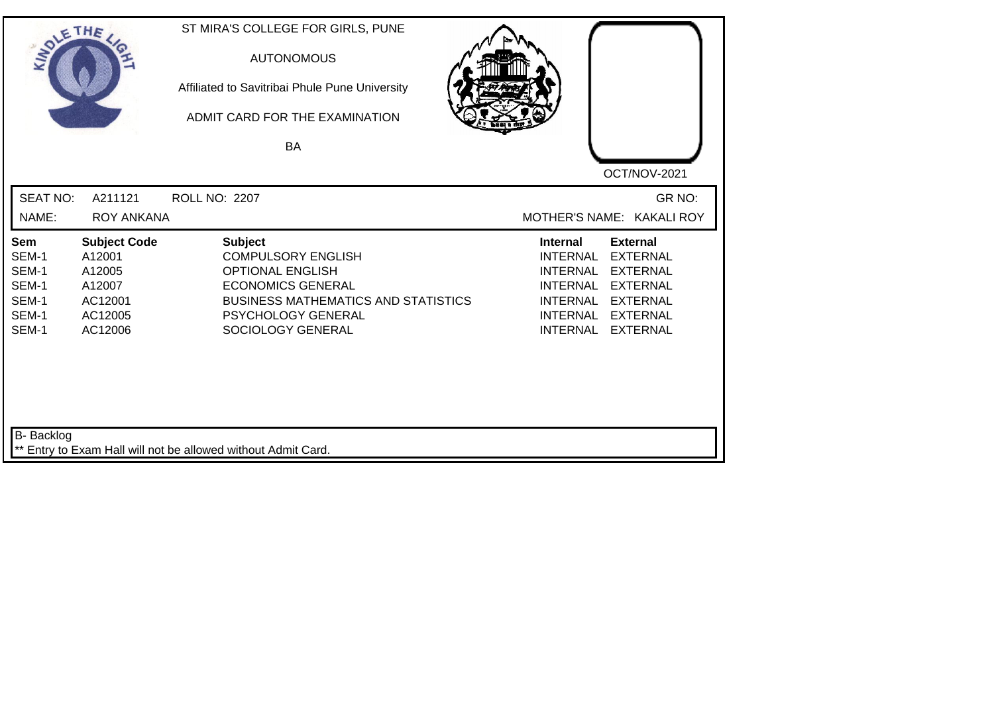| SOLE THE                                                  |                                                                                    | ST MIRA'S COLLEGE FOR GIRLS, PUNE<br><b>AUTONOMOUS</b><br>Affiliated to Savitribai Phule Pune University<br>ADMIT CARD FOR THE EXAMINATION<br>BA                                            | OCT/NOV-2021                                                                                                                                                                                                                                             |
|-----------------------------------------------------------|------------------------------------------------------------------------------------|---------------------------------------------------------------------------------------------------------------------------------------------------------------------------------------------|----------------------------------------------------------------------------------------------------------------------------------------------------------------------------------------------------------------------------------------------------------|
| <b>SEAT NO:</b><br>NAME:                                  | A211121<br><b>ROY ANKANA</b>                                                       | ROLL NO: 2207                                                                                                                                                                               | GR NO:<br>MOTHER'S NAME: KAKALI ROY                                                                                                                                                                                                                      |
| Sem<br>SEM-1<br>SEM-1<br>SEM-1<br>SEM-1<br>SEM-1<br>SEM-1 | <b>Subject Code</b><br>A12001<br>A12005<br>A12007<br>AC12001<br>AC12005<br>AC12006 | <b>Subject</b><br><b>COMPULSORY ENGLISH</b><br><b>OPTIONAL ENGLISH</b><br><b>ECONOMICS GENERAL</b><br><b>BUSINESS MATHEMATICS AND STATISTICS</b><br>PSYCHOLOGY GENERAL<br>SOCIOLOGY GENERAL | <b>Internal</b><br><b>External</b><br><b>INTERNAL</b><br><b>EXTERNAL</b><br><b>INTERNAL</b><br><b>EXTERNAL</b><br><b>EXTERNAL</b><br><b>INTERNAL</b><br><b>EXTERNAL</b><br>INTERNAL<br><b>INTERNAL</b><br><b>EXTERNAL</b><br><b>EXTERNAL</b><br>INTERNAL |
| <b>B-</b> Backlog                                         |                                                                                    | ** Entry to Exam Hall will not be allowed without Admit Card.                                                                                                                               |                                                                                                                                                                                                                                                          |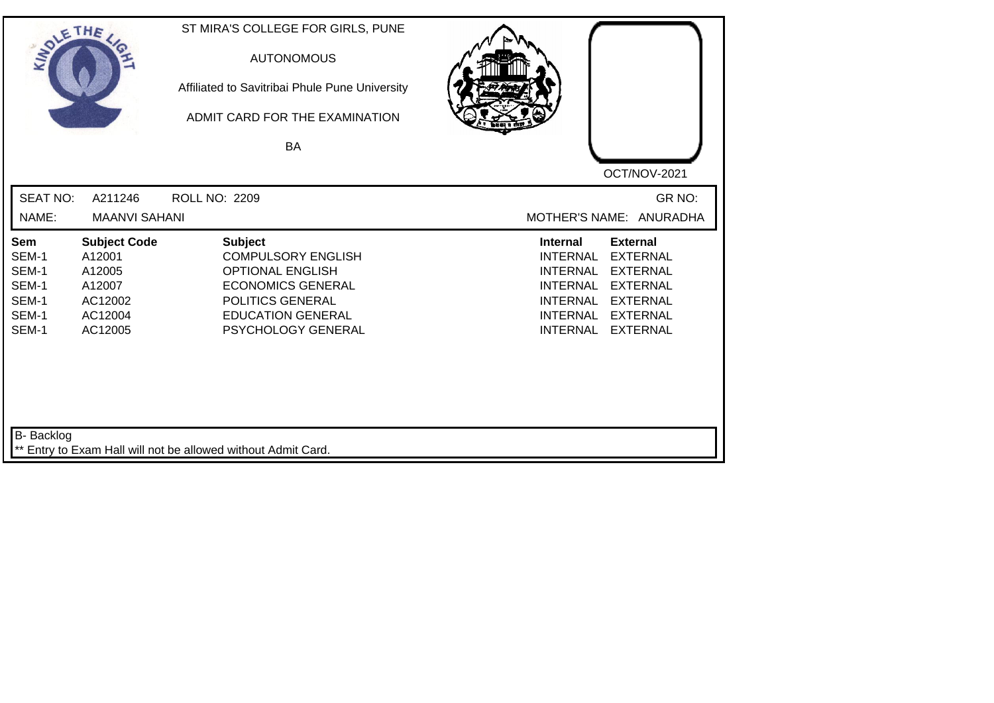| SOLETHE ,                                                 |                                                                                    | ST MIRA'S COLLEGE FOR GIRLS, PUNE<br><b>AUTONOMOUS</b><br>Affiliated to Savitribai Phule Pune University<br>ADMIT CARD FOR THE EXAMINATION<br><b>BA</b>                  | OCT/NOV-2021                                                                                                                                                                                                                                                           |
|-----------------------------------------------------------|------------------------------------------------------------------------------------|--------------------------------------------------------------------------------------------------------------------------------------------------------------------------|------------------------------------------------------------------------------------------------------------------------------------------------------------------------------------------------------------------------------------------------------------------------|
| <b>SEAT NO:</b><br>NAME:                                  | A211246<br><b>MAANVI SAHANI</b>                                                    | <b>ROLL NO: 2209</b>                                                                                                                                                     | GR NO:<br>MOTHER'S NAME: ANURADHA                                                                                                                                                                                                                                      |
| Sem<br>SEM-1<br>SEM-1<br>SEM-1<br>SEM-1<br>SEM-1<br>SEM-1 | <b>Subject Code</b><br>A12001<br>A12005<br>A12007<br>AC12002<br>AC12004<br>AC12005 | <b>Subject</b><br><b>COMPULSORY ENGLISH</b><br><b>OPTIONAL ENGLISH</b><br><b>ECONOMICS GENERAL</b><br>POLITICS GENERAL<br><b>EDUCATION GENERAL</b><br>PSYCHOLOGY GENERAL | <b>External</b><br><b>Internal</b><br><b>INTERNAL</b><br><b>EXTERNAL</b><br><b>INTERNAL</b><br><b>EXTERNAL</b><br><b>INTERNAL</b><br><b>EXTERNAL</b><br><b>INTERNAL</b><br><b>EXTERNAL</b><br><b>INTERNAL</b><br><b>EXTERNAL</b><br><b>INTERNAL</b><br><b>EXTERNAL</b> |
| B- Backlog                                                |                                                                                    | ** Entry to Exam Hall will not be allowed without Admit Card.                                                                                                            |                                                                                                                                                                                                                                                                        |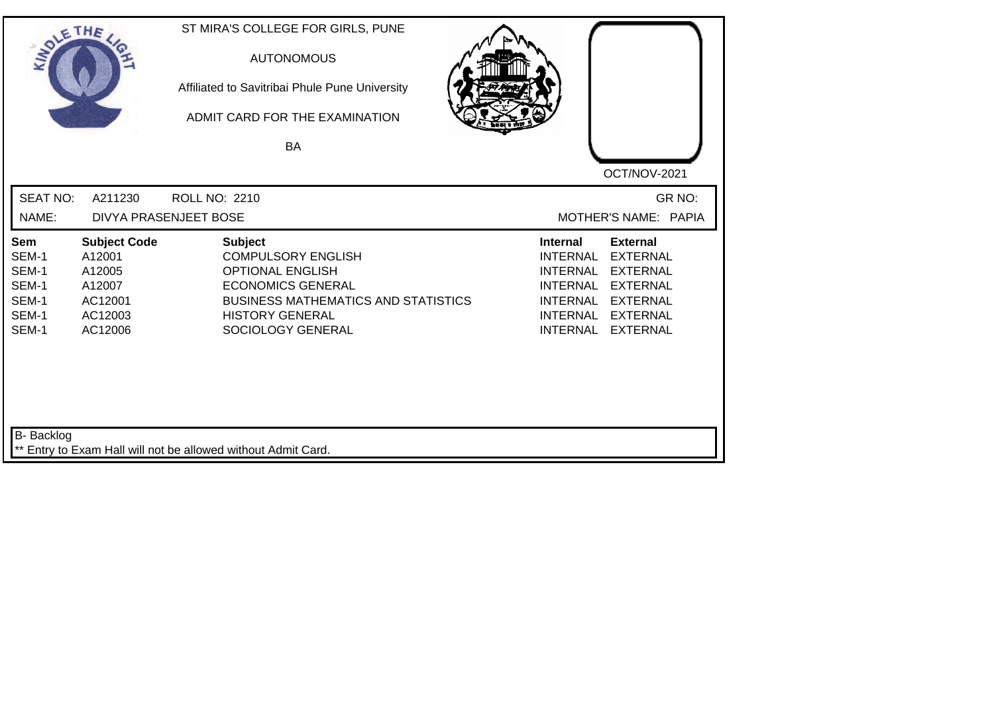| SOLETHE .                                                 |                                                                                    | ST MIRA'S COLLEGE FOR GIRLS, PUNE<br><b>AUTONOMOUS</b><br>Affiliated to Savitribai Phule Pune University<br>ADMIT CARD FOR THE EXAMINATION<br><b>BA</b>                                         | OCT/NOV-2021                                                                                                                                                                                                                                                           |
|-----------------------------------------------------------|------------------------------------------------------------------------------------|-------------------------------------------------------------------------------------------------------------------------------------------------------------------------------------------------|------------------------------------------------------------------------------------------------------------------------------------------------------------------------------------------------------------------------------------------------------------------------|
| <b>SEAT NO:</b><br>NAME:                                  | A211230                                                                            | <b>ROLL NO: 2210</b><br>DIVYA PRASENJEET BOSE                                                                                                                                                   | GR NO:<br>MOTHER'S NAME: PAPIA                                                                                                                                                                                                                                         |
| Sem<br>SEM-1<br>SEM-1<br>SEM-1<br>SEM-1<br>SEM-1<br>SEM-1 | <b>Subject Code</b><br>A12001<br>A12005<br>A12007<br>AC12001<br>AC12003<br>AC12006 | <b>Subject</b><br><b>COMPULSORY ENGLISH</b><br><b>OPTIONAL ENGLISH</b><br><b>ECONOMICS GENERAL</b><br><b>BUSINESS MATHEMATICS AND STATISTICS</b><br><b>HISTORY GENERAL</b><br>SOCIOLOGY GENERAL | <b>External</b><br><b>Internal</b><br><b>EXTERNAL</b><br><b>INTERNAL</b><br><b>INTERNAL</b><br><b>EXTERNAL</b><br><b>INTERNAL</b><br><b>EXTERNAL</b><br><b>INTERNAL</b><br><b>EXTERNAL</b><br><b>INTERNAL</b><br><b>EXTERNAL</b><br><b>INTERNAL</b><br><b>EXTERNAL</b> |
| B- Backlog                                                |                                                                                    | ** Entry to Exam Hall will not be allowed without Admit Card.                                                                                                                                   |                                                                                                                                                                                                                                                                        |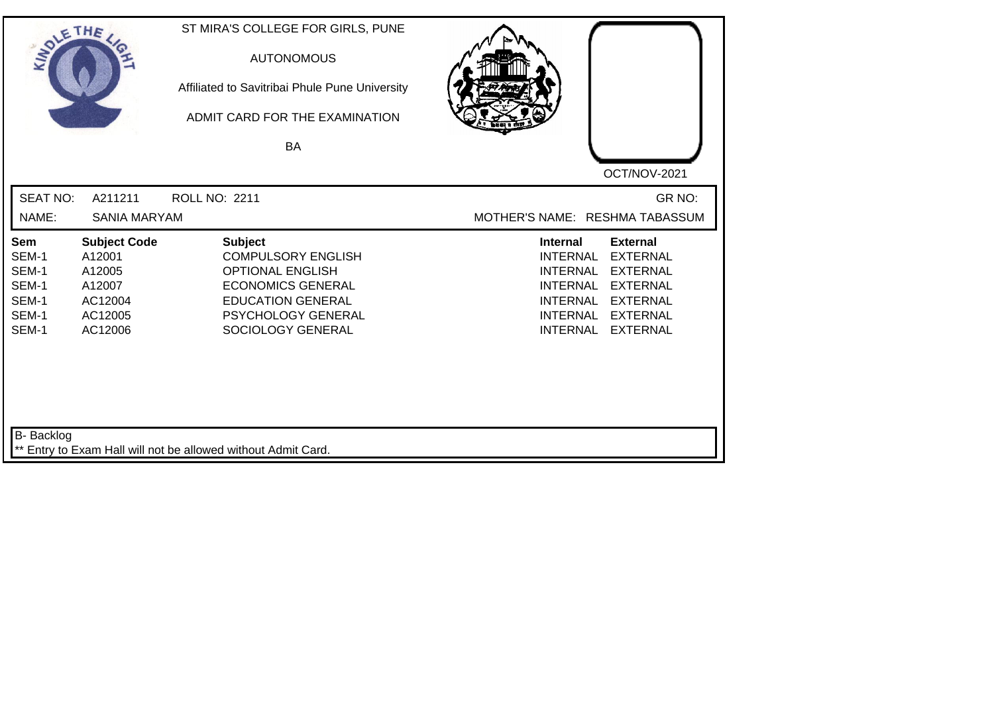| SOLETHE .                                                        |                                                                                    | ST MIRA'S COLLEGE FOR GIRLS, PUNE<br><b>AUTONOMOUS</b><br>Affiliated to Savitribai Phule Pune University<br>ADMIT CARD FOR THE EXAMINATION                                |                                                                                                                                                                                                                                                                 |
|------------------------------------------------------------------|------------------------------------------------------------------------------------|---------------------------------------------------------------------------------------------------------------------------------------------------------------------------|-----------------------------------------------------------------------------------------------------------------------------------------------------------------------------------------------------------------------------------------------------------------|
|                                                                  |                                                                                    | <b>BA</b>                                                                                                                                                                 | OCT/NOV-2021                                                                                                                                                                                                                                                    |
| <b>SEAT NO:</b><br>NAME:                                         | A211211<br><b>SANIA MARYAM</b>                                                     | <b>ROLL NO: 2211</b>                                                                                                                                                      | GR NO:<br>MOTHER'S NAME: RESHMA TABASSUM                                                                                                                                                                                                                        |
| <b>Sem</b><br>SEM-1<br>SEM-1<br>SEM-1<br>SEM-1<br>SEM-1<br>SEM-1 | <b>Subject Code</b><br>A12001<br>A12005<br>A12007<br>AC12004<br>AC12005<br>AC12006 | <b>Subject</b><br><b>COMPULSORY ENGLISH</b><br><b>OPTIONAL ENGLISH</b><br><b>ECONOMICS GENERAL</b><br><b>EDUCATION GENERAL</b><br>PSYCHOLOGY GENERAL<br>SOCIOLOGY GENERAL | <b>External</b><br><b>Internal</b><br><b>INTERNAL</b><br><b>EXTERNAL</b><br><b>INTERNAL</b><br><b>EXTERNAL</b><br><b>INTERNAL</b><br><b>EXTERNAL</b><br><b>INTERNAL</b><br><b>EXTERNAL</b><br><b>INTERNAL</b><br><b>EXTERNAL</b><br><b>EXTERNAL</b><br>INTERNAL |
| B- Backlog                                                       |                                                                                    | ** Entry to Exam Hall will not be allowed without Admit Card.                                                                                                             |                                                                                                                                                                                                                                                                 |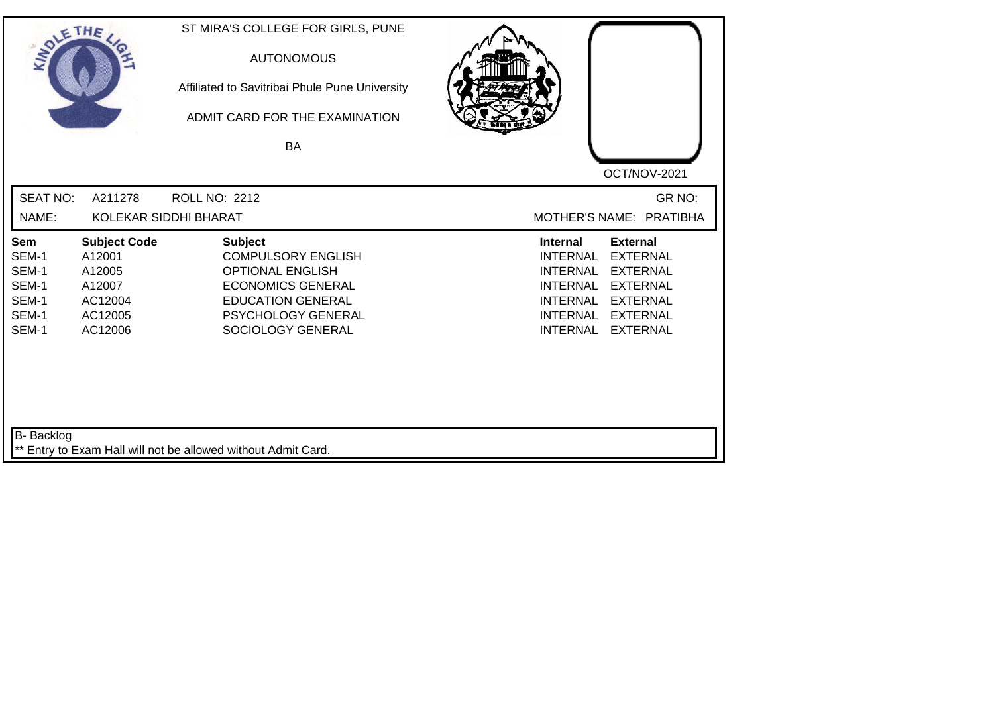| SOLETHE ,                                                        |                                                                                    | ST MIRA'S COLLEGE FOR GIRLS, PUNE<br><b>AUTONOMOUS</b><br>Affiliated to Savitribai Phule Pune University<br>ADMIT CARD FOR THE EXAMINATION<br>BA                                 | OCT/NOV-2021                                                                                                                                                                                                                                                           |
|------------------------------------------------------------------|------------------------------------------------------------------------------------|----------------------------------------------------------------------------------------------------------------------------------------------------------------------------------|------------------------------------------------------------------------------------------------------------------------------------------------------------------------------------------------------------------------------------------------------------------------|
| <b>SEAT NO:</b><br>NAME:                                         | A211278                                                                            | <b>ROLL NO: 2212</b><br>KOLEKAR SIDDHI BHARAT                                                                                                                                    | GR NO:<br>MOTHER'S NAME: PRATIBHA                                                                                                                                                                                                                                      |
| <b>Sem</b><br>SEM-1<br>SEM-1<br>SEM-1<br>SEM-1<br>SEM-1<br>SEM-1 | <b>Subject Code</b><br>A12001<br>A12005<br>A12007<br>AC12004<br>AC12005<br>AC12006 | <b>Subject</b><br><b>COMPULSORY ENGLISH</b><br><b>OPTIONAL ENGLISH</b><br><b>ECONOMICS GENERAL</b><br><b>EDUCATION GENERAL</b><br><b>PSYCHOLOGY GENERAL</b><br>SOCIOLOGY GENERAL | <b>Internal</b><br><b>External</b><br><b>EXTERNAL</b><br><b>INTERNAL</b><br><b>EXTERNAL</b><br><b>INTERNAL</b><br><b>INTERNAL</b><br><b>EXTERNAL</b><br><b>INTERNAL</b><br><b>EXTERNAL</b><br><b>INTERNAL</b><br><b>EXTERNAL</b><br><b>INTERNAL</b><br><b>EXTERNAL</b> |
| B- Backlog                                                       |                                                                                    | ** Entry to Exam Hall will not be allowed without Admit Card.                                                                                                                    |                                                                                                                                                                                                                                                                        |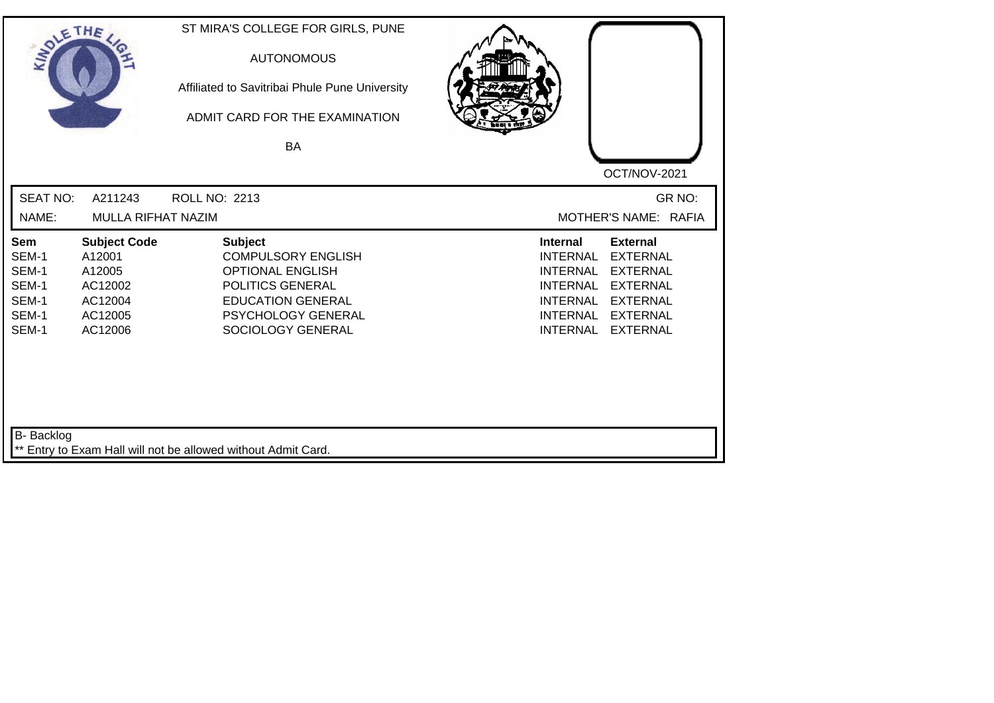| SOLE THE                                                         |                                                                                     | ST MIRA'S COLLEGE FOR GIRLS, PUNE<br><b>AUTONOMOUS</b><br>Affiliated to Savitribai Phule Pune University<br>ADMIT CARD FOR THE EXAMINATION<br><b>BA</b>           |                                                                                                                                                                                                                                                                        |
|------------------------------------------------------------------|-------------------------------------------------------------------------------------|-------------------------------------------------------------------------------------------------------------------------------------------------------------------|------------------------------------------------------------------------------------------------------------------------------------------------------------------------------------------------------------------------------------------------------------------------|
|                                                                  |                                                                                     |                                                                                                                                                                   | OCT/NOV-2021                                                                                                                                                                                                                                                           |
| <b>SEAT NO:</b>                                                  | A211243                                                                             | ROLL NO: 2213                                                                                                                                                     | GR NO:                                                                                                                                                                                                                                                                 |
| NAME:                                                            | MULLA RIFHAT NAZIM                                                                  |                                                                                                                                                                   | MOTHER'S NAME: RAFIA                                                                                                                                                                                                                                                   |
| <b>Sem</b><br>SEM-1<br>SEM-1<br>SEM-1<br>SEM-1<br>SEM-1<br>SEM-1 | <b>Subject Code</b><br>A12001<br>A12005<br>AC12002<br>AC12004<br>AC12005<br>AC12006 | <b>Subject</b><br><b>COMPULSORY ENGLISH</b><br><b>OPTIONAL ENGLISH</b><br>POLITICS GENERAL<br><b>EDUCATION GENERAL</b><br>PSYCHOLOGY GENERAL<br>SOCIOLOGY GENERAL | <b>Internal</b><br><b>External</b><br><b>INTERNAL</b><br><b>EXTERNAL</b><br><b>INTERNAL</b><br><b>EXTERNAL</b><br><b>INTERNAL</b><br><b>EXTERNAL</b><br><b>EXTERNAL</b><br><b>INTERNAL</b><br><b>INTERNAL</b><br><b>EXTERNAL</b><br><b>INTERNAL</b><br><b>EXTERNAL</b> |
| B- Backlog                                                       |                                                                                     | ** Entry to Exam Hall will not be allowed without Admit Card.                                                                                                     |                                                                                                                                                                                                                                                                        |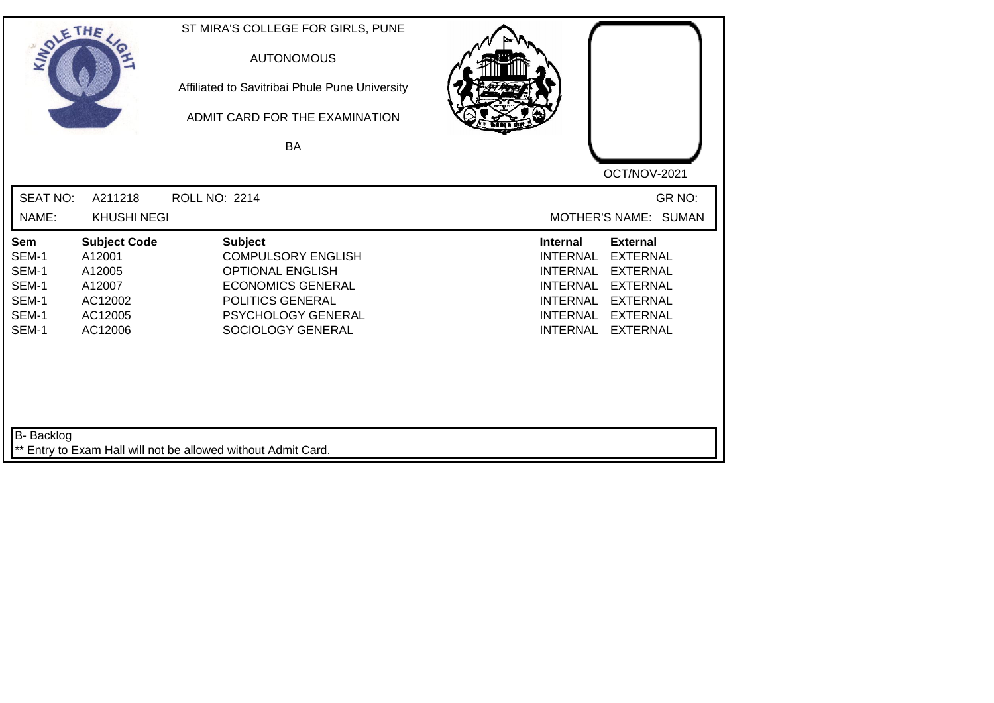| SOLE THE                                                         |                                                                                    | ST MIRA'S COLLEGE FOR GIRLS, PUNE<br><b>AUTONOMOUS</b><br>Affiliated to Savitribai Phule Pune University<br>ADMIT CARD FOR THE EXAMINATION<br><b>BA</b>           |                                                                                                                                                                                                                                                                        |
|------------------------------------------------------------------|------------------------------------------------------------------------------------|-------------------------------------------------------------------------------------------------------------------------------------------------------------------|------------------------------------------------------------------------------------------------------------------------------------------------------------------------------------------------------------------------------------------------------------------------|
|                                                                  |                                                                                    |                                                                                                                                                                   | OCT/NOV-2021                                                                                                                                                                                                                                                           |
| <b>SEAT NO:</b>                                                  | A211218                                                                            | ROLL NO: 2214                                                                                                                                                     | GR NO:                                                                                                                                                                                                                                                                 |
| NAME:                                                            | <b>KHUSHI NEGI</b>                                                                 |                                                                                                                                                                   | MOTHER'S NAME: SUMAN                                                                                                                                                                                                                                                   |
| <b>Sem</b><br>SEM-1<br>SEM-1<br>SEM-1<br>SEM-1<br>SEM-1<br>SEM-1 | <b>Subject Code</b><br>A12001<br>A12005<br>A12007<br>AC12002<br>AC12005<br>AC12006 | <b>Subject</b><br><b>COMPULSORY ENGLISH</b><br><b>OPTIONAL ENGLISH</b><br><b>ECONOMICS GENERAL</b><br>POLITICS GENERAL<br>PSYCHOLOGY GENERAL<br>SOCIOLOGY GENERAL | <b>Internal</b><br><b>External</b><br><b>INTERNAL</b><br><b>EXTERNAL</b><br><b>EXTERNAL</b><br><b>INTERNAL</b><br><b>INTERNAL</b><br><b>EXTERNAL</b><br><b>INTERNAL</b><br><b>EXTERNAL</b><br><b>INTERNAL</b><br><b>EXTERNAL</b><br><b>INTERNAL</b><br><b>EXTERNAL</b> |
| B- Backlog                                                       |                                                                                    | ** Entry to Exam Hall will not be allowed without Admit Card.                                                                                                     |                                                                                                                                                                                                                                                                        |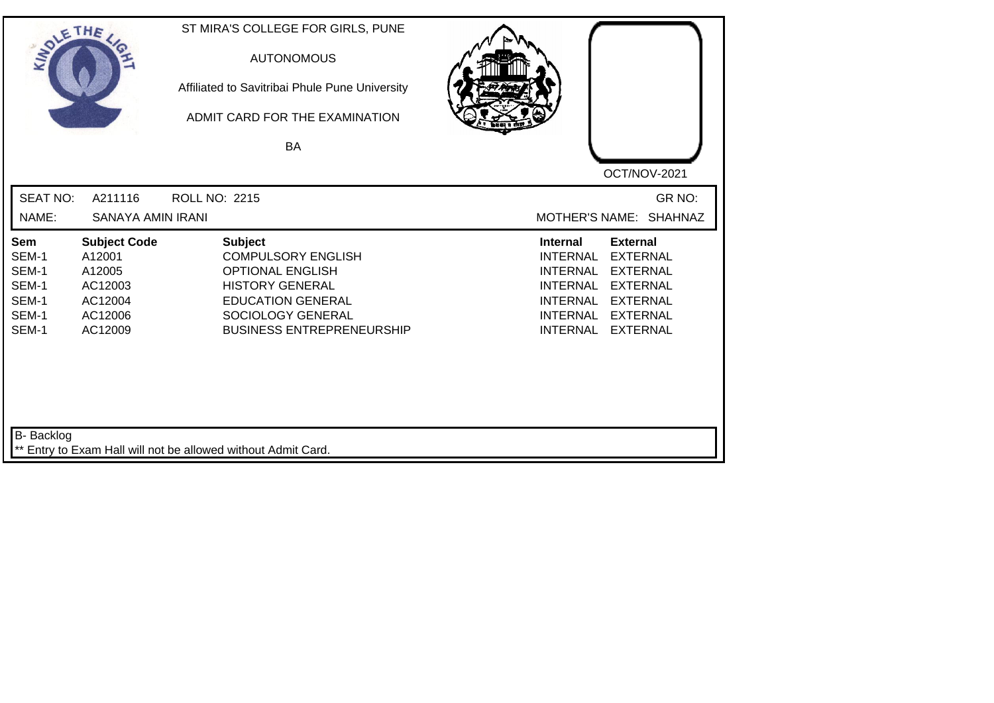| SOLE THE                                                  |                                                                                     | ST MIRA'S COLLEGE FOR GIRLS, PUNE<br><b>AUTONOMOUS</b><br>Affiliated to Savitribai Phule Pune University<br>ADMIT CARD FOR THE EXAMINATION<br><b>BA</b>                               |                                                                                                                                   |                                                                                                                                   |
|-----------------------------------------------------------|-------------------------------------------------------------------------------------|---------------------------------------------------------------------------------------------------------------------------------------------------------------------------------------|-----------------------------------------------------------------------------------------------------------------------------------|-----------------------------------------------------------------------------------------------------------------------------------|
|                                                           |                                                                                     |                                                                                                                                                                                       |                                                                                                                                   | OCT/NOV-2021                                                                                                                      |
| <b>SEAT NO:</b>                                           | A211116                                                                             | <b>ROLL NO: 2215</b>                                                                                                                                                                  |                                                                                                                                   | GR NO:                                                                                                                            |
| NAME:                                                     | <b>SANAYA AMIN IRANI</b>                                                            |                                                                                                                                                                                       | <b>MOTHER'S NAME:</b>                                                                                                             | <b>SHAHNAZ</b>                                                                                                                    |
| Sem<br>SEM-1<br>SEM-1<br>SEM-1<br>SEM-1<br>SEM-1<br>SEM-1 | <b>Subject Code</b><br>A12001<br>A12005<br>AC12003<br>AC12004<br>AC12006<br>AC12009 | <b>Subject</b><br><b>COMPULSORY ENGLISH</b><br><b>OPTIONAL ENGLISH</b><br><b>HISTORY GENERAL</b><br><b>EDUCATION GENERAL</b><br>SOCIOLOGY GENERAL<br><b>BUSINESS ENTREPRENEURSHIP</b> | <b>Internal</b><br><b>INTERNAL</b><br><b>INTERNAL</b><br><b>INTERNAL</b><br><b>INTERNAL</b><br><b>INTERNAL</b><br><b>INTERNAL</b> | <b>External</b><br><b>EXTERNAL</b><br><b>EXTERNAL</b><br><b>EXTERNAL</b><br><b>EXTERNAL</b><br><b>EXTERNAL</b><br><b>EXTERNAL</b> |
| <b>B-</b> Backlog                                         |                                                                                     | ** Entry to Exam Hall will not be allowed without Admit Card.                                                                                                                         |                                                                                                                                   |                                                                                                                                   |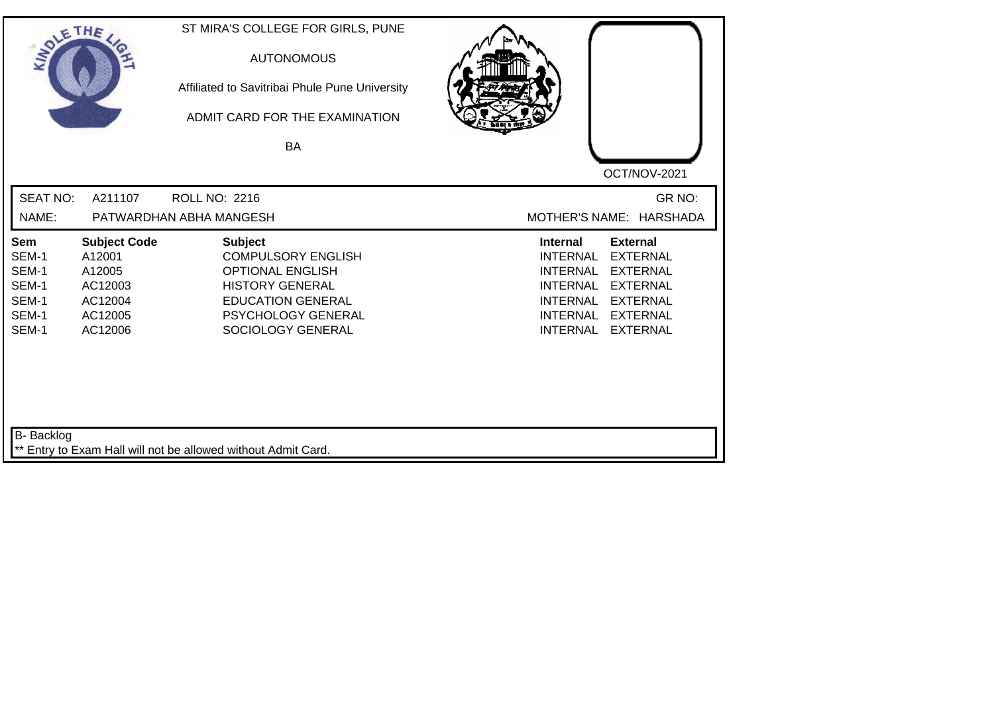| SOLETHE ,                                                        |                                                                                     | ST MIRA'S COLLEGE FOR GIRLS, PUNE<br><b>AUTONOMOUS</b><br>Affiliated to Savitribai Phule Pune University<br>ADMIT CARD FOR THE EXAMINATION<br>BA                               | OCT/NOV-2021                                                                                                                                                                                                                                                    |
|------------------------------------------------------------------|-------------------------------------------------------------------------------------|--------------------------------------------------------------------------------------------------------------------------------------------------------------------------------|-----------------------------------------------------------------------------------------------------------------------------------------------------------------------------------------------------------------------------------------------------------------|
| <b>SEAT NO:</b><br>NAME:                                         | A211107                                                                             | <b>ROLL NO: 2216</b><br>PATWARDHAN ABHA MANGESH                                                                                                                                | GR NO:<br>MOTHER'S NAME: HARSHADA                                                                                                                                                                                                                               |
| <b>Sem</b><br>SEM-1<br>SEM-1<br>SEM-1<br>SEM-1<br>SEM-1<br>SEM-1 | <b>Subject Code</b><br>A12001<br>A12005<br>AC12003<br>AC12004<br>AC12005<br>AC12006 | <b>Subject</b><br><b>COMPULSORY ENGLISH</b><br><b>OPTIONAL ENGLISH</b><br><b>HISTORY GENERAL</b><br><b>EDUCATION GENERAL</b><br><b>PSYCHOLOGY GENERAL</b><br>SOCIOLOGY GENERAL | <b>Internal</b><br><b>External</b><br><b>INTERNAL</b><br><b>EXTERNAL</b><br><b>EXTERNAL</b><br>INTERNAL<br><b>INTERNAL</b><br><b>EXTERNAL</b><br><b>INTERNAL</b><br><b>EXTERNAL</b><br><b>INTERNAL</b><br><b>EXTERNAL</b><br><b>INTERNAL</b><br><b>EXTERNAL</b> |
| B- Backlog                                                       |                                                                                     | ** Entry to Exam Hall will not be allowed without Admit Card.                                                                                                                  |                                                                                                                                                                                                                                                                 |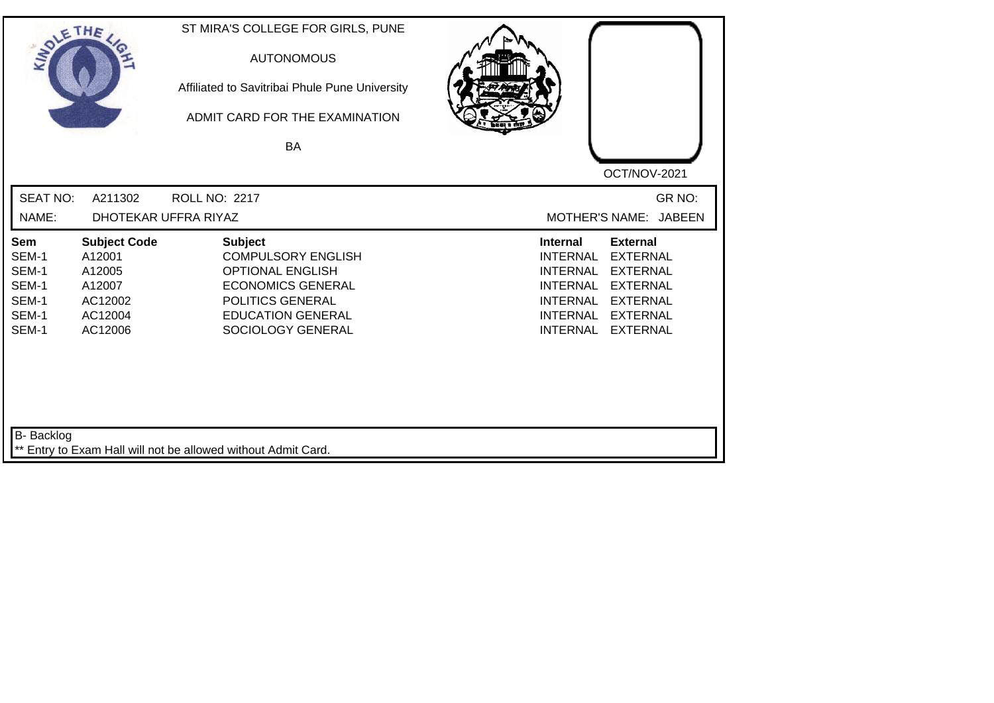| SOLETHE ,                                                        |                                                                                    | ST MIRA'S COLLEGE FOR GIRLS, PUNE<br><b>AUTONOMOUS</b><br>Affiliated to Savitribai Phule Pune University<br>ADMIT CARD FOR THE EXAMINATION<br><b>BA</b>                 | OCT/NOV-2021                                                                                                                                                                                                                                                           |
|------------------------------------------------------------------|------------------------------------------------------------------------------------|-------------------------------------------------------------------------------------------------------------------------------------------------------------------------|------------------------------------------------------------------------------------------------------------------------------------------------------------------------------------------------------------------------------------------------------------------------|
| <b>SEAT NO:</b>                                                  | A211302                                                                            | <b>ROLL NO: 2217</b>                                                                                                                                                    | GR NO:                                                                                                                                                                                                                                                                 |
| NAME:                                                            |                                                                                    | DHOTEKAR UFFRA RIYAZ                                                                                                                                                    | MOTHER'S NAME: JABEEN                                                                                                                                                                                                                                                  |
| <b>Sem</b><br>SEM-1<br>SEM-1<br>SEM-1<br>SEM-1<br>SEM-1<br>SEM-1 | <b>Subject Code</b><br>A12001<br>A12005<br>A12007<br>AC12002<br>AC12004<br>AC12006 | <b>Subject</b><br><b>COMPULSORY ENGLISH</b><br><b>OPTIONAL ENGLISH</b><br><b>ECONOMICS GENERAL</b><br>POLITICS GENERAL<br><b>EDUCATION GENERAL</b><br>SOCIOLOGY GENERAL | <b>External</b><br><b>Internal</b><br><b>INTERNAL</b><br><b>EXTERNAL</b><br><b>INTERNAL</b><br><b>EXTERNAL</b><br><b>INTERNAL</b><br><b>EXTERNAL</b><br><b>EXTERNAL</b><br><b>INTERNAL</b><br><b>INTERNAL</b><br><b>EXTERNAL</b><br><b>INTERNAL</b><br><b>EXTERNAL</b> |
| B- Backlog                                                       |                                                                                    | ** Entry to Exam Hall will not be allowed without Admit Card.                                                                                                           |                                                                                                                                                                                                                                                                        |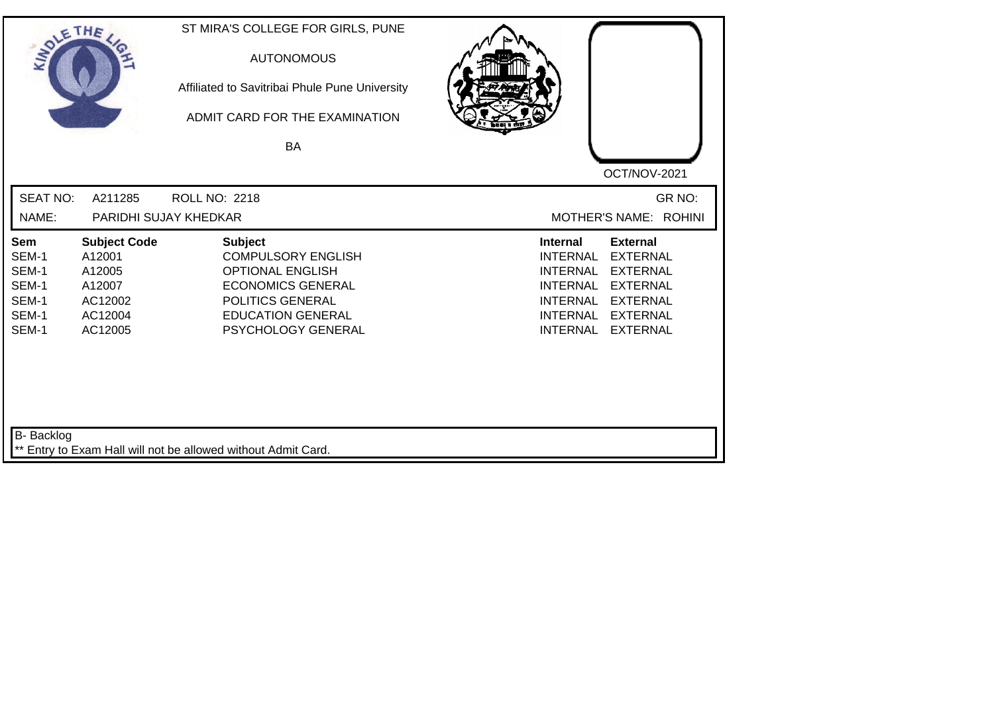| SOLETHE .                                                        |                                                                                    | ST MIRA'S COLLEGE FOR GIRLS, PUNE<br><b>AUTONOMOUS</b><br>Affiliated to Savitribai Phule Pune University<br>ADMIT CARD FOR THE EXAMINATION<br>BA                         | OCT/NOV-2021                                                                                                                                                                                                                                                           |
|------------------------------------------------------------------|------------------------------------------------------------------------------------|--------------------------------------------------------------------------------------------------------------------------------------------------------------------------|------------------------------------------------------------------------------------------------------------------------------------------------------------------------------------------------------------------------------------------------------------------------|
| <b>SEAT NO:</b><br>NAME:                                         | A211285                                                                            | <b>ROLL NO: 2218</b><br>PARIDHI SUJAY KHEDKAR                                                                                                                            | GR NO:<br>MOTHER'S NAME: ROHINI                                                                                                                                                                                                                                        |
| <b>Sem</b><br>SEM-1<br>SEM-1<br>SEM-1<br>SEM-1<br>SEM-1<br>SEM-1 | <b>Subject Code</b><br>A12001<br>A12005<br>A12007<br>AC12002<br>AC12004<br>AC12005 | <b>Subject</b><br><b>COMPULSORY ENGLISH</b><br><b>OPTIONAL ENGLISH</b><br><b>ECONOMICS GENERAL</b><br>POLITICS GENERAL<br><b>EDUCATION GENERAL</b><br>PSYCHOLOGY GENERAL | <b>External</b><br><b>Internal</b><br><b>EXTERNAL</b><br><b>INTERNAL</b><br><b>INTERNAL</b><br><b>EXTERNAL</b><br><b>EXTERNAL</b><br><b>INTERNAL</b><br><b>INTERNAL</b><br><b>EXTERNAL</b><br><b>EXTERNAL</b><br><b>INTERNAL</b><br><b>INTERNAL</b><br><b>EXTERNAL</b> |
| B- Backlog                                                       |                                                                                    | ** Entry to Exam Hall will not be allowed without Admit Card.                                                                                                            |                                                                                                                                                                                                                                                                        |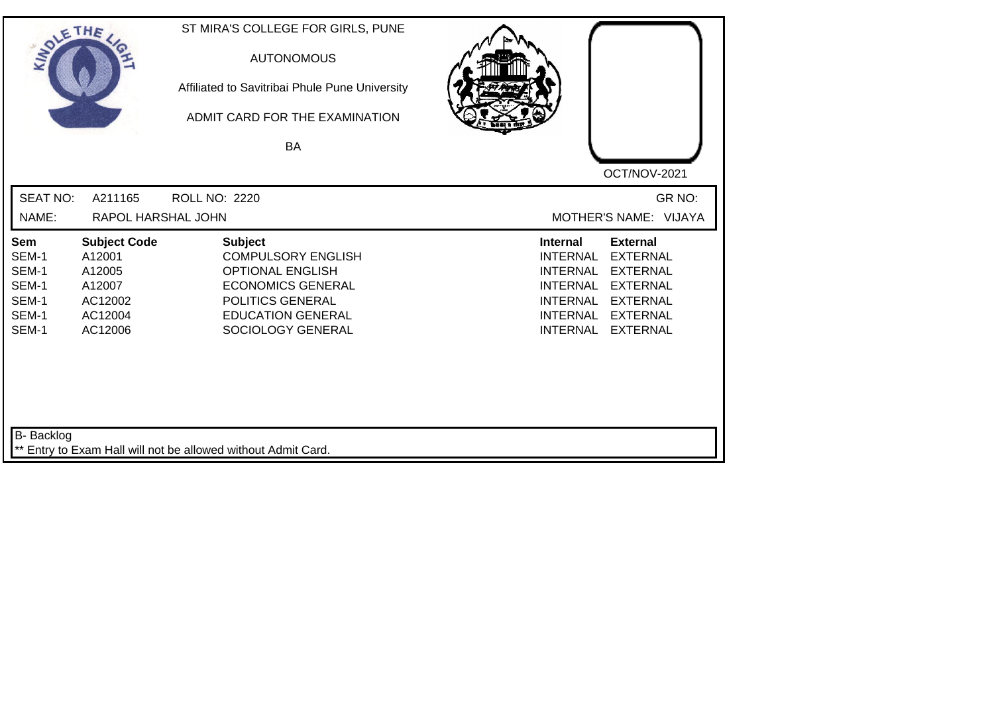| SOLETHE ,                                                        |                                                                                    | ST MIRA'S COLLEGE FOR GIRLS, PUNE<br><b>AUTONOMOUS</b><br>Affiliated to Savitribai Phule Pune University<br>ADMIT CARD FOR THE EXAMINATION<br><b>BA</b>                 | OCT/NOV-2021                                                                                                                                                                                                                                                           |
|------------------------------------------------------------------|------------------------------------------------------------------------------------|-------------------------------------------------------------------------------------------------------------------------------------------------------------------------|------------------------------------------------------------------------------------------------------------------------------------------------------------------------------------------------------------------------------------------------------------------------|
| <b>SEAT NO:</b>                                                  | A211165                                                                            | <b>ROLL NO: 2220</b>                                                                                                                                                    | GR NO:                                                                                                                                                                                                                                                                 |
| NAME:                                                            | RAPOL HARSHAL JOHN                                                                 |                                                                                                                                                                         | MOTHER'S NAME: VIJAYA                                                                                                                                                                                                                                                  |
| <b>Sem</b><br>SEM-1<br>SEM-1<br>SEM-1<br>SEM-1<br>SEM-1<br>SEM-1 | <b>Subject Code</b><br>A12001<br>A12005<br>A12007<br>AC12002<br>AC12004<br>AC12006 | <b>Subject</b><br><b>COMPULSORY ENGLISH</b><br><b>OPTIONAL ENGLISH</b><br><b>ECONOMICS GENERAL</b><br>POLITICS GENERAL<br><b>EDUCATION GENERAL</b><br>SOCIOLOGY GENERAL | <b>External</b><br><b>Internal</b><br><b>INTERNAL</b><br><b>EXTERNAL</b><br><b>INTERNAL</b><br><b>EXTERNAL</b><br><b>INTERNAL</b><br><b>EXTERNAL</b><br><b>EXTERNAL</b><br><b>INTERNAL</b><br><b>INTERNAL</b><br><b>EXTERNAL</b><br><b>INTERNAL</b><br><b>EXTERNAL</b> |
| B- Backlog                                                       |                                                                                    | ** Entry to Exam Hall will not be allowed without Admit Card.                                                                                                           |                                                                                                                                                                                                                                                                        |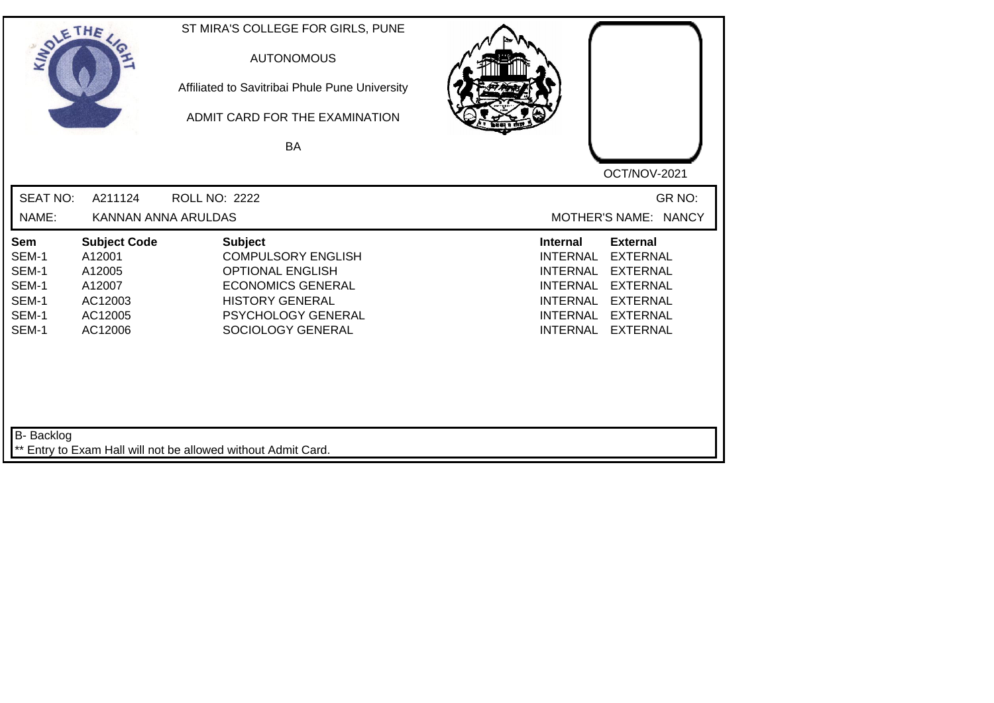| SOLETHE ,                                                        |                                                                                    | ST MIRA'S COLLEGE FOR GIRLS, PUNE<br><b>AUTONOMOUS</b><br>Affiliated to Savitribai Phule Pune University<br>ADMIT CARD FOR THE EXAMINATION<br><b>BA</b>                        | OCT/NOV-2021                                                                                                                                                                                                                                                    |
|------------------------------------------------------------------|------------------------------------------------------------------------------------|--------------------------------------------------------------------------------------------------------------------------------------------------------------------------------|-----------------------------------------------------------------------------------------------------------------------------------------------------------------------------------------------------------------------------------------------------------------|
| <b>SEAT NO:</b><br>NAME:                                         | A211124<br>KANNAN ANNA ARULDAS                                                     | <b>ROLL NO: 2222</b>                                                                                                                                                           | GR NO:<br>MOTHER'S NAME: NANCY                                                                                                                                                                                                                                  |
| <b>Sem</b><br>SEM-1<br>SEM-1<br>SEM-1<br>SEM-1<br>SEM-1<br>SEM-1 | <b>Subject Code</b><br>A12001<br>A12005<br>A12007<br>AC12003<br>AC12005<br>AC12006 | <b>Subject</b><br><b>COMPULSORY ENGLISH</b><br><b>OPTIONAL ENGLISH</b><br><b>ECONOMICS GENERAL</b><br><b>HISTORY GENERAL</b><br><b>PSYCHOLOGY GENERAL</b><br>SOCIOLOGY GENERAL | Internal<br><b>External</b><br><b>EXTERNAL</b><br><b>INTERNAL</b><br><b>EXTERNAL</b><br><b>INTERNAL</b><br><b>INTERNAL</b><br><b>EXTERNAL</b><br><b>INTERNAL</b><br><b>EXTERNAL</b><br><b>INTERNAL</b><br><b>EXTERNAL</b><br><b>INTERNAL</b><br><b>EXTERNAL</b> |
| B- Backlog                                                       |                                                                                    | ** Entry to Exam Hall will not be allowed without Admit Card.                                                                                                                  |                                                                                                                                                                                                                                                                 |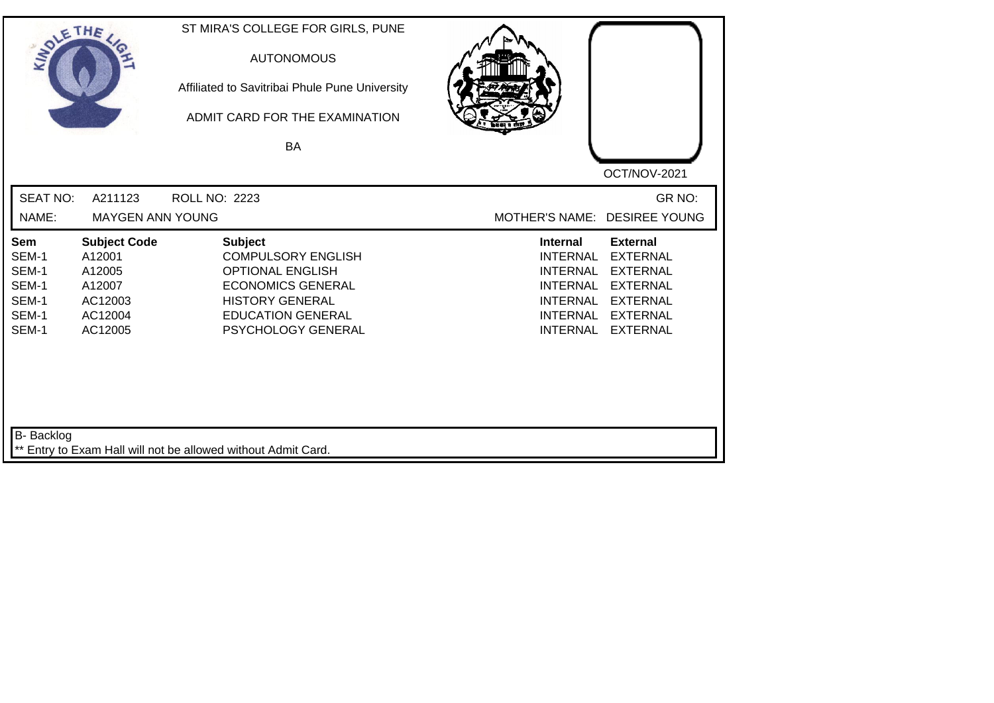| SOLETHE ,                                                 |                                                                                    | ST MIRA'S COLLEGE FOR GIRLS, PUNE<br><b>AUTONOMOUS</b><br>Affiliated to Savitribai Phule Pune University<br>ADMIT CARD FOR THE EXAMINATION<br>BA                               |                                                                                                                                                                                                                                                                        |
|-----------------------------------------------------------|------------------------------------------------------------------------------------|--------------------------------------------------------------------------------------------------------------------------------------------------------------------------------|------------------------------------------------------------------------------------------------------------------------------------------------------------------------------------------------------------------------------------------------------------------------|
| <b>SEAT NO:</b><br>NAME:                                  | A211123<br><b>MAYGEN ANN YOUNG</b>                                                 | ROLL NO: 2223                                                                                                                                                                  | OCT/NOV-2021<br>GR NO:<br>MOTHER'S NAME: DESIREE YOUNG                                                                                                                                                                                                                 |
| Sem<br>SEM-1<br>SEM-1<br>SEM-1<br>SEM-1<br>SEM-1<br>SEM-1 | <b>Subject Code</b><br>A12001<br>A12005<br>A12007<br>AC12003<br>AC12004<br>AC12005 | <b>Subject</b><br><b>COMPULSORY ENGLISH</b><br><b>OPTIONAL ENGLISH</b><br><b>ECONOMICS GENERAL</b><br><b>HISTORY GENERAL</b><br><b>EDUCATION GENERAL</b><br>PSYCHOLOGY GENERAL | <b>External</b><br><b>Internal</b><br><b>EXTERNAL</b><br><b>INTERNAL</b><br><b>EXTERNAL</b><br><b>INTERNAL</b><br><b>INTERNAL</b><br><b>EXTERNAL</b><br><b>INTERNAL</b><br><b>EXTERNAL</b><br><b>INTERNAL</b><br><b>EXTERNAL</b><br><b>INTERNAL</b><br><b>EXTERNAL</b> |
| B- Backlog                                                |                                                                                    | ** Entry to Exam Hall will not be allowed without Admit Card.                                                                                                                  |                                                                                                                                                                                                                                                                        |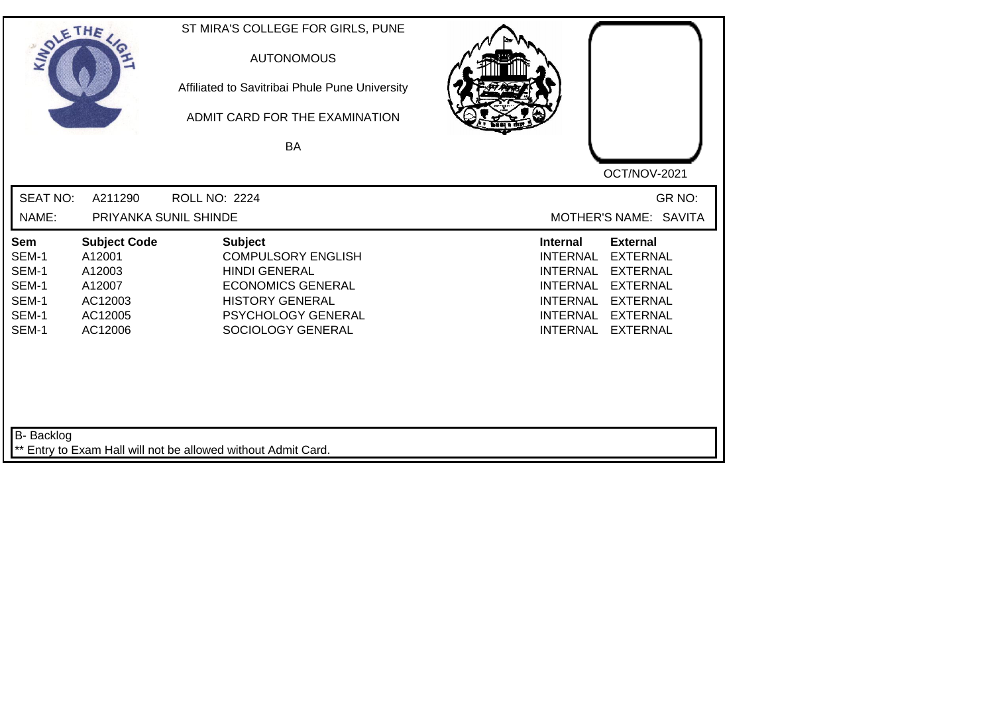| SOLETHE ,                                                        |                                                                                    | ST MIRA'S COLLEGE FOR GIRLS, PUNE<br><b>AUTONOMOUS</b><br>Affiliated to Savitribai Phule Pune University<br>ADMIT CARD FOR THE EXAMINATION<br>BA                            | OCT/NOV-2021                                                                                                                                                                                                                                                           |
|------------------------------------------------------------------|------------------------------------------------------------------------------------|-----------------------------------------------------------------------------------------------------------------------------------------------------------------------------|------------------------------------------------------------------------------------------------------------------------------------------------------------------------------------------------------------------------------------------------------------------------|
| <b>SEAT NO:</b><br>NAME:                                         | A211290<br>PRIYANKA SUNIL SHINDE                                                   | <b>ROLL NO: 2224</b>                                                                                                                                                        | GR NO:<br>MOTHER'S NAME: SAVITA                                                                                                                                                                                                                                        |
| <b>Sem</b><br>SEM-1<br>SEM-1<br>SEM-1<br>SEM-1<br>SEM-1<br>SEM-1 | <b>Subject Code</b><br>A12001<br>A12003<br>A12007<br>AC12003<br>AC12005<br>AC12006 | <b>Subject</b><br><b>COMPULSORY ENGLISH</b><br><b>HINDI GENERAL</b><br><b>ECONOMICS GENERAL</b><br><b>HISTORY GENERAL</b><br><b>PSYCHOLOGY GENERAL</b><br>SOCIOLOGY GENERAL | <b>Internal</b><br><b>External</b><br><b>EXTERNAL</b><br><b>INTERNAL</b><br><b>EXTERNAL</b><br><b>INTERNAL</b><br><b>INTERNAL</b><br><b>EXTERNAL</b><br><b>INTERNAL</b><br><b>EXTERNAL</b><br><b>INTERNAL</b><br><b>EXTERNAL</b><br><b>INTERNAL</b><br><b>EXTERNAL</b> |
| B- Backlog                                                       |                                                                                    | ** Entry to Exam Hall will not be allowed without Admit Card.                                                                                                               |                                                                                                                                                                                                                                                                        |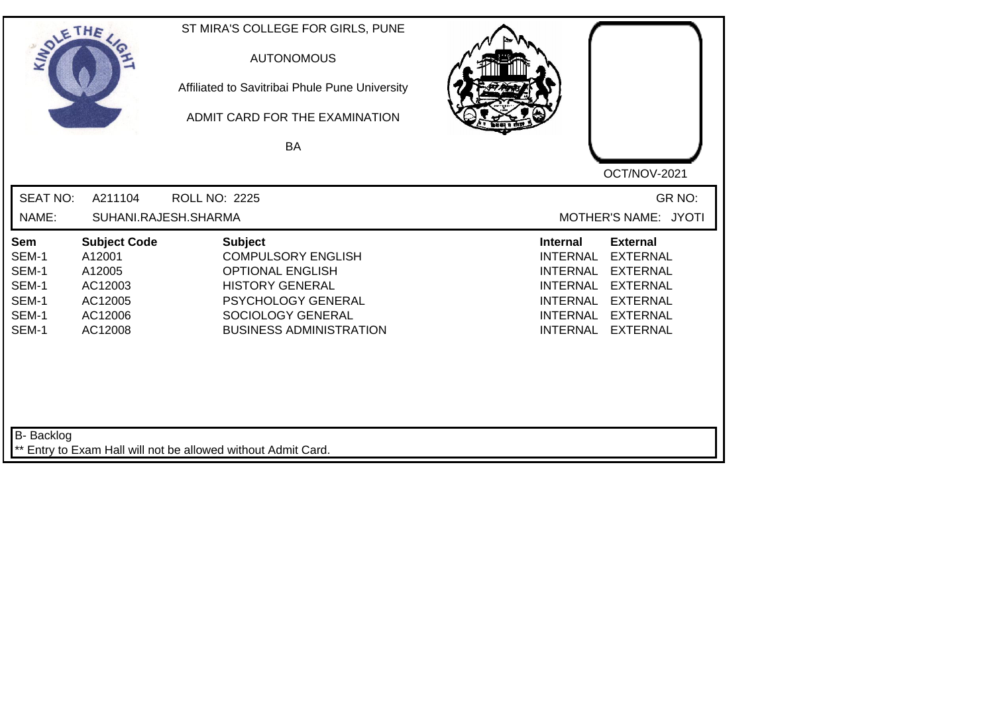| SOLETHE .                                                        |                                                                                     | ST MIRA'S COLLEGE FOR GIRLS, PUNE<br><b>AUTONOMOUS</b><br>Affiliated to Savitribai Phule Pune University<br>ADMIT CARD FOR THE EXAMINATION<br><b>BA</b>                       |                                                                                                                                                                                                                                                                        |
|------------------------------------------------------------------|-------------------------------------------------------------------------------------|-------------------------------------------------------------------------------------------------------------------------------------------------------------------------------|------------------------------------------------------------------------------------------------------------------------------------------------------------------------------------------------------------------------------------------------------------------------|
| <b>SEAT NO:</b><br>NAME:                                         | A211104                                                                             | <b>ROLL NO: 2225</b><br>SUHANI.RAJESH.SHARMA                                                                                                                                  | OCT/NOV-2021<br>GR NO:<br>MOTHER'S NAME: JYOTI                                                                                                                                                                                                                         |
| <b>Sem</b><br>SEM-1<br>SEM-1<br>SEM-1<br>SEM-1<br>SEM-1<br>SEM-1 | <b>Subject Code</b><br>A12001<br>A12005<br>AC12003<br>AC12005<br>AC12006<br>AC12008 | <b>Subject</b><br><b>COMPULSORY ENGLISH</b><br><b>OPTIONAL ENGLISH</b><br><b>HISTORY GENERAL</b><br>PSYCHOLOGY GENERAL<br>SOCIOLOGY GENERAL<br><b>BUSINESS ADMINISTRATION</b> | <b>Internal</b><br><b>External</b><br><b>EXTERNAL</b><br><b>INTERNAL</b><br><b>EXTERNAL</b><br><b>INTERNAL</b><br><b>INTERNAL</b><br><b>EXTERNAL</b><br><b>INTERNAL</b><br><b>EXTERNAL</b><br><b>INTERNAL</b><br><b>EXTERNAL</b><br><b>INTERNAL</b><br><b>EXTERNAL</b> |
| B- Backlog                                                       |                                                                                     | ** Entry to Exam Hall will not be allowed without Admit Card.                                                                                                                 |                                                                                                                                                                                                                                                                        |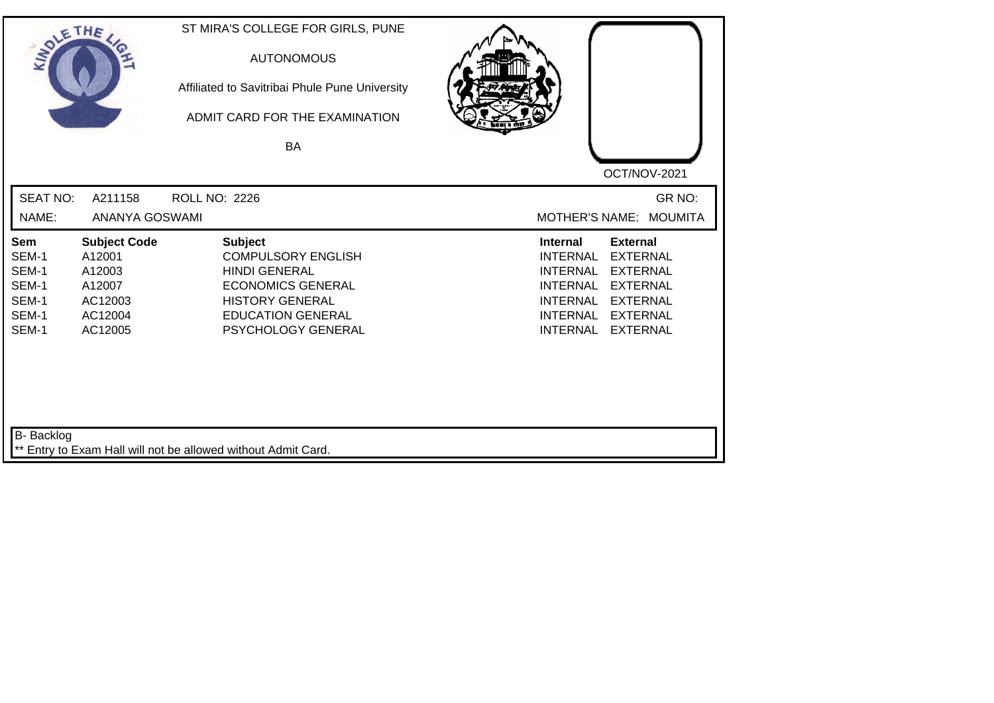| SOLE THE                                                         |                                                                                    | ST MIRA'S COLLEGE FOR GIRLS, PUNE<br><b>AUTONOMOUS</b><br>Affiliated to Savitribai Phule Pune University<br>ADMIT CARD FOR THE EXAMINATION<br>BA                            |                                                                                                                                                                                                                                                                        |
|------------------------------------------------------------------|------------------------------------------------------------------------------------|-----------------------------------------------------------------------------------------------------------------------------------------------------------------------------|------------------------------------------------------------------------------------------------------------------------------------------------------------------------------------------------------------------------------------------------------------------------|
|                                                                  |                                                                                    |                                                                                                                                                                             | OCT/NOV-2021                                                                                                                                                                                                                                                           |
| <b>SEAT NO:</b>                                                  | A211158                                                                            | <b>ROLL NO: 2226</b>                                                                                                                                                        | GR NO:                                                                                                                                                                                                                                                                 |
| NAME:                                                            | ANANYA GOSWAMI                                                                     |                                                                                                                                                                             | MOTHER'S NAME: MOUMITA                                                                                                                                                                                                                                                 |
| <b>Sem</b><br>SEM-1<br>SEM-1<br>SEM-1<br>SEM-1<br>SEM-1<br>SEM-1 | <b>Subject Code</b><br>A12001<br>A12003<br>A12007<br>AC12003<br>AC12004<br>AC12005 | <b>Subject</b><br><b>COMPULSORY ENGLISH</b><br><b>HINDI GENERAL</b><br><b>ECONOMICS GENERAL</b><br><b>HISTORY GENERAL</b><br><b>EDUCATION GENERAL</b><br>PSYCHOLOGY GENERAL | <b>Internal</b><br><b>External</b><br><b>EXTERNAL</b><br><b>INTERNAL</b><br><b>EXTERNAL</b><br><b>INTERNAL</b><br><b>INTERNAL</b><br><b>EXTERNAL</b><br><b>INTERNAL</b><br><b>EXTERNAL</b><br><b>INTERNAL</b><br><b>EXTERNAL</b><br><b>INTERNAL</b><br><b>EXTERNAL</b> |
| B- Backlog                                                       |                                                                                    | ** Entry to Exam Hall will not be allowed without Admit Card.                                                                                                               |                                                                                                                                                                                                                                                                        |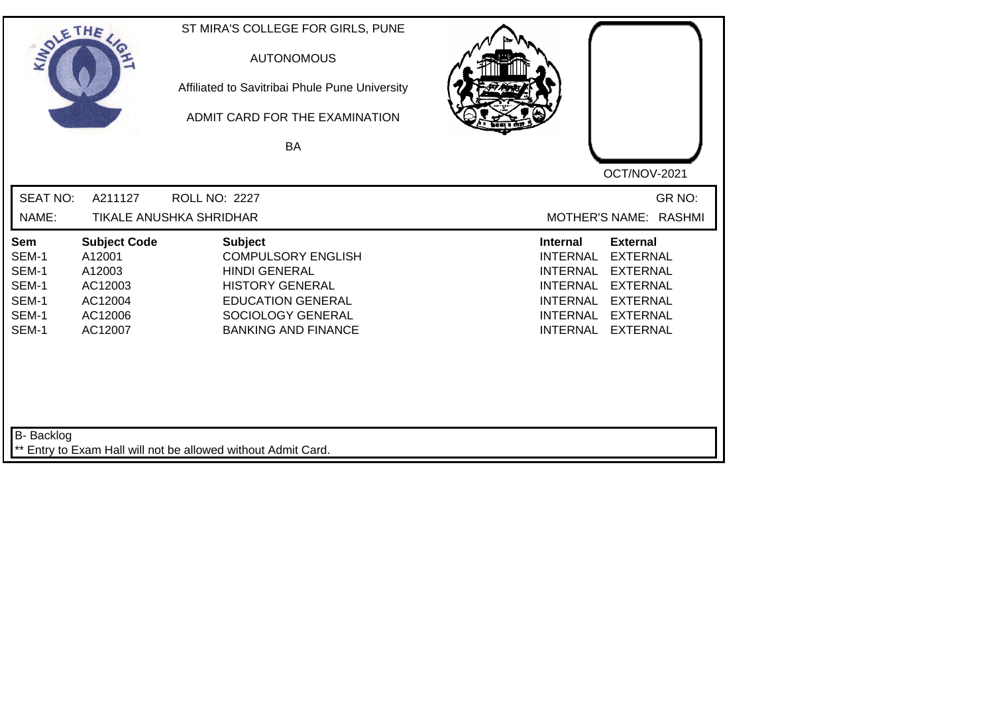| SOLETHE ,                                                 |                                                                                     | ST MIRA'S COLLEGE FOR GIRLS, PUNE<br><b>AUTONOMOUS</b><br>Affiliated to Savitribai Phule Pune University<br>ADMIT CARD FOR THE EXAMINATION<br><b>BA</b>                      | OCT/NOV-2021                                                                                                                                                                                                                                                           |
|-----------------------------------------------------------|-------------------------------------------------------------------------------------|------------------------------------------------------------------------------------------------------------------------------------------------------------------------------|------------------------------------------------------------------------------------------------------------------------------------------------------------------------------------------------------------------------------------------------------------------------|
| <b>SEAT NO:</b><br>NAME:                                  | A211127                                                                             | <b>ROLL NO: 2227</b><br>TIKALE ANUSHKA SHRIDHAR                                                                                                                              | GR NO:<br>MOTHER'S NAME: RASHMI                                                                                                                                                                                                                                        |
| Sem<br>SEM-1<br>SEM-1<br>SEM-1<br>SEM-1<br>SEM-1<br>SEM-1 | <b>Subject Code</b><br>A12001<br>A12003<br>AC12003<br>AC12004<br>AC12006<br>AC12007 | <b>Subject</b><br><b>COMPULSORY ENGLISH</b><br><b>HINDI GENERAL</b><br><b>HISTORY GENERAL</b><br><b>EDUCATION GENERAL</b><br>SOCIOLOGY GENERAL<br><b>BANKING AND FINANCE</b> | <b>Internal</b><br><b>External</b><br><b>INTERNAL</b><br><b>EXTERNAL</b><br><b>INTERNAL</b><br><b>EXTERNAL</b><br><b>INTERNAL</b><br><b>EXTERNAL</b><br><b>INTERNAL</b><br><b>EXTERNAL</b><br><b>INTERNAL</b><br><b>EXTERNAL</b><br><b>INTERNAL</b><br><b>EXTERNAL</b> |
| B- Backlog                                                |                                                                                     | ** Entry to Exam Hall will not be allowed without Admit Card.                                                                                                                |                                                                                                                                                                                                                                                                        |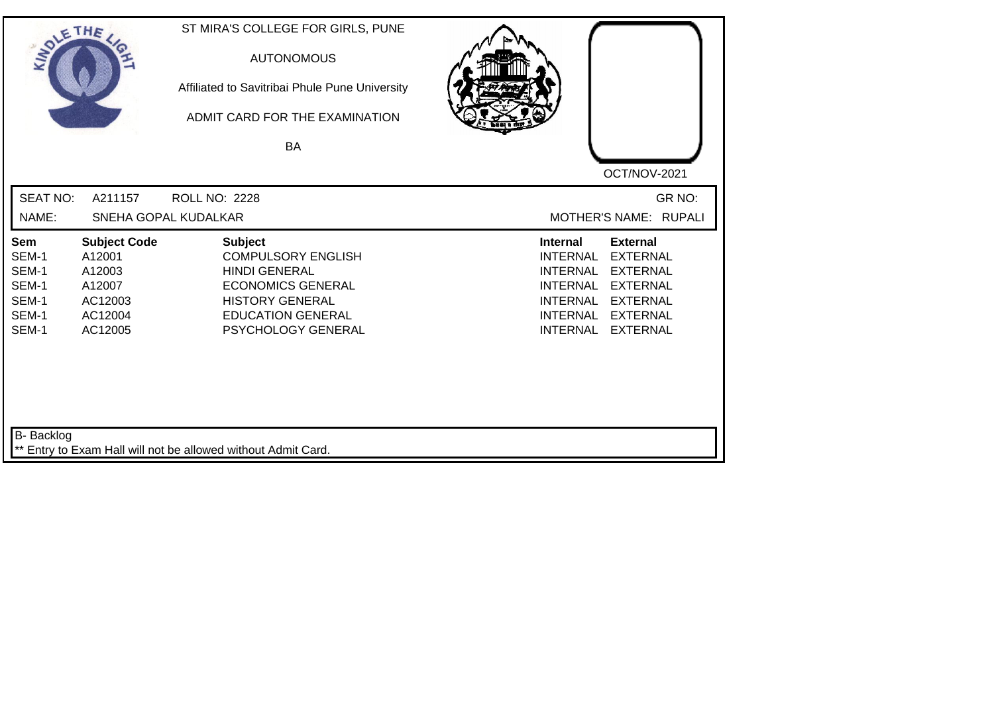| SOLETHE .                                                 |                                                                                    | ST MIRA'S COLLEGE FOR GIRLS, PUNE<br><b>AUTONOMOUS</b><br>Affiliated to Savitribai Phule Pune University<br>ADMIT CARD FOR THE EXAMINATION<br>BA                            | OCT/NOV-2021                                                                                                                                                                                                                                                           |
|-----------------------------------------------------------|------------------------------------------------------------------------------------|-----------------------------------------------------------------------------------------------------------------------------------------------------------------------------|------------------------------------------------------------------------------------------------------------------------------------------------------------------------------------------------------------------------------------------------------------------------|
| <b>SEAT NO:</b><br>NAME:                                  | A211157                                                                            | <b>ROLL NO: 2228</b><br>SNEHA GOPAL KUDALKAR                                                                                                                                | GR NO:<br>MOTHER'S NAME: RUPALI                                                                                                                                                                                                                                        |
| Sem<br>SEM-1<br>SEM-1<br>SEM-1<br>SEM-1<br>SEM-1<br>SEM-1 | <b>Subject Code</b><br>A12001<br>A12003<br>A12007<br>AC12003<br>AC12004<br>AC12005 | <b>Subject</b><br><b>COMPULSORY ENGLISH</b><br><b>HINDI GENERAL</b><br><b>ECONOMICS GENERAL</b><br><b>HISTORY GENERAL</b><br><b>EDUCATION GENERAL</b><br>PSYCHOLOGY GENERAL | <b>Internal</b><br><b>External</b><br><b>EXTERNAL</b><br><b>INTERNAL</b><br><b>EXTERNAL</b><br><b>INTERNAL</b><br><b>INTERNAL</b><br><b>EXTERNAL</b><br><b>INTERNAL</b><br><b>EXTERNAL</b><br><b>INTERNAL</b><br><b>EXTERNAL</b><br><b>INTERNAL</b><br><b>EXTERNAL</b> |
| B- Backlog                                                |                                                                                    | ** Entry to Exam Hall will not be allowed without Admit Card.                                                                                                               |                                                                                                                                                                                                                                                                        |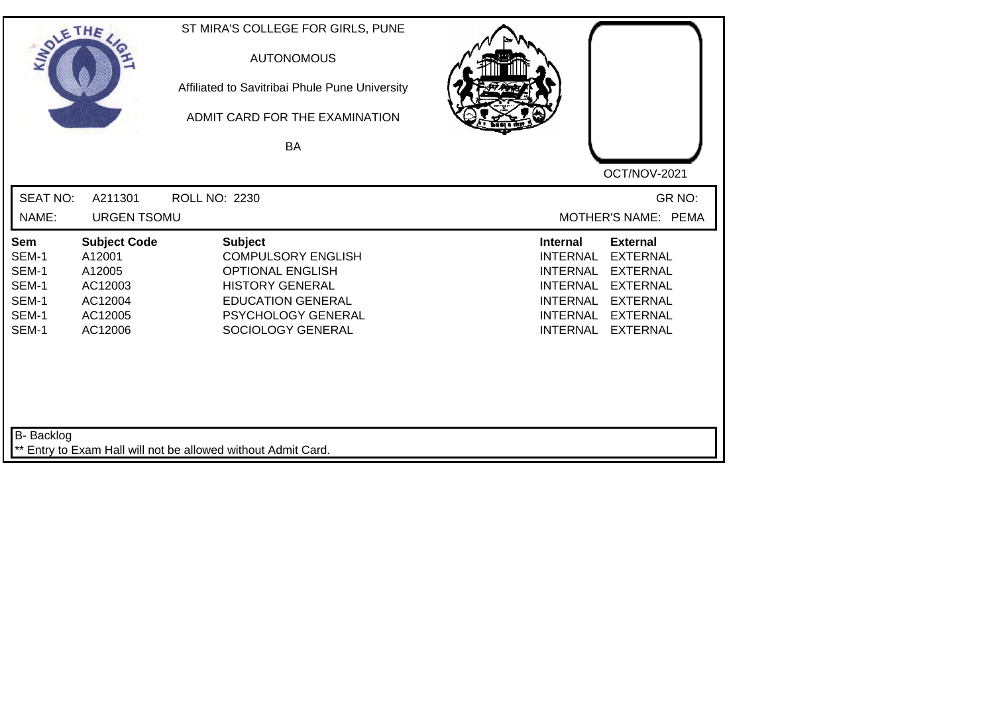| SOLE THE                                                  |                                                                                     | ST MIRA'S COLLEGE FOR GIRLS, PUNE<br><b>AUTONOMOUS</b><br>Affiliated to Savitribai Phule Pune University<br>ADMIT CARD FOR THE EXAMINATION<br><b>BA</b>                 |                                                                                                                                                                                                                                                                        |
|-----------------------------------------------------------|-------------------------------------------------------------------------------------|-------------------------------------------------------------------------------------------------------------------------------------------------------------------------|------------------------------------------------------------------------------------------------------------------------------------------------------------------------------------------------------------------------------------------------------------------------|
|                                                           |                                                                                     |                                                                                                                                                                         | OCT/NOV-2021                                                                                                                                                                                                                                                           |
| <b>SEAT NO:</b>                                           | A211301                                                                             | ROLL NO: 2230                                                                                                                                                           | GR NO:                                                                                                                                                                                                                                                                 |
| NAME:                                                     | <b>URGEN TSOMU</b>                                                                  |                                                                                                                                                                         | MOTHER'S NAME: PEMA                                                                                                                                                                                                                                                    |
| Sem<br>SEM-1<br>SEM-1<br>SEM-1<br>SEM-1<br>SEM-1<br>SEM-1 | <b>Subject Code</b><br>A12001<br>A12005<br>AC12003<br>AC12004<br>AC12005<br>AC12006 | <b>Subject</b><br><b>COMPULSORY ENGLISH</b><br><b>OPTIONAL ENGLISH</b><br><b>HISTORY GENERAL</b><br><b>EDUCATION GENERAL</b><br>PSYCHOLOGY GENERAL<br>SOCIOLOGY GENERAL | <b>Internal</b><br><b>External</b><br><b>INTERNAL</b><br><b>EXTERNAL</b><br><b>EXTERNAL</b><br><b>INTERNAL</b><br><b>INTERNAL</b><br><b>EXTERNAL</b><br><b>INTERNAL</b><br><b>EXTERNAL</b><br><b>INTERNAL</b><br><b>EXTERNAL</b><br><b>INTERNAL</b><br><b>EXTERNAL</b> |
| <b>B-</b> Backlog                                         |                                                                                     | ** Entry to Exam Hall will not be allowed without Admit Card.                                                                                                           |                                                                                                                                                                                                                                                                        |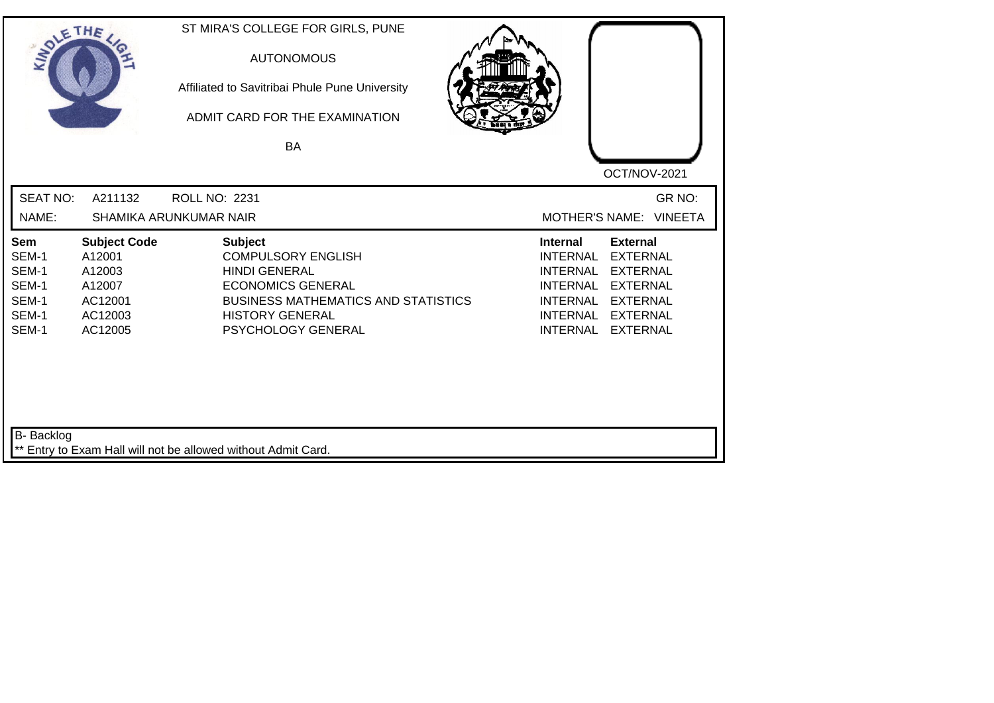| SOLE THE                                                  |                                                                                    | ST MIRA'S COLLEGE FOR GIRLS, PUNE<br><b>AUTONOMOUS</b><br>Affiliated to Savitribai Phule Pune University<br>ADMIT CARD FOR THE EXAMINATION<br>BA                                              | OCT/NOV-2021                                                                                                                                                                                                                                                    |
|-----------------------------------------------------------|------------------------------------------------------------------------------------|-----------------------------------------------------------------------------------------------------------------------------------------------------------------------------------------------|-----------------------------------------------------------------------------------------------------------------------------------------------------------------------------------------------------------------------------------------------------------------|
| <b>SEAT NO:</b>                                           | A211132                                                                            | ROLL NO: 2231                                                                                                                                                                                 | GR NO:                                                                                                                                                                                                                                                          |
| NAME:                                                     |                                                                                    | SHAMIKA ARUNKUMAR NAIR                                                                                                                                                                        | MOTHER'S NAME: VINEETA                                                                                                                                                                                                                                          |
| Sem<br>SEM-1<br>SEM-1<br>SEM-1<br>SEM-1<br>SEM-1<br>SEM-1 | <b>Subject Code</b><br>A12001<br>A12003<br>A12007<br>AC12001<br>AC12003<br>AC12005 | <b>Subject</b><br><b>COMPULSORY ENGLISH</b><br><b>HINDI GENERAL</b><br><b>ECONOMICS GENERAL</b><br><b>BUSINESS MATHEMATICS AND STATISTICS</b><br><b>HISTORY GENERAL</b><br>PSYCHOLOGY GENERAL | <b>Internal</b><br><b>External</b><br><b>INTERNAL</b><br><b>EXTERNAL</b><br><b>INTERNAL</b><br><b>EXTERNAL</b><br><b>EXTERNAL</b><br>INTERNAL<br><b>INTERNAL</b><br><b>EXTERNAL</b><br><b>INTERNAL</b><br><b>EXTERNAL</b><br><b>INTERNAL</b><br><b>EXTERNAL</b> |
| B- Backlog                                                |                                                                                    | ** Entry to Exam Hall will not be allowed without Admit Card.                                                                                                                                 |                                                                                                                                                                                                                                                                 |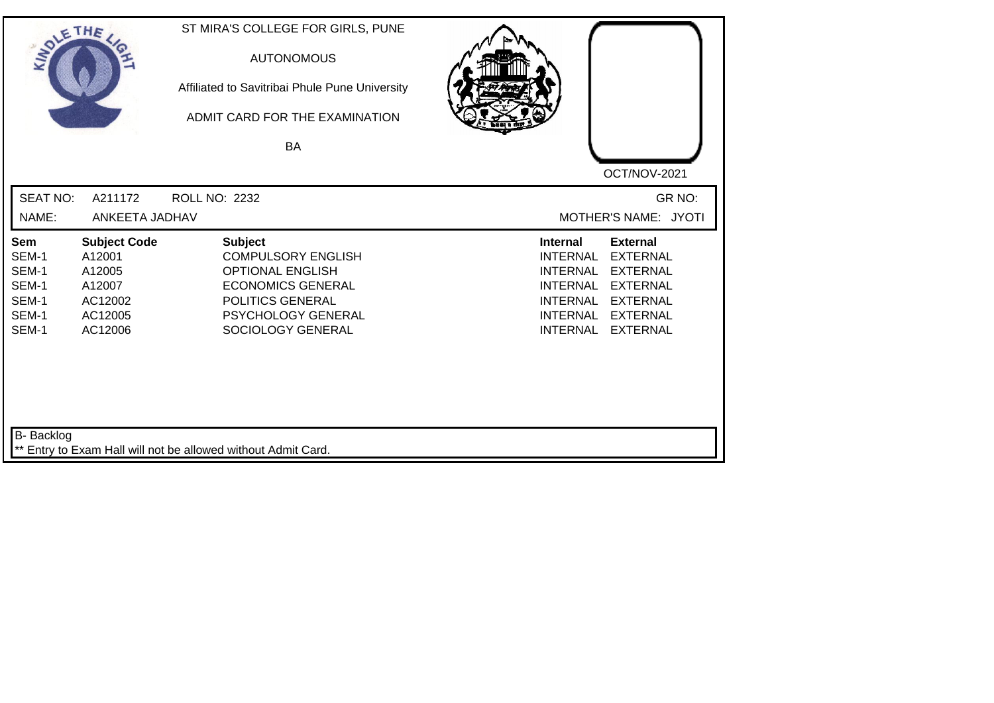| SOLETHE ,                                                 |                                                                                    | ST MIRA'S COLLEGE FOR GIRLS, PUNE<br><b>AUTONOMOUS</b><br>Affiliated to Savitribai Phule Pune University<br>ADMIT CARD FOR THE EXAMINATION<br><b>BA</b>           |                                                                                                                                                                                                                                                                        |
|-----------------------------------------------------------|------------------------------------------------------------------------------------|-------------------------------------------------------------------------------------------------------------------------------------------------------------------|------------------------------------------------------------------------------------------------------------------------------------------------------------------------------------------------------------------------------------------------------------------------|
| <b>SEAT NO:</b><br>NAME:                                  | A211172<br>ANKEETA JADHAV                                                          | ROLL NO: 2232                                                                                                                                                     | OCT/NOV-2021<br>GR NO:<br>MOTHER'S NAME: JYOTI                                                                                                                                                                                                                         |
| Sem<br>SEM-1<br>SEM-1<br>SEM-1<br>SEM-1<br>SEM-1<br>SEM-1 | <b>Subject Code</b><br>A12001<br>A12005<br>A12007<br>AC12002<br>AC12005<br>AC12006 | <b>Subject</b><br><b>COMPULSORY ENGLISH</b><br><b>OPTIONAL ENGLISH</b><br><b>ECONOMICS GENERAL</b><br>POLITICS GENERAL<br>PSYCHOLOGY GENERAL<br>SOCIOLOGY GENERAL | <b>External</b><br><b>Internal</b><br><b>EXTERNAL</b><br><b>INTERNAL</b><br><b>INTERNAL</b><br><b>EXTERNAL</b><br><b>EXTERNAL</b><br><b>INTERNAL</b><br><b>INTERNAL</b><br><b>EXTERNAL</b><br><b>INTERNAL</b><br><b>EXTERNAL</b><br><b>INTERNAL</b><br><b>EXTERNAL</b> |
| B- Backlog                                                |                                                                                    | ** Entry to Exam Hall will not be allowed without Admit Card.                                                                                                     |                                                                                                                                                                                                                                                                        |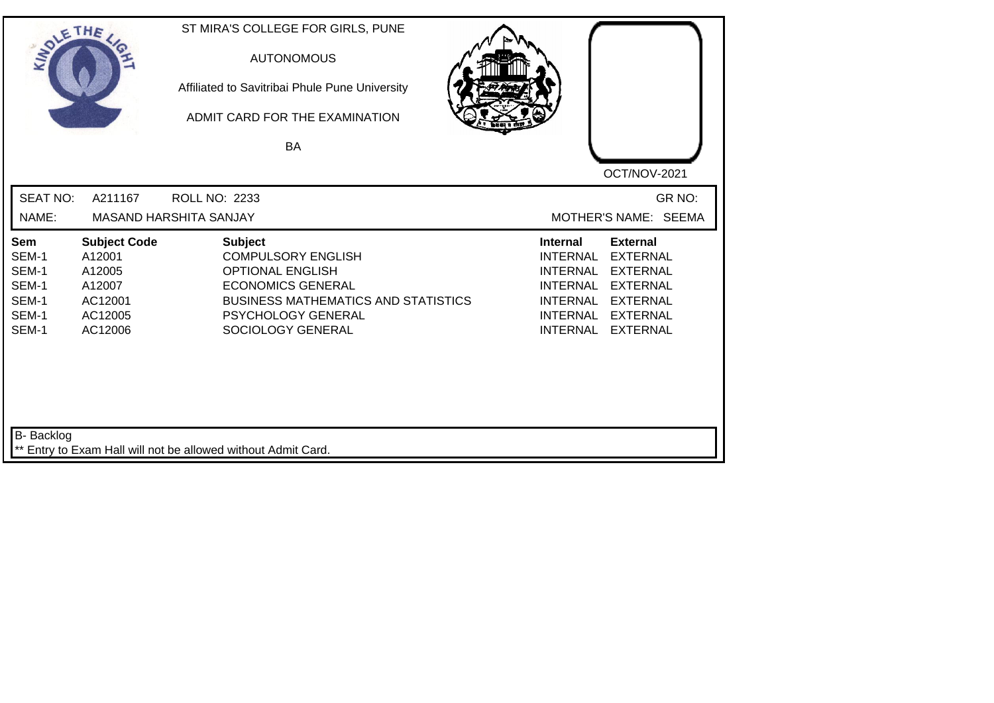| SOLE THE                                                  |                                                                                    | ST MIRA'S COLLEGE FOR GIRLS, PUNE<br><b>AUTONOMOUS</b><br>Affiliated to Savitribai Phule Pune University<br>ADMIT CARD FOR THE EXAMINATION<br><b>BA</b>                                     | OCT/NOV-2021                                                                                                                                                                                                                                                    |
|-----------------------------------------------------------|------------------------------------------------------------------------------------|---------------------------------------------------------------------------------------------------------------------------------------------------------------------------------------------|-----------------------------------------------------------------------------------------------------------------------------------------------------------------------------------------------------------------------------------------------------------------|
| <b>SEAT NO:</b><br>NAME:                                  | A211167                                                                            | <b>ROLL NO: 2233</b><br>MASAND HARSHITA SANJAY                                                                                                                                              | GR NO:<br>MOTHER'S NAME: SEEMA                                                                                                                                                                                                                                  |
| Sem<br>SEM-1<br>SEM-1<br>SEM-1<br>SEM-1<br>SEM-1<br>SEM-1 | <b>Subject Code</b><br>A12001<br>A12005<br>A12007<br>AC12001<br>AC12005<br>AC12006 | <b>Subject</b><br><b>COMPULSORY ENGLISH</b><br><b>OPTIONAL ENGLISH</b><br><b>ECONOMICS GENERAL</b><br><b>BUSINESS MATHEMATICS AND STATISTICS</b><br>PSYCHOLOGY GENERAL<br>SOCIOLOGY GENERAL | <b>External</b><br><b>Internal</b><br><b>EXTERNAL</b><br><b>INTERNAL</b><br><b>INTERNAL</b><br><b>EXTERNAL</b><br><b>INTERNAL</b><br><b>EXTERNAL</b><br><b>INTERNAL</b><br><b>EXTERNAL</b><br>INTERNAL<br><b>EXTERNAL</b><br><b>INTERNAL</b><br><b>EXTERNAL</b> |
| B- Backlog                                                |                                                                                    | ** Entry to Exam Hall will not be allowed without Admit Card.                                                                                                                               |                                                                                                                                                                                                                                                                 |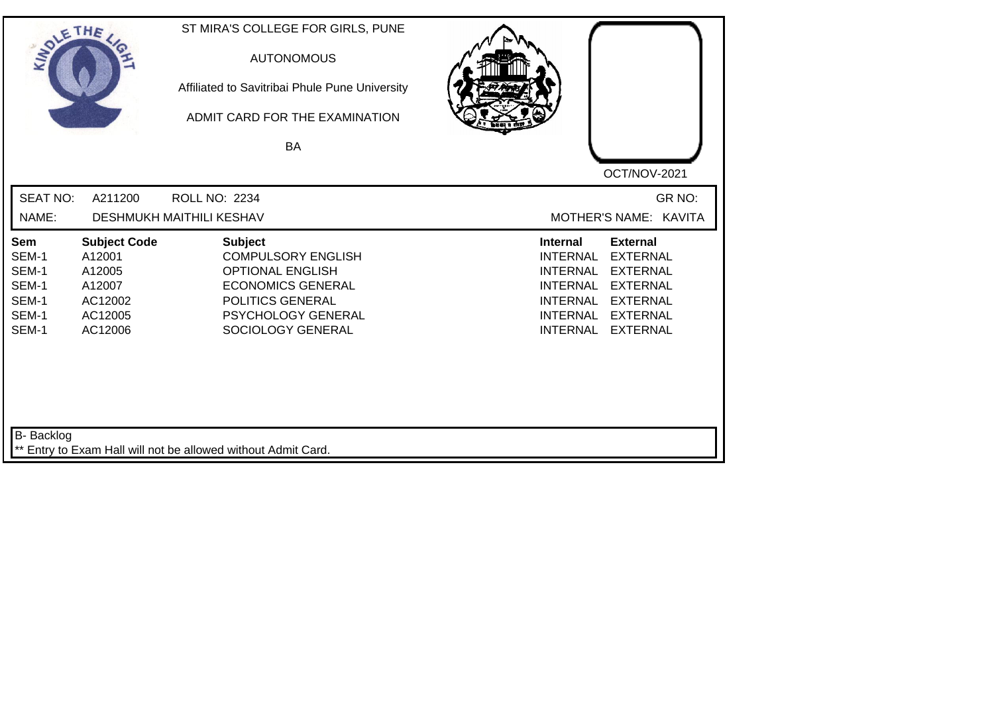| SOLETHE ,                                                 |                                                                                    | ST MIRA'S COLLEGE FOR GIRLS, PUNE<br><b>AUTONOMOUS</b><br>Affiliated to Savitribai Phule Pune University<br>ADMIT CARD FOR THE EXAMINATION<br>BA                  | OCT/NOV-2021                                                                                                                                                                                                                                                           |
|-----------------------------------------------------------|------------------------------------------------------------------------------------|-------------------------------------------------------------------------------------------------------------------------------------------------------------------|------------------------------------------------------------------------------------------------------------------------------------------------------------------------------------------------------------------------------------------------------------------------|
| <b>SEAT NO:</b><br>NAME:                                  | A211200                                                                            | <b>ROLL NO: 2234</b><br><b>DESHMUKH MAITHILI KESHAV</b>                                                                                                           | GR NO:<br>MOTHER'S NAME: KAVITA                                                                                                                                                                                                                                        |
| Sem<br>SEM-1<br>SEM-1<br>SEM-1<br>SEM-1<br>SEM-1<br>SEM-1 | <b>Subject Code</b><br>A12001<br>A12005<br>A12007<br>AC12002<br>AC12005<br>AC12006 | <b>Subject</b><br><b>COMPULSORY ENGLISH</b><br><b>OPTIONAL ENGLISH</b><br><b>ECONOMICS GENERAL</b><br>POLITICS GENERAL<br>PSYCHOLOGY GENERAL<br>SOCIOLOGY GENERAL | <b>External</b><br><b>Internal</b><br><b>INTERNAL</b><br><b>EXTERNAL</b><br><b>INTERNAL</b><br><b>EXTERNAL</b><br><b>EXTERNAL</b><br><b>INTERNAL</b><br><b>INTERNAL</b><br><b>EXTERNAL</b><br><b>INTERNAL</b><br><b>EXTERNAL</b><br><b>INTERNAL</b><br><b>EXTERNAL</b> |
| B- Backlog                                                |                                                                                    | ** Entry to Exam Hall will not be allowed without Admit Card.                                                                                                     |                                                                                                                                                                                                                                                                        |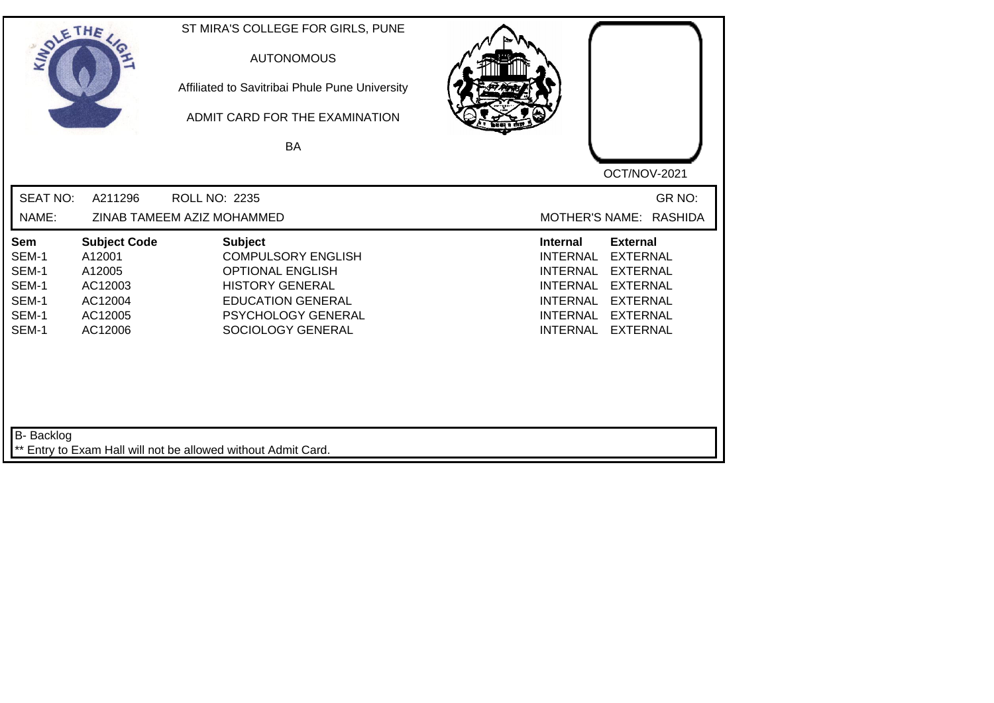| SOLETHE ,                                                 |                                                                                     | ST MIRA'S COLLEGE FOR GIRLS, PUNE<br><b>AUTONOMOUS</b><br>Affiliated to Savitribai Phule Pune University<br>ADMIT CARD FOR THE EXAMINATION<br><b>BA</b>                 |                                                                                                                                                                                                                                                                        |
|-----------------------------------------------------------|-------------------------------------------------------------------------------------|-------------------------------------------------------------------------------------------------------------------------------------------------------------------------|------------------------------------------------------------------------------------------------------------------------------------------------------------------------------------------------------------------------------------------------------------------------|
|                                                           |                                                                                     |                                                                                                                                                                         | OCT/NOV-2021                                                                                                                                                                                                                                                           |
| <b>SEAT NO:</b>                                           | A211296                                                                             | ROLL NO: 2235                                                                                                                                                           | GR NO:                                                                                                                                                                                                                                                                 |
| NAME:                                                     |                                                                                     | ZINAB TAMEEM AZIZ MOHAMMED                                                                                                                                              | MOTHER'S NAME: RASHIDA                                                                                                                                                                                                                                                 |
| Sem<br>SEM-1<br>SEM-1<br>SEM-1<br>SEM-1<br>SEM-1<br>SEM-1 | <b>Subject Code</b><br>A12001<br>A12005<br>AC12003<br>AC12004<br>AC12005<br>AC12006 | <b>Subject</b><br><b>COMPULSORY ENGLISH</b><br><b>OPTIONAL ENGLISH</b><br><b>HISTORY GENERAL</b><br><b>EDUCATION GENERAL</b><br>PSYCHOLOGY GENERAL<br>SOCIOLOGY GENERAL | <b>External</b><br><b>Internal</b><br><b>INTERNAL</b><br><b>EXTERNAL</b><br><b>INTERNAL</b><br><b>EXTERNAL</b><br><b>INTERNAL</b><br><b>EXTERNAL</b><br><b>EXTERNAL</b><br><b>INTERNAL</b><br><b>INTERNAL</b><br><b>EXTERNAL</b><br><b>EXTERNAL</b><br><b>INTERNAL</b> |
| <b>B-</b> Backlog                                         |                                                                                     | ** Entry to Exam Hall will not be allowed without Admit Card.                                                                                                           |                                                                                                                                                                                                                                                                        |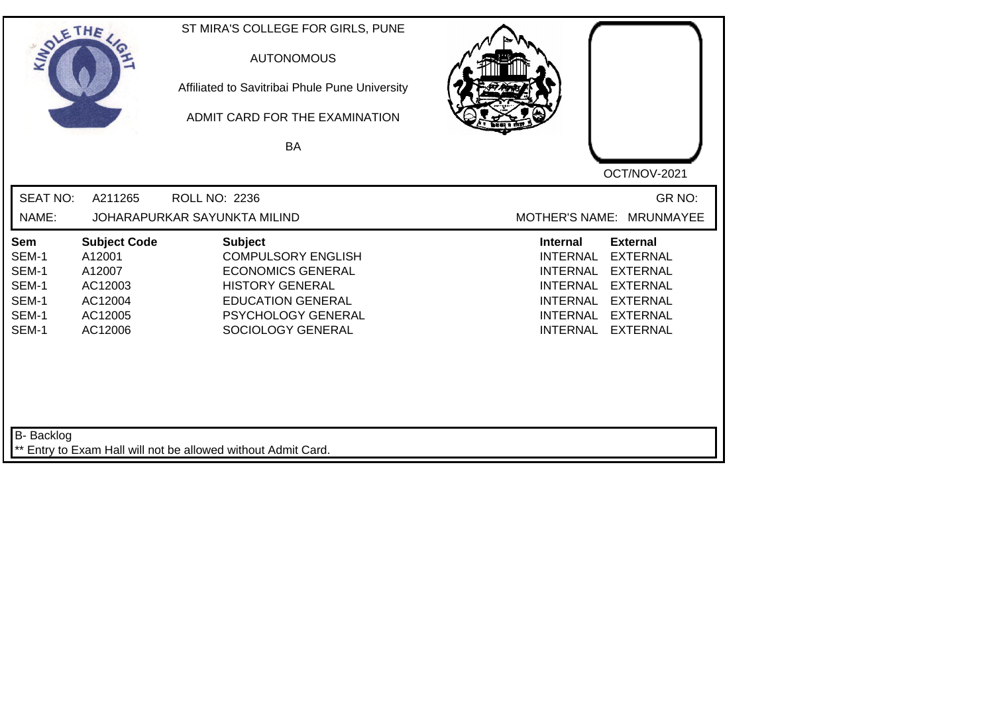| SOLETHE .                                                        |                                                                                     | ST MIRA'S COLLEGE FOR GIRLS, PUNE<br><b>AUTONOMOUS</b><br>Affiliated to Savitribai Phule Pune University<br>ADMIT CARD FOR THE EXAMINATION<br>BA                         | OCT/NOV-2021                                                                                                                                                                                                                                                           |
|------------------------------------------------------------------|-------------------------------------------------------------------------------------|--------------------------------------------------------------------------------------------------------------------------------------------------------------------------|------------------------------------------------------------------------------------------------------------------------------------------------------------------------------------------------------------------------------------------------------------------------|
| <b>SEAT NO:</b><br>NAME:                                         | A211265                                                                             | <b>ROLL NO: 2236</b><br>JOHARAPURKAR SAYUNKTA MILIND                                                                                                                     | GR NO:<br>MOTHER'S NAME: MRUNMAYEE                                                                                                                                                                                                                                     |
| <b>Sem</b><br>SEM-1<br>SEM-1<br>SEM-1<br>SEM-1<br>SEM-1<br>SEM-1 | <b>Subject Code</b><br>A12001<br>A12007<br>AC12003<br>AC12004<br>AC12005<br>AC12006 | <b>Subject</b><br><b>COMPULSORY ENGLISH</b><br><b>ECONOMICS GENERAL</b><br><b>HISTORY GENERAL</b><br><b>EDUCATION GENERAL</b><br>PSYCHOLOGY GENERAL<br>SOCIOLOGY GENERAL | <b>Internal</b><br><b>External</b><br><b>INTERNAL</b><br><b>EXTERNAL</b><br><b>INTERNAL</b><br><b>EXTERNAL</b><br><b>INTERNAL</b><br><b>EXTERNAL</b><br><b>EXTERNAL</b><br><b>INTERNAL</b><br><b>INTERNAL</b><br><b>EXTERNAL</b><br><b>INTERNAL</b><br><b>EXTERNAL</b> |
| B- Backlog                                                       |                                                                                     | ** Entry to Exam Hall will not be allowed without Admit Card.                                                                                                            |                                                                                                                                                                                                                                                                        |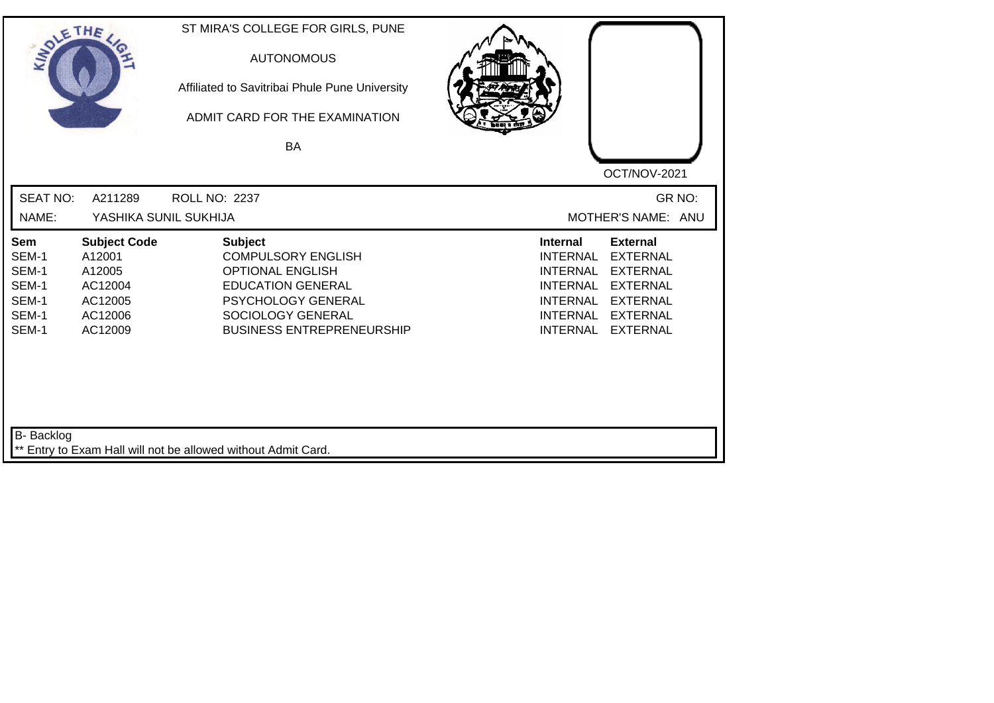| SOLETHE .                                                 |                                                                                     | ST MIRA'S COLLEGE FOR GIRLS, PUNE<br><b>AUTONOMOUS</b><br>Affiliated to Savitribai Phule Pune University<br>ADMIT CARD FOR THE EXAMINATION<br>BA                                  |                                                                                                                                                                                                                                                                        |
|-----------------------------------------------------------|-------------------------------------------------------------------------------------|-----------------------------------------------------------------------------------------------------------------------------------------------------------------------------------|------------------------------------------------------------------------------------------------------------------------------------------------------------------------------------------------------------------------------------------------------------------------|
| <b>SEAT NO:</b><br>NAME:                                  | A211289<br>YASHIKA SUNIL SUKHIJA                                                    | <b>ROLL NO: 2237</b>                                                                                                                                                              | OCT/NOV-2021<br>GR NO:<br>MOTHER'S NAME: ANU                                                                                                                                                                                                                           |
| Sem<br>SEM-1<br>SEM-1<br>SEM-1<br>SEM-1<br>SEM-1<br>SEM-1 | <b>Subject Code</b><br>A12001<br>A12005<br>AC12004<br>AC12005<br>AC12006<br>AC12009 | <b>Subject</b><br><b>COMPULSORY ENGLISH</b><br><b>OPTIONAL ENGLISH</b><br><b>EDUCATION GENERAL</b><br>PSYCHOLOGY GENERAL<br>SOCIOLOGY GENERAL<br><b>BUSINESS ENTREPRENEURSHIP</b> | <b>External</b><br><b>Internal</b><br><b>EXTERNAL</b><br><b>INTERNAL</b><br><b>INTERNAL</b><br><b>EXTERNAL</b><br><b>EXTERNAL</b><br><b>INTERNAL</b><br><b>INTERNAL</b><br><b>EXTERNAL</b><br><b>EXTERNAL</b><br><b>INTERNAL</b><br><b>INTERNAL</b><br><b>EXTERNAL</b> |
| <b>B-</b> Backlog                                         |                                                                                     | ** Entry to Exam Hall will not be allowed without Admit Card.                                                                                                                     |                                                                                                                                                                                                                                                                        |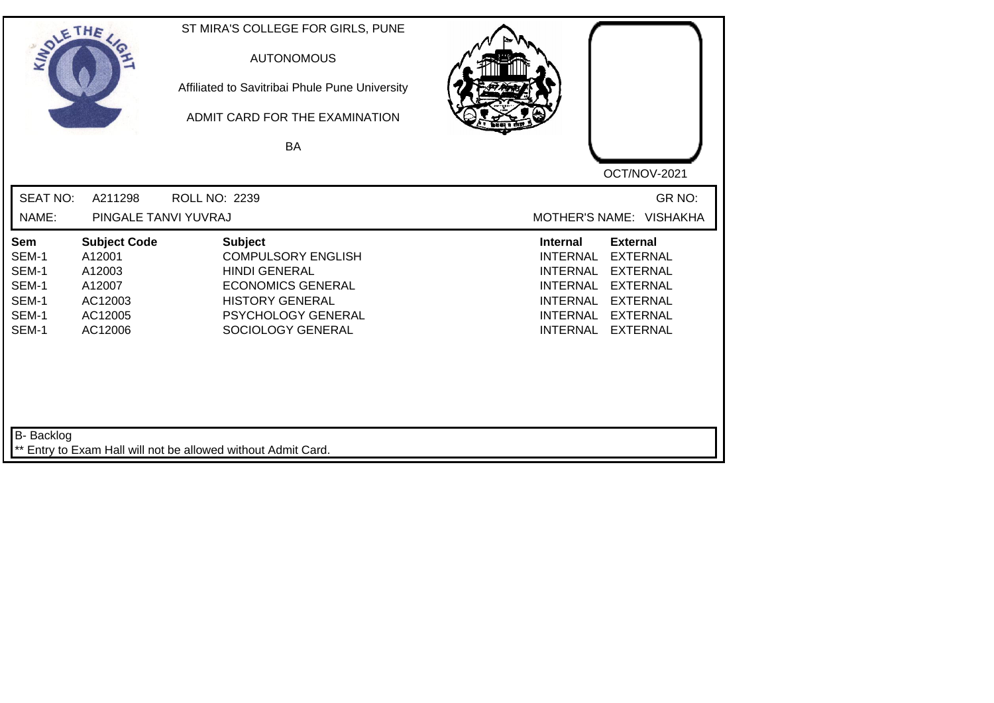| SOLETHE .                                                 |                                                                                    | ST MIRA'S COLLEGE FOR GIRLS, PUNE<br><b>AUTONOMOUS</b><br>Affiliated to Savitribai Phule Pune University<br>ADMIT CARD FOR THE EXAMINATION<br>BA                     | OCT/NOV-2021                                                                                                                                                                                                                                                           |
|-----------------------------------------------------------|------------------------------------------------------------------------------------|----------------------------------------------------------------------------------------------------------------------------------------------------------------------|------------------------------------------------------------------------------------------------------------------------------------------------------------------------------------------------------------------------------------------------------------------------|
| <b>SEAT NO:</b><br>NAME:                                  | A211298<br>PINGALE TANVI YUVRAJ                                                    | ROLL NO: 2239                                                                                                                                                        | GR NO:<br>MOTHER'S NAME: VISHAKHA                                                                                                                                                                                                                                      |
| Sem<br>SEM-1<br>SEM-1<br>SEM-1<br>SEM-1<br>SEM-1<br>SEM-1 | <b>Subject Code</b><br>A12001<br>A12003<br>A12007<br>AC12003<br>AC12005<br>AC12006 | <b>Subject</b><br><b>COMPULSORY ENGLISH</b><br><b>HINDI GENERAL</b><br><b>ECONOMICS GENERAL</b><br><b>HISTORY GENERAL</b><br>PSYCHOLOGY GENERAL<br>SOCIOLOGY GENERAL | <b>External</b><br><b>Internal</b><br><b>INTERNAL</b><br><b>EXTERNAL</b><br><b>INTERNAL</b><br><b>EXTERNAL</b><br><b>INTERNAL</b><br><b>EXTERNAL</b><br><b>INTERNAL</b><br><b>EXTERNAL</b><br><b>INTERNAL</b><br><b>EXTERNAL</b><br><b>EXTERNAL</b><br><b>INTERNAL</b> |
| B- Backlog                                                |                                                                                    | ** Entry to Exam Hall will not be allowed without Admit Card.                                                                                                        |                                                                                                                                                                                                                                                                        |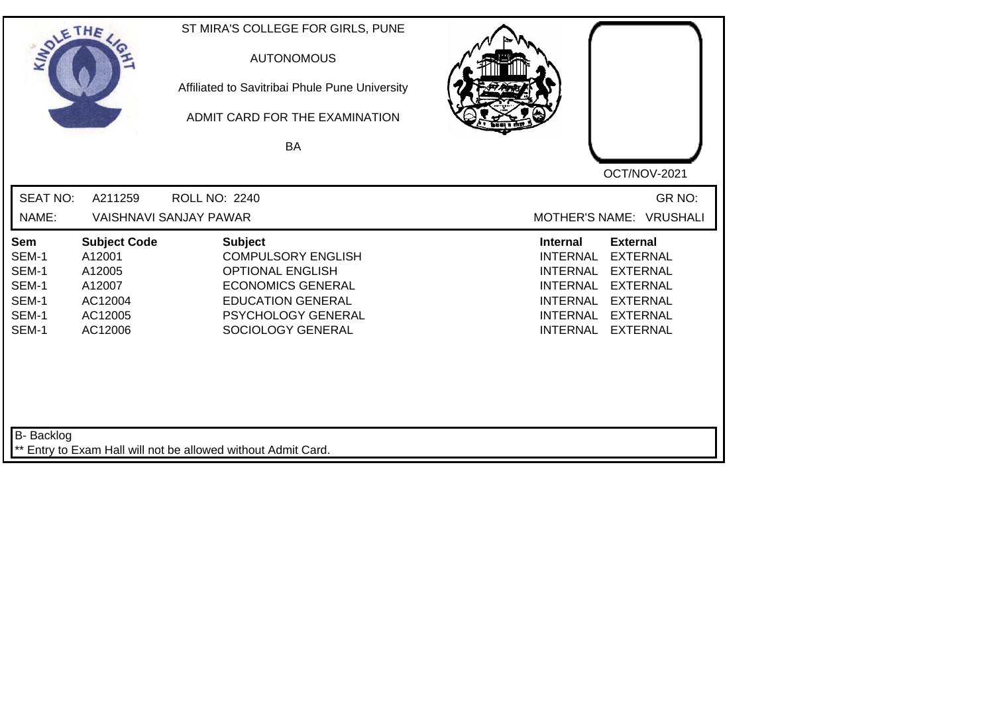| SOLETHE ,                                                        |                                                                                    | ST MIRA'S COLLEGE FOR GIRLS, PUNE<br><b>AUTONOMOUS</b><br>Affiliated to Savitribai Phule Pune University<br>ADMIT CARD FOR THE EXAMINATION<br>BA                          | OCT/NOV-2021                                                                                                                                                                                                                                                           |
|------------------------------------------------------------------|------------------------------------------------------------------------------------|---------------------------------------------------------------------------------------------------------------------------------------------------------------------------|------------------------------------------------------------------------------------------------------------------------------------------------------------------------------------------------------------------------------------------------------------------------|
| <b>SEAT NO:</b><br>NAME:                                         | A211259                                                                            | <b>ROLL NO: 2240</b><br><b>VAISHNAVI SANJAY PAWAR</b>                                                                                                                     | GR NO:<br>MOTHER'S NAME: VRUSHALI                                                                                                                                                                                                                                      |
| <b>Sem</b><br>SEM-1<br>SEM-1<br>SEM-1<br>SEM-1<br>SEM-1<br>SEM-1 | <b>Subject Code</b><br>A12001<br>A12005<br>A12007<br>AC12004<br>AC12005<br>AC12006 | <b>Subject</b><br><b>COMPULSORY ENGLISH</b><br><b>OPTIONAL ENGLISH</b><br><b>ECONOMICS GENERAL</b><br><b>EDUCATION GENERAL</b><br>PSYCHOLOGY GENERAL<br>SOCIOLOGY GENERAL | <b>Internal</b><br><b>External</b><br><b>INTERNAL</b><br><b>EXTERNAL</b><br><b>INTERNAL</b><br><b>EXTERNAL</b><br><b>INTERNAL</b><br><b>EXTERNAL</b><br><b>EXTERNAL</b><br><b>INTERNAL</b><br><b>INTERNAL</b><br><b>EXTERNAL</b><br><b>INTERNAL</b><br><b>EXTERNAL</b> |
| B- Backlog                                                       |                                                                                    | ** Entry to Exam Hall will not be allowed without Admit Card.                                                                                                             |                                                                                                                                                                                                                                                                        |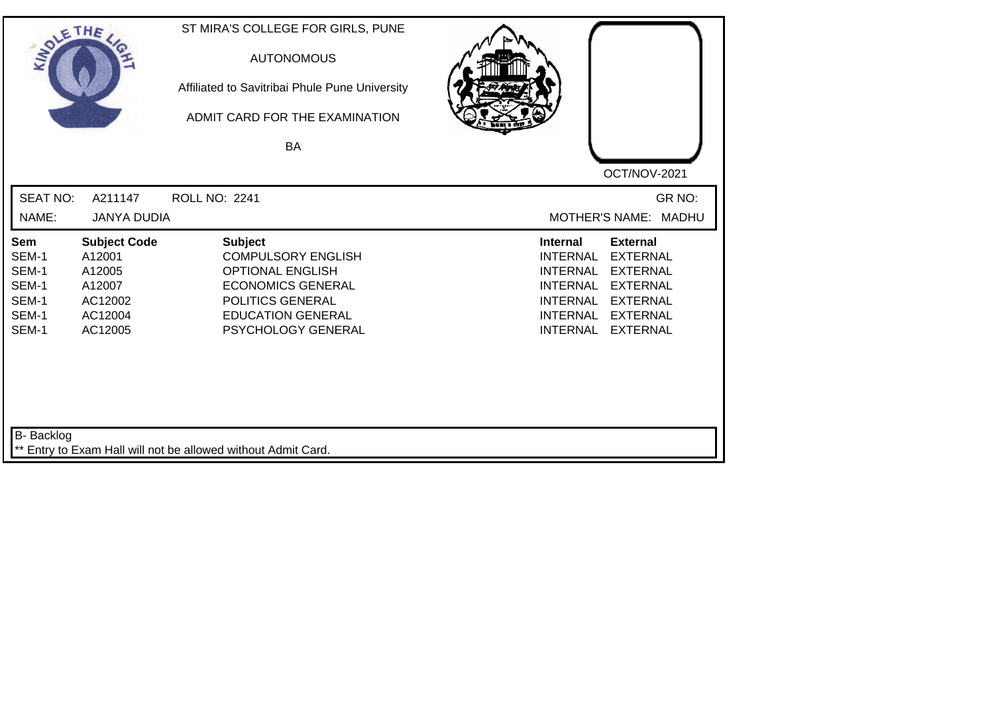| SOLE THE                                                         |                                                                                    | ST MIRA'S COLLEGE FOR GIRLS, PUNE<br><b>AUTONOMOUS</b><br>Affiliated to Savitribai Phule Pune University<br>ADMIT CARD FOR THE EXAMINATION<br>BA                         |                                                                                                                                                                                                                                                                        |
|------------------------------------------------------------------|------------------------------------------------------------------------------------|--------------------------------------------------------------------------------------------------------------------------------------------------------------------------|------------------------------------------------------------------------------------------------------------------------------------------------------------------------------------------------------------------------------------------------------------------------|
|                                                                  |                                                                                    |                                                                                                                                                                          | OCT/NOV-2021                                                                                                                                                                                                                                                           |
| <b>SEAT NO:</b>                                                  | A211147                                                                            | <b>ROLL NO: 2241</b>                                                                                                                                                     | GR NO:                                                                                                                                                                                                                                                                 |
| NAME:                                                            | <b>JANYA DUDIA</b>                                                                 |                                                                                                                                                                          | <b>MOTHER'S NAME:</b><br><b>MADHU</b>                                                                                                                                                                                                                                  |
| <b>Sem</b><br>SEM-1<br>SEM-1<br>SEM-1<br>SEM-1<br>SEM-1<br>SEM-1 | <b>Subject Code</b><br>A12001<br>A12005<br>A12007<br>AC12002<br>AC12004<br>AC12005 | <b>Subject</b><br><b>COMPULSORY ENGLISH</b><br><b>OPTIONAL ENGLISH</b><br><b>ECONOMICS GENERAL</b><br>POLITICS GENERAL<br><b>EDUCATION GENERAL</b><br>PSYCHOLOGY GENERAL | <b>External</b><br><b>Internal</b><br><b>INTERNAL</b><br><b>EXTERNAL</b><br><b>INTERNAL</b><br><b>EXTERNAL</b><br><b>INTERNAL</b><br><b>EXTERNAL</b><br><b>INTERNAL</b><br><b>EXTERNAL</b><br><b>INTERNAL</b><br><b>EXTERNAL</b><br><b>INTERNAL</b><br><b>EXTERNAL</b> |
| <b>B-</b> Backlog                                                |                                                                                    | ** Entry to Exam Hall will not be allowed without Admit Card.                                                                                                            |                                                                                                                                                                                                                                                                        |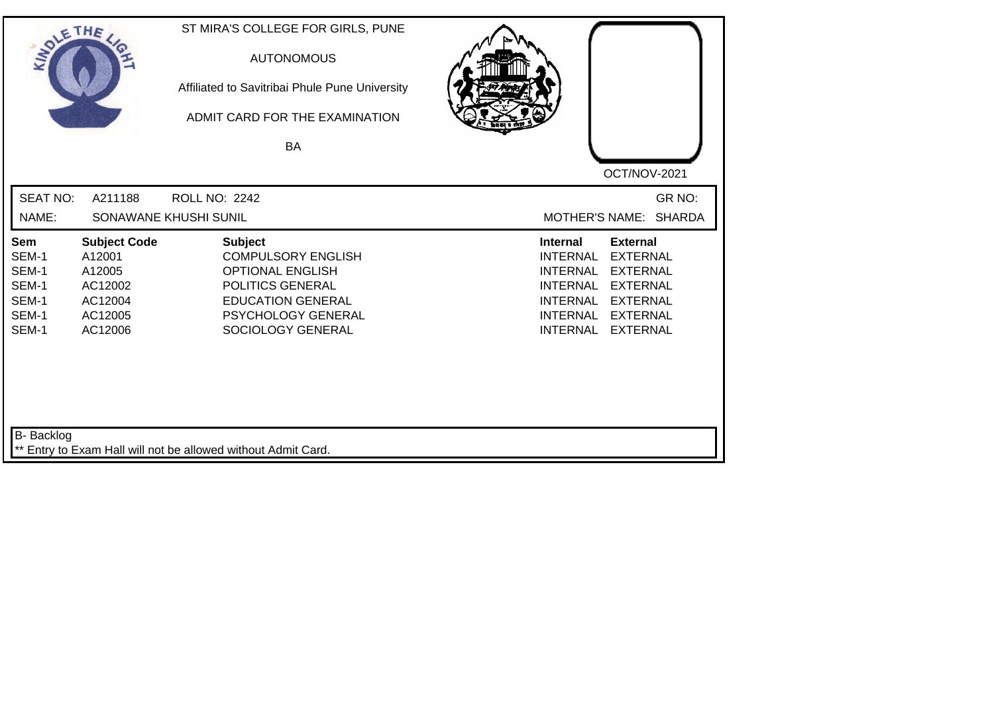| SOLETHE ,                                                 |                                                                                     | ST MIRA'S COLLEGE FOR GIRLS, PUNE<br><b>AUTONOMOUS</b><br>Affiliated to Savitribai Phule Pune University<br>ADMIT CARD FOR THE EXAMINATION<br>BA                         | OCT/NOV-2021                                                                                                                                                                                                                                                           |
|-----------------------------------------------------------|-------------------------------------------------------------------------------------|--------------------------------------------------------------------------------------------------------------------------------------------------------------------------|------------------------------------------------------------------------------------------------------------------------------------------------------------------------------------------------------------------------------------------------------------------------|
| <b>SEAT NO:</b><br>NAME:                                  | A211188                                                                             | <b>ROLL NO: 2242</b><br>SONAWANE KHUSHI SUNIL                                                                                                                            | GR NO:<br>MOTHER'S NAME: SHARDA                                                                                                                                                                                                                                        |
| Sem<br>SEM-1<br>SEM-1<br>SEM-1<br>SEM-1<br>SEM-1<br>SEM-1 | <b>Subject Code</b><br>A12001<br>A12005<br>AC12002<br>AC12004<br>AC12005<br>AC12006 | <b>Subject</b><br><b>COMPULSORY ENGLISH</b><br><b>OPTIONAL ENGLISH</b><br>POLITICS GENERAL<br><b>EDUCATION GENERAL</b><br><b>PSYCHOLOGY GENERAL</b><br>SOCIOLOGY GENERAL | <b>Internal</b><br><b>External</b><br><b>EXTERNAL</b><br><b>INTERNAL</b><br><b>EXTERNAL</b><br><b>INTERNAL</b><br><b>INTERNAL</b><br><b>EXTERNAL</b><br><b>INTERNAL</b><br><b>EXTERNAL</b><br><b>INTERNAL</b><br><b>EXTERNAL</b><br><b>INTERNAL</b><br><b>EXTERNAL</b> |
| B- Backlog                                                |                                                                                     | ** Entry to Exam Hall will not be allowed without Admit Card.                                                                                                            |                                                                                                                                                                                                                                                                        |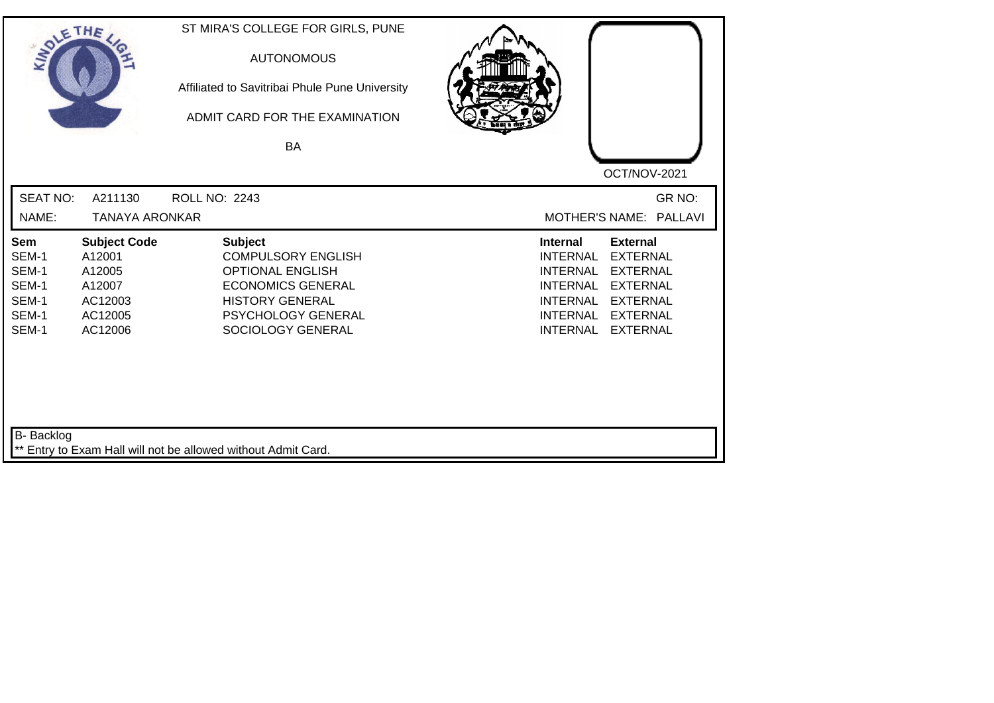| SOLE THE                                                         |                                                                                    | ST MIRA'S COLLEGE FOR GIRLS, PUNE<br><b>AUTONOMOUS</b><br>Affiliated to Savitribai Phule Pune University<br>ADMIT CARD FOR THE EXAMINATION<br>BA                        |                                                                                                                                                                                                                                                                        |
|------------------------------------------------------------------|------------------------------------------------------------------------------------|-------------------------------------------------------------------------------------------------------------------------------------------------------------------------|------------------------------------------------------------------------------------------------------------------------------------------------------------------------------------------------------------------------------------------------------------------------|
|                                                                  |                                                                                    |                                                                                                                                                                         | OCT/NOV-2021                                                                                                                                                                                                                                                           |
| <b>SEAT NO:</b>                                                  | A211130                                                                            | <b>ROLL NO: 2243</b>                                                                                                                                                    | GR NO:                                                                                                                                                                                                                                                                 |
| NAME:                                                            | <b>TANAYA ARONKAR</b>                                                              |                                                                                                                                                                         | MOTHER'S NAME: PALLAVI                                                                                                                                                                                                                                                 |
| <b>Sem</b><br>SEM-1<br>SEM-1<br>SEM-1<br>SEM-1<br>SEM-1<br>SEM-1 | <b>Subject Code</b><br>A12001<br>A12005<br>A12007<br>AC12003<br>AC12005<br>AC12006 | <b>Subject</b><br><b>COMPULSORY ENGLISH</b><br><b>OPTIONAL ENGLISH</b><br><b>ECONOMICS GENERAL</b><br><b>HISTORY GENERAL</b><br>PSYCHOLOGY GENERAL<br>SOCIOLOGY GENERAL | <b>Internal</b><br><b>External</b><br><b>INTERNAL</b><br><b>EXTERNAL</b><br><b>INTERNAL</b><br><b>EXTERNAL</b><br><b>INTERNAL</b><br><b>EXTERNAL</b><br><b>INTERNAL</b><br><b>EXTERNAL</b><br><b>INTERNAL</b><br><b>EXTERNAL</b><br><b>INTERNAL</b><br><b>EXTERNAL</b> |
| B- Backlog                                                       |                                                                                    | ** Entry to Exam Hall will not be allowed without Admit Card.                                                                                                           |                                                                                                                                                                                                                                                                        |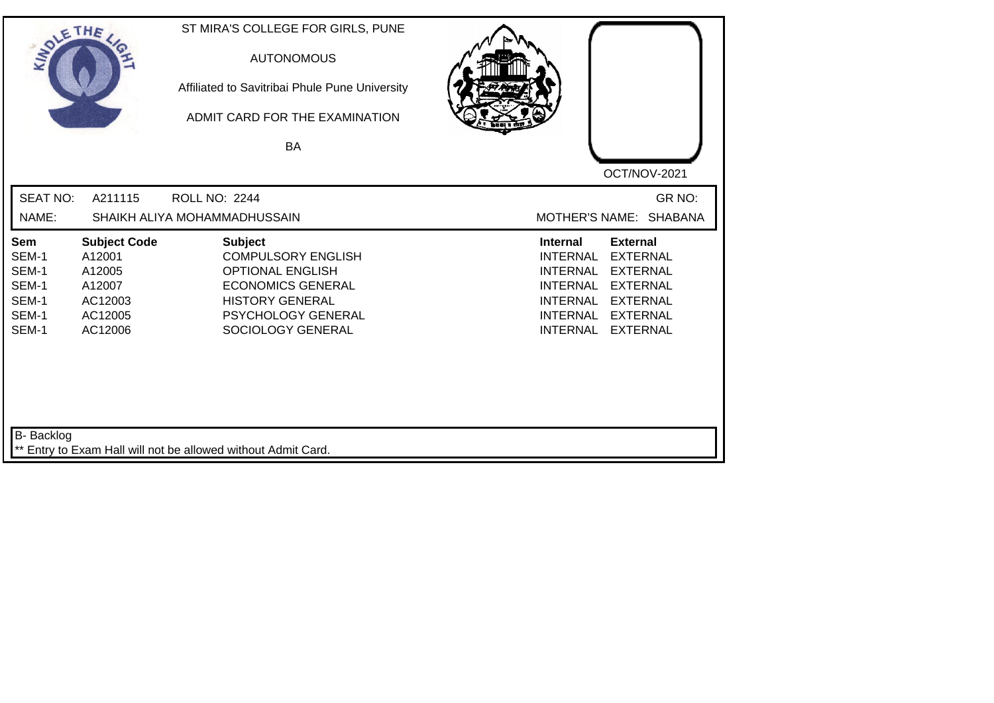| SOLETHE .                                                 |                                                                                    | ST MIRA'S COLLEGE FOR GIRLS, PUNE<br><b>AUTONOMOUS</b><br>Affiliated to Savitribai Phule Pune University<br>ADMIT CARD FOR THE EXAMINATION<br><b>BA</b>                 | OCT/NOV-2021                                                                                                                                                                                                                                                           |
|-----------------------------------------------------------|------------------------------------------------------------------------------------|-------------------------------------------------------------------------------------------------------------------------------------------------------------------------|------------------------------------------------------------------------------------------------------------------------------------------------------------------------------------------------------------------------------------------------------------------------|
| <b>SEAT NO:</b><br>NAME:                                  | A211115                                                                            | <b>ROLL NO: 2244</b><br>SHAIKH ALIYA MOHAMMADHUSSAIN                                                                                                                    | GR NO:<br><b>SHABANA</b><br><b>MOTHER'S NAME:</b>                                                                                                                                                                                                                      |
| Sem<br>SEM-1<br>SEM-1<br>SEM-1<br>SEM-1<br>SEM-1<br>SEM-1 | <b>Subject Code</b><br>A12001<br>A12005<br>A12007<br>AC12003<br>AC12005<br>AC12006 | <b>Subject</b><br><b>COMPULSORY ENGLISH</b><br><b>OPTIONAL ENGLISH</b><br><b>ECONOMICS GENERAL</b><br><b>HISTORY GENERAL</b><br>PSYCHOLOGY GENERAL<br>SOCIOLOGY GENERAL | <b>External</b><br><b>Internal</b><br><b>EXTERNAL</b><br><b>INTERNAL</b><br><b>EXTERNAL</b><br><b>INTERNAL</b><br><b>INTERNAL</b><br><b>EXTERNAL</b><br><b>INTERNAL</b><br><b>EXTERNAL</b><br><b>INTERNAL</b><br><b>EXTERNAL</b><br><b>INTERNAL</b><br><b>EXTERNAL</b> |
| <b>B-</b> Backlog                                         |                                                                                    | ** Entry to Exam Hall will not be allowed without Admit Card.                                                                                                           |                                                                                                                                                                                                                                                                        |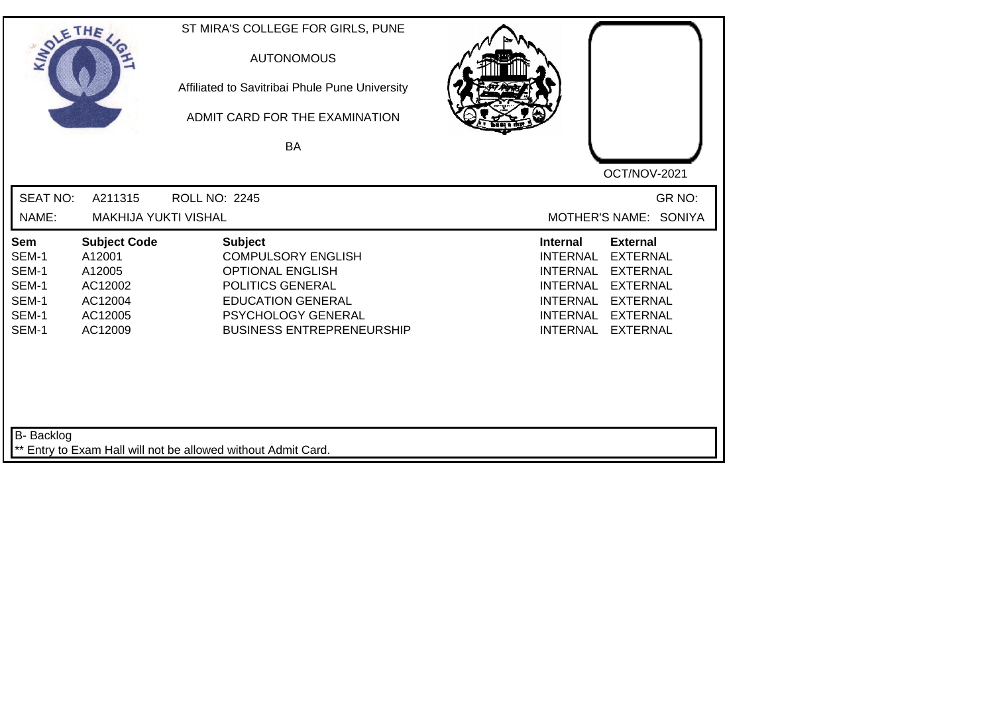| SOLETHE ,                                                 |                                                                                     | ST MIRA'S COLLEGE FOR GIRLS, PUNE<br><b>AUTONOMOUS</b><br>Affiliated to Savitribai Phule Pune University<br>ADMIT CARD FOR THE EXAMINATION<br><b>BA</b>                          | OCT/NOV-2021                                                                                                                                                                                                                                                    |
|-----------------------------------------------------------|-------------------------------------------------------------------------------------|----------------------------------------------------------------------------------------------------------------------------------------------------------------------------------|-----------------------------------------------------------------------------------------------------------------------------------------------------------------------------------------------------------------------------------------------------------------|
| <b>SEAT NO:</b><br>NAME:                                  | A211315<br><b>MAKHIJA YUKTI VISHAL</b>                                              | <b>ROLL NO: 2245</b>                                                                                                                                                             | GR NO:<br>MOTHER'S NAME: SONIYA                                                                                                                                                                                                                                 |
| Sem<br>SEM-1<br>SEM-1<br>SEM-1<br>SEM-1<br>SEM-1<br>SEM-1 | <b>Subject Code</b><br>A12001<br>A12005<br>AC12002<br>AC12004<br>AC12005<br>AC12009 | <b>Subject</b><br><b>COMPULSORY ENGLISH</b><br><b>OPTIONAL ENGLISH</b><br>POLITICS GENERAL<br><b>EDUCATION GENERAL</b><br>PSYCHOLOGY GENERAL<br><b>BUSINESS ENTREPRENEURSHIP</b> | Internal<br><b>External</b><br><b>INTERNAL</b><br><b>EXTERNAL</b><br><b>INTERNAL</b><br><b>EXTERNAL</b><br><b>INTERNAL</b><br><b>EXTERNAL</b><br><b>EXTERNAL</b><br><b>INTERNAL</b><br><b>INTERNAL</b><br><b>EXTERNAL</b><br><b>INTERNAL</b><br><b>EXTERNAL</b> |
| B- Backlog                                                |                                                                                     | ** Entry to Exam Hall will not be allowed without Admit Card.                                                                                                                    |                                                                                                                                                                                                                                                                 |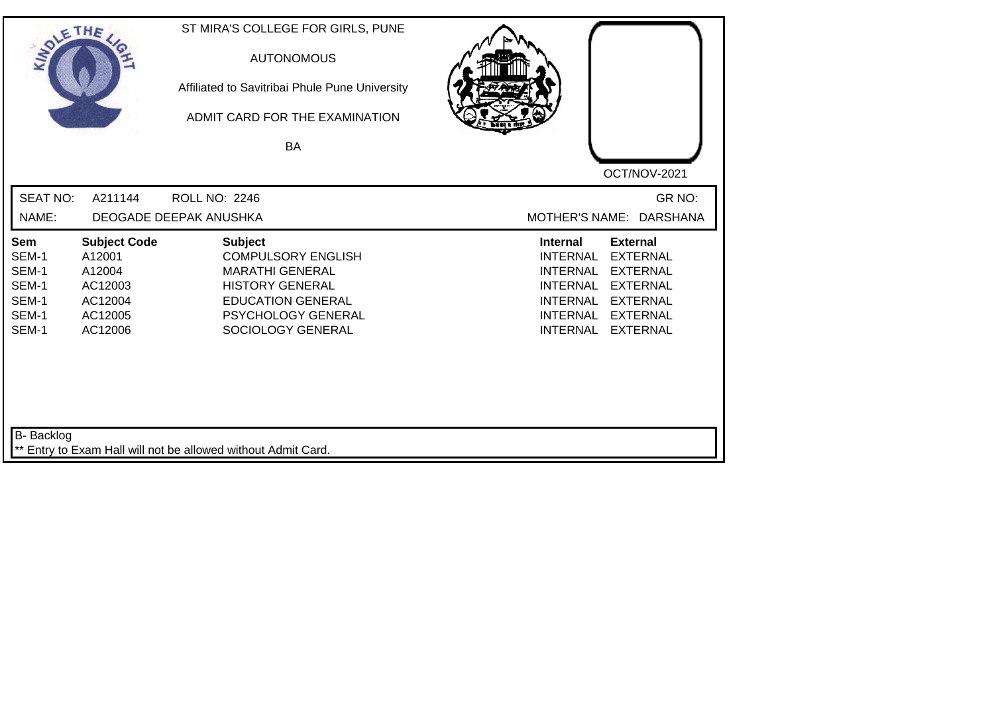| SOLE THE                                                  |                                                                                     | ST MIRA'S COLLEGE FOR GIRLS, PUNE<br><b>AUTONOMOUS</b><br>Affiliated to Savitribai Phule Pune University<br>ADMIT CARD FOR THE EXAMINATION<br><b>BA</b>                       | OCT/NOV-2021                                                                                                                                                                                                                                                           |
|-----------------------------------------------------------|-------------------------------------------------------------------------------------|-------------------------------------------------------------------------------------------------------------------------------------------------------------------------------|------------------------------------------------------------------------------------------------------------------------------------------------------------------------------------------------------------------------------------------------------------------------|
| <b>SEAT NO:</b><br>NAME:                                  | A211144                                                                             | <b>ROLL NO: 2246</b><br>DEOGADE DEEPAK ANUSHKA                                                                                                                                | GR NO:<br>MOTHER'S NAME: DARSHANA                                                                                                                                                                                                                                      |
| Sem<br>SEM-1<br>SEM-1<br>SEM-1<br>SEM-1<br>SEM-1<br>SEM-1 | <b>Subject Code</b><br>A12001<br>A12004<br>AC12003<br>AC12004<br>AC12005<br>AC12006 | <b>Subject</b><br><b>COMPULSORY ENGLISH</b><br><b>MARATHI GENERAL</b><br><b>HISTORY GENERAL</b><br><b>EDUCATION GENERAL</b><br><b>PSYCHOLOGY GENERAL</b><br>SOCIOLOGY GENERAL | <b>Internal</b><br><b>External</b><br><b>INTERNAL</b><br><b>EXTERNAL</b><br><b>INTERNAL</b><br><b>EXTERNAL</b><br><b>INTERNAL</b><br><b>EXTERNAL</b><br><b>INTERNAL</b><br><b>EXTERNAL</b><br><b>INTERNAL</b><br><b>EXTERNAL</b><br><b>EXTERNAL</b><br><b>INTERNAL</b> |
| B- Backlog                                                |                                                                                     | ** Entry to Exam Hall will not be allowed without Admit Card.                                                                                                                 |                                                                                                                                                                                                                                                                        |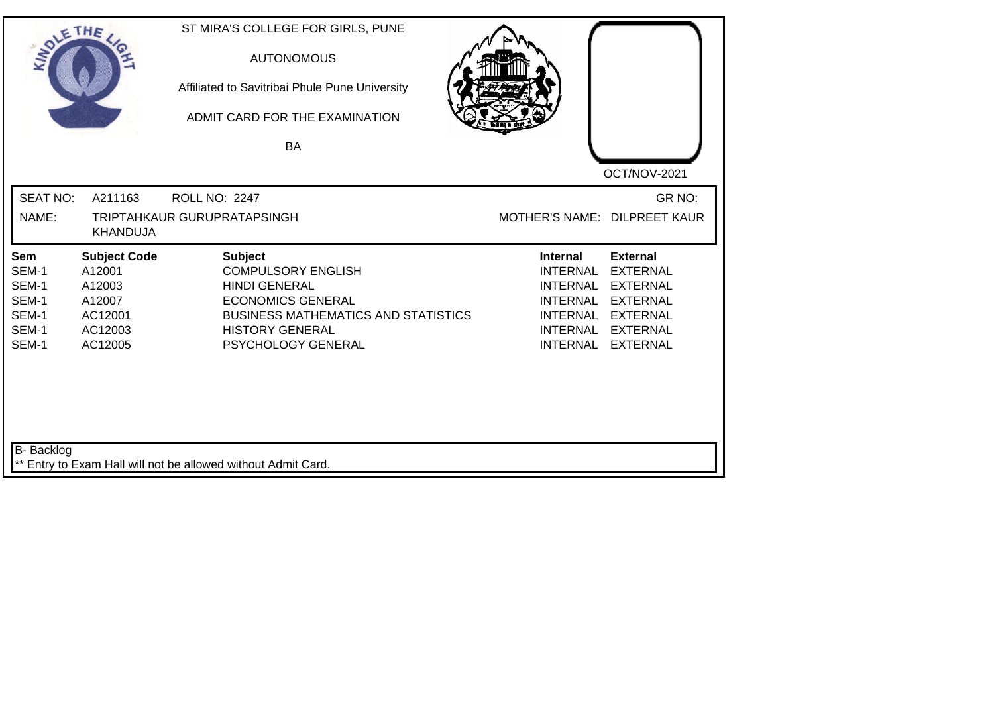| SOLE THE                                                  |                                                                                    | ST MIRA'S COLLEGE FOR GIRLS, PUNE<br><b>AUTONOMOUS</b><br>Affiliated to Savitribai Phule Pune University<br>ADMIT CARD FOR THE EXAMINATION<br><b>BA</b>                                       | OCT/NOV-2021                                                                                                                                                                                                                                                           |
|-----------------------------------------------------------|------------------------------------------------------------------------------------|-----------------------------------------------------------------------------------------------------------------------------------------------------------------------------------------------|------------------------------------------------------------------------------------------------------------------------------------------------------------------------------------------------------------------------------------------------------------------------|
| <b>SEAT NO:</b><br>NAME:                                  | A211163<br><b>KHANDUJA</b>                                                         | <b>ROLL NO: 2247</b><br>TRIPTAHKAUR GURUPRATAPSINGH                                                                                                                                           | GR NO:<br>MOTHER'S NAME: DILPREET KAUR                                                                                                                                                                                                                                 |
| Sem<br>SEM-1<br>SEM-1<br>SEM-1<br>SEM-1<br>SEM-1<br>SEM-1 | <b>Subject Code</b><br>A12001<br>A12003<br>A12007<br>AC12001<br>AC12003<br>AC12005 | <b>Subject</b><br><b>COMPULSORY ENGLISH</b><br><b>HINDI GENERAL</b><br><b>ECONOMICS GENERAL</b><br><b>BUSINESS MATHEMATICS AND STATISTICS</b><br><b>HISTORY GENERAL</b><br>PSYCHOLOGY GENERAL | <b>Internal</b><br><b>External</b><br><b>INTERNAL</b><br><b>EXTERNAL</b><br><b>INTERNAL</b><br><b>EXTERNAL</b><br><b>INTERNAL</b><br><b>EXTERNAL</b><br><b>INTERNAL</b><br><b>EXTERNAL</b><br><b>INTERNAL</b><br><b>EXTERNAL</b><br><b>INTERNAL</b><br><b>EXTERNAL</b> |
| <b>B-</b> Backlog                                         |                                                                                    | ** Entry to Exam Hall will not be allowed without Admit Card.                                                                                                                                 |                                                                                                                                                                                                                                                                        |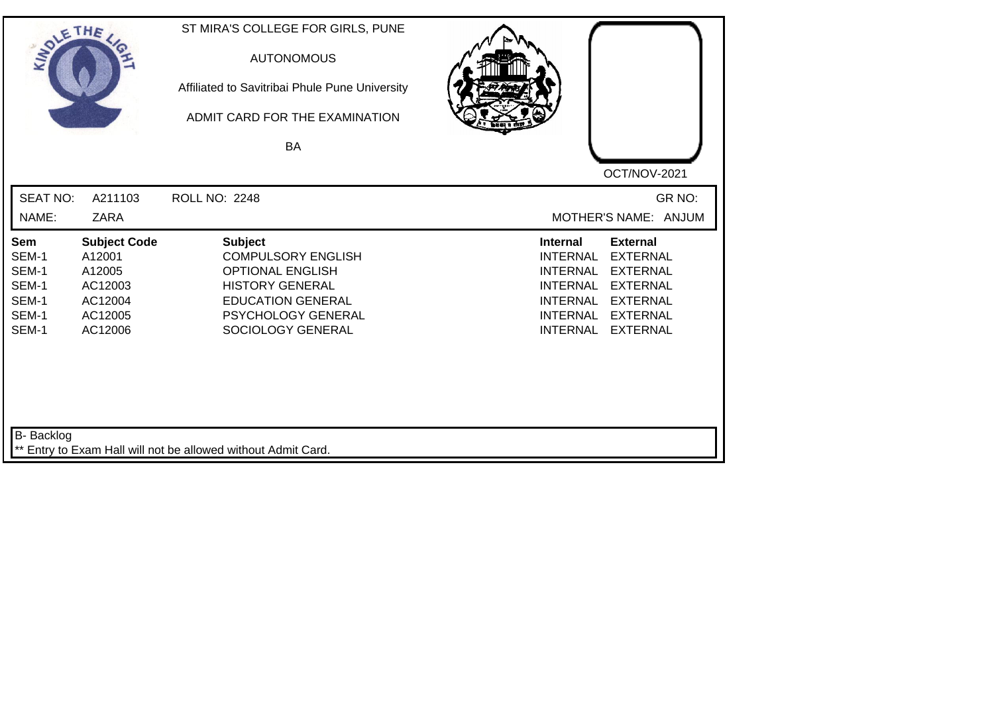| SOLE THE                                                  |                                                                                     | ST MIRA'S COLLEGE FOR GIRLS, PUNE<br><b>AUTONOMOUS</b><br>Affiliated to Savitribai Phule Pune University<br>ADMIT CARD FOR THE EXAMINATION<br>BA                        |                                                                                                                                                                                                                                                                        |
|-----------------------------------------------------------|-------------------------------------------------------------------------------------|-------------------------------------------------------------------------------------------------------------------------------------------------------------------------|------------------------------------------------------------------------------------------------------------------------------------------------------------------------------------------------------------------------------------------------------------------------|
|                                                           |                                                                                     |                                                                                                                                                                         | OCT/NOV-2021                                                                                                                                                                                                                                                           |
| <b>SEAT NO:</b>                                           | A211103                                                                             | <b>ROLL NO: 2248</b>                                                                                                                                                    | GR NO:                                                                                                                                                                                                                                                                 |
| NAME:                                                     | <b>ZARA</b>                                                                         |                                                                                                                                                                         | MOTHER'S NAME: ANJUM                                                                                                                                                                                                                                                   |
| Sem<br>SEM-1<br>SEM-1<br>SEM-1<br>SEM-1<br>SEM-1<br>SEM-1 | <b>Subject Code</b><br>A12001<br>A12005<br>AC12003<br>AC12004<br>AC12005<br>AC12006 | <b>Subject</b><br><b>COMPULSORY ENGLISH</b><br><b>OPTIONAL ENGLISH</b><br><b>HISTORY GENERAL</b><br><b>EDUCATION GENERAL</b><br>PSYCHOLOGY GENERAL<br>SOCIOLOGY GENERAL | <b>External</b><br><b>Internal</b><br><b>INTERNAL</b><br><b>EXTERNAL</b><br><b>INTERNAL</b><br><b>EXTERNAL</b><br><b>INTERNAL</b><br><b>EXTERNAL</b><br><b>INTERNAL</b><br><b>EXTERNAL</b><br><b>INTERNAL</b><br><b>EXTERNAL</b><br><b>INTERNAL</b><br><b>EXTERNAL</b> |
| <b>B-</b> Backlog                                         |                                                                                     | ** Entry to Exam Hall will not be allowed without Admit Card.                                                                                                           |                                                                                                                                                                                                                                                                        |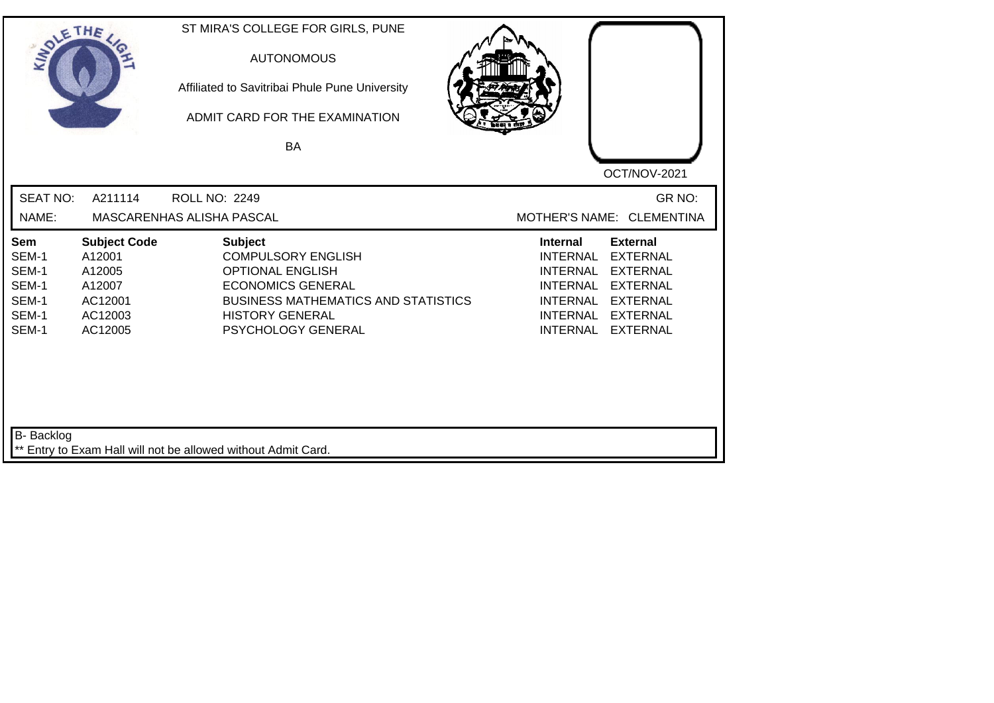| SOLETHE ,                                                 |                                                                                    | ST MIRA'S COLLEGE FOR GIRLS, PUNE<br><b>AUTONOMOUS</b><br>Affiliated to Savitribai Phule Pune University<br>ADMIT CARD FOR THE EXAMINATION<br>BA                                                 | OCT/NOV-2021                                                                                                                                                                                                                                                           |
|-----------------------------------------------------------|------------------------------------------------------------------------------------|--------------------------------------------------------------------------------------------------------------------------------------------------------------------------------------------------|------------------------------------------------------------------------------------------------------------------------------------------------------------------------------------------------------------------------------------------------------------------------|
| <b>SEAT NO:</b>                                           | A211114                                                                            | <b>ROLL NO: 2249</b>                                                                                                                                                                             | GR NO:                                                                                                                                                                                                                                                                 |
| NAME:                                                     |                                                                                    | MASCARENHAS ALISHA PASCAL                                                                                                                                                                        | MOTHER'S NAME: CLEMENTINA                                                                                                                                                                                                                                              |
| Sem<br>SEM-1<br>SEM-1<br>SEM-1<br>SEM-1<br>SEM-1<br>SEM-1 | <b>Subject Code</b><br>A12001<br>A12005<br>A12007<br>AC12001<br>AC12003<br>AC12005 | <b>Subject</b><br><b>COMPULSORY ENGLISH</b><br><b>OPTIONAL ENGLISH</b><br><b>ECONOMICS GENERAL</b><br><b>BUSINESS MATHEMATICS AND STATISTICS</b><br><b>HISTORY GENERAL</b><br>PSYCHOLOGY GENERAL | <b>External</b><br><b>Internal</b><br><b>INTERNAL</b><br><b>EXTERNAL</b><br><b>EXTERNAL</b><br><b>INTERNAL</b><br><b>INTERNAL</b><br><b>EXTERNAL</b><br><b>INTERNAL</b><br><b>EXTERNAL</b><br><b>INTERNAL</b><br><b>EXTERNAL</b><br><b>INTERNAL</b><br><b>EXTERNAL</b> |
| B- Backlog                                                |                                                                                    | ** Entry to Exam Hall will not be allowed without Admit Card.                                                                                                                                    |                                                                                                                                                                                                                                                                        |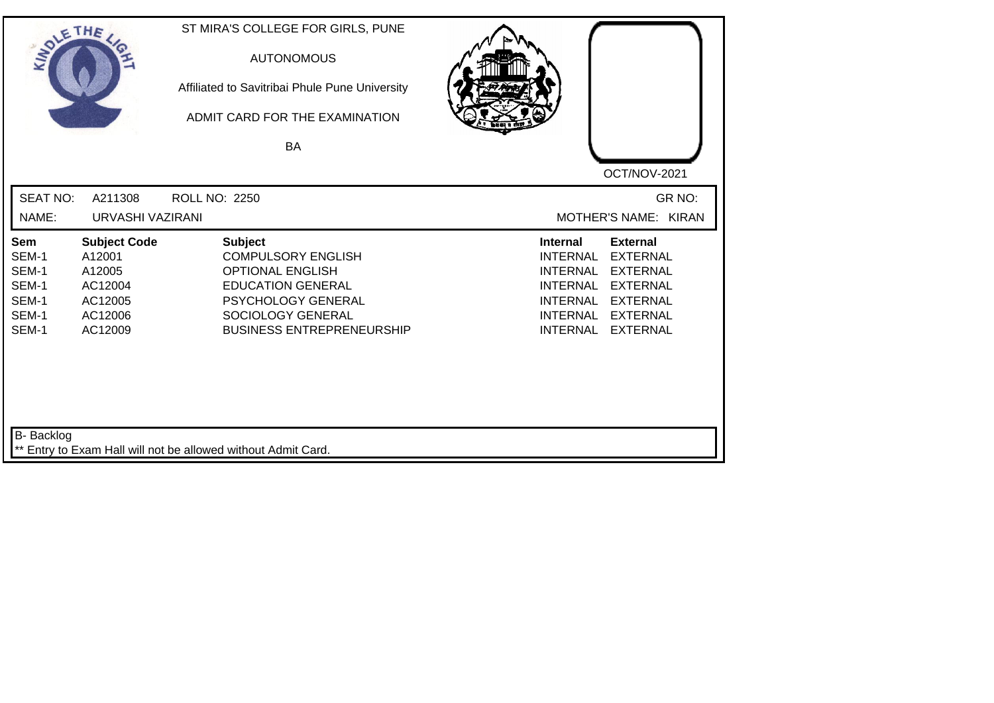| SOLE THE                                                  |                                                                                     | ST MIRA'S COLLEGE FOR GIRLS, PUNE<br><b>AUTONOMOUS</b><br>Affiliated to Savitribai Phule Pune University<br>ADMIT CARD FOR THE EXAMINATION<br><b>BA</b>                    |                                                                                                                                                                                                                                                                        |
|-----------------------------------------------------------|-------------------------------------------------------------------------------------|----------------------------------------------------------------------------------------------------------------------------------------------------------------------------|------------------------------------------------------------------------------------------------------------------------------------------------------------------------------------------------------------------------------------------------------------------------|
|                                                           |                                                                                     |                                                                                                                                                                            | OCT/NOV-2021                                                                                                                                                                                                                                                           |
| <b>SEAT NO:</b>                                           | A211308                                                                             | <b>ROLL NO: 2250</b>                                                                                                                                                       | GR NO:                                                                                                                                                                                                                                                                 |
| NAME:                                                     | URVASHI VAZIRANI                                                                    |                                                                                                                                                                            | MOTHER'S NAME: KIRAN                                                                                                                                                                                                                                                   |
| Sem<br>SEM-1<br>SEM-1<br>SEM-1<br>SEM-1<br>SEM-1<br>SEM-1 | <b>Subject Code</b><br>A12001<br>A12005<br>AC12004<br>AC12005<br>AC12006<br>AC12009 | Subject<br><b>COMPULSORY ENGLISH</b><br><b>OPTIONAL ENGLISH</b><br><b>EDUCATION GENERAL</b><br>PSYCHOLOGY GENERAL<br>SOCIOLOGY GENERAL<br><b>BUSINESS ENTREPRENEURSHIP</b> | <b>Internal</b><br><b>External</b><br><b>INTERNAL</b><br><b>EXTERNAL</b><br><b>INTERNAL</b><br><b>EXTERNAL</b><br><b>INTERNAL</b><br><b>EXTERNAL</b><br><b>INTERNAL</b><br><b>EXTERNAL</b><br><b>INTERNAL</b><br><b>EXTERNAL</b><br><b>INTERNAL</b><br><b>EXTERNAL</b> |
| B- Backlog                                                |                                                                                     | ** Entry to Exam Hall will not be allowed without Admit Card.                                                                                                              |                                                                                                                                                                                                                                                                        |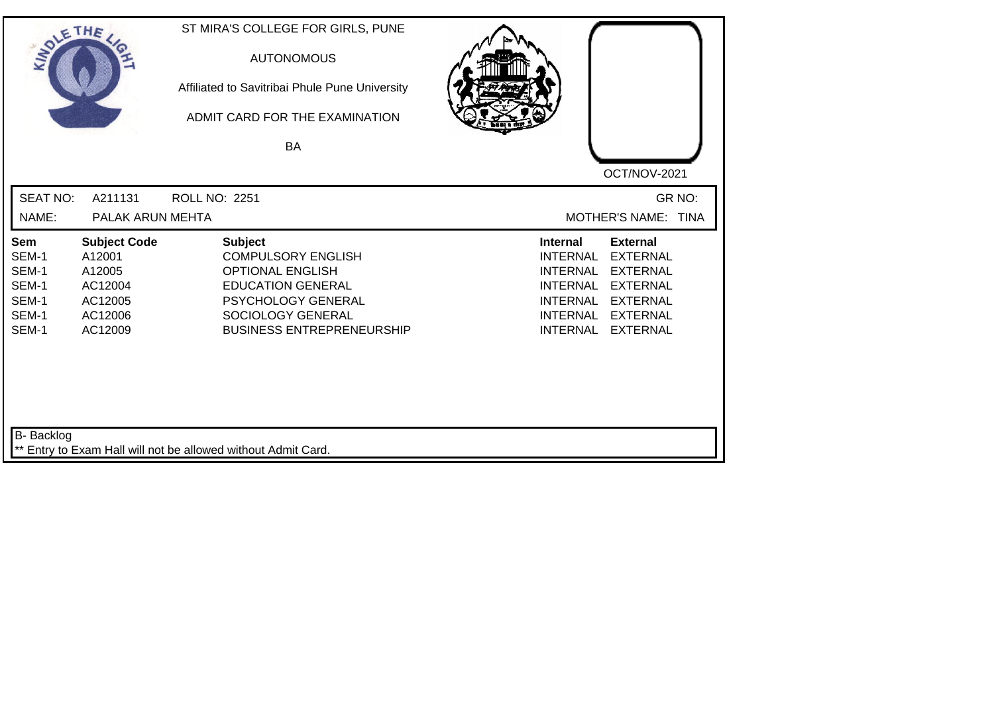| SOLE THE                                                  |                                                                                     | ST MIRA'S COLLEGE FOR GIRLS, PUNE<br><b>AUTONOMOUS</b><br>Affiliated to Savitribai Phule Pune University<br>ADMIT CARD FOR THE EXAMINATION<br><b>BA</b>                           |                                                                                                                                                                                                                                                                        |
|-----------------------------------------------------------|-------------------------------------------------------------------------------------|-----------------------------------------------------------------------------------------------------------------------------------------------------------------------------------|------------------------------------------------------------------------------------------------------------------------------------------------------------------------------------------------------------------------------------------------------------------------|
| <b>SEAT NO:</b><br>NAME:                                  | A211131<br>PALAK ARUN MEHTA                                                         | <b>ROLL NO: 2251</b>                                                                                                                                                              | OCT/NOV-2021<br>GR NO:<br>MOTHER'S NAME: TINA                                                                                                                                                                                                                          |
| Sem<br>SEM-1<br>SEM-1<br>SEM-1<br>SEM-1<br>SEM-1<br>SEM-1 | <b>Subject Code</b><br>A12001<br>A12005<br>AC12004<br>AC12005<br>AC12006<br>AC12009 | <b>Subject</b><br><b>COMPULSORY ENGLISH</b><br><b>OPTIONAL ENGLISH</b><br><b>EDUCATION GENERAL</b><br>PSYCHOLOGY GENERAL<br>SOCIOLOGY GENERAL<br><b>BUSINESS ENTREPRENEURSHIP</b> | <b>External</b><br><b>Internal</b><br><b>INTERNAL</b><br><b>EXTERNAL</b><br><b>INTERNAL</b><br><b>EXTERNAL</b><br><b>INTERNAL</b><br><b>EXTERNAL</b><br><b>INTERNAL</b><br><b>EXTERNAL</b><br><b>INTERNAL</b><br><b>EXTERNAL</b><br><b>INTERNAL</b><br><b>EXTERNAL</b> |
| B- Backlog                                                |                                                                                     | ** Entry to Exam Hall will not be allowed without Admit Card.                                                                                                                     |                                                                                                                                                                                                                                                                        |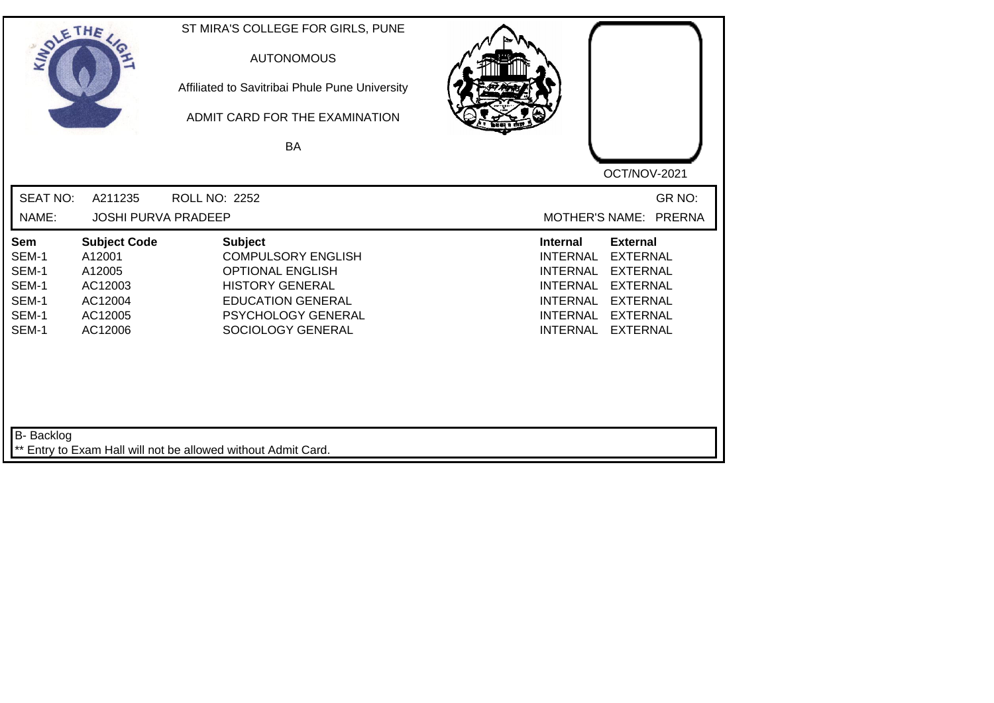| SOLETHE ,                                                 |                                                                                     | ST MIRA'S COLLEGE FOR GIRLS, PUNE<br><b>AUTONOMOUS</b><br>Affiliated to Savitribai Phule Pune University<br>ADMIT CARD FOR THE EXAMINATION<br>BA                        | OCT/NOV-2021                                                                                                                                                                                                                                                           |
|-----------------------------------------------------------|-------------------------------------------------------------------------------------|-------------------------------------------------------------------------------------------------------------------------------------------------------------------------|------------------------------------------------------------------------------------------------------------------------------------------------------------------------------------------------------------------------------------------------------------------------|
| <b>SEAT NO:</b>                                           | A211235                                                                             | <b>ROLL NO: 2252</b>                                                                                                                                                    | GR NO:                                                                                                                                                                                                                                                                 |
| NAME:                                                     | <b>JOSHI PURVA PRADEEP</b>                                                          |                                                                                                                                                                         | MOTHER'S NAME: PRERNA                                                                                                                                                                                                                                                  |
| Sem<br>SEM-1<br>SEM-1<br>SEM-1<br>SEM-1<br>SEM-1<br>SEM-1 | <b>Subject Code</b><br>A12001<br>A12005<br>AC12003<br>AC12004<br>AC12005<br>AC12006 | <b>Subject</b><br><b>COMPULSORY ENGLISH</b><br><b>OPTIONAL ENGLISH</b><br><b>HISTORY GENERAL</b><br><b>EDUCATION GENERAL</b><br>PSYCHOLOGY GENERAL<br>SOCIOLOGY GENERAL | <b>External</b><br><b>Internal</b><br><b>INTERNAL</b><br><b>EXTERNAL</b><br><b>INTERNAL</b><br><b>EXTERNAL</b><br><b>EXTERNAL</b><br><b>INTERNAL</b><br><b>INTERNAL</b><br><b>EXTERNAL</b><br><b>INTERNAL</b><br><b>EXTERNAL</b><br><b>INTERNAL</b><br><b>EXTERNAL</b> |
| B- Backlog                                                |                                                                                     | ** Entry to Exam Hall will not be allowed without Admit Card.                                                                                                           |                                                                                                                                                                                                                                                                        |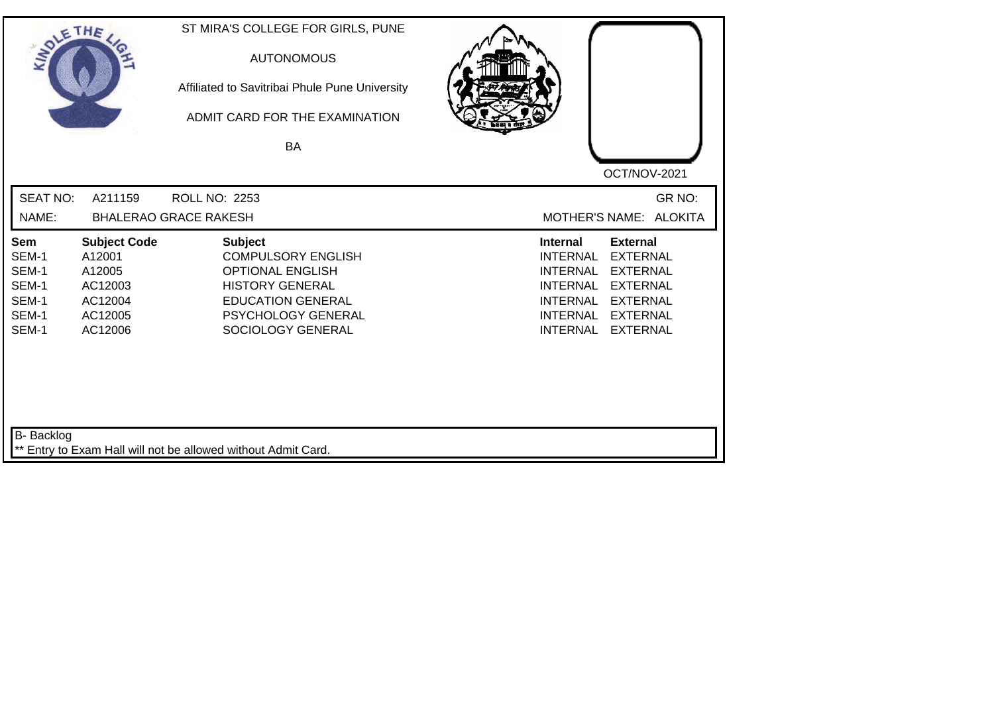| SOLETHE ,                                                 |                                                                                     | ST MIRA'S COLLEGE FOR GIRLS, PUNE<br><b>AUTONOMOUS</b><br>Affiliated to Savitribai Phule Pune University<br>ADMIT CARD FOR THE EXAMINATION<br>BA                               | OCT/NOV-2021                                                                                                                                                                                                                                                           |
|-----------------------------------------------------------|-------------------------------------------------------------------------------------|--------------------------------------------------------------------------------------------------------------------------------------------------------------------------------|------------------------------------------------------------------------------------------------------------------------------------------------------------------------------------------------------------------------------------------------------------------------|
| <b>SEAT NO:</b><br>NAME:                                  | A211159                                                                             | <b>ROLL NO: 2253</b><br><b>BHALERAO GRACE RAKESH</b>                                                                                                                           | GR NO:<br>MOTHER'S NAME: ALOKITA                                                                                                                                                                                                                                       |
| Sem<br>SEM-1<br>SEM-1<br>SEM-1<br>SEM-1<br>SEM-1<br>SEM-1 | <b>Subject Code</b><br>A12001<br>A12005<br>AC12003<br>AC12004<br>AC12005<br>AC12006 | <b>Subject</b><br><b>COMPULSORY ENGLISH</b><br><b>OPTIONAL ENGLISH</b><br><b>HISTORY GENERAL</b><br><b>EDUCATION GENERAL</b><br><b>PSYCHOLOGY GENERAL</b><br>SOCIOLOGY GENERAL | <b>Internal</b><br><b>External</b><br><b>EXTERNAL</b><br><b>INTERNAL</b><br><b>EXTERNAL</b><br><b>INTERNAL</b><br><b>INTERNAL</b><br><b>EXTERNAL</b><br><b>INTERNAL</b><br><b>EXTERNAL</b><br><b>INTERNAL</b><br><b>EXTERNAL</b><br><b>INTERNAL</b><br><b>EXTERNAL</b> |
| B- Backlog                                                |                                                                                     | ** Entry to Exam Hall will not be allowed without Admit Card.                                                                                                                  |                                                                                                                                                                                                                                                                        |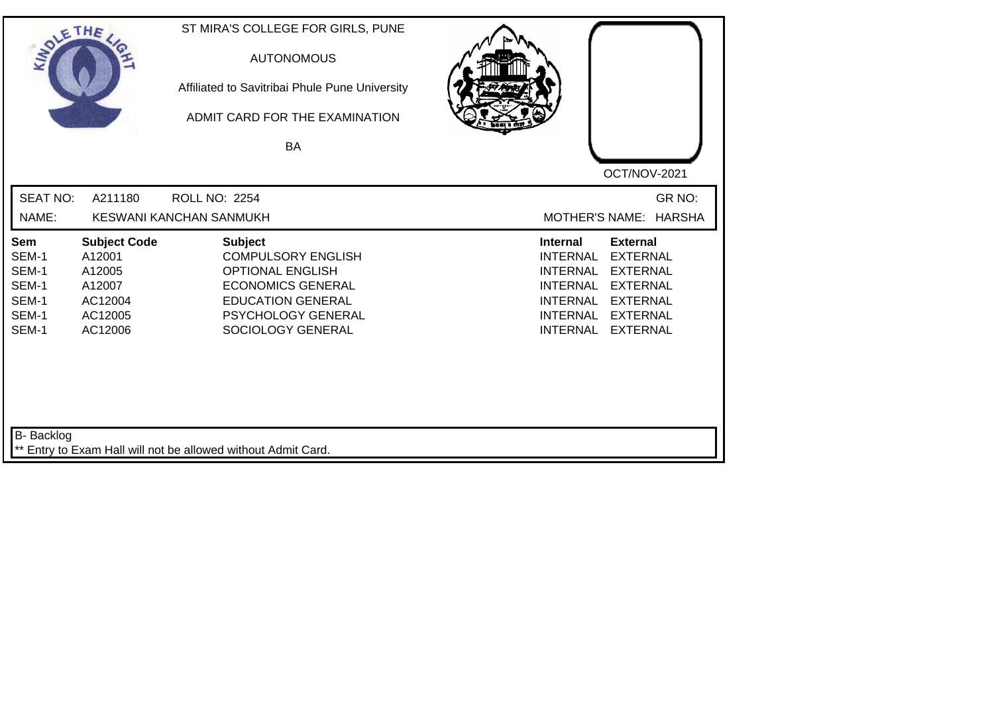| SOLETHE ,                                                 |                                                                                    | ST MIRA'S COLLEGE FOR GIRLS, PUNE<br><b>AUTONOMOUS</b><br>Affiliated to Savitribai Phule Pune University<br>ADMIT CARD FOR THE EXAMINATION<br><b>BA</b>                   | OCT/NOV-2021                                                                                                                                                                                                                                                           |
|-----------------------------------------------------------|------------------------------------------------------------------------------------|---------------------------------------------------------------------------------------------------------------------------------------------------------------------------|------------------------------------------------------------------------------------------------------------------------------------------------------------------------------------------------------------------------------------------------------------------------|
| <b>SEAT NO:</b><br>NAME:                                  | A211180                                                                            | <b>ROLL NO: 2254</b><br><b>KESWANI KANCHAN SANMUKH</b>                                                                                                                    | GR NO:<br><b>MOTHER'S NAME:</b><br><b>HARSHA</b>                                                                                                                                                                                                                       |
| Sem<br>SEM-1<br>SEM-1<br>SEM-1<br>SEM-1<br>SEM-1<br>SEM-1 | <b>Subject Code</b><br>A12001<br>A12005<br>A12007<br>AC12004<br>AC12005<br>AC12006 | <b>Subject</b><br><b>COMPULSORY ENGLISH</b><br><b>OPTIONAL ENGLISH</b><br><b>ECONOMICS GENERAL</b><br><b>EDUCATION GENERAL</b><br>PSYCHOLOGY GENERAL<br>SOCIOLOGY GENERAL | <b>External</b><br><b>Internal</b><br><b>INTERNAL</b><br><b>EXTERNAL</b><br><b>INTERNAL</b><br><b>EXTERNAL</b><br><b>EXTERNAL</b><br><b>INTERNAL</b><br><b>INTERNAL</b><br><b>EXTERNAL</b><br><b>INTERNAL</b><br><b>EXTERNAL</b><br><b>INTERNAL</b><br><b>EXTERNAL</b> |
| B- Backlog                                                |                                                                                    | ** Entry to Exam Hall will not be allowed without Admit Card.                                                                                                             |                                                                                                                                                                                                                                                                        |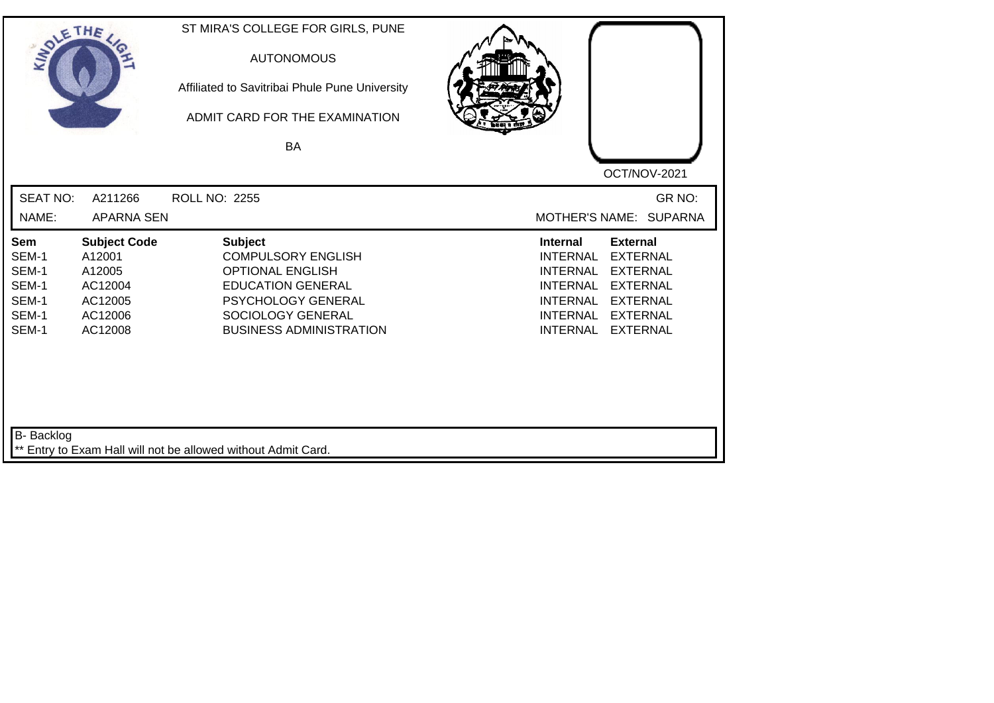| SOLE THE                                                  |                                                                                     | ST MIRA'S COLLEGE FOR GIRLS, PUNE<br><b>AUTONOMOUS</b><br>Affiliated to Savitribai Phule Pune University<br>ADMIT CARD FOR THE EXAMINATION                                      |                                                                                                                                                                                                                                                                 |
|-----------------------------------------------------------|-------------------------------------------------------------------------------------|---------------------------------------------------------------------------------------------------------------------------------------------------------------------------------|-----------------------------------------------------------------------------------------------------------------------------------------------------------------------------------------------------------------------------------------------------------------|
|                                                           |                                                                                     | BA                                                                                                                                                                              | OCT/NOV-2021                                                                                                                                                                                                                                                    |
| <b>SEAT NO:</b><br>NAME:                                  | A211266<br><b>APARNA SEN</b>                                                        | <b>ROLL NO: 2255</b>                                                                                                                                                            | GR NO:<br>MOTHER'S NAME: SUPARNA                                                                                                                                                                                                                                |
| Sem<br>SEM-1<br>SEM-1<br>SEM-1<br>SEM-1<br>SEM-1<br>SEM-1 | <b>Subject Code</b><br>A12001<br>A12005<br>AC12004<br>AC12005<br>AC12006<br>AC12008 | <b>Subject</b><br><b>COMPULSORY ENGLISH</b><br><b>OPTIONAL ENGLISH</b><br><b>EDUCATION GENERAL</b><br>PSYCHOLOGY GENERAL<br>SOCIOLOGY GENERAL<br><b>BUSINESS ADMINISTRATION</b> | Internal<br><b>External</b><br><b>EXTERNAL</b><br><b>INTERNAL</b><br><b>EXTERNAL</b><br><b>INTERNAL</b><br><b>INTERNAL</b><br><b>EXTERNAL</b><br><b>INTERNAL</b><br><b>EXTERNAL</b><br><b>INTERNAL</b><br><b>EXTERNAL</b><br><b>INTERNAL</b><br><b>EXTERNAL</b> |
| B- Backlog                                                |                                                                                     | ** Entry to Exam Hall will not be allowed without Admit Card.                                                                                                                   |                                                                                                                                                                                                                                                                 |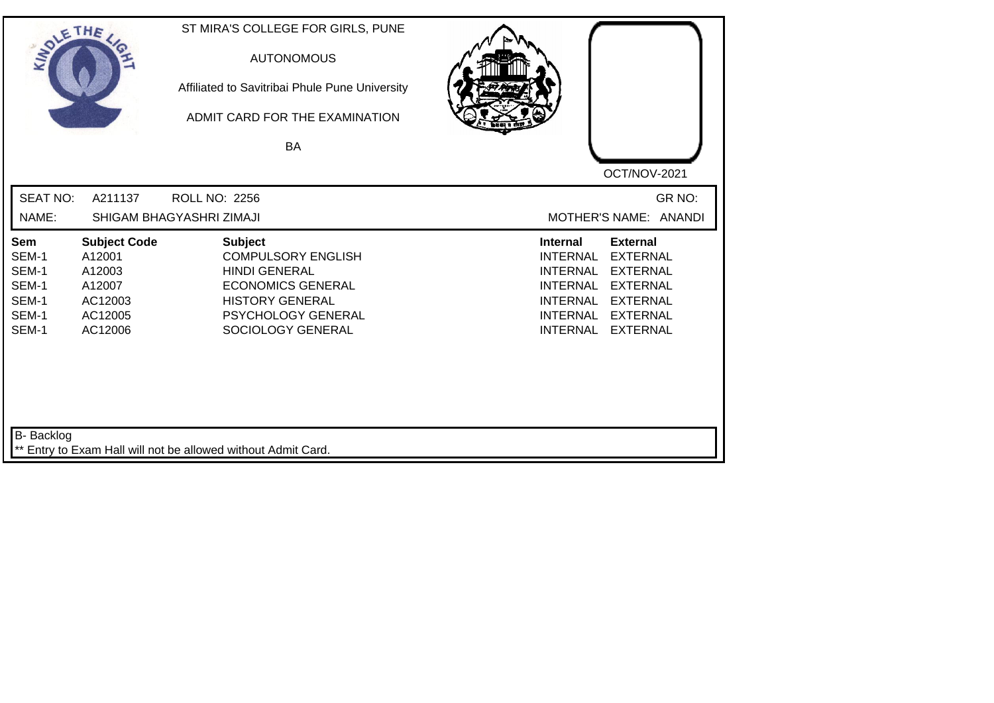| SOLETHE .                                                 |                                                                                    | ST MIRA'S COLLEGE FOR GIRLS, PUNE<br><b>AUTONOMOUS</b><br>Affiliated to Savitribai Phule Pune University<br>ADMIT CARD FOR THE EXAMINATION<br>BA                            | OCT/NOV-2021                                                                                                                                                                                                                                                           |
|-----------------------------------------------------------|------------------------------------------------------------------------------------|-----------------------------------------------------------------------------------------------------------------------------------------------------------------------------|------------------------------------------------------------------------------------------------------------------------------------------------------------------------------------------------------------------------------------------------------------------------|
| <b>SEAT NO:</b><br>NAME:                                  | A211137                                                                            | <b>ROLL NO: 2256</b><br>SHIGAM BHAGYASHRI ZIMAJI                                                                                                                            | GR NO:<br>MOTHER'S NAME: ANANDI                                                                                                                                                                                                                                        |
| Sem<br>SEM-1<br>SEM-1<br>SEM-1<br>SEM-1<br>SEM-1<br>SEM-1 | <b>Subject Code</b><br>A12001<br>A12003<br>A12007<br>AC12003<br>AC12005<br>AC12006 | <b>Subject</b><br><b>COMPULSORY ENGLISH</b><br><b>HINDI GENERAL</b><br><b>ECONOMICS GENERAL</b><br><b>HISTORY GENERAL</b><br><b>PSYCHOLOGY GENERAL</b><br>SOCIOLOGY GENERAL | <b>Internal</b><br><b>External</b><br><b>EXTERNAL</b><br><b>INTERNAL</b><br><b>EXTERNAL</b><br><b>INTERNAL</b><br><b>INTERNAL</b><br><b>EXTERNAL</b><br><b>INTERNAL</b><br><b>EXTERNAL</b><br><b>INTERNAL</b><br><b>EXTERNAL</b><br><b>INTERNAL</b><br><b>EXTERNAL</b> |
| B- Backlog                                                |                                                                                    | ** Entry to Exam Hall will not be allowed without Admit Card.                                                                                                               |                                                                                                                                                                                                                                                                        |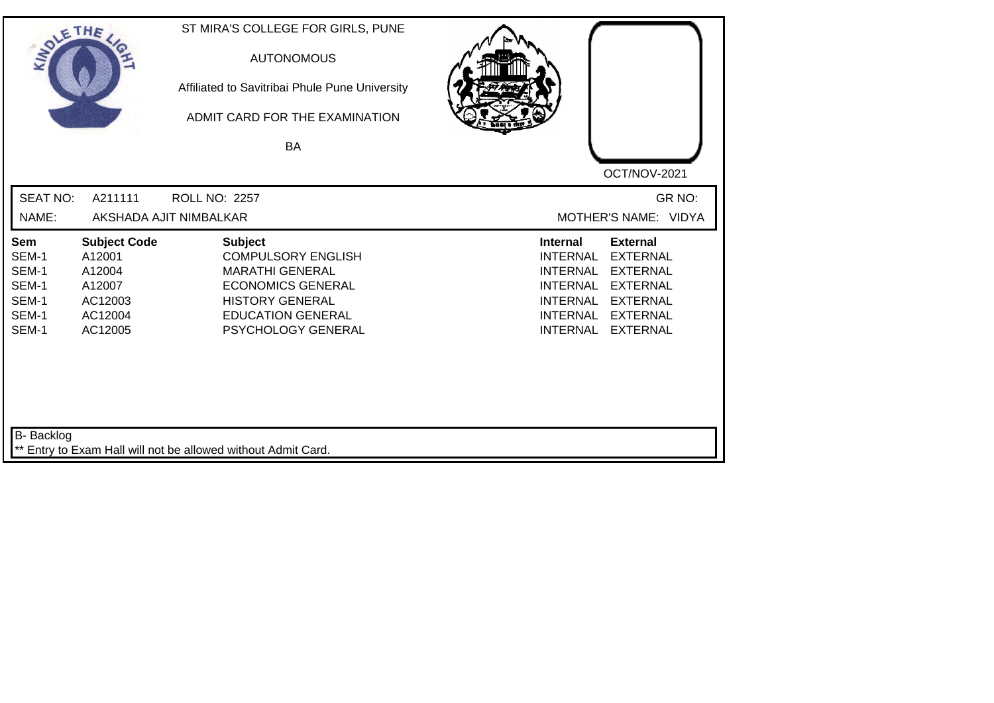| SOLETHE .                                                 |                                                                                    | ST MIRA'S COLLEGE FOR GIRLS, PUNE<br><b>AUTONOMOUS</b><br>Affiliated to Savitribai Phule Pune University<br>ADMIT CARD FOR THE EXAMINATION<br><b>BA</b>                       | OCT/NOV-2021                                                                                                                                                                                                                                                           |
|-----------------------------------------------------------|------------------------------------------------------------------------------------|-------------------------------------------------------------------------------------------------------------------------------------------------------------------------------|------------------------------------------------------------------------------------------------------------------------------------------------------------------------------------------------------------------------------------------------------------------------|
| <b>SEAT NO:</b><br>NAME:                                  | A211111                                                                            | ROLL NO: 2257<br>AKSHADA AJIT NIMBALKAR                                                                                                                                       | GR NO:<br>MOTHER'S NAME: VIDYA                                                                                                                                                                                                                                         |
| Sem<br>SEM-1<br>SEM-1<br>SEM-1<br>SEM-1<br>SEM-1<br>SEM-1 | <b>Subject Code</b><br>A12001<br>A12004<br>A12007<br>AC12003<br>AC12004<br>AC12005 | <b>Subject</b><br><b>COMPULSORY ENGLISH</b><br><b>MARATHI GENERAL</b><br><b>ECONOMICS GENERAL</b><br><b>HISTORY GENERAL</b><br><b>EDUCATION GENERAL</b><br>PSYCHOLOGY GENERAL | <b>External</b><br><b>Internal</b><br><b>EXTERNAL</b><br><b>INTERNAL</b><br><b>INTERNAL</b><br><b>EXTERNAL</b><br><b>EXTERNAL</b><br><b>INTERNAL</b><br><b>INTERNAL</b><br><b>EXTERNAL</b><br><b>INTERNAL</b><br><b>EXTERNAL</b><br><b>INTERNAL</b><br><b>EXTERNAL</b> |
| B- Backlog                                                |                                                                                    | ** Entry to Exam Hall will not be allowed without Admit Card.                                                                                                                 |                                                                                                                                                                                                                                                                        |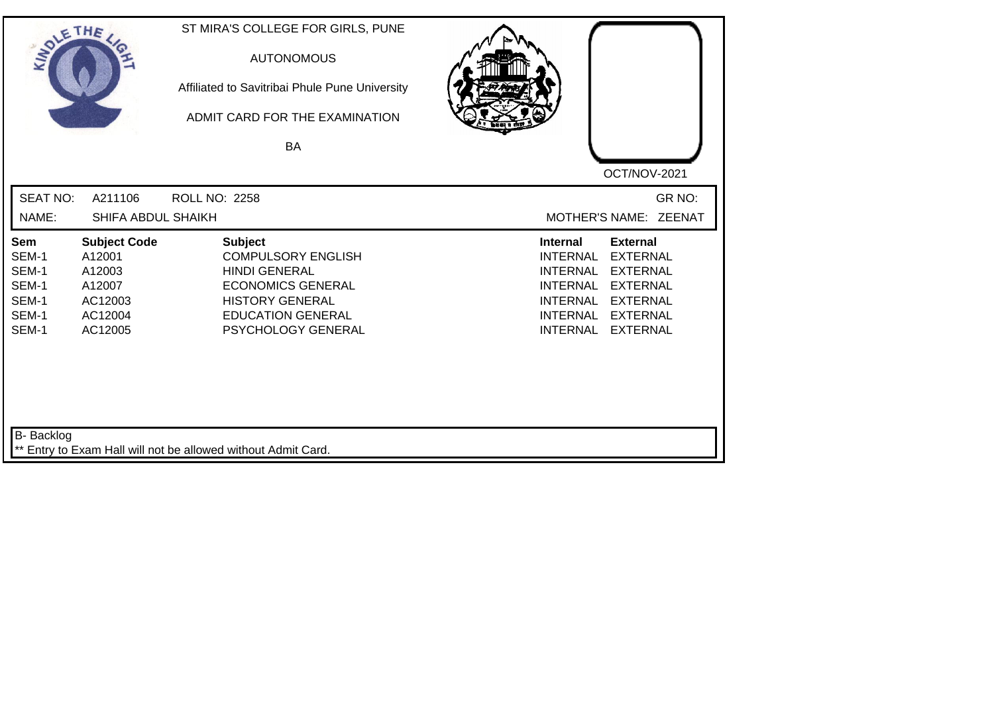| SOLETHE .                                                 |                                                                                    | ST MIRA'S COLLEGE FOR GIRLS, PUNE<br><b>AUTONOMOUS</b><br>Affiliated to Savitribai Phule Pune University<br>ADMIT CARD FOR THE EXAMINATION<br>BA                            | OCT/NOV-2021                                                                                                                                                                                                                                                           |
|-----------------------------------------------------------|------------------------------------------------------------------------------------|-----------------------------------------------------------------------------------------------------------------------------------------------------------------------------|------------------------------------------------------------------------------------------------------------------------------------------------------------------------------------------------------------------------------------------------------------------------|
| <b>SEAT NO:</b><br>NAME:                                  | A211106<br>SHIFA ABDUL SHAIKH                                                      | <b>ROLL NO: 2258</b>                                                                                                                                                        | GR NO:<br>MOTHER'S NAME: ZEENAT                                                                                                                                                                                                                                        |
| Sem<br>SEM-1<br>SEM-1<br>SEM-1<br>SEM-1<br>SEM-1<br>SEM-1 | <b>Subject Code</b><br>A12001<br>A12003<br>A12007<br>AC12003<br>AC12004<br>AC12005 | <b>Subject</b><br><b>COMPULSORY ENGLISH</b><br><b>HINDI GENERAL</b><br><b>ECONOMICS GENERAL</b><br><b>HISTORY GENERAL</b><br><b>EDUCATION GENERAL</b><br>PSYCHOLOGY GENERAL | <b>External</b><br><b>Internal</b><br><b>EXTERNAL</b><br><b>INTERNAL</b><br><b>INTERNAL</b><br><b>EXTERNAL</b><br><b>EXTERNAL</b><br><b>INTERNAL</b><br><b>INTERNAL</b><br><b>EXTERNAL</b><br><b>EXTERNAL</b><br><b>INTERNAL</b><br><b>INTERNAL</b><br><b>EXTERNAL</b> |
| B- Backlog                                                |                                                                                    | ** Entry to Exam Hall will not be allowed without Admit Card.                                                                                                               |                                                                                                                                                                                                                                                                        |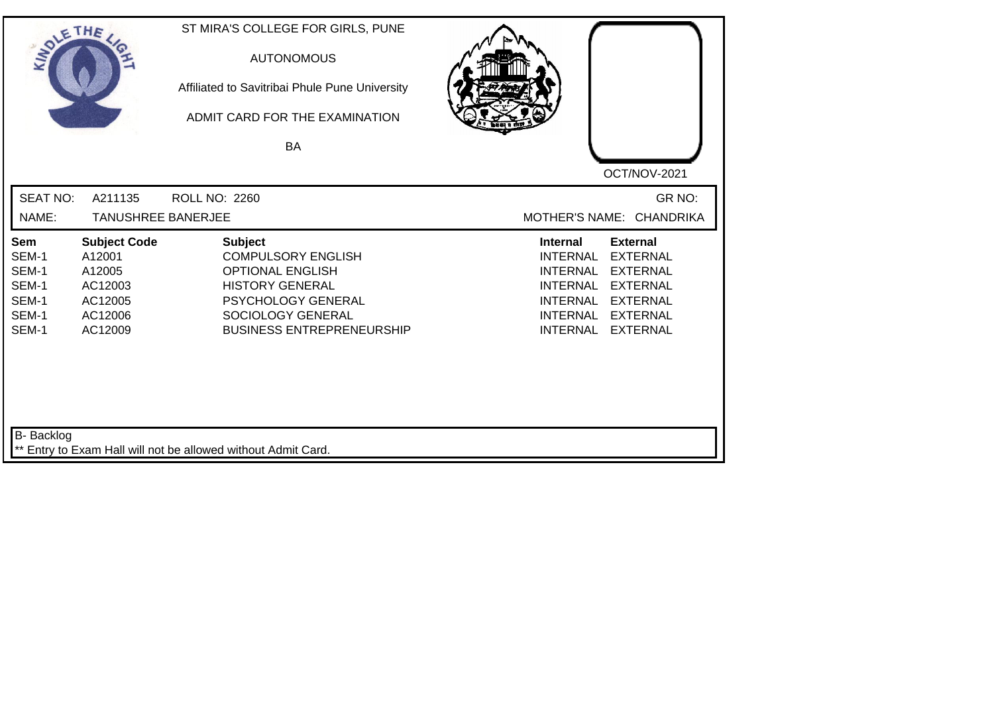| SOLETHE .                                                 |                                                                                     | ST MIRA'S COLLEGE FOR GIRLS, PUNE<br><b>AUTONOMOUS</b><br>Affiliated to Savitribai Phule Pune University<br>ADMIT CARD FOR THE EXAMINATION<br><b>BA</b>                         | OCT/NOV-2021                                                                                                                                                                                                                                                    |
|-----------------------------------------------------------|-------------------------------------------------------------------------------------|---------------------------------------------------------------------------------------------------------------------------------------------------------------------------------|-----------------------------------------------------------------------------------------------------------------------------------------------------------------------------------------------------------------------------------------------------------------|
| <b>SEAT NO:</b><br>NAME:                                  | A211135<br><b>TANUSHREE BANERJEE</b>                                                | <b>ROLL NO: 2260</b>                                                                                                                                                            | GR NO:<br>MOTHER'S NAME: CHANDRIKA                                                                                                                                                                                                                              |
| Sem<br>SEM-1<br>SEM-1<br>SEM-1<br>SEM-1<br>SEM-1<br>SEM-1 | <b>Subject Code</b><br>A12001<br>A12005<br>AC12003<br>AC12005<br>AC12006<br>AC12009 | <b>Subject</b><br><b>COMPULSORY ENGLISH</b><br><b>OPTIONAL ENGLISH</b><br><b>HISTORY GENERAL</b><br>PSYCHOLOGY GENERAL<br>SOCIOLOGY GENERAL<br><b>BUSINESS ENTREPRENEURSHIP</b> | <b>External</b><br>Internal<br><b>EXTERNAL</b><br><b>INTERNAL</b><br><b>INTERNAL</b><br><b>EXTERNAL</b><br><b>INTERNAL</b><br><b>EXTERNAL</b><br><b>INTERNAL</b><br><b>EXTERNAL</b><br><b>INTERNAL</b><br><b>EXTERNAL</b><br><b>INTERNAL</b><br><b>EXTERNAL</b> |
| B- Backlog                                                |                                                                                     | ** Entry to Exam Hall will not be allowed without Admit Card.                                                                                                                   |                                                                                                                                                                                                                                                                 |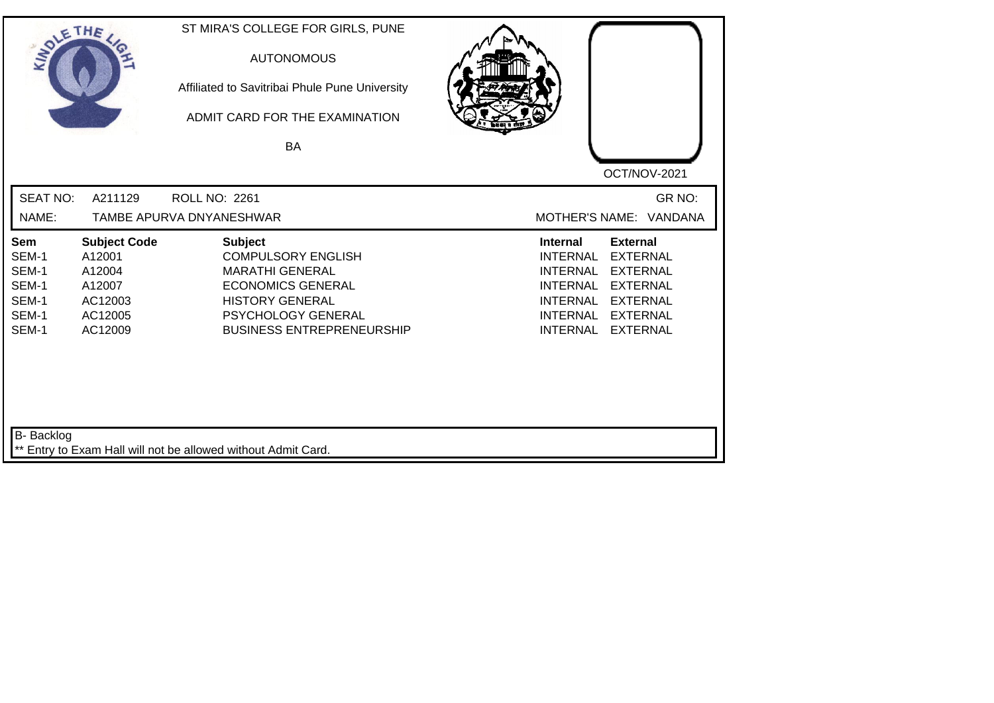| <b>SOLETHE</b>                                            |                                                                                    | ST MIRA'S COLLEGE FOR GIRLS, PUNE<br><b>AUTONOMOUS</b><br>Affiliated to Savitribai Phule Pune University<br>ADMIT CARD FOR THE EXAMINATION<br>BA                                      |                                                                                                                                                                                                                                                                        |
|-----------------------------------------------------------|------------------------------------------------------------------------------------|---------------------------------------------------------------------------------------------------------------------------------------------------------------------------------------|------------------------------------------------------------------------------------------------------------------------------------------------------------------------------------------------------------------------------------------------------------------------|
|                                                           |                                                                                    |                                                                                                                                                                                       | OCT/NOV-2021                                                                                                                                                                                                                                                           |
| <b>SEAT NO:</b>                                           | A211129                                                                            | <b>ROLL NO: 2261</b>                                                                                                                                                                  | GR NO:                                                                                                                                                                                                                                                                 |
| NAME:                                                     |                                                                                    | TAMBE APURVA DNYANESHWAR                                                                                                                                                              | MOTHER'S NAME: VANDANA                                                                                                                                                                                                                                                 |
| Sem<br>SEM-1<br>SEM-1<br>SEM-1<br>SEM-1<br>SEM-1<br>SEM-1 | <b>Subject Code</b><br>A12001<br>A12004<br>A12007<br>AC12003<br>AC12005<br>AC12009 | <b>Subject</b><br><b>COMPULSORY ENGLISH</b><br><b>MARATHI GENERAL</b><br><b>ECONOMICS GENERAL</b><br><b>HISTORY GENERAL</b><br>PSYCHOLOGY GENERAL<br><b>BUSINESS ENTREPRENEURSHIP</b> | <b>External</b><br><b>Internal</b><br><b>INTERNAL</b><br><b>EXTERNAL</b><br><b>INTERNAL</b><br><b>EXTERNAL</b><br><b>EXTERNAL</b><br><b>INTERNAL</b><br><b>INTERNAL</b><br><b>EXTERNAL</b><br><b>INTERNAL</b><br><b>EXTERNAL</b><br><b>INTERNAL</b><br><b>EXTERNAL</b> |
| B- Backlog                                                |                                                                                    | ** Entry to Exam Hall will not be allowed without Admit Card.                                                                                                                         |                                                                                                                                                                                                                                                                        |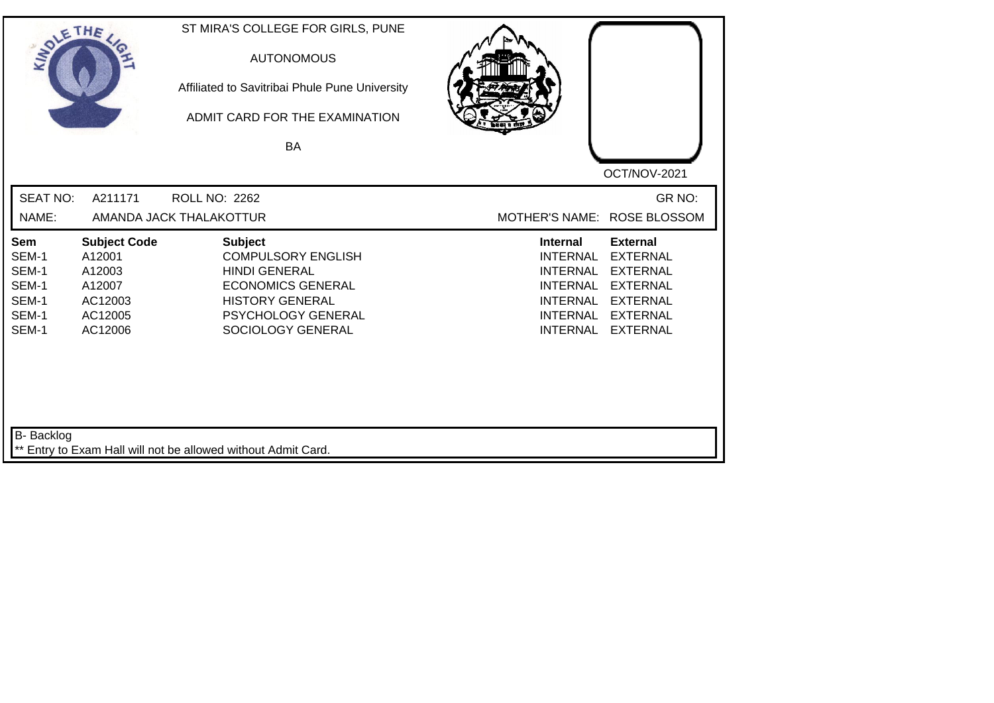| SOLE THE                                                  |                                                                                    | ST MIRA'S COLLEGE FOR GIRLS, PUNE<br><b>AUTONOMOUS</b><br>Affiliated to Savitribai Phule Pune University<br>ADMIT CARD FOR THE EXAMINATION<br>BA                     |                                                                                                                                   | OCT/NOV-2021                                                                                                                      |
|-----------------------------------------------------------|------------------------------------------------------------------------------------|----------------------------------------------------------------------------------------------------------------------------------------------------------------------|-----------------------------------------------------------------------------------------------------------------------------------|-----------------------------------------------------------------------------------------------------------------------------------|
| <b>SEAT NO:</b><br>NAME:                                  | A211171                                                                            | <b>ROLL NO: 2262</b><br>AMANDA JACK THALAKOTTUR                                                                                                                      | MOTHER'S NAME: ROSE BLOSSOM                                                                                                       | GR NO:                                                                                                                            |
| Sem<br>SEM-1<br>SEM-1<br>SEM-1<br>SEM-1<br>SEM-1<br>SEM-1 | <b>Subject Code</b><br>A12001<br>A12003<br>A12007<br>AC12003<br>AC12005<br>AC12006 | <b>Subject</b><br><b>COMPULSORY ENGLISH</b><br><b>HINDI GENERAL</b><br><b>ECONOMICS GENERAL</b><br><b>HISTORY GENERAL</b><br>PSYCHOLOGY GENERAL<br>SOCIOLOGY GENERAL | <b>Internal</b><br><b>INTERNAL</b><br><b>INTERNAL</b><br><b>INTERNAL</b><br><b>INTERNAL</b><br><b>INTERNAL</b><br><b>INTERNAL</b> | <b>External</b><br><b>EXTERNAL</b><br><b>EXTERNAL</b><br><b>EXTERNAL</b><br><b>EXTERNAL</b><br><b>EXTERNAL</b><br><b>EXTERNAL</b> |
| <b>B-</b> Backlog                                         |                                                                                    | ** Entry to Exam Hall will not be allowed without Admit Card.                                                                                                        |                                                                                                                                   |                                                                                                                                   |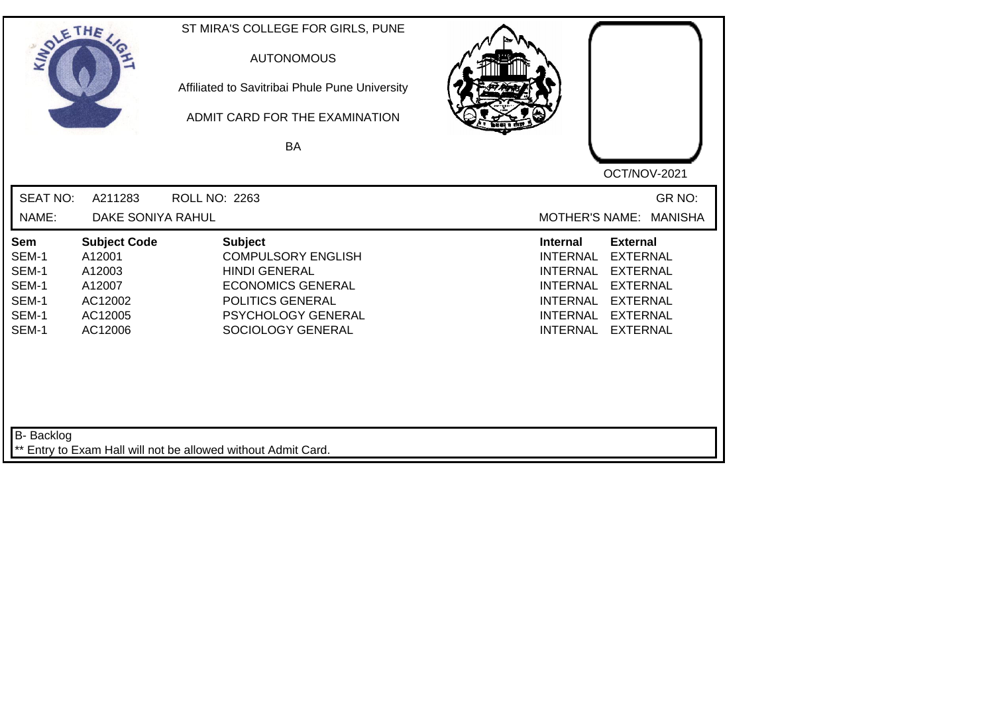| SOLETHE .                                                 |                                                                                    | ST MIRA'S COLLEGE FOR GIRLS, PUNE<br><b>AUTONOMOUS</b><br>Affiliated to Savitribai Phule Pune University<br>ADMIT CARD FOR THE EXAMINATION<br>BA                      | OCT/NOV-2021                                                                                                                                                                                                                                                           |
|-----------------------------------------------------------|------------------------------------------------------------------------------------|-----------------------------------------------------------------------------------------------------------------------------------------------------------------------|------------------------------------------------------------------------------------------------------------------------------------------------------------------------------------------------------------------------------------------------------------------------|
| <b>SEAT NO:</b><br>NAME:                                  | A211283<br>DAKE SONIYA RAHUL                                                       | ROLL NO: 2263                                                                                                                                                         | GR NO:<br><b>MOTHER'S NAME:</b><br><b>MANISHA</b>                                                                                                                                                                                                                      |
| Sem<br>SEM-1<br>SEM-1<br>SEM-1<br>SEM-1<br>SEM-1<br>SEM-1 | <b>Subject Code</b><br>A12001<br>A12003<br>A12007<br>AC12002<br>AC12005<br>AC12006 | <b>Subject</b><br><b>COMPULSORY ENGLISH</b><br><b>HINDI GENERAL</b><br><b>ECONOMICS GENERAL</b><br>POLITICS GENERAL<br><b>PSYCHOLOGY GENERAL</b><br>SOCIOLOGY GENERAL | <b>Internal</b><br><b>External</b><br><b>EXTERNAL</b><br><b>INTERNAL</b><br><b>EXTERNAL</b><br><b>INTERNAL</b><br><b>INTERNAL</b><br><b>EXTERNAL</b><br><b>INTERNAL</b><br><b>EXTERNAL</b><br><b>INTERNAL</b><br><b>EXTERNAL</b><br><b>INTERNAL</b><br><b>EXTERNAL</b> |
| B- Backlog                                                |                                                                                    | ** Entry to Exam Hall will not be allowed without Admit Card.                                                                                                         |                                                                                                                                                                                                                                                                        |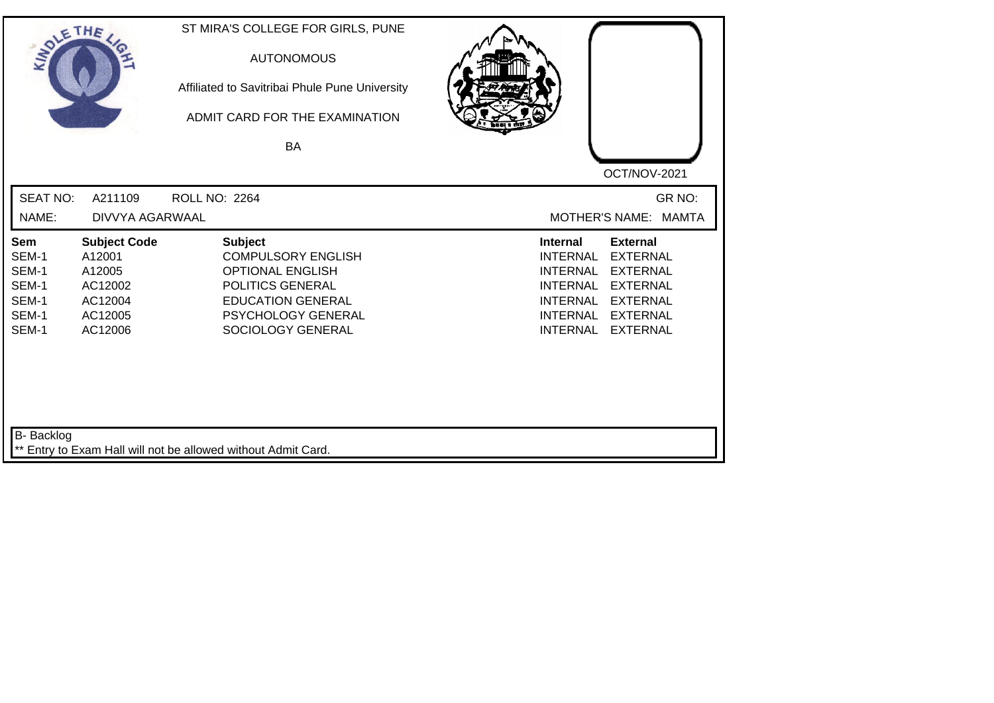| SOLE THE                                                  |                                                                                     | ST MIRA'S COLLEGE FOR GIRLS, PUNE<br><b>AUTONOMOUS</b><br>Affiliated to Savitribai Phule Pune University<br>ADMIT CARD FOR THE EXAMINATION<br><b>BA</b>           |                                                                                                                                                                                                                                                                        |
|-----------------------------------------------------------|-------------------------------------------------------------------------------------|-------------------------------------------------------------------------------------------------------------------------------------------------------------------|------------------------------------------------------------------------------------------------------------------------------------------------------------------------------------------------------------------------------------------------------------------------|
|                                                           |                                                                                     |                                                                                                                                                                   | OCT/NOV-2021                                                                                                                                                                                                                                                           |
| <b>SEAT NO:</b>                                           | A211109                                                                             | ROLL NO: 2264                                                                                                                                                     | GR NO:                                                                                                                                                                                                                                                                 |
| NAME:                                                     | DIVVYA AGARWAAL                                                                     |                                                                                                                                                                   | MOTHER'S NAME: MAMTA                                                                                                                                                                                                                                                   |
| Sem<br>SEM-1<br>SEM-1<br>SEM-1<br>SEM-1<br>SEM-1<br>SEM-1 | <b>Subject Code</b><br>A12001<br>A12005<br>AC12002<br>AC12004<br>AC12005<br>AC12006 | <b>Subject</b><br><b>COMPULSORY ENGLISH</b><br><b>OPTIONAL ENGLISH</b><br>POLITICS GENERAL<br><b>EDUCATION GENERAL</b><br>PSYCHOLOGY GENERAL<br>SOCIOLOGY GENERAL | <b>Internal</b><br><b>External</b><br><b>INTERNAL</b><br><b>EXTERNAL</b><br><b>INTERNAL</b><br><b>EXTERNAL</b><br><b>INTERNAL</b><br><b>EXTERNAL</b><br><b>EXTERNAL</b><br><b>INTERNAL</b><br><b>INTERNAL</b><br><b>EXTERNAL</b><br><b>INTERNAL</b><br><b>EXTERNAL</b> |
| <b>B-</b> Backlog                                         |                                                                                     | ** Entry to Exam Hall will not be allowed without Admit Card.                                                                                                     |                                                                                                                                                                                                                                                                        |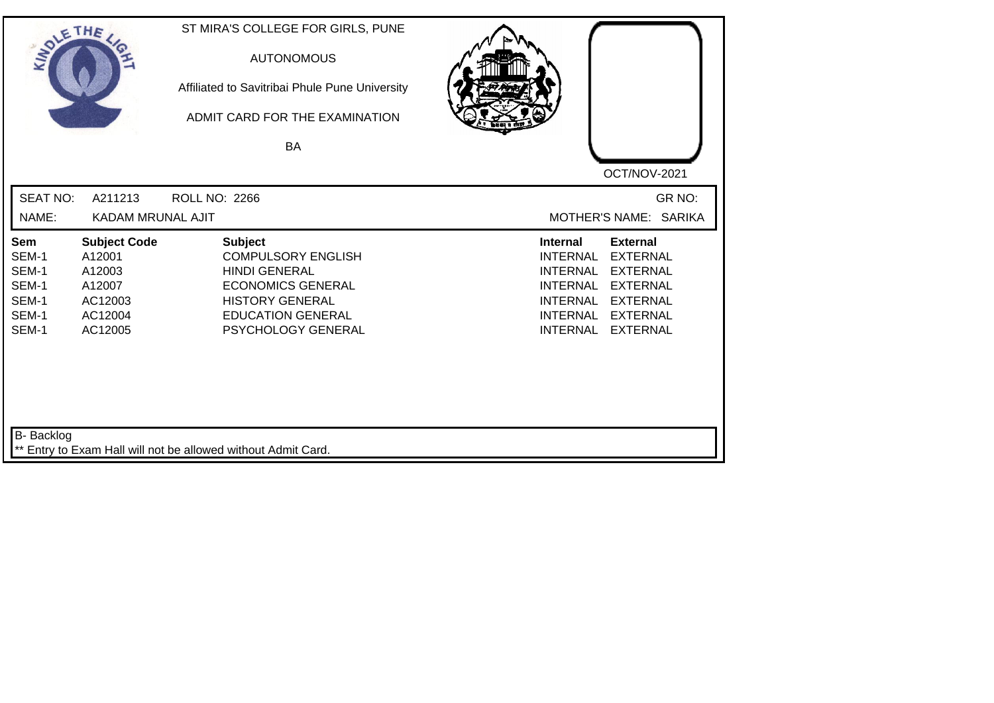| SOLE THE                                                  |                                                                                    | ST MIRA'S COLLEGE FOR GIRLS, PUNE<br><b>AUTONOMOUS</b><br>Affiliated to Savitribai Phule Pune University<br>ADMIT CARD FOR THE EXAMINATION<br><b>BA</b>                     |                                                                                                                                                                                                                                                                        |
|-----------------------------------------------------------|------------------------------------------------------------------------------------|-----------------------------------------------------------------------------------------------------------------------------------------------------------------------------|------------------------------------------------------------------------------------------------------------------------------------------------------------------------------------------------------------------------------------------------------------------------|
| <b>SEAT NO:</b><br>NAME:                                  | A211213<br>KADAM MRUNAL AJIT                                                       | <b>ROLL NO: 2266</b>                                                                                                                                                        | OCT/NOV-2021<br>GR NO:<br>MOTHER'S NAME: SARIKA                                                                                                                                                                                                                        |
| Sem<br>SEM-1<br>SEM-1<br>SEM-1<br>SEM-1<br>SEM-1<br>SEM-1 | <b>Subject Code</b><br>A12001<br>A12003<br>A12007<br>AC12003<br>AC12004<br>AC12005 | <b>Subject</b><br><b>COMPULSORY ENGLISH</b><br><b>HINDI GENERAL</b><br><b>ECONOMICS GENERAL</b><br><b>HISTORY GENERAL</b><br><b>EDUCATION GENERAL</b><br>PSYCHOLOGY GENERAL | <b>External</b><br><b>Internal</b><br><b>EXTERNAL</b><br><b>INTERNAL</b><br><b>INTERNAL</b><br><b>EXTERNAL</b><br><b>EXTERNAL</b><br><b>INTERNAL</b><br><b>INTERNAL</b><br><b>EXTERNAL</b><br><b>INTERNAL</b><br><b>EXTERNAL</b><br><b>INTERNAL</b><br><b>EXTERNAL</b> |
| <b>B-</b> Backlog                                         |                                                                                    | ** Entry to Exam Hall will not be allowed without Admit Card.                                                                                                               |                                                                                                                                                                                                                                                                        |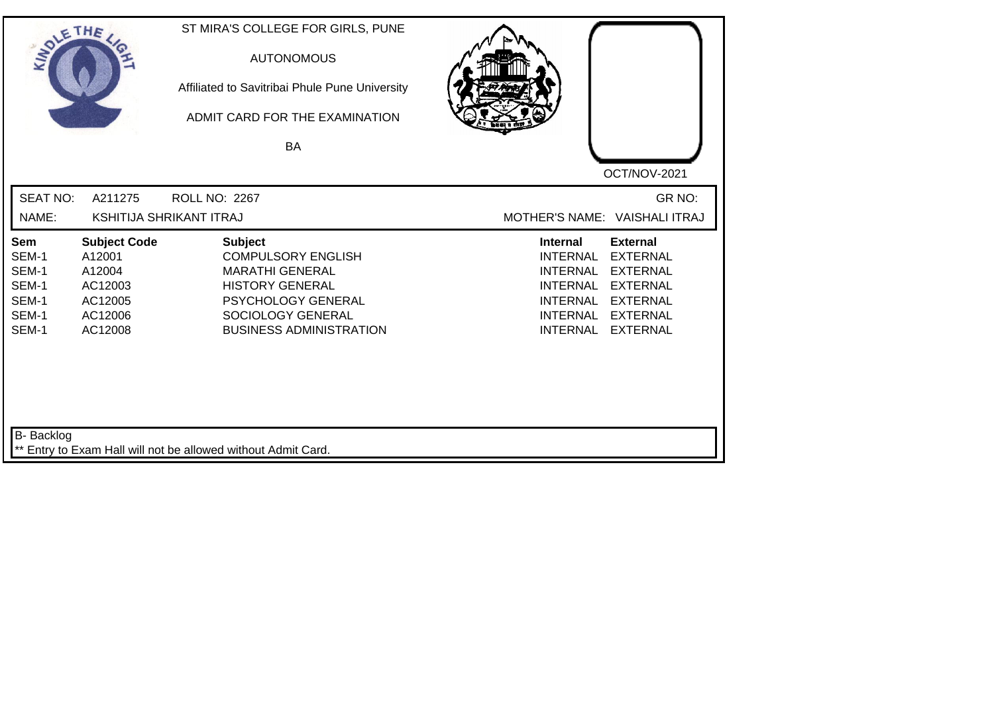| SOLETHE .                                                 |                                                                                     | ST MIRA'S COLLEGE FOR GIRLS, PUNE<br><b>AUTONOMOUS</b><br>Affiliated to Savitribai Phule Pune University<br>ADMIT CARD FOR THE EXAMINATION<br><b>BA</b>                      |                                                                                                                                                                                                                                                                        |
|-----------------------------------------------------------|-------------------------------------------------------------------------------------|------------------------------------------------------------------------------------------------------------------------------------------------------------------------------|------------------------------------------------------------------------------------------------------------------------------------------------------------------------------------------------------------------------------------------------------------------------|
|                                                           |                                                                                     |                                                                                                                                                                              | OCT/NOV-2021                                                                                                                                                                                                                                                           |
| <b>SEAT NO:</b>                                           | A211275                                                                             | ROLL NO: 2267                                                                                                                                                                | GR NO:                                                                                                                                                                                                                                                                 |
| NAME:                                                     |                                                                                     | <b>KSHITIJA SHRIKANT ITRAJ</b>                                                                                                                                               | MOTHER'S NAME: VAISHALI ITRAJ                                                                                                                                                                                                                                          |
| Sem<br>SEM-1<br>SEM-1<br>SEM-1<br>SEM-1<br>SEM-1<br>SEM-1 | <b>Subject Code</b><br>A12001<br>A12004<br>AC12003<br>AC12005<br>AC12006<br>AC12008 | <b>Subject</b><br><b>COMPULSORY ENGLISH</b><br><b>MARATHI GENERAL</b><br><b>HISTORY GENERAL</b><br>PSYCHOLOGY GENERAL<br>SOCIOLOGY GENERAL<br><b>BUSINESS ADMINISTRATION</b> | <b>External</b><br><b>Internal</b><br><b>INTERNAL</b><br><b>EXTERNAL</b><br><b>INTERNAL</b><br><b>EXTERNAL</b><br><b>INTERNAL</b><br><b>EXTERNAL</b><br><b>INTERNAL</b><br><b>EXTERNAL</b><br><b>INTERNAL</b><br><b>EXTERNAL</b><br><b>EXTERNAL</b><br><b>INTERNAL</b> |
| B- Backlog                                                |                                                                                     | ** Entry to Exam Hall will not be allowed without Admit Card.                                                                                                                |                                                                                                                                                                                                                                                                        |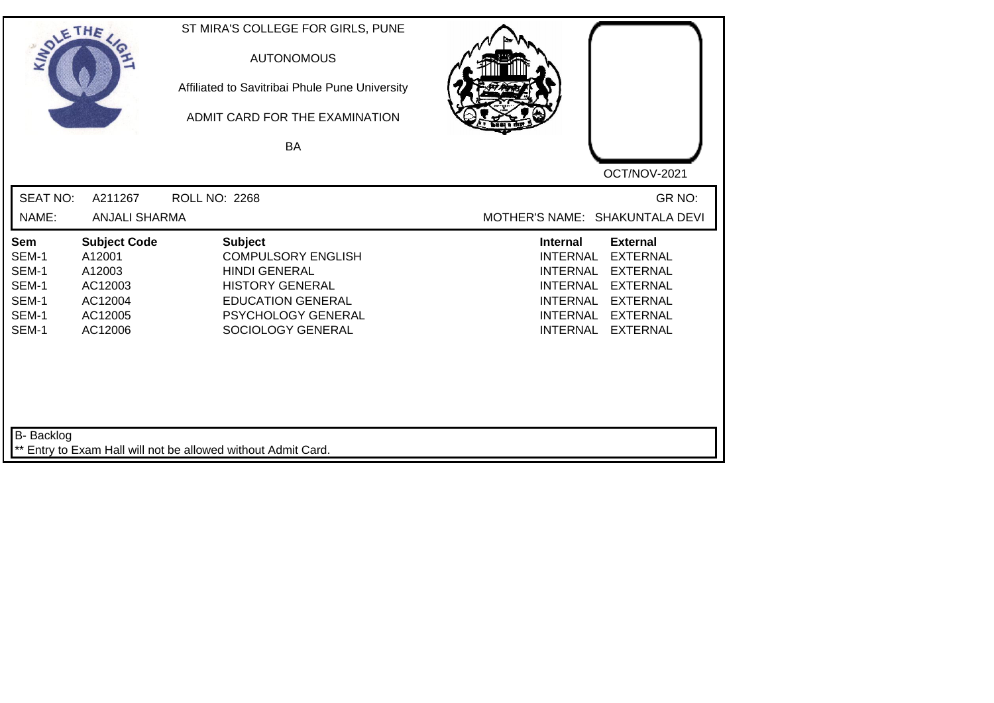| SOLETHE ,                                                 |                                                                                     | ST MIRA'S COLLEGE FOR GIRLS, PUNE<br><b>AUTONOMOUS</b><br>Affiliated to Savitribai Phule Pune University<br>ADMIT CARD FOR THE EXAMINATION<br>BA                            |                                                                                                                                                                                                                                                                        |
|-----------------------------------------------------------|-------------------------------------------------------------------------------------|-----------------------------------------------------------------------------------------------------------------------------------------------------------------------------|------------------------------------------------------------------------------------------------------------------------------------------------------------------------------------------------------------------------------------------------------------------------|
| <b>SEAT NO:</b><br>NAME:                                  | A211267<br><b>ANJALI SHARMA</b>                                                     | <b>ROLL NO: 2268</b>                                                                                                                                                        | OCT/NOV-2021<br>GR NO:<br>MOTHER'S NAME: SHAKUNTALA DEVI                                                                                                                                                                                                               |
| Sem<br>SEM-1<br>SEM-1<br>SEM-1<br>SEM-1<br>SEM-1<br>SEM-1 | <b>Subject Code</b><br>A12001<br>A12003<br>AC12003<br>AC12004<br>AC12005<br>AC12006 | <b>Subject</b><br><b>COMPULSORY ENGLISH</b><br><b>HINDI GENERAL</b><br><b>HISTORY GENERAL</b><br><b>EDUCATION GENERAL</b><br><b>PSYCHOLOGY GENERAL</b><br>SOCIOLOGY GENERAL | <b>External</b><br><b>Internal</b><br><b>EXTERNAL</b><br><b>INTERNAL</b><br><b>EXTERNAL</b><br><b>INTERNAL</b><br><b>INTERNAL</b><br><b>EXTERNAL</b><br><b>INTERNAL</b><br><b>EXTERNAL</b><br><b>INTERNAL</b><br><b>EXTERNAL</b><br><b>INTERNAL</b><br><b>EXTERNAL</b> |
| B- Backlog                                                |                                                                                     | ** Entry to Exam Hall will not be allowed without Admit Card.                                                                                                               |                                                                                                                                                                                                                                                                        |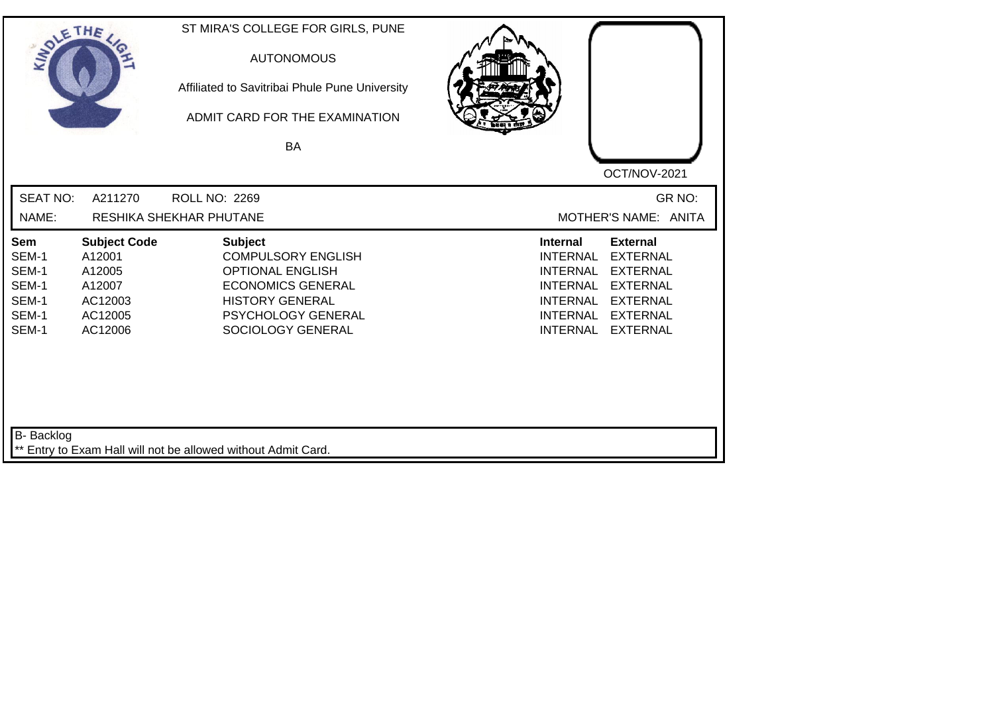| SOLETHE .                                                 |                                                                                    | ST MIRA'S COLLEGE FOR GIRLS, PUNE<br><b>AUTONOMOUS</b><br>Affiliated to Savitribai Phule Pune University<br>ADMIT CARD FOR THE EXAMINATION<br>BA                        | OCT/NOV-2021                                                                                                                                                                                                                                                           |
|-----------------------------------------------------------|------------------------------------------------------------------------------------|-------------------------------------------------------------------------------------------------------------------------------------------------------------------------|------------------------------------------------------------------------------------------------------------------------------------------------------------------------------------------------------------------------------------------------------------------------|
| <b>SEAT NO:</b><br>NAME:                                  | A211270                                                                            | <b>ROLL NO: 2269</b><br>RESHIKA SHEKHAR PHUTANE                                                                                                                         | GR NO:<br>MOTHER'S NAME: ANITA                                                                                                                                                                                                                                         |
| Sem<br>SEM-1<br>SEM-1<br>SEM-1<br>SEM-1<br>SEM-1<br>SEM-1 | <b>Subject Code</b><br>A12001<br>A12005<br>A12007<br>AC12003<br>AC12005<br>AC12006 | <b>Subject</b><br><b>COMPULSORY ENGLISH</b><br><b>OPTIONAL ENGLISH</b><br><b>ECONOMICS GENERAL</b><br><b>HISTORY GENERAL</b><br>PSYCHOLOGY GENERAL<br>SOCIOLOGY GENERAL | <b>External</b><br><b>Internal</b><br><b>EXTERNAL</b><br><b>INTERNAL</b><br><b>INTERNAL</b><br><b>EXTERNAL</b><br><b>EXTERNAL</b><br><b>INTERNAL</b><br><b>INTERNAL</b><br><b>EXTERNAL</b><br><b>INTERNAL</b><br><b>EXTERNAL</b><br><b>INTERNAL</b><br><b>EXTERNAL</b> |
| <b>B-</b> Backlog                                         |                                                                                    | ** Entry to Exam Hall will not be allowed without Admit Card.                                                                                                           |                                                                                                                                                                                                                                                                        |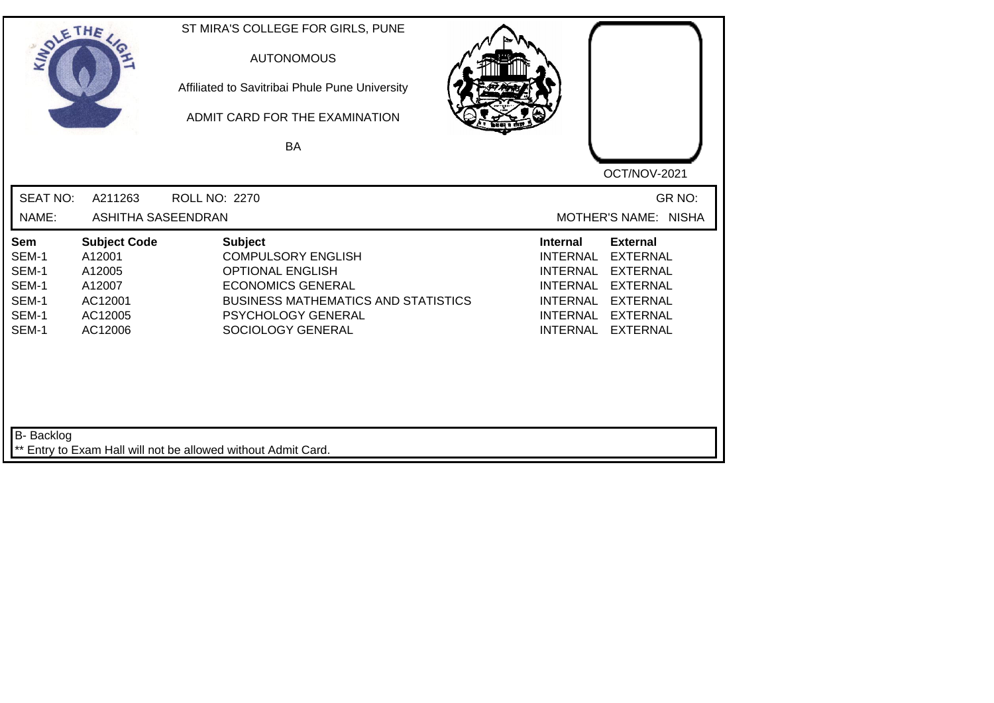| SOLE THE                                                  |                                                                                    | ST MIRA'S COLLEGE FOR GIRLS, PUNE<br><b>AUTONOMOUS</b><br>Affiliated to Savitribai Phule Pune University<br>ADMIT CARD FOR THE EXAMINATION<br><b>BA</b>                                     | OCT/NOV-2021                                                                                                                                                                                                                                                           |
|-----------------------------------------------------------|------------------------------------------------------------------------------------|---------------------------------------------------------------------------------------------------------------------------------------------------------------------------------------------|------------------------------------------------------------------------------------------------------------------------------------------------------------------------------------------------------------------------------------------------------------------------|
| <b>SEAT NO:</b><br>NAME:                                  | A211263<br><b>ASHITHA SASEENDRAN</b>                                               | <b>ROLL NO: 2270</b>                                                                                                                                                                        | GR NO:<br>MOTHER'S NAME: NISHA                                                                                                                                                                                                                                         |
| Sem<br>SEM-1<br>SEM-1<br>SEM-1<br>SEM-1<br>SEM-1<br>SEM-1 | <b>Subject Code</b><br>A12001<br>A12005<br>A12007<br>AC12001<br>AC12005<br>AC12006 | <b>Subject</b><br><b>COMPULSORY ENGLISH</b><br><b>OPTIONAL ENGLISH</b><br><b>ECONOMICS GENERAL</b><br><b>BUSINESS MATHEMATICS AND STATISTICS</b><br>PSYCHOLOGY GENERAL<br>SOCIOLOGY GENERAL | <b>External</b><br><b>Internal</b><br><b>INTERNAL</b><br><b>EXTERNAL</b><br><b>INTERNAL</b><br><b>EXTERNAL</b><br><b>INTERNAL</b><br><b>EXTERNAL</b><br><b>INTERNAL</b><br><b>EXTERNAL</b><br><b>INTERNAL</b><br><b>EXTERNAL</b><br><b>INTERNAL</b><br><b>EXTERNAL</b> |
| B- Backlog                                                |                                                                                    | ** Entry to Exam Hall will not be allowed without Admit Card.                                                                                                                               |                                                                                                                                                                                                                                                                        |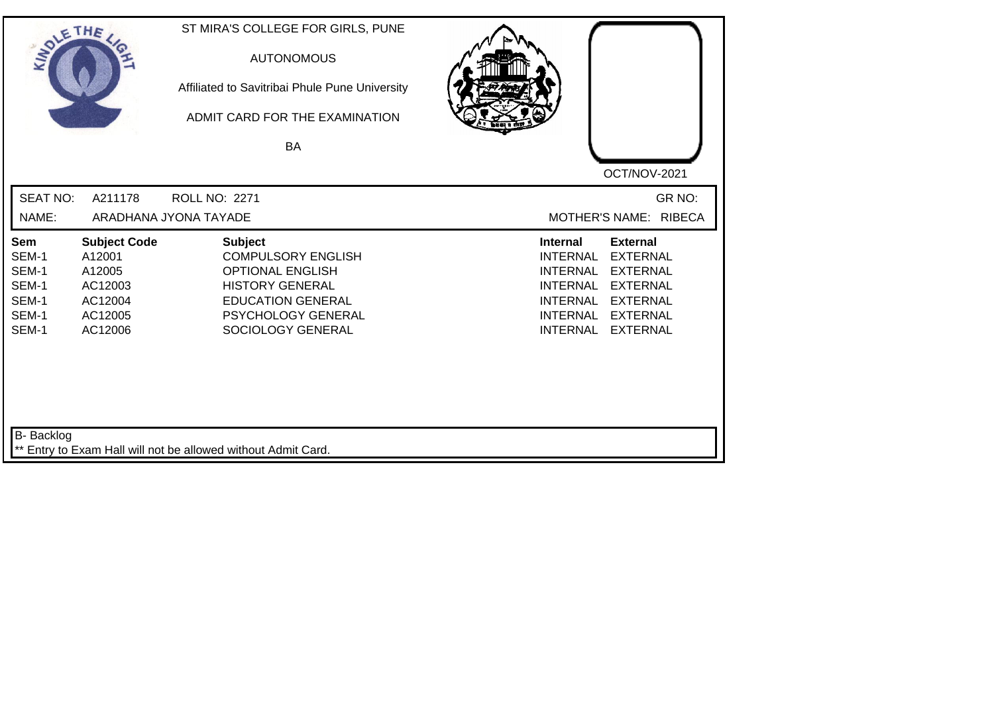| SOLETHE ,                                                 |                                                                                     | ST MIRA'S COLLEGE FOR GIRLS, PUNE<br><b>AUTONOMOUS</b><br>Affiliated to Savitribai Phule Pune University<br>ADMIT CARD FOR THE EXAMINATION<br>BA                        | OCT/NOV-2021                                                                                                                                                                                                                                                           |
|-----------------------------------------------------------|-------------------------------------------------------------------------------------|-------------------------------------------------------------------------------------------------------------------------------------------------------------------------|------------------------------------------------------------------------------------------------------------------------------------------------------------------------------------------------------------------------------------------------------------------------|
| <b>SEAT NO:</b><br>NAME:                                  | A211178                                                                             | <b>ROLL NO: 2271</b><br>ARADHANA JYONA TAYADE                                                                                                                           | GR NO:<br>MOTHER'S NAME: RIBECA                                                                                                                                                                                                                                        |
|                                                           |                                                                                     |                                                                                                                                                                         |                                                                                                                                                                                                                                                                        |
| Sem<br>SEM-1<br>SEM-1<br>SEM-1<br>SEM-1<br>SEM-1<br>SEM-1 | <b>Subject Code</b><br>A12001<br>A12005<br>AC12003<br>AC12004<br>AC12005<br>AC12006 | <b>Subject</b><br><b>COMPULSORY ENGLISH</b><br><b>OPTIONAL ENGLISH</b><br><b>HISTORY GENERAL</b><br><b>EDUCATION GENERAL</b><br>PSYCHOLOGY GENERAL<br>SOCIOLOGY GENERAL | <b>External</b><br><b>Internal</b><br><b>INTERNAL</b><br><b>EXTERNAL</b><br><b>INTERNAL</b><br><b>EXTERNAL</b><br><b>EXTERNAL</b><br><b>INTERNAL</b><br><b>INTERNAL</b><br><b>EXTERNAL</b><br><b>INTERNAL</b><br><b>EXTERNAL</b><br><b>INTERNAL</b><br><b>EXTERNAL</b> |
| B- Backlog                                                |                                                                                     | ** Entry to Exam Hall will not be allowed without Admit Card.                                                                                                           |                                                                                                                                                                                                                                                                        |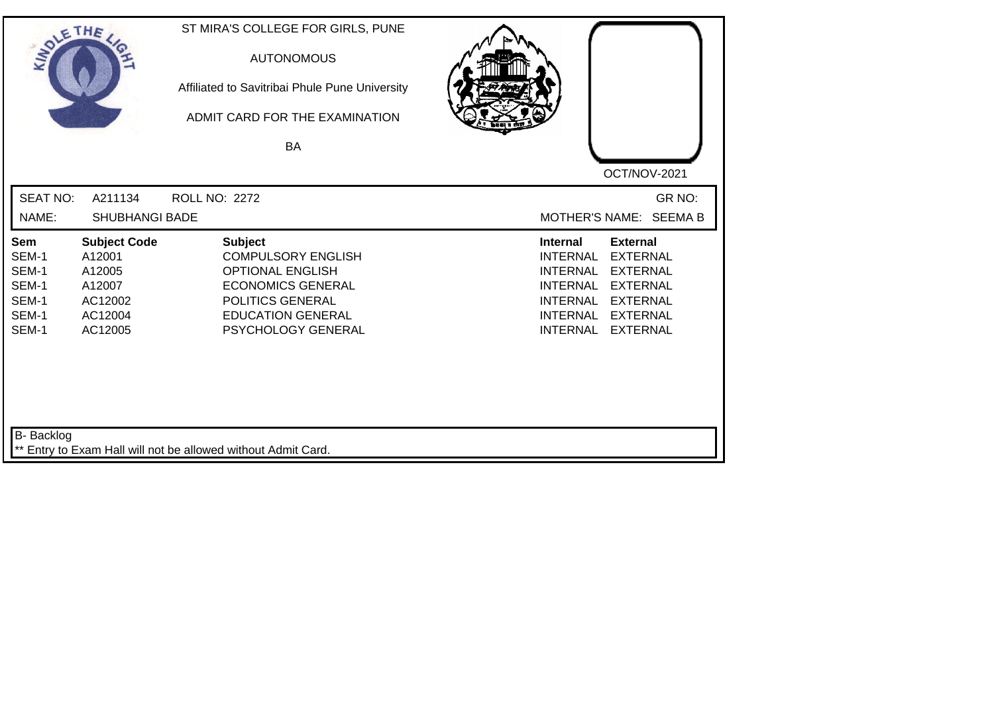| SOLE THE                                                  |                                                                                    | ST MIRA'S COLLEGE FOR GIRLS, PUNE<br><b>AUTONOMOUS</b><br>Affiliated to Savitribai Phule Pune University<br>ADMIT CARD FOR THE EXAMINATION<br>BA                         |                                                                                                                                                                                                                                                                        |
|-----------------------------------------------------------|------------------------------------------------------------------------------------|--------------------------------------------------------------------------------------------------------------------------------------------------------------------------|------------------------------------------------------------------------------------------------------------------------------------------------------------------------------------------------------------------------------------------------------------------------|
|                                                           |                                                                                    |                                                                                                                                                                          | OCT/NOV-2021                                                                                                                                                                                                                                                           |
| <b>SEAT NO:</b>                                           | A211134                                                                            | <b>ROLL NO: 2272</b>                                                                                                                                                     | GR NO:                                                                                                                                                                                                                                                                 |
| NAME:                                                     | <b>SHUBHANGI BADE</b>                                                              |                                                                                                                                                                          | MOTHER'S NAME: SEEMA B                                                                                                                                                                                                                                                 |
| Sem<br>SEM-1<br>SEM-1<br>SEM-1<br>SEM-1<br>SEM-1<br>SEM-1 | <b>Subject Code</b><br>A12001<br>A12005<br>A12007<br>AC12002<br>AC12004<br>AC12005 | <b>Subject</b><br><b>COMPULSORY ENGLISH</b><br><b>OPTIONAL ENGLISH</b><br><b>ECONOMICS GENERAL</b><br>POLITICS GENERAL<br><b>EDUCATION GENERAL</b><br>PSYCHOLOGY GENERAL | <b>Internal</b><br><b>External</b><br><b>INTERNAL</b><br><b>EXTERNAL</b><br><b>INTERNAL</b><br><b>EXTERNAL</b><br><b>INTERNAL</b><br><b>EXTERNAL</b><br><b>INTERNAL</b><br><b>EXTERNAL</b><br><b>INTERNAL</b><br><b>EXTERNAL</b><br><b>INTERNAL</b><br><b>EXTERNAL</b> |
| <b>B-</b> Backlog                                         |                                                                                    | ** Entry to Exam Hall will not be allowed without Admit Card.                                                                                                            |                                                                                                                                                                                                                                                                        |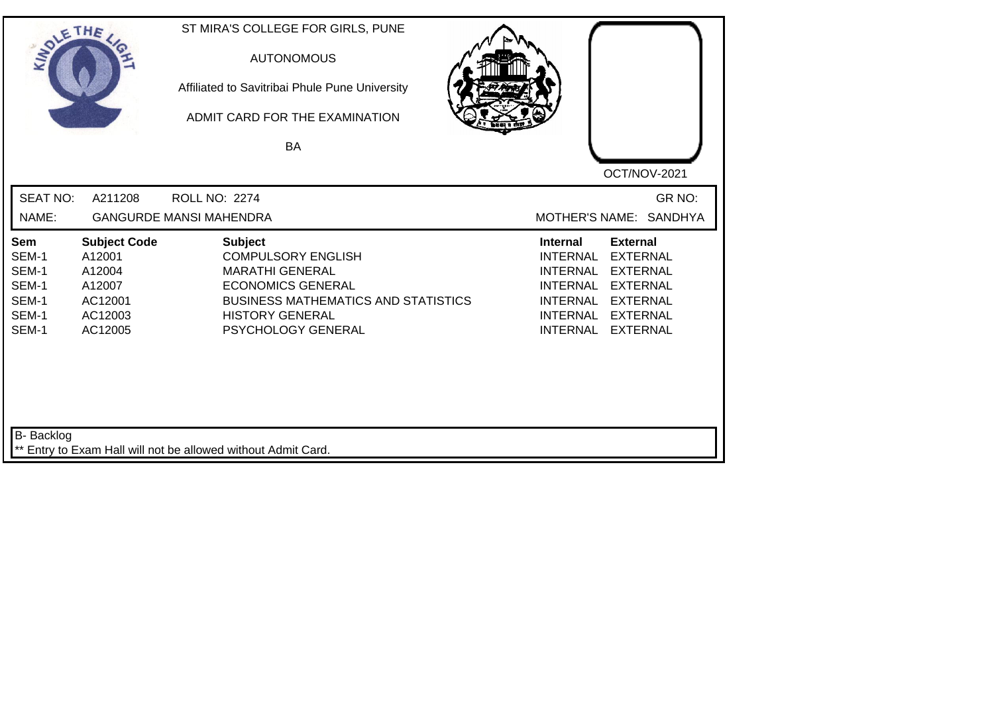| SOLE THE                                                  |                                                                                    | ST MIRA'S COLLEGE FOR GIRLS, PUNE<br><b>AUTONOMOUS</b><br>Affiliated to Savitribai Phule Pune University<br>ADMIT CARD FOR THE EXAMINATION<br><b>BA</b>                                         | OCT/NOV-2021                                                                                                                                                                                                                                                           |
|-----------------------------------------------------------|------------------------------------------------------------------------------------|-------------------------------------------------------------------------------------------------------------------------------------------------------------------------------------------------|------------------------------------------------------------------------------------------------------------------------------------------------------------------------------------------------------------------------------------------------------------------------|
| <b>SEAT NO:</b><br>NAME:                                  | A211208                                                                            | <b>ROLL NO: 2274</b><br><b>GANGURDE MANSI MAHENDRA</b>                                                                                                                                          | GR NO:<br>MOTHER'S NAME: SANDHYA                                                                                                                                                                                                                                       |
| Sem<br>SEM-1<br>SEM-1<br>SEM-1<br>SEM-1<br>SEM-1<br>SEM-1 | <b>Subject Code</b><br>A12001<br>A12004<br>A12007<br>AC12001<br>AC12003<br>AC12005 | <b>Subject</b><br><b>COMPULSORY ENGLISH</b><br><b>MARATHI GENERAL</b><br><b>ECONOMICS GENERAL</b><br><b>BUSINESS MATHEMATICS AND STATISTICS</b><br><b>HISTORY GENERAL</b><br>PSYCHOLOGY GENERAL | <b>External</b><br><b>Internal</b><br><b>EXTERNAL</b><br><b>INTERNAL</b><br><b>INTERNAL</b><br><b>EXTERNAL</b><br><b>INTERNAL</b><br><b>EXTERNAL</b><br><b>INTERNAL</b><br><b>EXTERNAL</b><br><b>INTERNAL</b><br><b>EXTERNAL</b><br><b>INTERNAL</b><br><b>EXTERNAL</b> |
| B- Backlog                                                |                                                                                    | ** Entry to Exam Hall will not be allowed without Admit Card.                                                                                                                                   |                                                                                                                                                                                                                                                                        |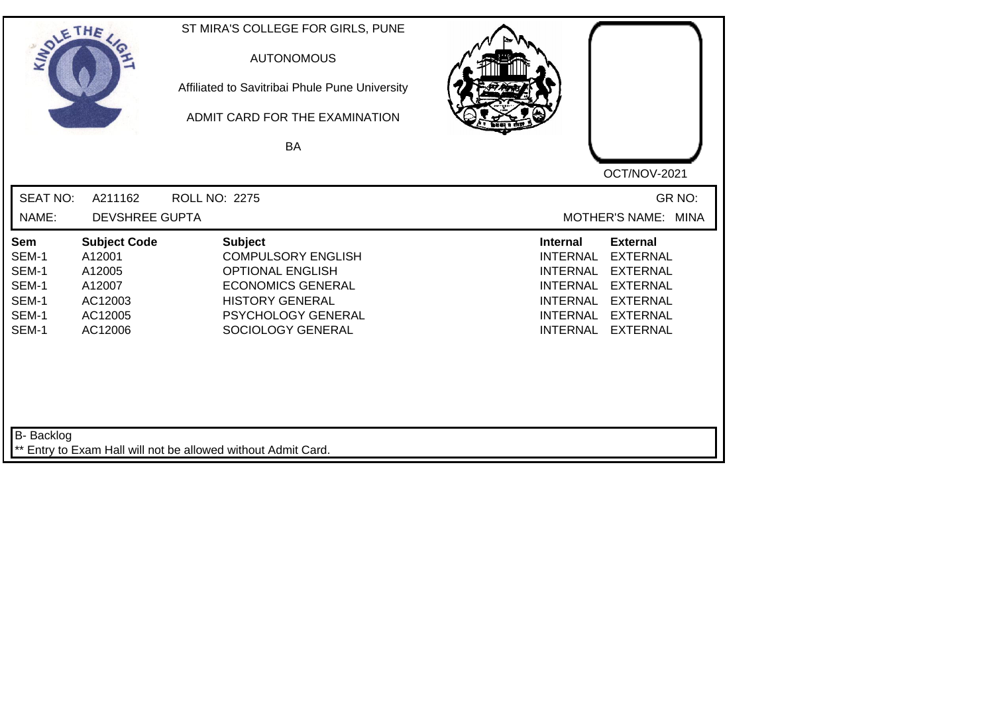| SOLE THE                                                  |                                                                                    | ST MIRA'S COLLEGE FOR GIRLS, PUNE<br><b>AUTONOMOUS</b><br>Affiliated to Savitribai Phule Pune University<br>ADMIT CARD FOR THE EXAMINATION<br><b>BA</b>                 |                                                                                                                                                                                                                                                                        |
|-----------------------------------------------------------|------------------------------------------------------------------------------------|-------------------------------------------------------------------------------------------------------------------------------------------------------------------------|------------------------------------------------------------------------------------------------------------------------------------------------------------------------------------------------------------------------------------------------------------------------|
| <b>SEAT NO:</b>                                           | A211162                                                                            | <b>ROLL NO: 2275</b>                                                                                                                                                    | OCT/NOV-2021<br>GR NO:                                                                                                                                                                                                                                                 |
| NAME:                                                     | <b>DEVSHREE GUPTA</b>                                                              |                                                                                                                                                                         | MOTHER'S NAME: MINA                                                                                                                                                                                                                                                    |
| Sem<br>SEM-1<br>SEM-1<br>SEM-1<br>SEM-1<br>SEM-1<br>SEM-1 | <b>Subject Code</b><br>A12001<br>A12005<br>A12007<br>AC12003<br>AC12005<br>AC12006 | <b>Subject</b><br><b>COMPULSORY ENGLISH</b><br><b>OPTIONAL ENGLISH</b><br><b>ECONOMICS GENERAL</b><br><b>HISTORY GENERAL</b><br>PSYCHOLOGY GENERAL<br>SOCIOLOGY GENERAL | <b>Internal</b><br><b>External</b><br><b>INTERNAL</b><br><b>EXTERNAL</b><br><b>INTERNAL</b><br><b>EXTERNAL</b><br><b>INTERNAL</b><br><b>EXTERNAL</b><br><b>EXTERNAL</b><br><b>INTERNAL</b><br><b>INTERNAL</b><br><b>EXTERNAL</b><br><b>INTERNAL</b><br><b>EXTERNAL</b> |
| <b>B-</b> Backlog                                         |                                                                                    | ** Entry to Exam Hall will not be allowed without Admit Card.                                                                                                           |                                                                                                                                                                                                                                                                        |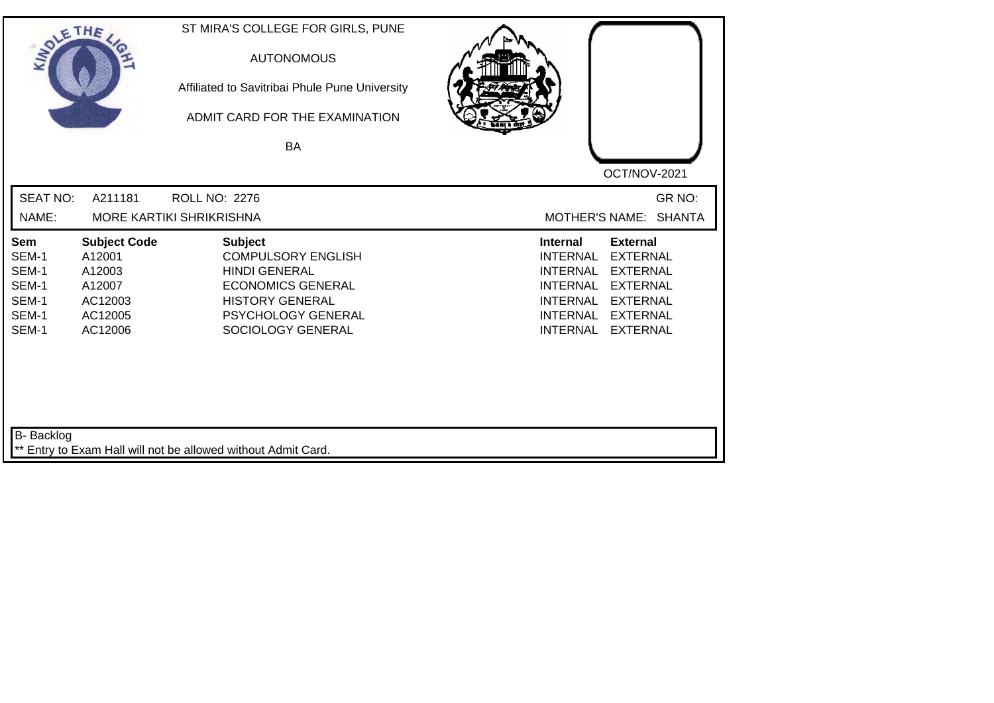| SOLETHE .                                                 |                                                                                    | ST MIRA'S COLLEGE FOR GIRLS, PUNE<br><b>AUTONOMOUS</b><br>Affiliated to Savitribai Phule Pune University<br>ADMIT CARD FOR THE EXAMINATION<br>BA                            | OCT/NOV-2021                                                                                                                                                                                                                                                           |
|-----------------------------------------------------------|------------------------------------------------------------------------------------|-----------------------------------------------------------------------------------------------------------------------------------------------------------------------------|------------------------------------------------------------------------------------------------------------------------------------------------------------------------------------------------------------------------------------------------------------------------|
| <b>SEAT NO:</b><br>NAME:                                  | A211181                                                                            | <b>ROLL NO: 2276</b><br><b>MORE KARTIKI SHRIKRISHNA</b>                                                                                                                     | GR NO:<br>MOTHER'S NAME: SHANTA                                                                                                                                                                                                                                        |
| Sem<br>SEM-1<br>SEM-1<br>SEM-1<br>SEM-1<br>SEM-1<br>SEM-1 | <b>Subject Code</b><br>A12001<br>A12003<br>A12007<br>AC12003<br>AC12005<br>AC12006 | <b>Subject</b><br><b>COMPULSORY ENGLISH</b><br><b>HINDI GENERAL</b><br><b>ECONOMICS GENERAL</b><br><b>HISTORY GENERAL</b><br><b>PSYCHOLOGY GENERAL</b><br>SOCIOLOGY GENERAL | <b>Internal</b><br><b>External</b><br><b>EXTERNAL</b><br><b>INTERNAL</b><br><b>EXTERNAL</b><br><b>INTERNAL</b><br><b>INTERNAL</b><br><b>EXTERNAL</b><br><b>INTERNAL</b><br><b>EXTERNAL</b><br><b>INTERNAL</b><br><b>EXTERNAL</b><br><b>INTERNAL</b><br><b>EXTERNAL</b> |
| B- Backlog                                                |                                                                                    | ** Entry to Exam Hall will not be allowed without Admit Card.                                                                                                               |                                                                                                                                                                                                                                                                        |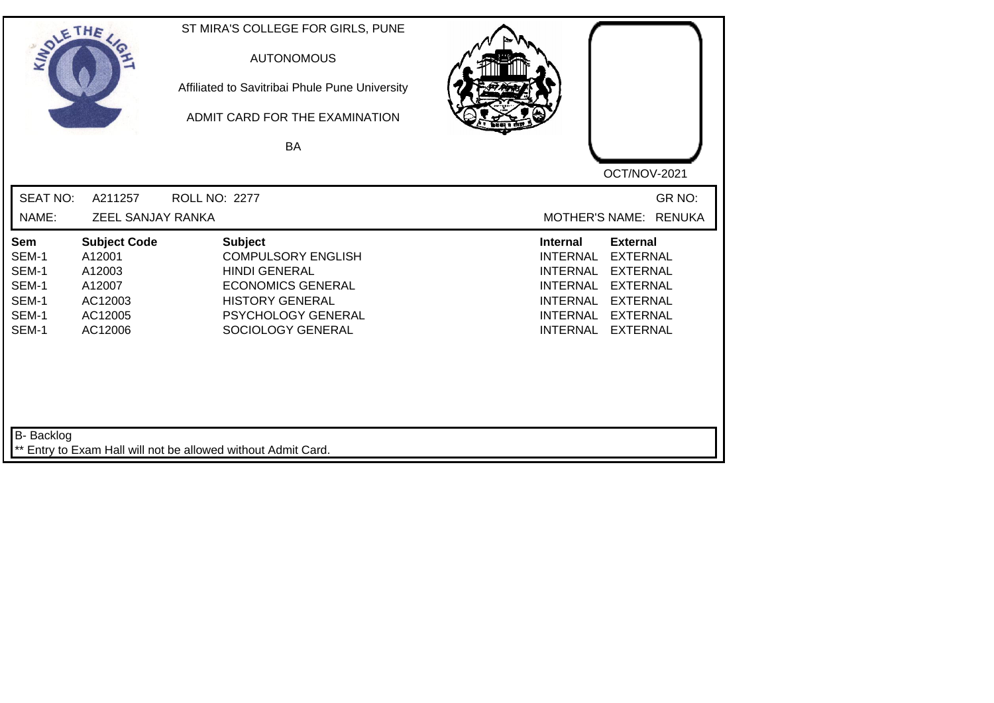| SOLETHE .                                                 |                                                                                    | ST MIRA'S COLLEGE FOR GIRLS, PUNE<br><b>AUTONOMOUS</b><br>Affiliated to Savitribai Phule Pune University<br>ADMIT CARD FOR THE EXAMINATION<br><b>BA</b>              | OCT/NOV-2021                                                                                                                                                                                                                                                           |
|-----------------------------------------------------------|------------------------------------------------------------------------------------|----------------------------------------------------------------------------------------------------------------------------------------------------------------------|------------------------------------------------------------------------------------------------------------------------------------------------------------------------------------------------------------------------------------------------------------------------|
| <b>SEAT NO:</b><br>NAME:                                  | A211257<br>ZEEL SANJAY RANKA                                                       | <b>ROLL NO: 2277</b>                                                                                                                                                 | GR NO:<br>MOTHER'S NAME: RENUKA                                                                                                                                                                                                                                        |
| Sem<br>SEM-1<br>SEM-1<br>SEM-1<br>SEM-1<br>SEM-1<br>SEM-1 | <b>Subject Code</b><br>A12001<br>A12003<br>A12007<br>AC12003<br>AC12005<br>AC12006 | <b>Subject</b><br><b>COMPULSORY ENGLISH</b><br><b>HINDI GENERAL</b><br><b>ECONOMICS GENERAL</b><br><b>HISTORY GENERAL</b><br>PSYCHOLOGY GENERAL<br>SOCIOLOGY GENERAL | <b>External</b><br><b>Internal</b><br><b>EXTERNAL</b><br><b>INTERNAL</b><br><b>INTERNAL</b><br><b>EXTERNAL</b><br><b>EXTERNAL</b><br><b>INTERNAL</b><br><b>INTERNAL</b><br><b>EXTERNAL</b><br><b>INTERNAL</b><br><b>EXTERNAL</b><br><b>INTERNAL</b><br><b>EXTERNAL</b> |
| <b>B-</b> Backlog                                         |                                                                                    | ** Entry to Exam Hall will not be allowed without Admit Card.                                                                                                        |                                                                                                                                                                                                                                                                        |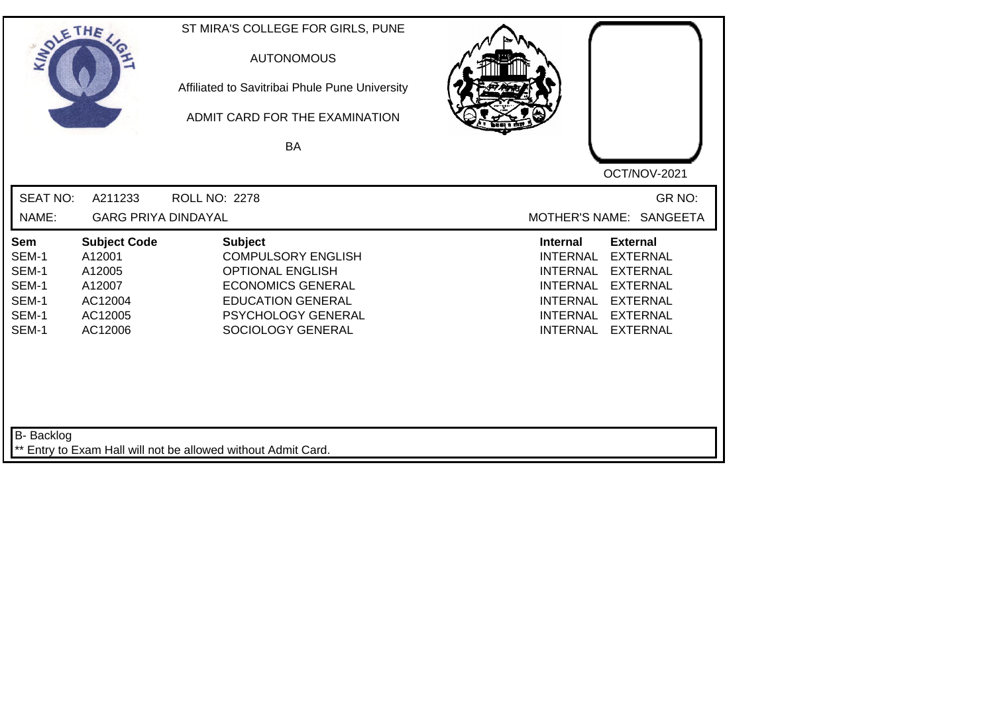| SOLETHE .                                                 |                                                                                    | ST MIRA'S COLLEGE FOR GIRLS, PUNE<br><b>AUTONOMOUS</b><br>Affiliated to Savitribai Phule Pune University<br>ADMIT CARD FOR THE EXAMINATION<br><b>BA</b>                          | OCT/NOV-2021                                                                                                                                                                                                                                                           |
|-----------------------------------------------------------|------------------------------------------------------------------------------------|----------------------------------------------------------------------------------------------------------------------------------------------------------------------------------|------------------------------------------------------------------------------------------------------------------------------------------------------------------------------------------------------------------------------------------------------------------------|
| <b>SEAT NO:</b><br>NAME:                                  | A211233<br><b>GARG PRIYA DINDAYAL</b>                                              | <b>ROLL NO: 2278</b>                                                                                                                                                             | GR NO:<br>MOTHER'S NAME: SANGEETA                                                                                                                                                                                                                                      |
| Sem<br>SEM-1<br>SEM-1<br>SEM-1<br>SEM-1<br>SEM-1<br>SEM-1 | <b>Subject Code</b><br>A12001<br>A12005<br>A12007<br>AC12004<br>AC12005<br>AC12006 | <b>Subject</b><br><b>COMPULSORY ENGLISH</b><br><b>OPTIONAL ENGLISH</b><br><b>ECONOMICS GENERAL</b><br><b>EDUCATION GENERAL</b><br><b>PSYCHOLOGY GENERAL</b><br>SOCIOLOGY GENERAL | <b>Internal</b><br><b>External</b><br><b>EXTERNAL</b><br><b>INTERNAL</b><br><b>EXTERNAL</b><br><b>INTERNAL</b><br><b>INTERNAL</b><br><b>EXTERNAL</b><br><b>INTERNAL</b><br><b>EXTERNAL</b><br><b>INTERNAL</b><br><b>EXTERNAL</b><br><b>INTERNAL</b><br><b>EXTERNAL</b> |
| <b>B-</b> Backlog                                         |                                                                                    | ** Entry to Exam Hall will not be allowed without Admit Card.                                                                                                                    |                                                                                                                                                                                                                                                                        |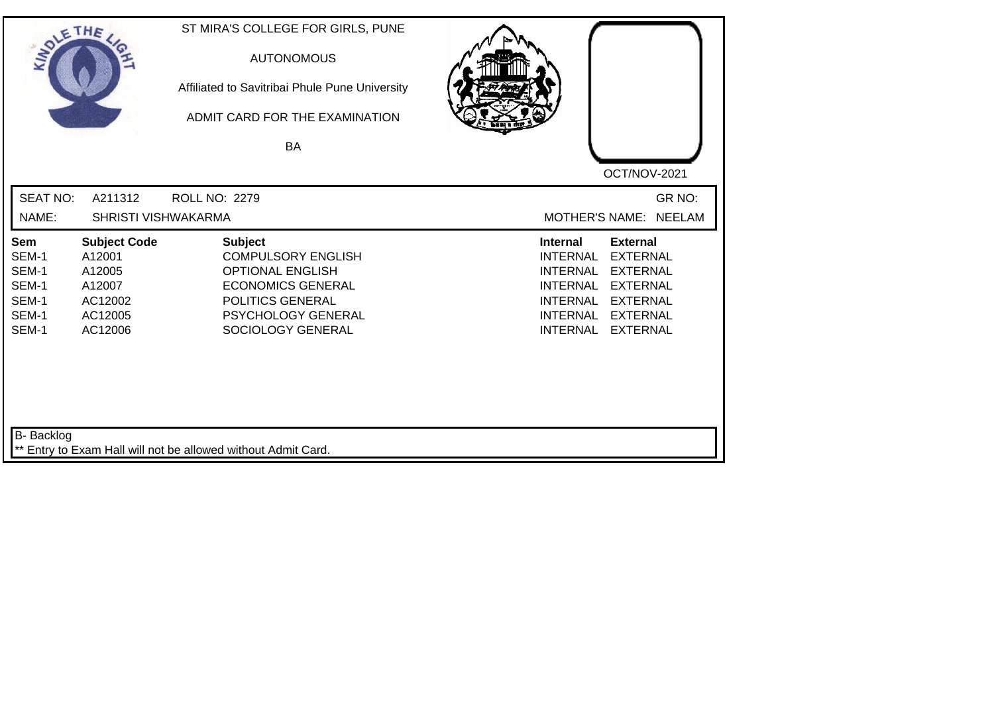| SOLE THE                                                  |                                                                                    | ST MIRA'S COLLEGE FOR GIRLS, PUNE<br><b>AUTONOMOUS</b><br>Affiliated to Savitribai Phule Pune University<br>ADMIT CARD FOR THE EXAMINATION<br>BA                         |                                                                                                                                                                                                                                                                        |
|-----------------------------------------------------------|------------------------------------------------------------------------------------|--------------------------------------------------------------------------------------------------------------------------------------------------------------------------|------------------------------------------------------------------------------------------------------------------------------------------------------------------------------------------------------------------------------------------------------------------------|
| <b>SEAT NO:</b><br>NAME:                                  | A211312<br>SHRISTI VISHWAKARMA                                                     | <b>ROLL NO: 2279</b>                                                                                                                                                     | OCT/NOV-2021<br>GR NO:<br><b>NEELAM</b><br><b>MOTHER'S NAME:</b>                                                                                                                                                                                                       |
| Sem<br>SEM-1<br>SEM-1<br>SEM-1<br>SEM-1<br>SEM-1<br>SEM-1 | <b>Subject Code</b><br>A12001<br>A12005<br>A12007<br>AC12002<br>AC12005<br>AC12006 | <b>Subject</b><br><b>COMPULSORY ENGLISH</b><br><b>OPTIONAL ENGLISH</b><br><b>ECONOMICS GENERAL</b><br>POLITICS GENERAL<br><b>PSYCHOLOGY GENERAL</b><br>SOCIOLOGY GENERAL | <b>Internal</b><br><b>External</b><br><b>INTERNAL</b><br><b>EXTERNAL</b><br><b>EXTERNAL</b><br><b>INTERNAL</b><br><b>INTERNAL</b><br><b>EXTERNAL</b><br><b>INTERNAL</b><br><b>EXTERNAL</b><br><b>INTERNAL</b><br><b>EXTERNAL</b><br><b>EXTERNAL</b><br><b>INTERNAL</b> |
| <b>B-</b> Backlog                                         |                                                                                    | ** Entry to Exam Hall will not be allowed without Admit Card.                                                                                                            |                                                                                                                                                                                                                                                                        |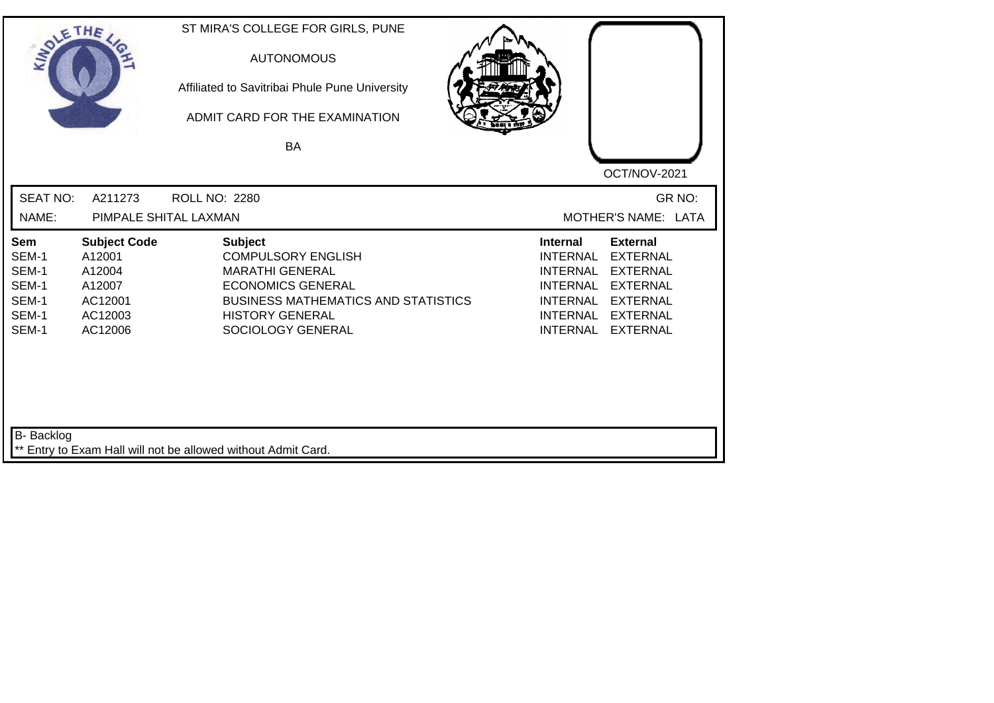| SOLE THE                                                  |                                                                                    | ST MIRA'S COLLEGE FOR GIRLS, PUNE<br><b>AUTONOMOUS</b><br>Affiliated to Savitribai Phule Pune University<br>ADMIT CARD FOR THE EXAMINATION<br>BA                                               | OCT/NOV-2021                                                                                                                                                                                                                                                           |
|-----------------------------------------------------------|------------------------------------------------------------------------------------|------------------------------------------------------------------------------------------------------------------------------------------------------------------------------------------------|------------------------------------------------------------------------------------------------------------------------------------------------------------------------------------------------------------------------------------------------------------------------|
| <b>SEAT NO:</b><br>NAME:                                  | A211273                                                                            | <b>ROLL NO: 2280</b><br>PIMPALE SHITAL LAXMAN                                                                                                                                                  | GR NO:<br>MOTHER'S NAME: LATA                                                                                                                                                                                                                                          |
| Sem<br>SEM-1<br>SEM-1<br>SEM-1<br>SEM-1<br>SEM-1<br>SEM-1 | <b>Subject Code</b><br>A12001<br>A12004<br>A12007<br>AC12001<br>AC12003<br>AC12006 | <b>Subject</b><br><b>COMPULSORY ENGLISH</b><br><b>MARATHI GENERAL</b><br><b>ECONOMICS GENERAL</b><br><b>BUSINESS MATHEMATICS AND STATISTICS</b><br><b>HISTORY GENERAL</b><br>SOCIOLOGY GENERAL | <b>Internal</b><br><b>External</b><br><b>INTERNAL</b><br><b>EXTERNAL</b><br><b>INTERNAL</b><br><b>EXTERNAL</b><br><b>INTERNAL</b><br><b>EXTERNAL</b><br><b>INTERNAL</b><br><b>EXTERNAL</b><br><b>INTERNAL</b><br><b>EXTERNAL</b><br><b>INTERNAL</b><br><b>EXTERNAL</b> |
| B- Backlog                                                |                                                                                    | ** Entry to Exam Hall will not be allowed without Admit Card.                                                                                                                                  |                                                                                                                                                                                                                                                                        |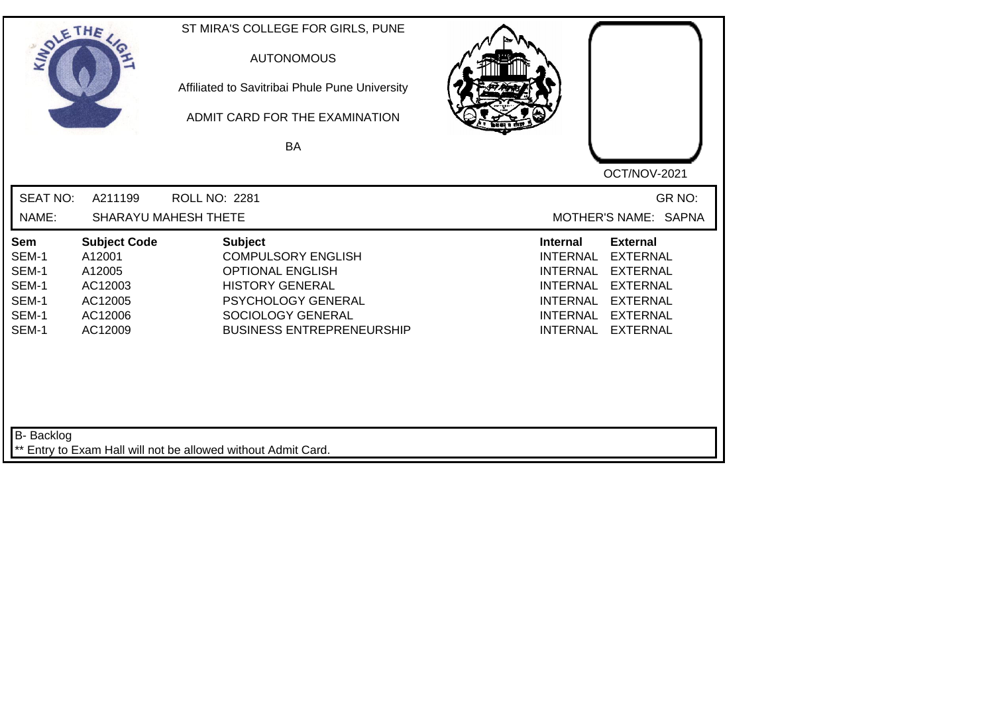| SOLETHE .                                                 |                                                                                     | ST MIRA'S COLLEGE FOR GIRLS, PUNE<br><b>AUTONOMOUS</b><br>Affiliated to Savitribai Phule Pune University<br>ADMIT CARD FOR THE EXAMINATION<br><b>BA</b>                         | OCT/NOV-2021                                                                                                                                                                                                                                                           |
|-----------------------------------------------------------|-------------------------------------------------------------------------------------|---------------------------------------------------------------------------------------------------------------------------------------------------------------------------------|------------------------------------------------------------------------------------------------------------------------------------------------------------------------------------------------------------------------------------------------------------------------|
| <b>SEAT NO:</b><br>NAME:                                  | A211199                                                                             | <b>ROLL NO: 2281</b><br>SHARAYU MAHESH THETE                                                                                                                                    | GR NO:<br>MOTHER'S NAME: SAPNA                                                                                                                                                                                                                                         |
| Sem<br>SEM-1<br>SEM-1<br>SEM-1<br>SEM-1<br>SEM-1<br>SEM-1 | <b>Subject Code</b><br>A12001<br>A12005<br>AC12003<br>AC12005<br>AC12006<br>AC12009 | <b>Subject</b><br><b>COMPULSORY ENGLISH</b><br><b>OPTIONAL ENGLISH</b><br><b>HISTORY GENERAL</b><br>PSYCHOLOGY GENERAL<br>SOCIOLOGY GENERAL<br><b>BUSINESS ENTREPRENEURSHIP</b> | <b>External</b><br><b>Internal</b><br><b>EXTERNAL</b><br><b>INTERNAL</b><br><b>INTERNAL</b><br><b>EXTERNAL</b><br><b>INTERNAL</b><br><b>EXTERNAL</b><br><b>INTERNAL</b><br><b>EXTERNAL</b><br><b>EXTERNAL</b><br><b>INTERNAL</b><br><b>INTERNAL</b><br><b>EXTERNAL</b> |
| <b>B-</b> Backlog                                         |                                                                                     | ** Entry to Exam Hall will not be allowed without Admit Card.                                                                                                                   |                                                                                                                                                                                                                                                                        |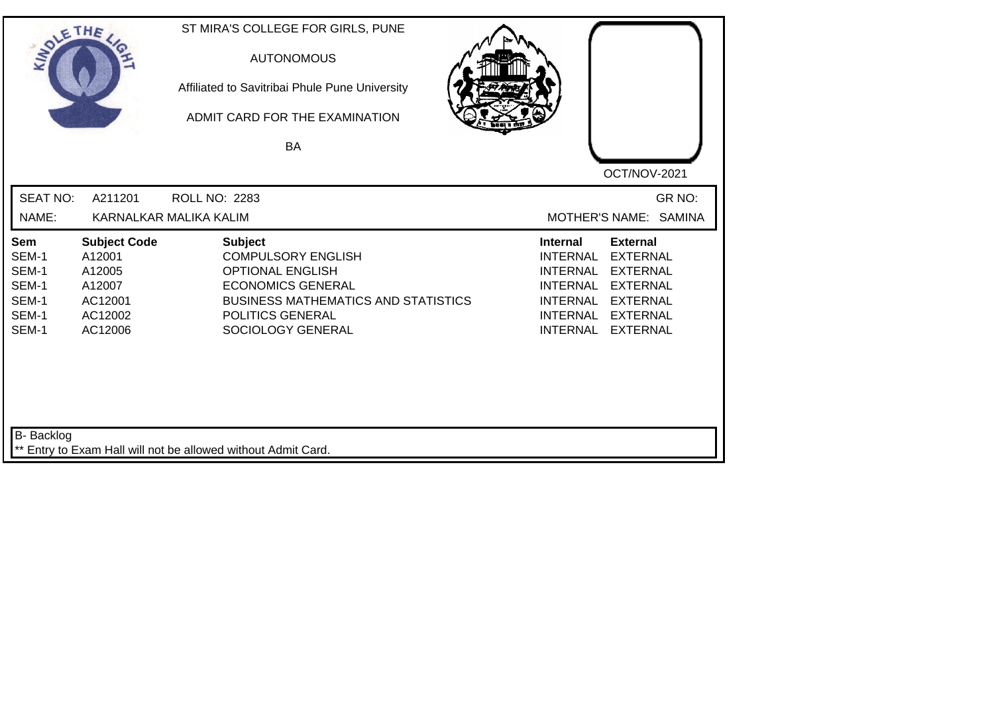| SOLE THE                                                  |                                                                                    | ST MIRA'S COLLEGE FOR GIRLS, PUNE<br><b>AUTONOMOUS</b><br>Affiliated to Savitribai Phule Pune University<br>ADMIT CARD FOR THE EXAMINATION<br><b>BA</b>                                   | OCT/NOV-2021                                                                                                                                                                                                                                                           |
|-----------------------------------------------------------|------------------------------------------------------------------------------------|-------------------------------------------------------------------------------------------------------------------------------------------------------------------------------------------|------------------------------------------------------------------------------------------------------------------------------------------------------------------------------------------------------------------------------------------------------------------------|
| <b>SEAT NO:</b><br>NAME:                                  | A211201                                                                            | ROLL NO: 2283<br>KARNALKAR MALIKA KALIM                                                                                                                                                   | GR NO:<br>MOTHER'S NAME: SAMINA                                                                                                                                                                                                                                        |
| Sem<br>SEM-1<br>SEM-1<br>SEM-1<br>SEM-1<br>SEM-1<br>SEM-1 | <b>Subject Code</b><br>A12001<br>A12005<br>A12007<br>AC12001<br>AC12002<br>AC12006 | <b>Subject</b><br><b>COMPULSORY ENGLISH</b><br><b>OPTIONAL ENGLISH</b><br><b>ECONOMICS GENERAL</b><br><b>BUSINESS MATHEMATICS AND STATISTICS</b><br>POLITICS GENERAL<br>SOCIOLOGY GENERAL | <b>External</b><br><b>Internal</b><br><b>EXTERNAL</b><br><b>INTERNAL</b><br><b>INTERNAL</b><br><b>EXTERNAL</b><br><b>INTERNAL</b><br><b>EXTERNAL</b><br><b>INTERNAL</b><br><b>EXTERNAL</b><br><b>INTERNAL</b><br><b>EXTERNAL</b><br><b>INTERNAL</b><br><b>EXTERNAL</b> |
| B- Backlog                                                |                                                                                    | ** Entry to Exam Hall will not be allowed without Admit Card.                                                                                                                             |                                                                                                                                                                                                                                                                        |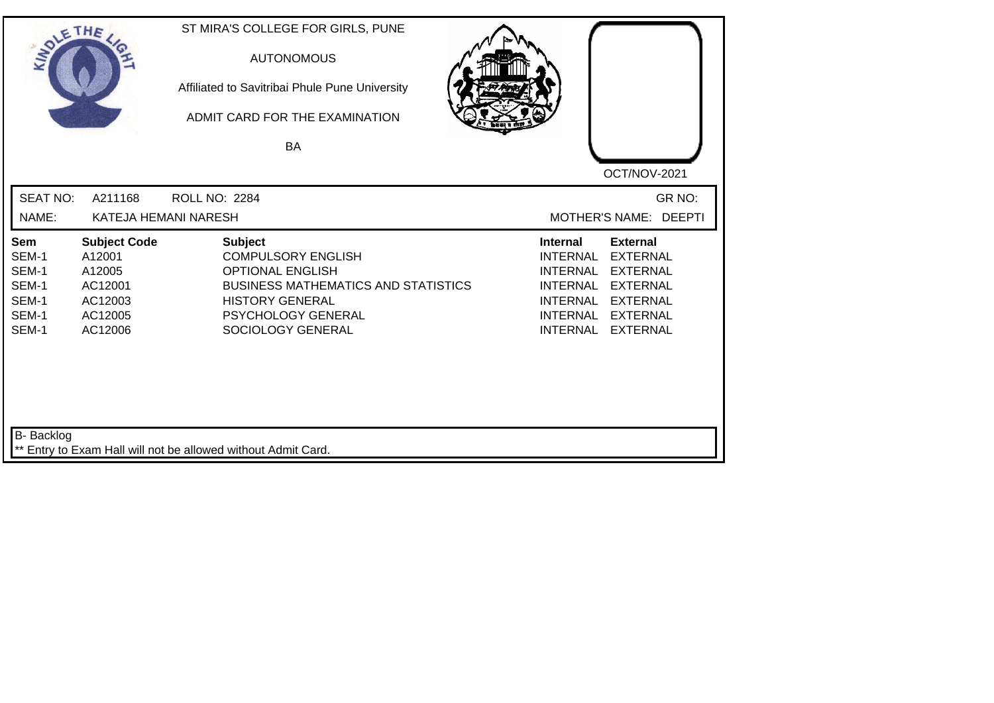| SOLETHE                                                   |                                                                                     | ST MIRA'S COLLEGE FOR GIRLS, PUNE<br><b>AUTONOMOUS</b><br>Affiliated to Savitribai Phule Pune University<br>ADMIT CARD FOR THE EXAMINATION<br><b>BA</b>                                   | OCT/NOV-2021                                                                                                                                                                                                                                                    |
|-----------------------------------------------------------|-------------------------------------------------------------------------------------|-------------------------------------------------------------------------------------------------------------------------------------------------------------------------------------------|-----------------------------------------------------------------------------------------------------------------------------------------------------------------------------------------------------------------------------------------------------------------|
| <b>SEAT NO:</b>                                           | A211168                                                                             | <b>ROLL NO: 2284</b>                                                                                                                                                                      | GR NO:                                                                                                                                                                                                                                                          |
| NAME:                                                     | KATEJA HEMANI NARESH                                                                |                                                                                                                                                                                           | MOTHER'S NAME: DEEPTI                                                                                                                                                                                                                                           |
| Sem<br>SEM-1<br>SEM-1<br>SEM-1<br>SEM-1<br>SEM-1<br>SEM-1 | <b>Subject Code</b><br>A12001<br>A12005<br>AC12001<br>AC12003<br>AC12005<br>AC12006 | <b>Subject</b><br><b>COMPULSORY ENGLISH</b><br><b>OPTIONAL ENGLISH</b><br><b>BUSINESS MATHEMATICS AND STATISTICS</b><br><b>HISTORY GENERAL</b><br>PSYCHOLOGY GENERAL<br>SOCIOLOGY GENERAL | <b>External</b><br><b>Internal</b><br><b>INTERNAL</b><br><b>EXTERNAL</b><br><b>EXTERNAL</b><br>INTERNAL<br><b>INTERNAL</b><br><b>EXTERNAL</b><br><b>INTERNAL</b><br><b>EXTERNAL</b><br><b>INTERNAL</b><br><b>EXTERNAL</b><br><b>INTERNAL</b><br><b>EXTERNAL</b> |
| B- Backlog                                                |                                                                                     | ** Entry to Exam Hall will not be allowed without Admit Card.                                                                                                                             |                                                                                                                                                                                                                                                                 |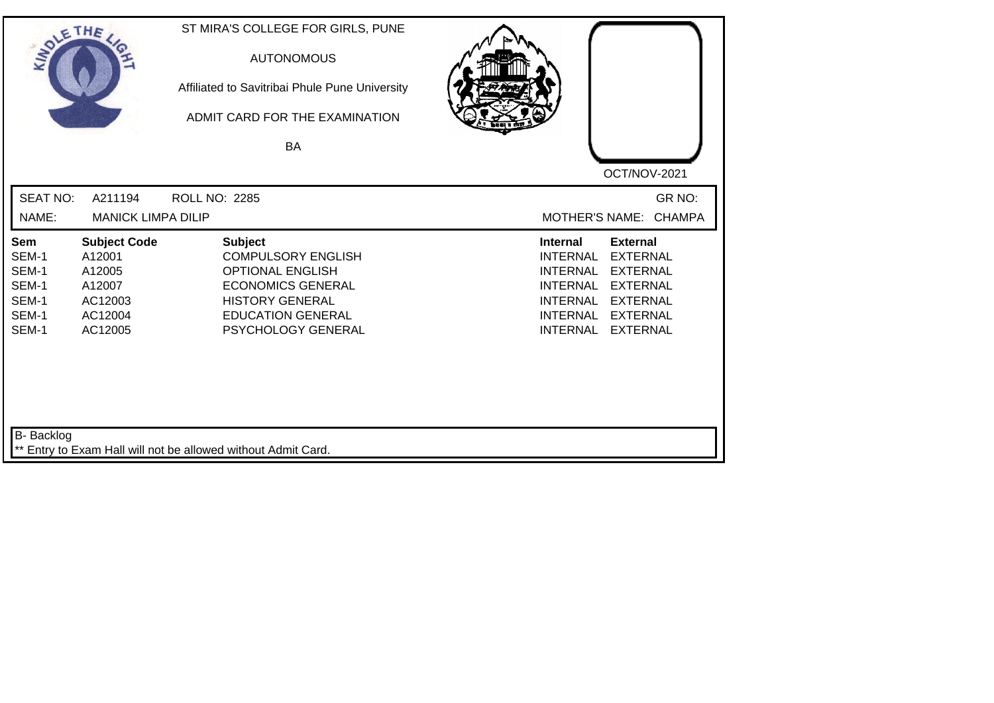| SOLE THE                                                  |                                                                                    | ST MIRA'S COLLEGE FOR GIRLS, PUNE<br><b>AUTONOMOUS</b><br>Affiliated to Savitribai Phule Pune University<br>ADMIT CARD FOR THE EXAMINATION<br>BA                               |                                                                                                                                                                                                                                                                        |
|-----------------------------------------------------------|------------------------------------------------------------------------------------|--------------------------------------------------------------------------------------------------------------------------------------------------------------------------------|------------------------------------------------------------------------------------------------------------------------------------------------------------------------------------------------------------------------------------------------------------------------|
| <b>SEAT NO:</b><br>NAME:                                  | A211194<br><b>MANICK LIMPA DILIP</b>                                               | <b>ROLL NO: 2285</b>                                                                                                                                                           | OCT/NOV-2021<br>GR NO:<br>MOTHER'S NAME: CHAMPA                                                                                                                                                                                                                        |
| Sem<br>SEM-1<br>SEM-1<br>SEM-1<br>SEM-1<br>SEM-1<br>SEM-1 | <b>Subject Code</b><br>A12001<br>A12005<br>A12007<br>AC12003<br>AC12004<br>AC12005 | <b>Subject</b><br><b>COMPULSORY ENGLISH</b><br><b>OPTIONAL ENGLISH</b><br><b>ECONOMICS GENERAL</b><br><b>HISTORY GENERAL</b><br><b>EDUCATION GENERAL</b><br>PSYCHOLOGY GENERAL | <b>Internal</b><br><b>External</b><br><b>INTERNAL</b><br><b>EXTERNAL</b><br><b>INTERNAL</b><br><b>EXTERNAL</b><br><b>INTERNAL</b><br><b>EXTERNAL</b><br><b>INTERNAL</b><br><b>EXTERNAL</b><br><b>INTERNAL</b><br><b>EXTERNAL</b><br><b>INTERNAL</b><br><b>EXTERNAL</b> |
| <b>B-</b> Backlog                                         |                                                                                    | ** Entry to Exam Hall will not be allowed without Admit Card.                                                                                                                  |                                                                                                                                                                                                                                                                        |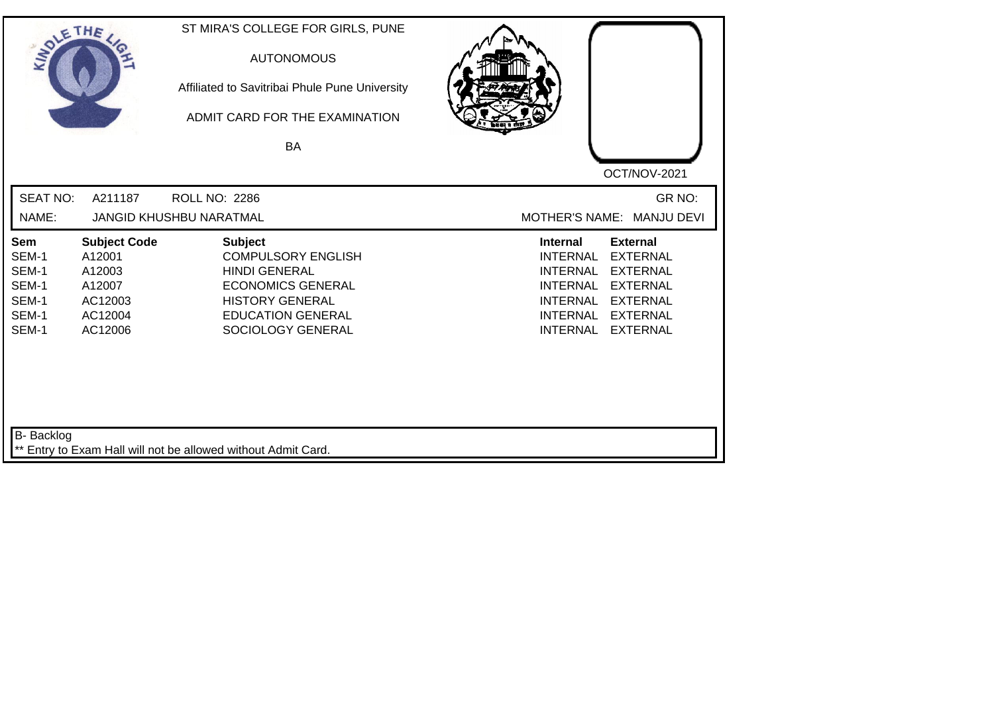| SOLE THE                                                  |                                                                                    | ST MIRA'S COLLEGE FOR GIRLS, PUNE<br><b>AUTONOMOUS</b><br>Affiliated to Savitribai Phule Pune University<br>ADMIT CARD FOR THE EXAMINATION<br><b>BA</b>                    | OCT/NOV-2021                                                                                                                                                                                                                                                    |
|-----------------------------------------------------------|------------------------------------------------------------------------------------|----------------------------------------------------------------------------------------------------------------------------------------------------------------------------|-----------------------------------------------------------------------------------------------------------------------------------------------------------------------------------------------------------------------------------------------------------------|
| <b>SEAT NO:</b><br>NAME:                                  | A211187                                                                            | <b>ROLL NO: 2286</b><br><b>JANGID KHUSHBU NARATMAL</b>                                                                                                                     | GR NO:<br>MOTHER'S NAME: MANJU DEVI                                                                                                                                                                                                                             |
| Sem<br>SEM-1<br>SEM-1<br>SEM-1<br>SEM-1<br>SEM-1<br>SEM-1 | <b>Subject Code</b><br>A12001<br>A12003<br>A12007<br>AC12003<br>AC12004<br>AC12006 | <b>Subject</b><br><b>COMPULSORY ENGLISH</b><br><b>HINDI GENERAL</b><br><b>ECONOMICS GENERAL</b><br><b>HISTORY GENERAL</b><br><b>EDUCATION GENERAL</b><br>SOCIOLOGY GENERAL | Internal<br><b>External</b><br><b>INTERNAL</b><br><b>EXTERNAL</b><br><b>INTERNAL</b><br><b>EXTERNAL</b><br><b>EXTERNAL</b><br><b>INTERNAL</b><br><b>INTERNAL</b><br><b>EXTERNAL</b><br><b>INTERNAL</b><br><b>EXTERNAL</b><br><b>INTERNAL</b><br><b>EXTERNAL</b> |
| B- Backlog                                                |                                                                                    | ** Entry to Exam Hall will not be allowed without Admit Card.                                                                                                              |                                                                                                                                                                                                                                                                 |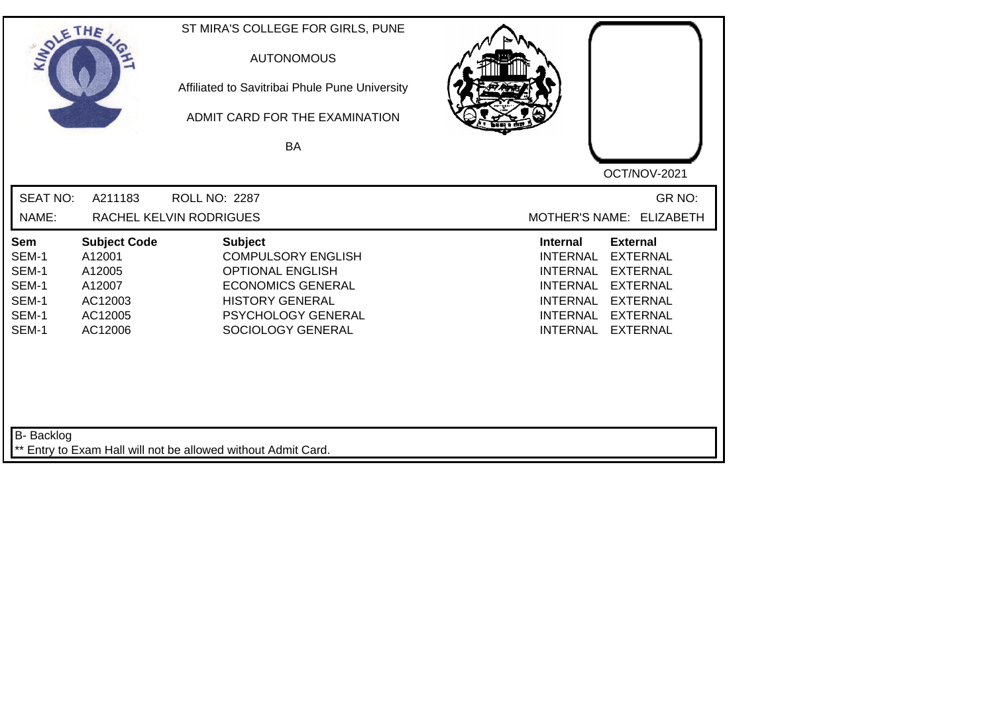| SOLETHE .                                                        |                                                                                    | ST MIRA'S COLLEGE FOR GIRLS, PUNE<br><b>AUTONOMOUS</b><br>Affiliated to Savitribai Phule Pune University<br>ADMIT CARD FOR THE EXAMINATION<br>BA                        | OCT/NOV-2021                                                                                                                                                                                                                                                           |
|------------------------------------------------------------------|------------------------------------------------------------------------------------|-------------------------------------------------------------------------------------------------------------------------------------------------------------------------|------------------------------------------------------------------------------------------------------------------------------------------------------------------------------------------------------------------------------------------------------------------------|
| <b>SEAT NO:</b><br>NAME:                                         | A211183                                                                            | ROLL NO: 2287<br>RACHEL KELVIN RODRIGUES                                                                                                                                | GR NO:<br>MOTHER'S NAME: ELIZABETH                                                                                                                                                                                                                                     |
| <b>Sem</b><br>SEM-1<br>SEM-1<br>SEM-1<br>SEM-1<br>SEM-1<br>SEM-1 | <b>Subject Code</b><br>A12001<br>A12005<br>A12007<br>AC12003<br>AC12005<br>AC12006 | <b>Subject</b><br><b>COMPULSORY ENGLISH</b><br><b>OPTIONAL ENGLISH</b><br><b>ECONOMICS GENERAL</b><br><b>HISTORY GENERAL</b><br>PSYCHOLOGY GENERAL<br>SOCIOLOGY GENERAL | <b>Internal</b><br><b>External</b><br><b>INTERNAL</b><br><b>EXTERNAL</b><br><b>INTERNAL</b><br><b>EXTERNAL</b><br><b>INTERNAL</b><br><b>EXTERNAL</b><br><b>EXTERNAL</b><br><b>INTERNAL</b><br><b>INTERNAL</b><br><b>EXTERNAL</b><br><b>INTERNAL</b><br><b>EXTERNAL</b> |
| B- Backlog                                                       |                                                                                    | ** Entry to Exam Hall will not be allowed without Admit Card.                                                                                                           |                                                                                                                                                                                                                                                                        |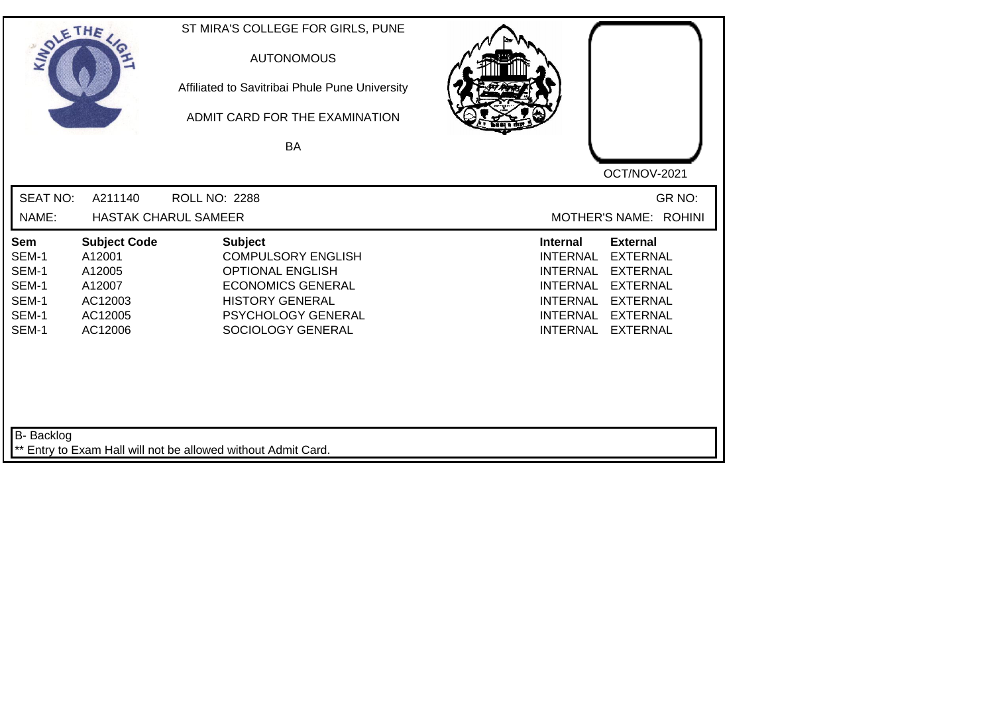| SOLETHE ,                                                        |                                                                                    | ST MIRA'S COLLEGE FOR GIRLS, PUNE<br><b>AUTONOMOUS</b><br>Affiliated to Savitribai Phule Pune University<br>ADMIT CARD FOR THE EXAMINATION<br>BA                               | OCT/NOV-2021                                                                                                                                                                                                                                                           |
|------------------------------------------------------------------|------------------------------------------------------------------------------------|--------------------------------------------------------------------------------------------------------------------------------------------------------------------------------|------------------------------------------------------------------------------------------------------------------------------------------------------------------------------------------------------------------------------------------------------------------------|
| <b>SEAT NO:</b><br>NAME:                                         | A211140                                                                            | <b>ROLL NO: 2288</b><br><b>HASTAK CHARUL SAMEER</b>                                                                                                                            | GR NO:<br>MOTHER'S NAME: ROHINI                                                                                                                                                                                                                                        |
| <b>Sem</b><br>SEM-1<br>SEM-1<br>SEM-1<br>SEM-1<br>SEM-1<br>SEM-1 | <b>Subject Code</b><br>A12001<br>A12005<br>A12007<br>AC12003<br>AC12005<br>AC12006 | <b>Subject</b><br><b>COMPULSORY ENGLISH</b><br><b>OPTIONAL ENGLISH</b><br><b>ECONOMICS GENERAL</b><br><b>HISTORY GENERAL</b><br><b>PSYCHOLOGY GENERAL</b><br>SOCIOLOGY GENERAL | <b>Internal</b><br><b>External</b><br><b>EXTERNAL</b><br><b>INTERNAL</b><br><b>EXTERNAL</b><br><b>INTERNAL</b><br><b>INTERNAL</b><br><b>EXTERNAL</b><br><b>INTERNAL</b><br><b>EXTERNAL</b><br><b>INTERNAL</b><br><b>EXTERNAL</b><br><b>INTERNAL</b><br><b>EXTERNAL</b> |
| B- Backlog                                                       |                                                                                    | ** Entry to Exam Hall will not be allowed without Admit Card.                                                                                                                  |                                                                                                                                                                                                                                                                        |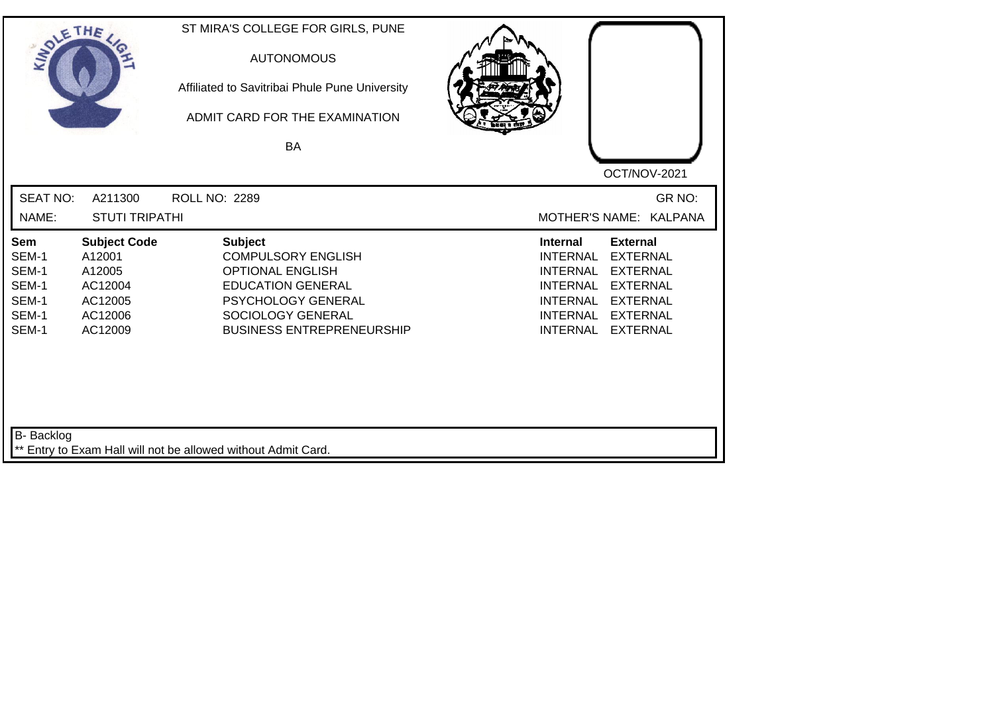| SOLE THE                                                  |                                                                                     | ST MIRA'S COLLEGE FOR GIRLS, PUNE<br><b>AUTONOMOUS</b><br>Affiliated to Savitribai Phule Pune University<br>ADMIT CARD FOR THE EXAMINATION<br>BA                                  |                                                                                                                                                                                                                                                                        |
|-----------------------------------------------------------|-------------------------------------------------------------------------------------|-----------------------------------------------------------------------------------------------------------------------------------------------------------------------------------|------------------------------------------------------------------------------------------------------------------------------------------------------------------------------------------------------------------------------------------------------------------------|
| <b>SEAT NO:</b><br>NAME:                                  | A211300<br><b>STUTI TRIPATHI</b>                                                    | <b>ROLL NO: 2289</b>                                                                                                                                                              | OCT/NOV-2021<br>GR NO:<br><b>MOTHER'S NAME:</b><br><b>KALPANA</b>                                                                                                                                                                                                      |
| Sem<br>SEM-1<br>SEM-1<br>SEM-1<br>SEM-1<br>SEM-1<br>SEM-1 | <b>Subject Code</b><br>A12001<br>A12005<br>AC12004<br>AC12005<br>AC12006<br>AC12009 | <b>Subject</b><br><b>COMPULSORY ENGLISH</b><br><b>OPTIONAL ENGLISH</b><br><b>EDUCATION GENERAL</b><br>PSYCHOLOGY GENERAL<br>SOCIOLOGY GENERAL<br><b>BUSINESS ENTREPRENEURSHIP</b> | <b>External</b><br><b>Internal</b><br><b>INTERNAL</b><br><b>EXTERNAL</b><br><b>INTERNAL</b><br><b>EXTERNAL</b><br><b>EXTERNAL</b><br><b>INTERNAL</b><br><b>INTERNAL</b><br><b>EXTERNAL</b><br><b>INTERNAL</b><br><b>EXTERNAL</b><br><b>INTERNAL</b><br><b>EXTERNAL</b> |
| <b>B-</b> Backlog                                         |                                                                                     | ** Entry to Exam Hall will not be allowed without Admit Card.                                                                                                                     |                                                                                                                                                                                                                                                                        |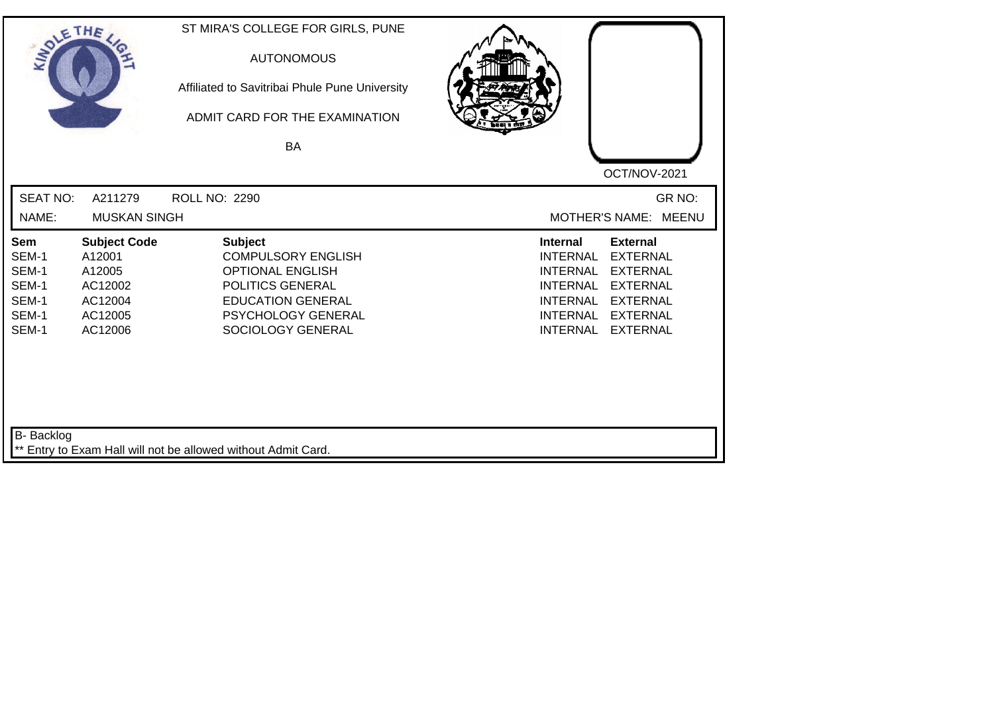| SOLE THE                                                         |                                                                                     | ST MIRA'S COLLEGE FOR GIRLS, PUNE<br><b>AUTONOMOUS</b><br>Affiliated to Savitribai Phule Pune University<br>ADMIT CARD FOR THE EXAMINATION<br><b>BA</b>           |                                                                                                                                                                                                                                                                        |
|------------------------------------------------------------------|-------------------------------------------------------------------------------------|-------------------------------------------------------------------------------------------------------------------------------------------------------------------|------------------------------------------------------------------------------------------------------------------------------------------------------------------------------------------------------------------------------------------------------------------------|
|                                                                  |                                                                                     |                                                                                                                                                                   | OCT/NOV-2021                                                                                                                                                                                                                                                           |
| <b>SEAT NO:</b>                                                  | A211279                                                                             | <b>ROLL NO: 2290</b>                                                                                                                                              | GR NO:                                                                                                                                                                                                                                                                 |
| NAME:                                                            | <b>MUSKAN SINGH</b>                                                                 |                                                                                                                                                                   | MOTHER'S NAME: MEENU                                                                                                                                                                                                                                                   |
| <b>Sem</b><br>SEM-1<br>SEM-1<br>SEM-1<br>SEM-1<br>SEM-1<br>SEM-1 | <b>Subject Code</b><br>A12001<br>A12005<br>AC12002<br>AC12004<br>AC12005<br>AC12006 | <b>Subject</b><br><b>COMPULSORY ENGLISH</b><br><b>OPTIONAL ENGLISH</b><br>POLITICS GENERAL<br><b>EDUCATION GENERAL</b><br>PSYCHOLOGY GENERAL<br>SOCIOLOGY GENERAL | <b>Internal</b><br><b>External</b><br><b>INTERNAL</b><br><b>EXTERNAL</b><br><b>INTERNAL</b><br><b>EXTERNAL</b><br><b>INTERNAL</b><br><b>EXTERNAL</b><br><b>EXTERNAL</b><br><b>INTERNAL</b><br><b>INTERNAL</b><br><b>EXTERNAL</b><br><b>INTERNAL</b><br><b>EXTERNAL</b> |
| <b>B-</b> Backlog                                                |                                                                                     | ** Entry to Exam Hall will not be allowed without Admit Card.                                                                                                     |                                                                                                                                                                                                                                                                        |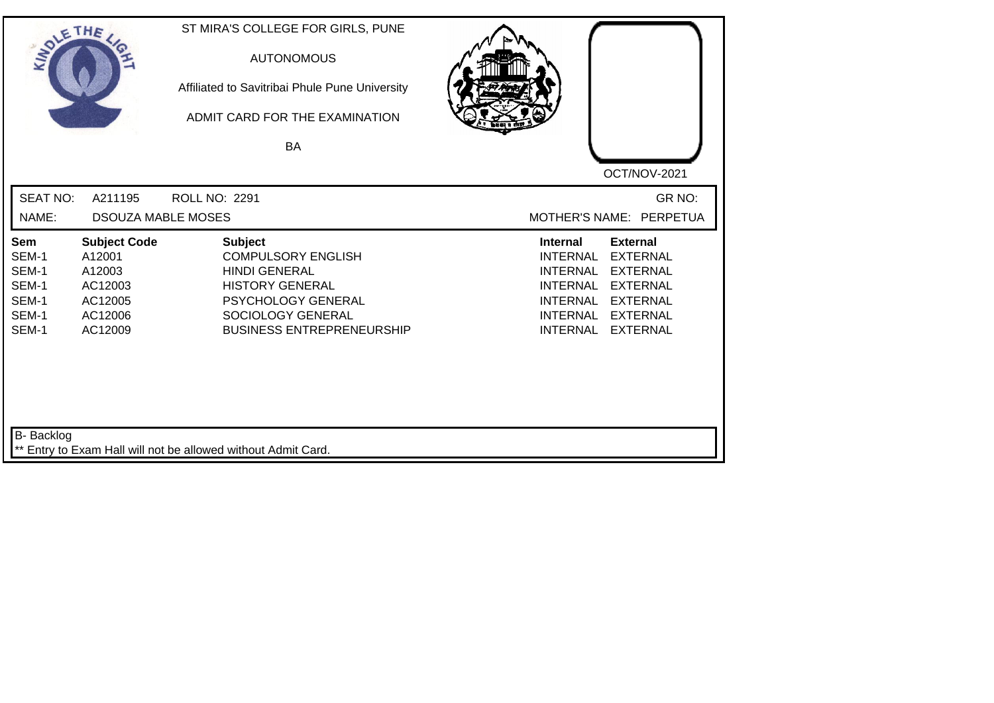| SOLETHE .                                                 |                                                                                     | ST MIRA'S COLLEGE FOR GIRLS, PUNE<br><b>AUTONOMOUS</b><br>Affiliated to Savitribai Phule Pune University<br>ADMIT CARD FOR THE EXAMINATION<br><b>BA</b>                      | OCT/NOV-2021                                                                                                                                                                                                                                                           |
|-----------------------------------------------------------|-------------------------------------------------------------------------------------|------------------------------------------------------------------------------------------------------------------------------------------------------------------------------|------------------------------------------------------------------------------------------------------------------------------------------------------------------------------------------------------------------------------------------------------------------------|
| <b>SEAT NO:</b><br>NAME:                                  | A211195<br><b>DSOUZA MABLE MOSES</b>                                                | <b>ROLL NO: 2291</b>                                                                                                                                                         | GR NO:<br>MOTHER'S NAME: PERPETUA                                                                                                                                                                                                                                      |
| Sem<br>SEM-1<br>SEM-1<br>SEM-1<br>SEM-1<br>SEM-1<br>SEM-1 | <b>Subject Code</b><br>A12001<br>A12003<br>AC12003<br>AC12005<br>AC12006<br>AC12009 | <b>Subject</b><br><b>COMPULSORY ENGLISH</b><br><b>HINDI GENERAL</b><br><b>HISTORY GENERAL</b><br>PSYCHOLOGY GENERAL<br>SOCIOLOGY GENERAL<br><b>BUSINESS ENTREPRENEURSHIP</b> | <b>External</b><br><b>Internal</b><br><b>INTERNAL</b><br><b>EXTERNAL</b><br><b>INTERNAL</b><br><b>EXTERNAL</b><br><b>INTERNAL</b><br><b>EXTERNAL</b><br><b>INTERNAL</b><br><b>EXTERNAL</b><br><b>INTERNAL</b><br><b>EXTERNAL</b><br><b>INTERNAL</b><br><b>EXTERNAL</b> |
| <b>B-</b> Backlog                                         |                                                                                     | ** Entry to Exam Hall will not be allowed without Admit Card.                                                                                                                |                                                                                                                                                                                                                                                                        |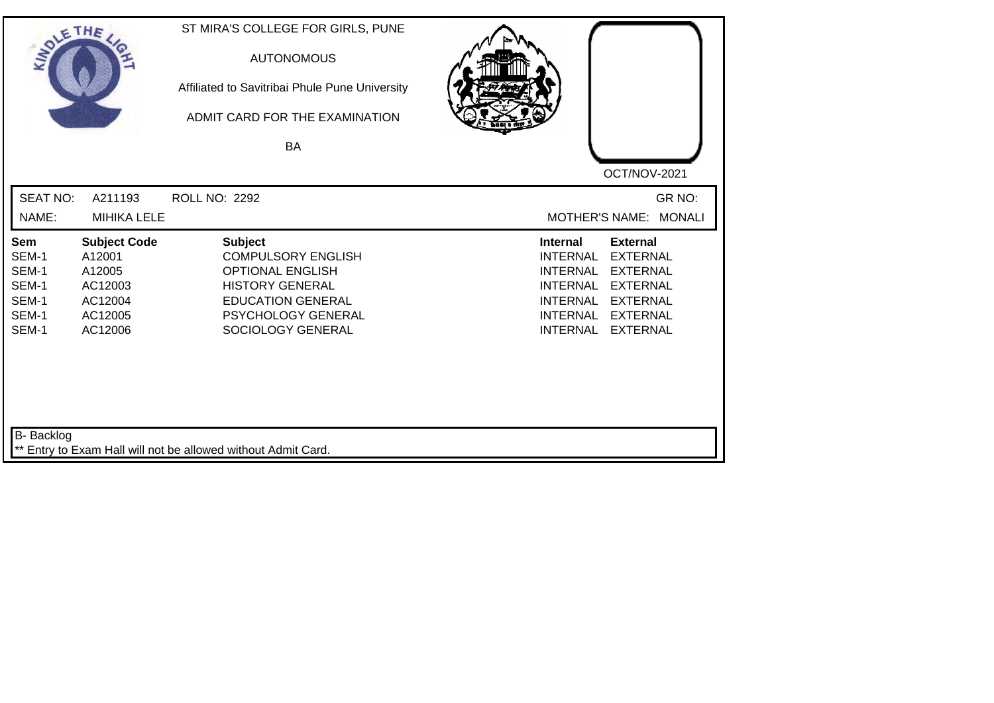| SOLETHE ,                                                        |                                                                                     | ST MIRA'S COLLEGE FOR GIRLS, PUNE<br><b>AUTONOMOUS</b><br>Affiliated to Savitribai Phule Pune University<br>ADMIT CARD FOR THE EXAMINATION<br><b>BA</b>                 | OCT/NOV-2021                                                                                                                                                                                                                                                    |
|------------------------------------------------------------------|-------------------------------------------------------------------------------------|-------------------------------------------------------------------------------------------------------------------------------------------------------------------------|-----------------------------------------------------------------------------------------------------------------------------------------------------------------------------------------------------------------------------------------------------------------|
| <b>SEAT NO:</b><br>NAME:                                         | A211193<br><b>MIHIKA LELE</b>                                                       | <b>ROLL NO: 2292</b>                                                                                                                                                    | GR NO:<br><b>MONALI</b><br><b>MOTHER'S NAME:</b>                                                                                                                                                                                                                |
| <b>Sem</b><br>SEM-1<br>SEM-1<br>SEM-1<br>SEM-1<br>SEM-1<br>SEM-1 | <b>Subject Code</b><br>A12001<br>A12005<br>AC12003<br>AC12004<br>AC12005<br>AC12006 | <b>Subject</b><br><b>COMPULSORY ENGLISH</b><br><b>OPTIONAL ENGLISH</b><br><b>HISTORY GENERAL</b><br><b>EDUCATION GENERAL</b><br>PSYCHOLOGY GENERAL<br>SOCIOLOGY GENERAL | Internal<br><b>External</b><br><b>INTERNAL</b><br><b>EXTERNAL</b><br><b>INTERNAL</b><br><b>EXTERNAL</b><br><b>INTERNAL</b><br><b>EXTERNAL</b><br><b>EXTERNAL</b><br><b>INTERNAL</b><br><b>INTERNAL</b><br><b>EXTERNAL</b><br><b>INTERNAL</b><br><b>EXTERNAL</b> |
| <b>B-</b> Backlog                                                |                                                                                     | ** Entry to Exam Hall will not be allowed without Admit Card.                                                                                                           |                                                                                                                                                                                                                                                                 |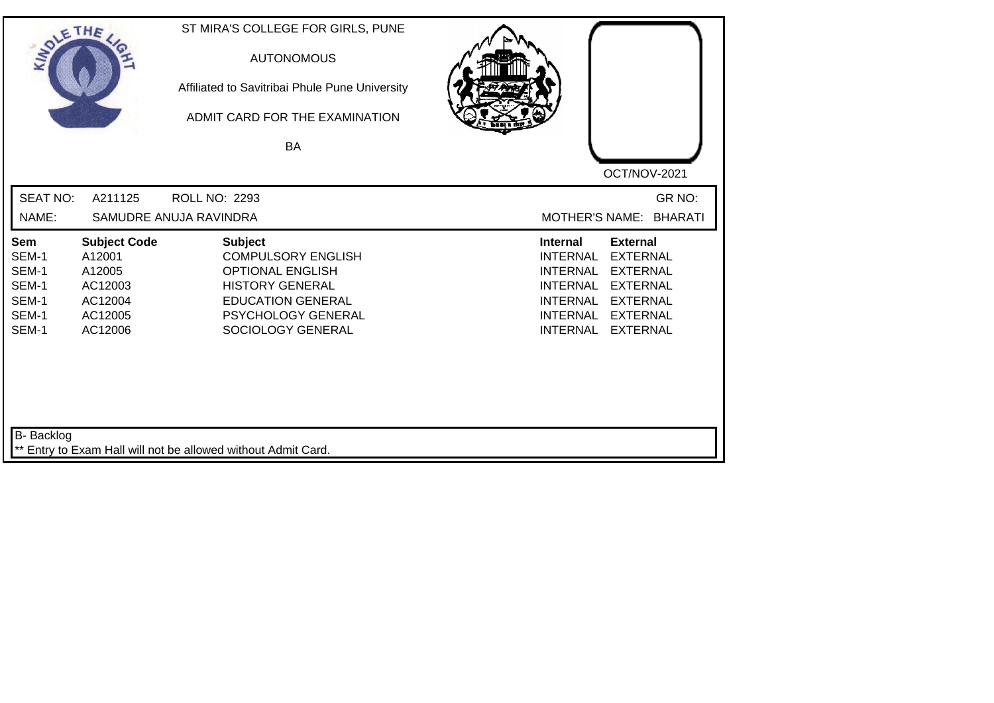| SOLETHE .                                                        |                                                                                     | ST MIRA'S COLLEGE FOR GIRLS, PUNE<br><b>AUTONOMOUS</b><br>Affiliated to Savitribai Phule Pune University<br>ADMIT CARD FOR THE EXAMINATION<br>BA                        | OCT/NOV-2021                                                                                                                                                                                                                                                           |
|------------------------------------------------------------------|-------------------------------------------------------------------------------------|-------------------------------------------------------------------------------------------------------------------------------------------------------------------------|------------------------------------------------------------------------------------------------------------------------------------------------------------------------------------------------------------------------------------------------------------------------|
| <b>SEAT NO:</b><br>NAME:                                         | A211125                                                                             | ROLL NO: 2293<br>SAMUDRE ANUJA RAVINDRA                                                                                                                                 | GR NO:<br><b>MOTHER'S NAME:</b><br><b>BHARATI</b>                                                                                                                                                                                                                      |
| <b>Sem</b><br>SEM-1<br>SEM-1<br>SEM-1<br>SEM-1<br>SEM-1<br>SEM-1 | <b>Subject Code</b><br>A12001<br>A12005<br>AC12003<br>AC12004<br>AC12005<br>AC12006 | <b>Subject</b><br><b>COMPULSORY ENGLISH</b><br><b>OPTIONAL ENGLISH</b><br><b>HISTORY GENERAL</b><br><b>EDUCATION GENERAL</b><br>PSYCHOLOGY GENERAL<br>SOCIOLOGY GENERAL | <b>External</b><br><b>Internal</b><br><b>INTERNAL</b><br><b>EXTERNAL</b><br><b>INTERNAL</b><br><b>EXTERNAL</b><br><b>EXTERNAL</b><br><b>INTERNAL</b><br><b>INTERNAL</b><br><b>EXTERNAL</b><br><b>INTERNAL</b><br><b>EXTERNAL</b><br><b>INTERNAL</b><br><b>EXTERNAL</b> |
| <b>B-</b> Backlog                                                |                                                                                     | ** Entry to Exam Hall will not be allowed without Admit Card.                                                                                                           |                                                                                                                                                                                                                                                                        |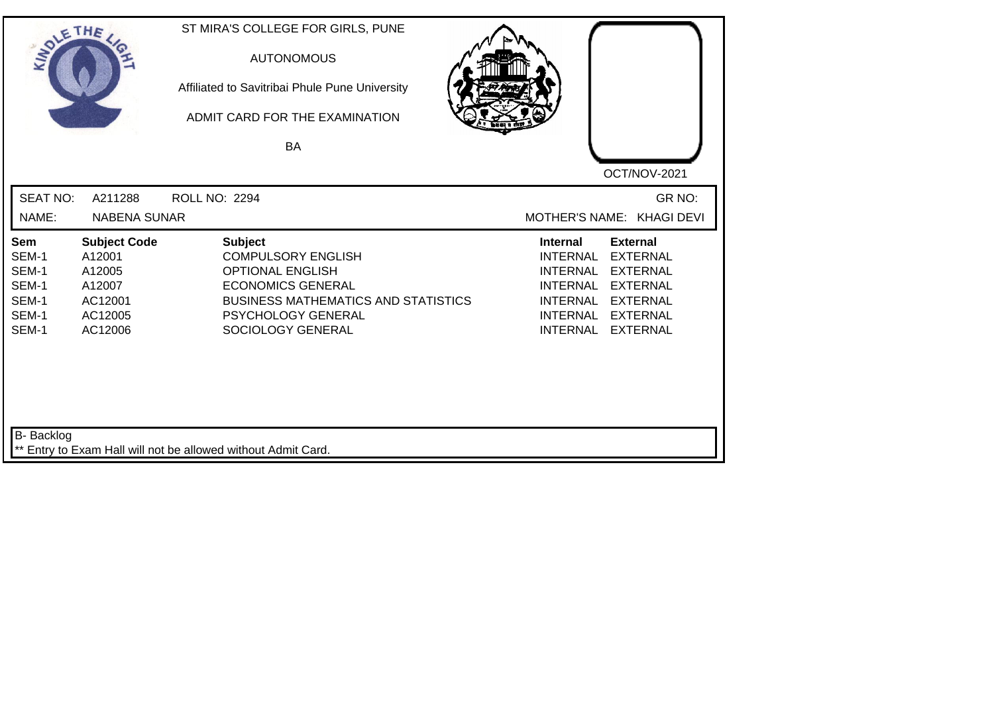| SOLE THE                                                  |                                                                                    | ST MIRA'S COLLEGE FOR GIRLS, PUNE<br><b>AUTONOMOUS</b><br>Affiliated to Savitribai Phule Pune University<br>ADMIT CARD FOR THE EXAMINATION<br><b>BA</b>                                     |                                                                                                                                   | OCT/NOV-2021                                                                                                                      |
|-----------------------------------------------------------|------------------------------------------------------------------------------------|---------------------------------------------------------------------------------------------------------------------------------------------------------------------------------------------|-----------------------------------------------------------------------------------------------------------------------------------|-----------------------------------------------------------------------------------------------------------------------------------|
| <b>SEAT NO:</b><br>NAME:                                  | A211288<br><b>NABENA SUNAR</b>                                                     | <b>ROLL NO: 2294</b>                                                                                                                                                                        |                                                                                                                                   | GR NO:<br>MOTHER'S NAME: KHAGI DEVI                                                                                               |
| Sem<br>SEM-1<br>SEM-1<br>SEM-1<br>SEM-1<br>SEM-1<br>SEM-1 | <b>Subject Code</b><br>A12001<br>A12005<br>A12007<br>AC12001<br>AC12005<br>AC12006 | <b>Subject</b><br><b>COMPULSORY ENGLISH</b><br><b>OPTIONAL ENGLISH</b><br><b>ECONOMICS GENERAL</b><br><b>BUSINESS MATHEMATICS AND STATISTICS</b><br>PSYCHOLOGY GENERAL<br>SOCIOLOGY GENERAL | <b>Internal</b><br><b>INTERNAL</b><br><b>INTERNAL</b><br><b>INTERNAL</b><br><b>INTERNAL</b><br><b>INTERNAL</b><br><b>INTERNAL</b> | <b>External</b><br><b>EXTERNAL</b><br><b>EXTERNAL</b><br><b>EXTERNAL</b><br><b>EXTERNAL</b><br><b>EXTERNAL</b><br><b>EXTERNAL</b> |
| B- Backlog                                                |                                                                                    | ** Entry to Exam Hall will not be allowed without Admit Card.                                                                                                                               |                                                                                                                                   |                                                                                                                                   |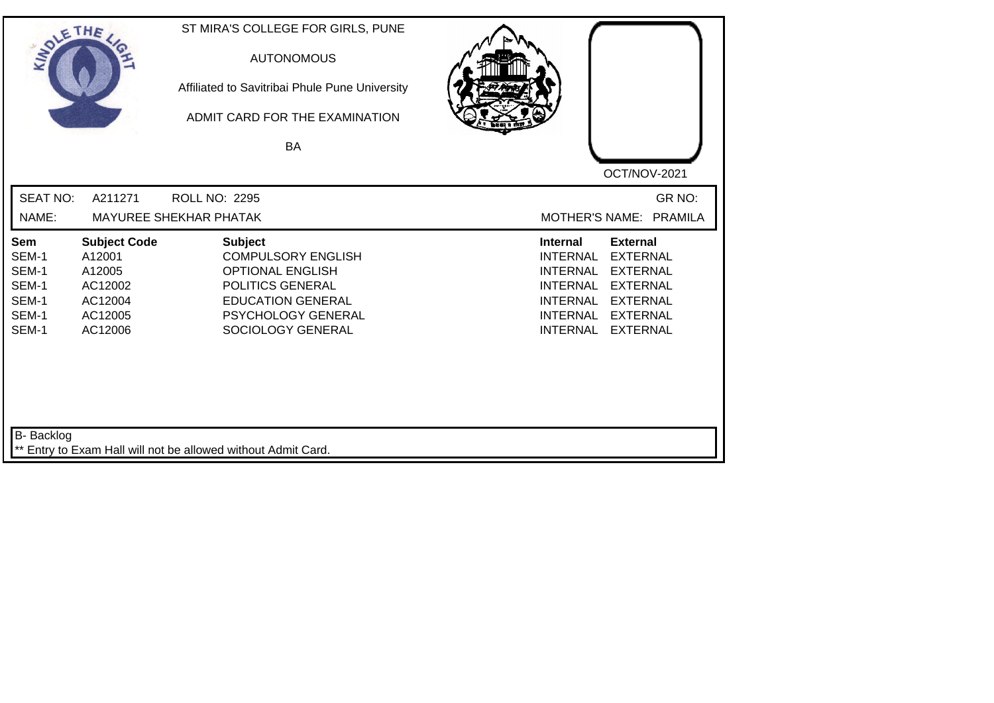| SOLETHE ,                                                        |                                                                                     | ST MIRA'S COLLEGE FOR GIRLS, PUNE<br><b>AUTONOMOUS</b><br>Affiliated to Savitribai Phule Pune University<br>ADMIT CARD FOR THE EXAMINATION<br>BA                         | OCT/NOV-2021                                                                                                                                                                                                                                                           |
|------------------------------------------------------------------|-------------------------------------------------------------------------------------|--------------------------------------------------------------------------------------------------------------------------------------------------------------------------|------------------------------------------------------------------------------------------------------------------------------------------------------------------------------------------------------------------------------------------------------------------------|
| <b>SEAT NO:</b><br>NAME:                                         | A211271                                                                             | <b>ROLL NO: 2295</b><br><b>MAYUREE SHEKHAR PHATAK</b>                                                                                                                    | GR NO:<br>MOTHER'S NAME: PRAMILA                                                                                                                                                                                                                                       |
| <b>Sem</b><br>SEM-1<br>SEM-1<br>SEM-1<br>SEM-1<br>SEM-1<br>SEM-1 | <b>Subject Code</b><br>A12001<br>A12005<br>AC12002<br>AC12004<br>AC12005<br>AC12006 | <b>Subject</b><br><b>COMPULSORY ENGLISH</b><br><b>OPTIONAL ENGLISH</b><br>POLITICS GENERAL<br><b>EDUCATION GENERAL</b><br><b>PSYCHOLOGY GENERAL</b><br>SOCIOLOGY GENERAL | <b>Internal</b><br><b>External</b><br><b>EXTERNAL</b><br><b>INTERNAL</b><br><b>EXTERNAL</b><br><b>INTERNAL</b><br><b>INTERNAL</b><br><b>EXTERNAL</b><br><b>INTERNAL</b><br><b>EXTERNAL</b><br><b>INTERNAL</b><br><b>EXTERNAL</b><br><b>INTERNAL</b><br><b>EXTERNAL</b> |
| B- Backlog                                                       |                                                                                     | ** Entry to Exam Hall will not be allowed without Admit Card.                                                                                                            |                                                                                                                                                                                                                                                                        |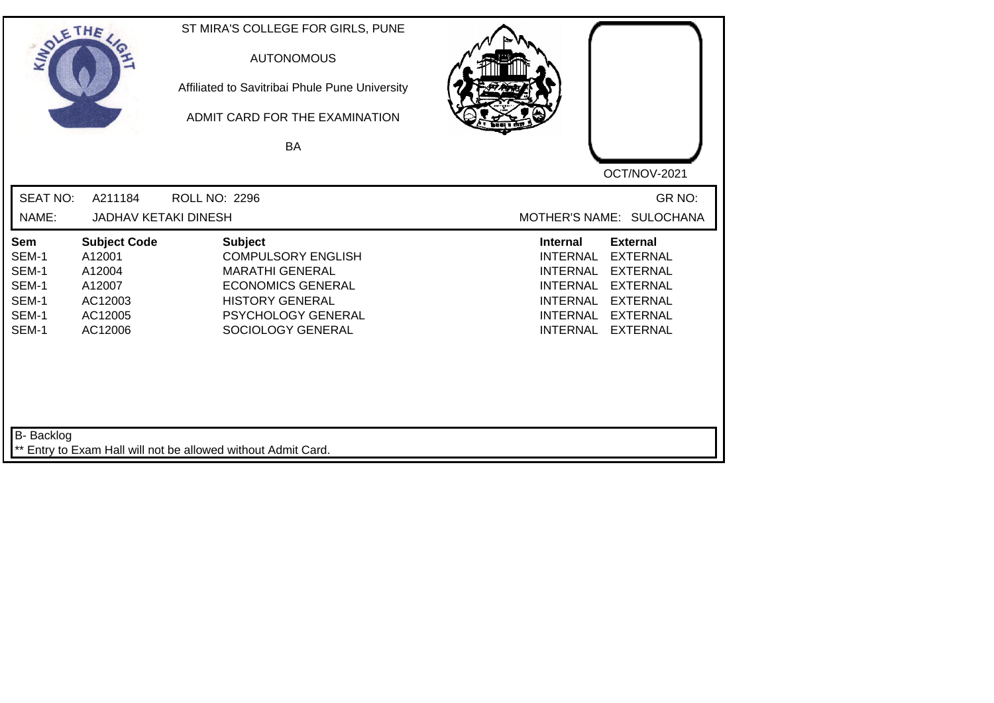| SOLETHE ,                                                        |                                                                                    | ST MIRA'S COLLEGE FOR GIRLS, PUNE<br><b>AUTONOMOUS</b><br>Affiliated to Savitribai Phule Pune University<br>ADMIT CARD FOR THE EXAMINATION<br>BA                              | OCT/NOV-2021                                                                                                                                                                                                                                                           |
|------------------------------------------------------------------|------------------------------------------------------------------------------------|-------------------------------------------------------------------------------------------------------------------------------------------------------------------------------|------------------------------------------------------------------------------------------------------------------------------------------------------------------------------------------------------------------------------------------------------------------------|
| <b>SEAT NO:</b><br>NAME:                                         | A211184<br><b>JADHAV KETAKI DINESH</b>                                             | <b>ROLL NO: 2296</b>                                                                                                                                                          | GR NO:<br>MOTHER'S NAME: SULOCHANA                                                                                                                                                                                                                                     |
| <b>Sem</b><br>SEM-1<br>SEM-1<br>SEM-1<br>SEM-1<br>SEM-1<br>SEM-1 | <b>Subject Code</b><br>A12001<br>A12004<br>A12007<br>AC12003<br>AC12005<br>AC12006 | <b>Subject</b><br><b>COMPULSORY ENGLISH</b><br><b>MARATHI GENERAL</b><br><b>ECONOMICS GENERAL</b><br><b>HISTORY GENERAL</b><br><b>PSYCHOLOGY GENERAL</b><br>SOCIOLOGY GENERAL | <b>Internal</b><br><b>External</b><br><b>EXTERNAL</b><br><b>INTERNAL</b><br><b>EXTERNAL</b><br><b>INTERNAL</b><br><b>INTERNAL</b><br><b>EXTERNAL</b><br><b>INTERNAL</b><br><b>EXTERNAL</b><br><b>INTERNAL</b><br><b>EXTERNAL</b><br><b>INTERNAL</b><br><b>EXTERNAL</b> |
| B- Backlog                                                       |                                                                                    | ** Entry to Exam Hall will not be allowed without Admit Card.                                                                                                                 |                                                                                                                                                                                                                                                                        |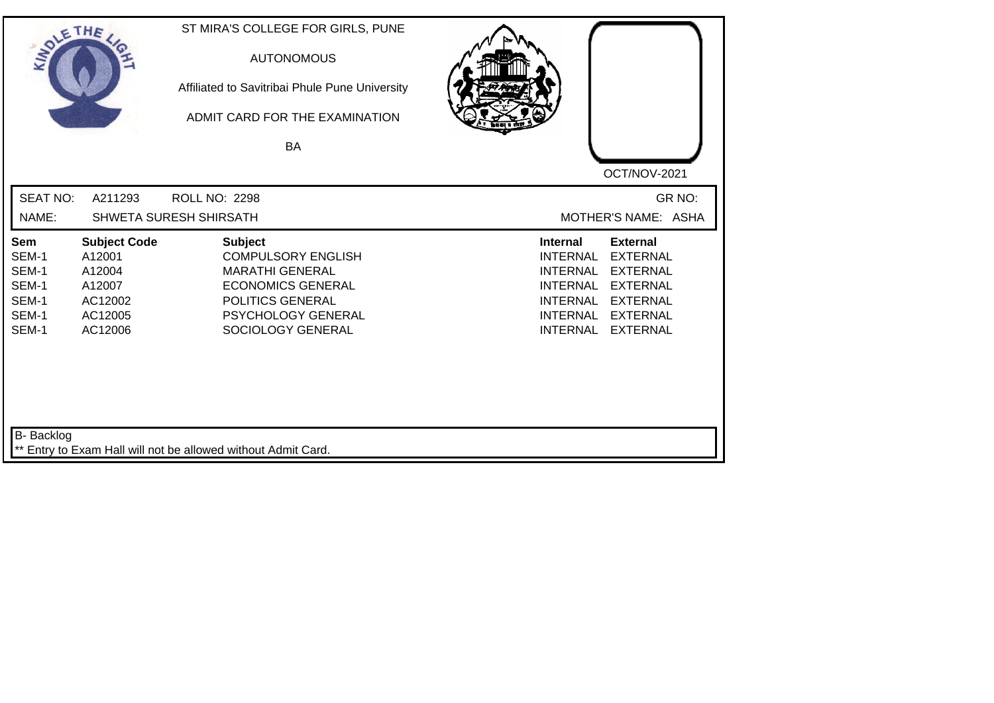| SOLETHE .                                                        |                                                                                    | ST MIRA'S COLLEGE FOR GIRLS, PUNE<br><b>AUTONOMOUS</b><br>Affiliated to Savitribai Phule Pune University<br>ADMIT CARD FOR THE EXAMINATION<br>BA                 |                                                                                                                                                                                                                                                                        |
|------------------------------------------------------------------|------------------------------------------------------------------------------------|------------------------------------------------------------------------------------------------------------------------------------------------------------------|------------------------------------------------------------------------------------------------------------------------------------------------------------------------------------------------------------------------------------------------------------------------|
| <b>SEAT NO:</b><br>NAME:                                         | A211293                                                                            | <b>ROLL NO: 2298</b><br>SHWETA SURESH SHIRSATH                                                                                                                   | OCT/NOV-2021<br>GR NO:<br>MOTHER'S NAME: ASHA                                                                                                                                                                                                                          |
| <b>Sem</b><br>SEM-1<br>SEM-1<br>SEM-1<br>SEM-1<br>SEM-1<br>SEM-1 | <b>Subject Code</b><br>A12001<br>A12004<br>A12007<br>AC12002<br>AC12005<br>AC12006 | <b>Subject</b><br><b>COMPULSORY ENGLISH</b><br><b>MARATHI GENERAL</b><br><b>ECONOMICS GENERAL</b><br>POLITICS GENERAL<br>PSYCHOLOGY GENERAL<br>SOCIOLOGY GENERAL | <b>External</b><br><b>Internal</b><br><b>EXTERNAL</b><br><b>INTERNAL</b><br><b>INTERNAL</b><br><b>EXTERNAL</b><br><b>EXTERNAL</b><br><b>INTERNAL</b><br><b>INTERNAL</b><br><b>EXTERNAL</b><br><b>EXTERNAL</b><br><b>INTERNAL</b><br><b>INTERNAL</b><br><b>EXTERNAL</b> |
| B- Backlog                                                       |                                                                                    | ** Entry to Exam Hall will not be allowed without Admit Card.                                                                                                    |                                                                                                                                                                                                                                                                        |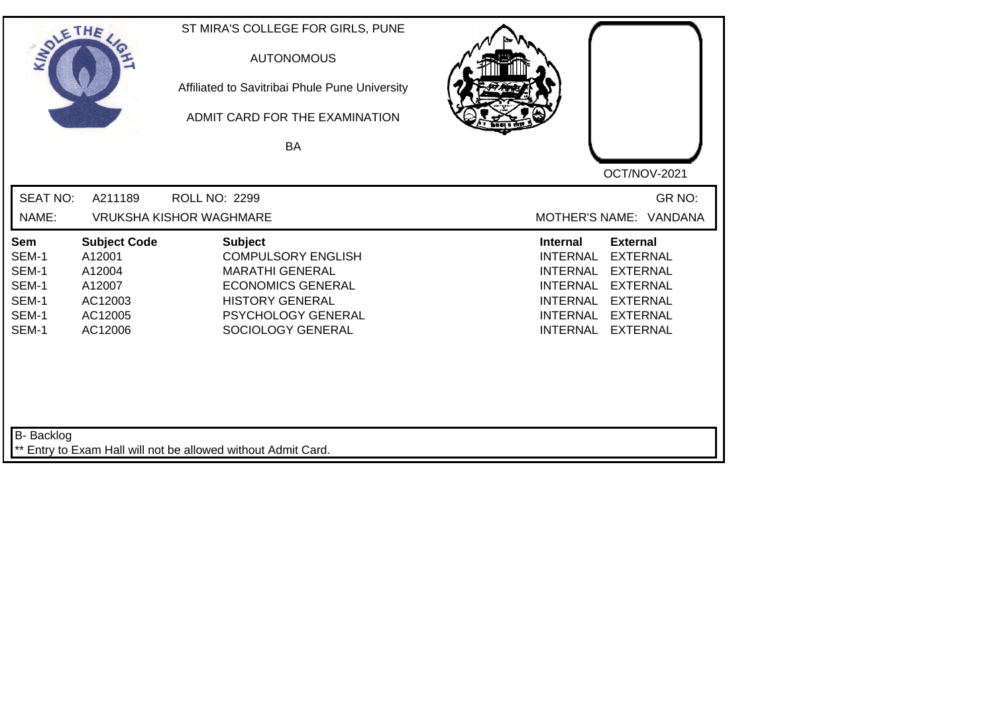| SOLETHE .                                                        |                                                                                    | ST MIRA'S COLLEGE FOR GIRLS, PUNE<br><b>AUTONOMOUS</b><br>Affiliated to Savitribai Phule Pune University<br>ADMIT CARD FOR THE EXAMINATION<br><b>BA</b>                | OCT/NOV-2021                                                                                                                                                                                                                                                           |
|------------------------------------------------------------------|------------------------------------------------------------------------------------|------------------------------------------------------------------------------------------------------------------------------------------------------------------------|------------------------------------------------------------------------------------------------------------------------------------------------------------------------------------------------------------------------------------------------------------------------|
| <b>SEAT NO:</b><br>NAME:                                         | A211189                                                                            | ROLL NO: 2299<br><b>VRUKSHA KISHOR WAGHMARE</b>                                                                                                                        | GR NO:<br>MOTHER'S NAME: VANDANA                                                                                                                                                                                                                                       |
| <b>Sem</b><br>SEM-1<br>SEM-1<br>SEM-1<br>SEM-1<br>SEM-1<br>SEM-1 | <b>Subject Code</b><br>A12001<br>A12004<br>A12007<br>AC12003<br>AC12005<br>AC12006 | <b>Subject</b><br><b>COMPULSORY ENGLISH</b><br><b>MARATHI GENERAL</b><br><b>ECONOMICS GENERAL</b><br><b>HISTORY GENERAL</b><br>PSYCHOLOGY GENERAL<br>SOCIOLOGY GENERAL | <b>External</b><br><b>Internal</b><br><b>INTERNAL</b><br><b>EXTERNAL</b><br><b>INTERNAL</b><br><b>EXTERNAL</b><br><b>EXTERNAL</b><br><b>INTERNAL</b><br><b>INTERNAL</b><br><b>EXTERNAL</b><br><b>INTERNAL</b><br><b>EXTERNAL</b><br><b>INTERNAL</b><br><b>EXTERNAL</b> |
| <b>B-</b> Backlog                                                |                                                                                    | ** Entry to Exam Hall will not be allowed without Admit Card.                                                                                                          |                                                                                                                                                                                                                                                                        |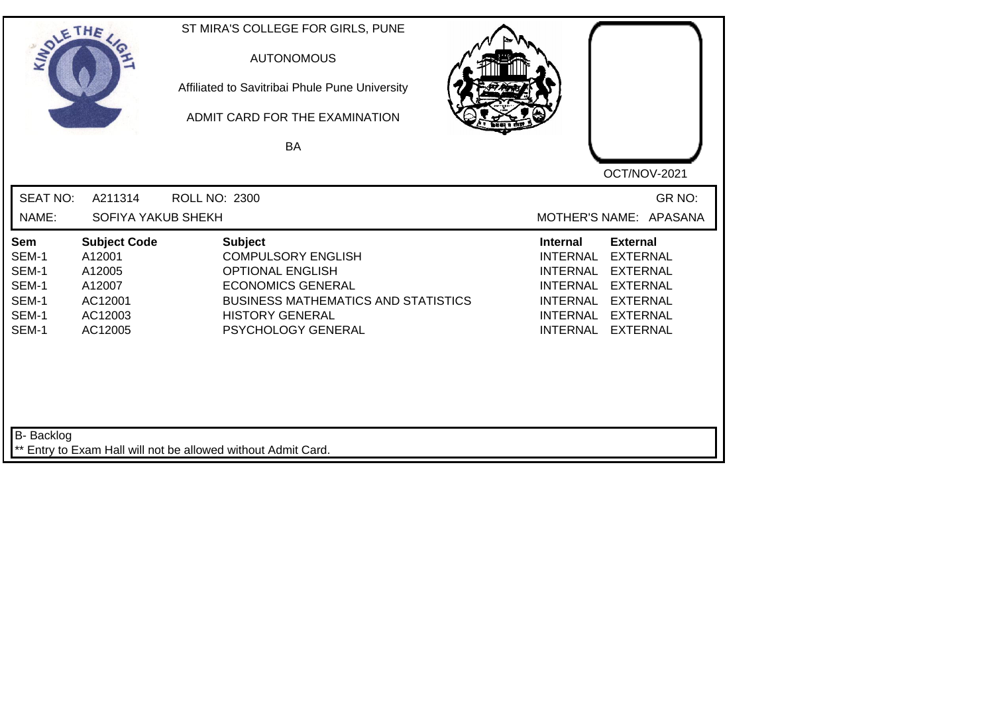| <b>SOLETHE</b>                                                   |                                                                                    | ST MIRA'S COLLEGE FOR GIRLS, PUNE<br><b>AUTONOMOUS</b><br>Affiliated to Savitribai Phule Pune University<br>ADMIT CARD FOR THE EXAMINATION<br>BA                                                 | OCT/NOV-2021                                                                                                                                                                                                                                                    |
|------------------------------------------------------------------|------------------------------------------------------------------------------------|--------------------------------------------------------------------------------------------------------------------------------------------------------------------------------------------------|-----------------------------------------------------------------------------------------------------------------------------------------------------------------------------------------------------------------------------------------------------------------|
| <b>SEAT NO:</b><br>NAME:                                         | A211314<br>SOFIYA YAKUB SHEKH                                                      | <b>ROLL NO: 2300</b>                                                                                                                                                                             | GR NO:<br>MOTHER'S NAME: APASANA                                                                                                                                                                                                                                |
| <b>Sem</b><br>SEM-1<br>SEM-1<br>SEM-1<br>SEM-1<br>SEM-1<br>SEM-1 | <b>Subject Code</b><br>A12001<br>A12005<br>A12007<br>AC12001<br>AC12003<br>AC12005 | <b>Subject</b><br><b>COMPULSORY ENGLISH</b><br><b>OPTIONAL ENGLISH</b><br><b>ECONOMICS GENERAL</b><br><b>BUSINESS MATHEMATICS AND STATISTICS</b><br><b>HISTORY GENERAL</b><br>PSYCHOLOGY GENERAL | <b>Internal</b><br><b>External</b><br><b>INTERNAL</b><br><b>EXTERNAL</b><br><b>INTERNAL</b><br><b>EXTERNAL</b><br><b>EXTERNAL</b><br><b>INTERNAL</b><br><b>EXTERNAL</b><br><b>INTERNAL</b><br><b>INTERNAL</b><br><b>EXTERNAL</b><br><b>EXTERNAL</b><br>INTERNAL |
| <b>B-</b> Backlog                                                |                                                                                    | ** Entry to Exam Hall will not be allowed without Admit Card.                                                                                                                                    |                                                                                                                                                                                                                                                                 |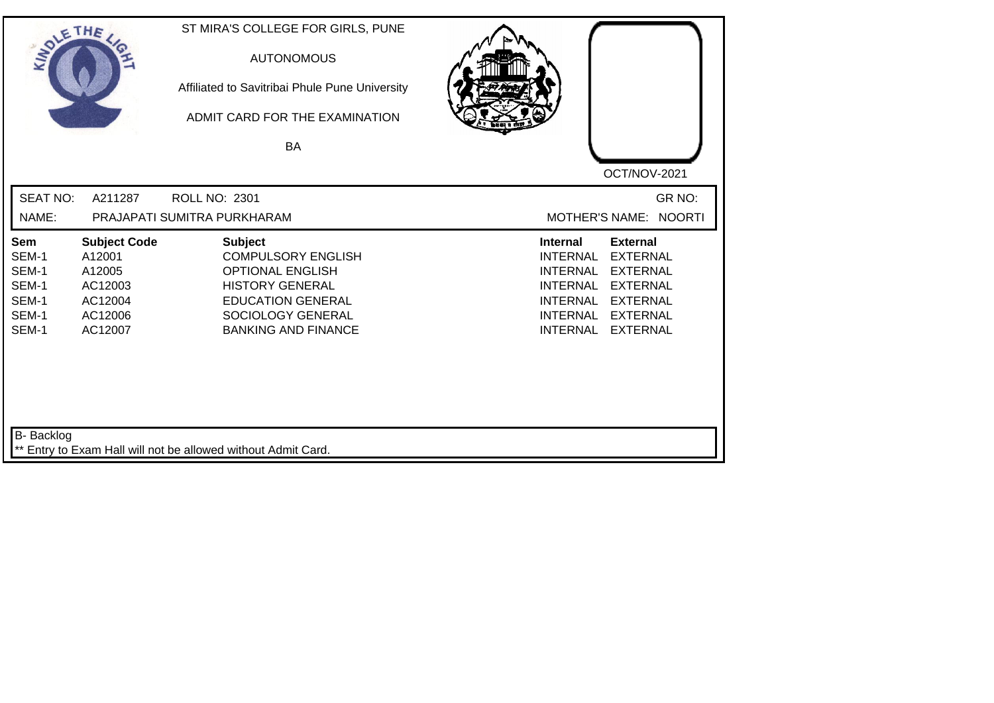| SOLETHE ,                                                        |                                                                                     | ST MIRA'S COLLEGE FOR GIRLS, PUNE<br><b>AUTONOMOUS</b><br>Affiliated to Savitribai Phule Pune University<br>ADMIT CARD FOR THE EXAMINATION<br><b>BA</b>                         | OCT/NOV-2021                                                                                                                                                                                                                                                           |
|------------------------------------------------------------------|-------------------------------------------------------------------------------------|---------------------------------------------------------------------------------------------------------------------------------------------------------------------------------|------------------------------------------------------------------------------------------------------------------------------------------------------------------------------------------------------------------------------------------------------------------------|
| <b>SEAT NO:</b><br>NAME:                                         | A211287                                                                             | ROLL NO: 2301<br>PRAJAPATI SUMITRA PURKHARAM                                                                                                                                    | GR NO:<br><b>NOORTI</b><br><b>MOTHER'S NAME:</b>                                                                                                                                                                                                                       |
| <b>Sem</b><br>SEM-1<br>SEM-1<br>SEM-1<br>SEM-1<br>SEM-1<br>SEM-1 | <b>Subject Code</b><br>A12001<br>A12005<br>AC12003<br>AC12004<br>AC12006<br>AC12007 | <b>Subject</b><br><b>COMPULSORY ENGLISH</b><br><b>OPTIONAL ENGLISH</b><br><b>HISTORY GENERAL</b><br><b>EDUCATION GENERAL</b><br>SOCIOLOGY GENERAL<br><b>BANKING AND FINANCE</b> | <b>Internal</b><br><b>External</b><br><b>EXTERNAL</b><br><b>INTERNAL</b><br><b>INTERNAL</b><br><b>EXTERNAL</b><br><b>INTERNAL</b><br><b>EXTERNAL</b><br><b>EXTERNAL</b><br><b>INTERNAL</b><br><b>INTERNAL</b><br><b>EXTERNAL</b><br><b>INTERNAL</b><br><b>EXTERNAL</b> |
| B- Backlog                                                       |                                                                                     | ** Entry to Exam Hall will not be allowed without Admit Card.                                                                                                                   |                                                                                                                                                                                                                                                                        |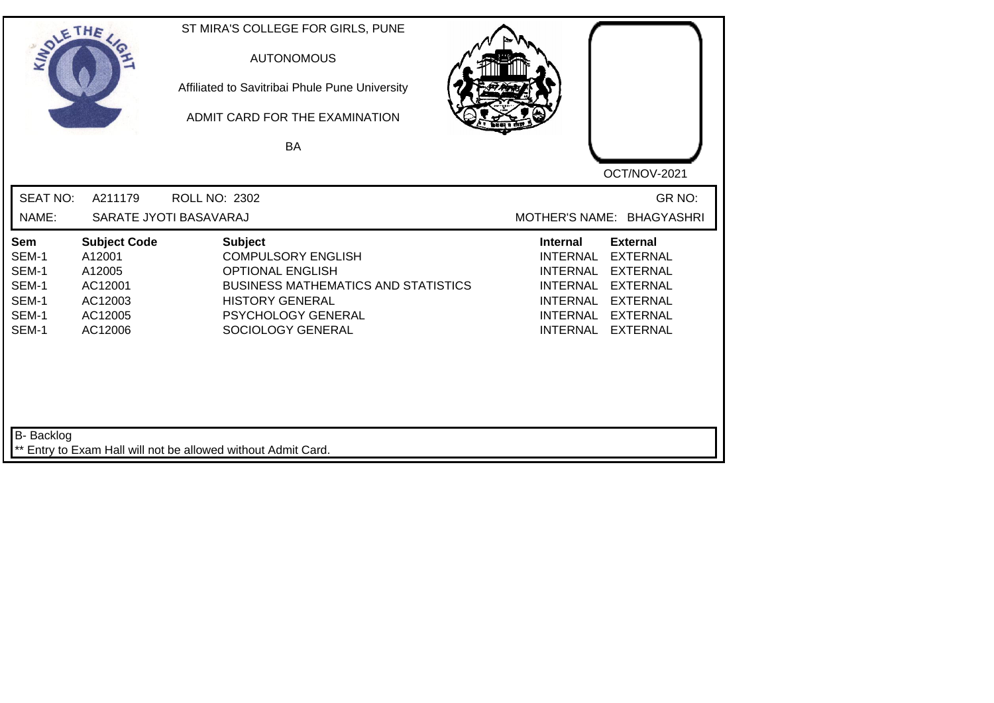| SOLETHE .                                                        |                                                                                     | ST MIRA'S COLLEGE FOR GIRLS, PUNE<br><b>AUTONOMOUS</b><br>Affiliated to Savitribai Phule Pune University<br>ADMIT CARD FOR THE EXAMINATION<br><b>BA</b>                                   | OCT/NOV-2021                                                                                                                                                                                                                                             |
|------------------------------------------------------------------|-------------------------------------------------------------------------------------|-------------------------------------------------------------------------------------------------------------------------------------------------------------------------------------------|----------------------------------------------------------------------------------------------------------------------------------------------------------------------------------------------------------------------------------------------------------|
| <b>SEAT NO:</b><br>NAME:                                         | A211179                                                                             | <b>ROLL NO: 2302</b><br>SARATE JYOTI BASAVARAJ                                                                                                                                            | GR NO:<br>MOTHER'S NAME: BHAGYASHRI                                                                                                                                                                                                                      |
| <b>Sem</b><br>SEM-1<br>SEM-1<br>SEM-1<br>SEM-1<br>SEM-1<br>SEM-1 | <b>Subject Code</b><br>A12001<br>A12005<br>AC12001<br>AC12003<br>AC12005<br>AC12006 | <b>Subject</b><br><b>COMPULSORY ENGLISH</b><br><b>OPTIONAL ENGLISH</b><br><b>BUSINESS MATHEMATICS AND STATISTICS</b><br><b>HISTORY GENERAL</b><br>PSYCHOLOGY GENERAL<br>SOCIOLOGY GENERAL | Internal<br><b>External</b><br><b>INTERNAL</b><br><b>EXTERNAL</b><br><b>EXTERNAL</b><br>INTERNAL<br><b>EXTERNAL</b><br><b>INTERNAL</b><br><b>INTERNAL</b><br><b>EXTERNAL</b><br><b>INTERNAL</b><br><b>EXTERNAL</b><br><b>INTERNAL</b><br><b>EXTERNAL</b> |
| B- Backlog                                                       |                                                                                     | ** Entry to Exam Hall will not be allowed without Admit Card.                                                                                                                             |                                                                                                                                                                                                                                                          |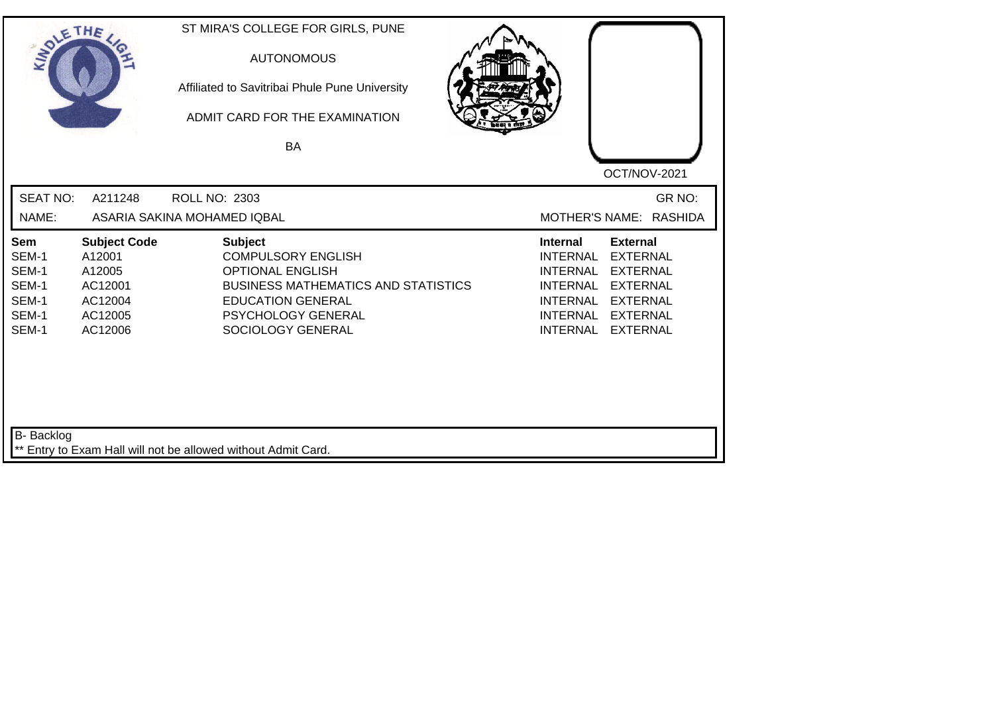| SOLE THE                                                  |                                                                                     | ST MIRA'S COLLEGE FOR GIRLS, PUNE<br><b>AUTONOMOUS</b><br>Affiliated to Savitribai Phule Pune University<br>ADMIT CARD FOR THE EXAMINATION<br><b>BA</b>                                     |                                                                                                                                                                                                                                                                        |
|-----------------------------------------------------------|-------------------------------------------------------------------------------------|---------------------------------------------------------------------------------------------------------------------------------------------------------------------------------------------|------------------------------------------------------------------------------------------------------------------------------------------------------------------------------------------------------------------------------------------------------------------------|
| <b>SEAT NO:</b><br>NAME:                                  | A211248                                                                             | ROLL NO: 2303<br>ASARIA SAKINA MOHAMED IQBAL                                                                                                                                                | OCT/NOV-2021<br>GR NO:<br>MOTHER'S NAME: RASHIDA                                                                                                                                                                                                                       |
| Sem<br>SEM-1<br>SEM-1<br>SEM-1<br>SEM-1<br>SEM-1<br>SEM-1 | <b>Subject Code</b><br>A12001<br>A12005<br>AC12001<br>AC12004<br>AC12005<br>AC12006 | <b>Subject</b><br><b>COMPULSORY ENGLISH</b><br><b>OPTIONAL ENGLISH</b><br><b>BUSINESS MATHEMATICS AND STATISTICS</b><br><b>EDUCATION GENERAL</b><br>PSYCHOLOGY GENERAL<br>SOCIOLOGY GENERAL | <b>Internal</b><br><b>External</b><br><b>INTERNAL</b><br><b>EXTERNAL</b><br><b>INTERNAL</b><br><b>EXTERNAL</b><br><b>INTERNAL</b><br><b>EXTERNAL</b><br><b>INTERNAL</b><br><b>EXTERNAL</b><br><b>INTERNAL</b><br><b>EXTERNAL</b><br><b>INTERNAL</b><br><b>EXTERNAL</b> |
| <b>B-</b> Backlog                                         |                                                                                     | ** Entry to Exam Hall will not be allowed without Admit Card.                                                                                                                               |                                                                                                                                                                                                                                                                        |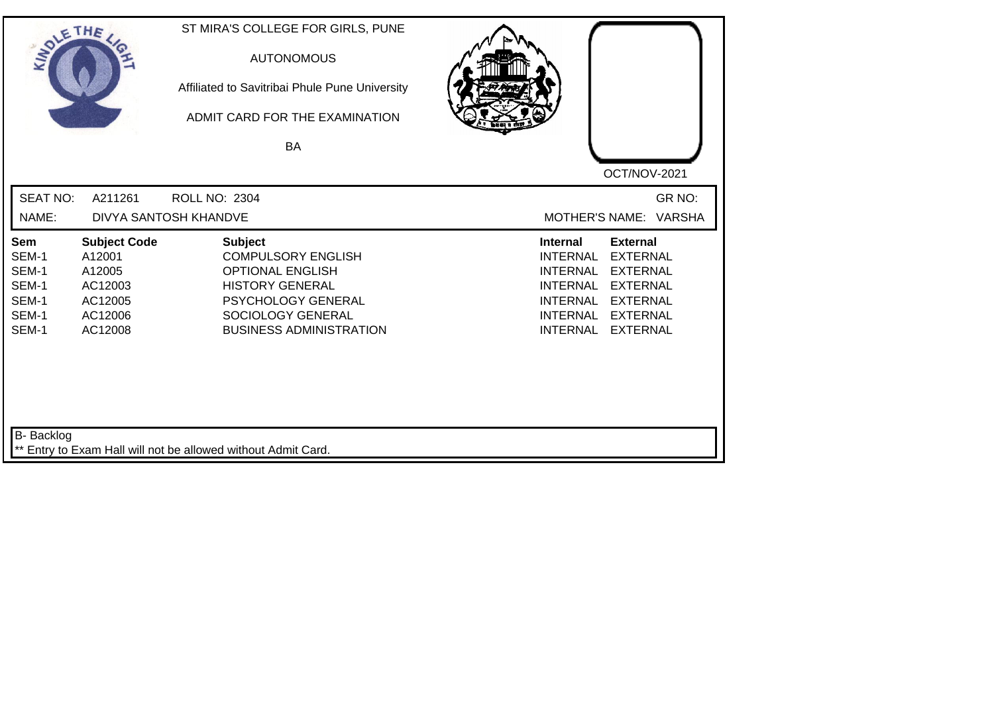| SOLETHE .                                                        |                                                                                     | ST MIRA'S COLLEGE FOR GIRLS, PUNE<br><b>AUTONOMOUS</b><br>Affiliated to Savitribai Phule Pune University<br>ADMIT CARD FOR THE EXAMINATION<br>BA                              | OCT/NOV-2021                                                                                                                                                                                                                                                           |
|------------------------------------------------------------------|-------------------------------------------------------------------------------------|-------------------------------------------------------------------------------------------------------------------------------------------------------------------------------|------------------------------------------------------------------------------------------------------------------------------------------------------------------------------------------------------------------------------------------------------------------------|
| <b>SEAT NO:</b><br>NAME:                                         | A211261                                                                             | <b>ROLL NO: 2304</b><br>DIVYA SANTOSH KHANDVE                                                                                                                                 | GR NO:<br>MOTHER'S NAME: VARSHA                                                                                                                                                                                                                                        |
| <b>Sem</b><br>SEM-1<br>SEM-1<br>SEM-1<br>SEM-1<br>SEM-1<br>SEM-1 | <b>Subject Code</b><br>A12001<br>A12005<br>AC12003<br>AC12005<br>AC12006<br>AC12008 | <b>Subject</b><br><b>COMPULSORY ENGLISH</b><br><b>OPTIONAL ENGLISH</b><br><b>HISTORY GENERAL</b><br>PSYCHOLOGY GENERAL<br>SOCIOLOGY GENERAL<br><b>BUSINESS ADMINISTRATION</b> | <b>Internal</b><br><b>External</b><br><b>EXTERNAL</b><br><b>INTERNAL</b><br><b>EXTERNAL</b><br><b>INTERNAL</b><br><b>INTERNAL</b><br><b>EXTERNAL</b><br><b>INTERNAL</b><br><b>EXTERNAL</b><br><b>INTERNAL</b><br><b>EXTERNAL</b><br><b>INTERNAL</b><br><b>EXTERNAL</b> |
| B- Backlog                                                       |                                                                                     | ** Entry to Exam Hall will not be allowed without Admit Card.                                                                                                                 |                                                                                                                                                                                                                                                                        |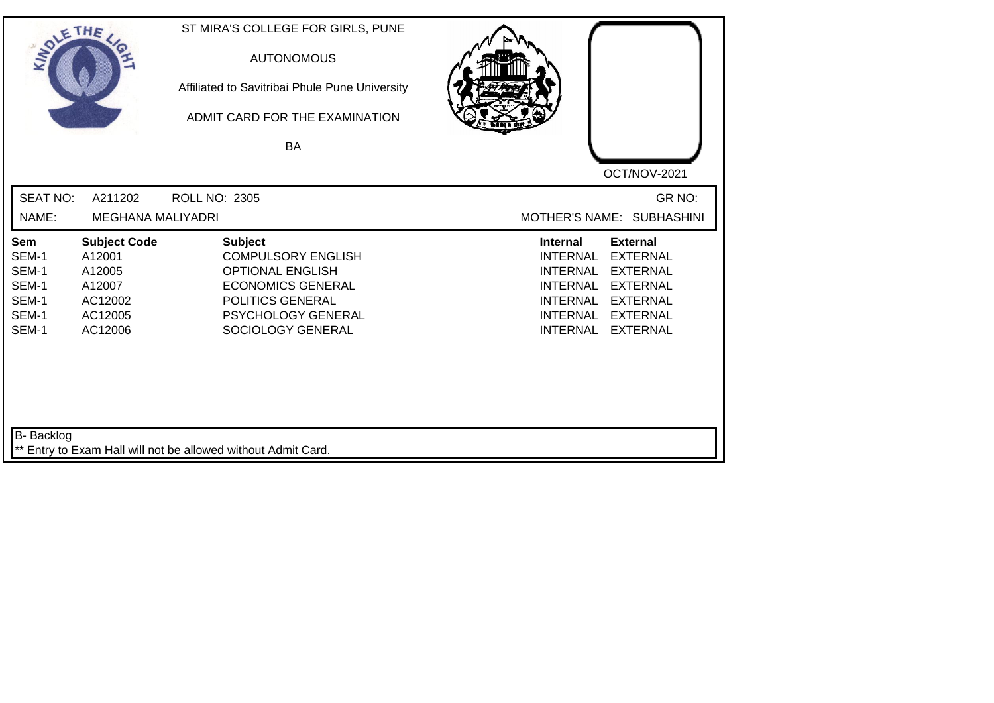| SOLETHE .                                                        |                                                                                    | ST MIRA'S COLLEGE FOR GIRLS, PUNE<br><b>AUTONOMOUS</b><br>Affiliated to Savitribai Phule Pune University<br>ADMIT CARD FOR THE EXAMINATION<br><b>BA</b>                  | OCT/NOV-2021                                                                                                                                                                                                                                                           |
|------------------------------------------------------------------|------------------------------------------------------------------------------------|--------------------------------------------------------------------------------------------------------------------------------------------------------------------------|------------------------------------------------------------------------------------------------------------------------------------------------------------------------------------------------------------------------------------------------------------------------|
| <b>SEAT NO:</b><br>NAME:                                         | A211202<br><b>MEGHANA MALIYADRI</b>                                                | <b>ROLL NO: 2305</b>                                                                                                                                                     | GR NO:<br>MOTHER'S NAME: SUBHASHINI                                                                                                                                                                                                                                    |
| <b>Sem</b><br>SEM-1<br>SEM-1<br>SEM-1<br>SEM-1<br>SEM-1<br>SEM-1 | <b>Subject Code</b><br>A12001<br>A12005<br>A12007<br>AC12002<br>AC12005<br>AC12006 | <b>Subject</b><br><b>COMPULSORY ENGLISH</b><br><b>OPTIONAL ENGLISH</b><br><b>ECONOMICS GENERAL</b><br>POLITICS GENERAL<br><b>PSYCHOLOGY GENERAL</b><br>SOCIOLOGY GENERAL | <b>External</b><br><b>Internal</b><br><b>EXTERNAL</b><br><b>INTERNAL</b><br><b>EXTERNAL</b><br><b>INTERNAL</b><br><b>INTERNAL</b><br><b>EXTERNAL</b><br><b>INTERNAL</b><br><b>EXTERNAL</b><br><b>INTERNAL</b><br><b>EXTERNAL</b><br><b>INTERNAL</b><br><b>EXTERNAL</b> |
| B- Backlog                                                       |                                                                                    | ** Entry to Exam Hall will not be allowed without Admit Card.                                                                                                            |                                                                                                                                                                                                                                                                        |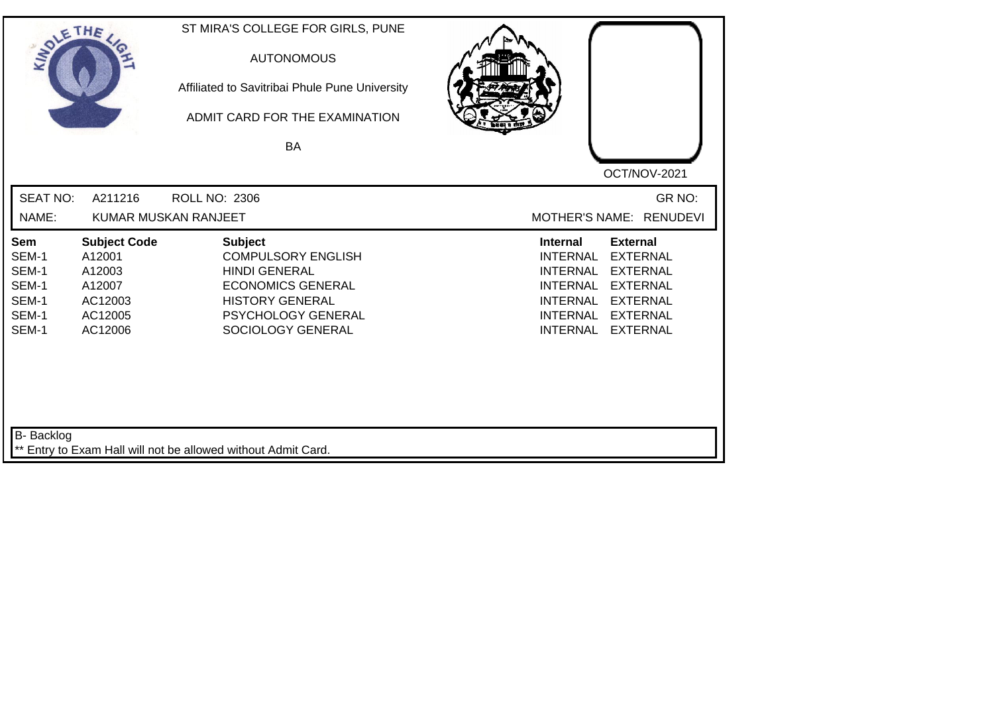| SOLETHE ,                                                        |                                                                                    | ST MIRA'S COLLEGE FOR GIRLS, PUNE<br><b>AUTONOMOUS</b><br>Affiliated to Savitribai Phule Pune University<br>ADMIT CARD FOR THE EXAMINATION<br>BA                     | OCT/NOV-2021                                                                                                                                                                                                                                                           |
|------------------------------------------------------------------|------------------------------------------------------------------------------------|----------------------------------------------------------------------------------------------------------------------------------------------------------------------|------------------------------------------------------------------------------------------------------------------------------------------------------------------------------------------------------------------------------------------------------------------------|
| <b>SEAT NO:</b><br>NAME:                                         | A211216                                                                            | <b>ROLL NO: 2306</b><br>KUMAR MUSKAN RANJEET                                                                                                                         | GR NO:<br>MOTHER'S NAME: RENUDEVI                                                                                                                                                                                                                                      |
| <b>Sem</b><br>SEM-1<br>SEM-1<br>SEM-1<br>SEM-1<br>SEM-1<br>SEM-1 | <b>Subject Code</b><br>A12001<br>A12003<br>A12007<br>AC12003<br>AC12005<br>AC12006 | <b>Subject</b><br><b>COMPULSORY ENGLISH</b><br><b>HINDI GENERAL</b><br><b>ECONOMICS GENERAL</b><br><b>HISTORY GENERAL</b><br>PSYCHOLOGY GENERAL<br>SOCIOLOGY GENERAL | <b>External</b><br><b>Internal</b><br><b>INTERNAL</b><br><b>EXTERNAL</b><br><b>EXTERNAL</b><br><b>INTERNAL</b><br><b>INTERNAL</b><br><b>EXTERNAL</b><br><b>INTERNAL</b><br><b>EXTERNAL</b><br><b>INTERNAL</b><br><b>EXTERNAL</b><br><b>INTERNAL</b><br><b>EXTERNAL</b> |
| B- Backlog                                                       |                                                                                    | ** Entry to Exam Hall will not be allowed without Admit Card.                                                                                                        |                                                                                                                                                                                                                                                                        |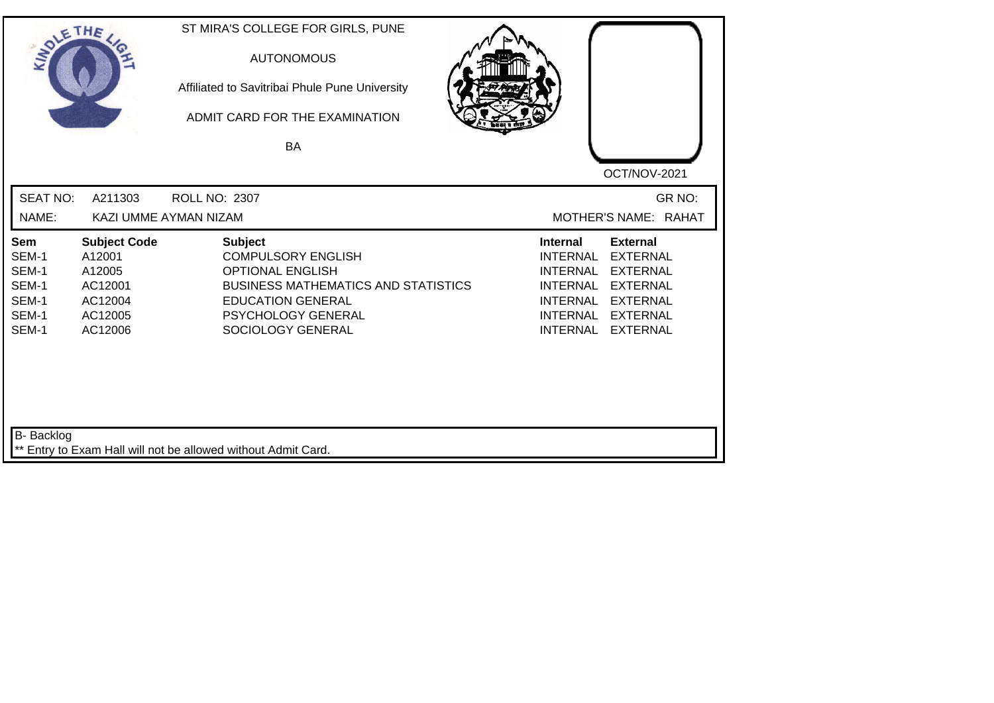| SOLETHE,                                                         |                                                                                     | ST MIRA'S COLLEGE FOR GIRLS, PUNE<br><b>AUTONOMOUS</b><br>Affiliated to Savitribai Phule Pune University<br>ADMIT CARD FOR THE EXAMINATION<br><b>BA</b>                                     | OCT/NOV-2021                                                                                                                                                                                                                                                           |
|------------------------------------------------------------------|-------------------------------------------------------------------------------------|---------------------------------------------------------------------------------------------------------------------------------------------------------------------------------------------|------------------------------------------------------------------------------------------------------------------------------------------------------------------------------------------------------------------------------------------------------------------------|
| <b>SEAT NO:</b><br>NAME:                                         | A211303                                                                             | ROLL NO: 2307<br>KAZI UMME AYMAN NIZAM                                                                                                                                                      | GR NO:<br>MOTHER'S NAME: RAHAT                                                                                                                                                                                                                                         |
| <b>Sem</b><br>SEM-1<br>SEM-1<br>SEM-1<br>SEM-1<br>SEM-1<br>SEM-1 | <b>Subject Code</b><br>A12001<br>A12005<br>AC12001<br>AC12004<br>AC12005<br>AC12006 | <b>Subject</b><br><b>COMPULSORY ENGLISH</b><br><b>OPTIONAL ENGLISH</b><br><b>BUSINESS MATHEMATICS AND STATISTICS</b><br><b>EDUCATION GENERAL</b><br>PSYCHOLOGY GENERAL<br>SOCIOLOGY GENERAL | <b>External</b><br><b>Internal</b><br><b>INTERNAL</b><br><b>EXTERNAL</b><br><b>INTERNAL</b><br><b>EXTERNAL</b><br><b>EXTERNAL</b><br><b>INTERNAL</b><br><b>INTERNAL</b><br><b>EXTERNAL</b><br><b>INTERNAL</b><br><b>EXTERNAL</b><br><b>INTERNAL</b><br><b>EXTERNAL</b> |
| <b>B-</b> Backlog                                                |                                                                                     | ** Entry to Exam Hall will not be allowed without Admit Card.                                                                                                                               |                                                                                                                                                                                                                                                                        |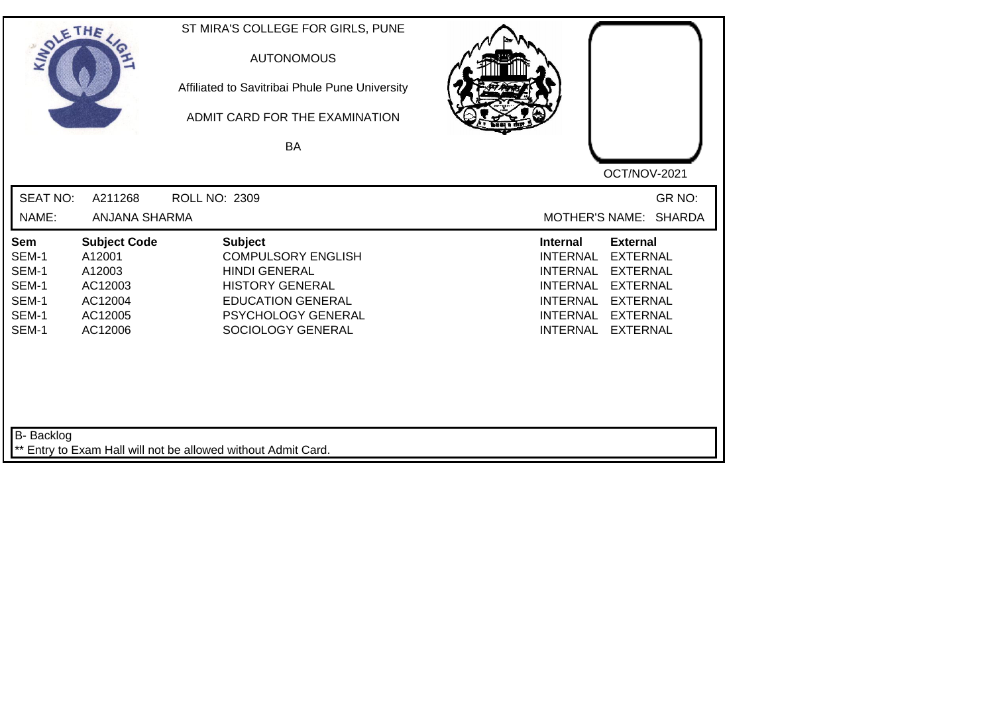| SOLE THE                                                  |                                                                                     | ST MIRA'S COLLEGE FOR GIRLS, PUNE<br><b>AUTONOMOUS</b><br>Affiliated to Savitribai Phule Pune University<br>ADMIT CARD FOR THE EXAMINATION<br><b>BA</b>              |                                                                                                                                                                                                                                                                        |
|-----------------------------------------------------------|-------------------------------------------------------------------------------------|----------------------------------------------------------------------------------------------------------------------------------------------------------------------|------------------------------------------------------------------------------------------------------------------------------------------------------------------------------------------------------------------------------------------------------------------------|
| <b>SEAT NO:</b>                                           | A211268                                                                             | ROLL NO: 2309                                                                                                                                                        | OCT/NOV-2021<br>GR NO:                                                                                                                                                                                                                                                 |
| NAME:                                                     | ANJANA SHARMA                                                                       |                                                                                                                                                                      | <b>MOTHER'S NAME:</b><br><b>SHARDA</b>                                                                                                                                                                                                                                 |
| Sem<br>SEM-1<br>SEM-1<br>SEM-1<br>SEM-1<br>SEM-1<br>SEM-1 | <b>Subject Code</b><br>A12001<br>A12003<br>AC12003<br>AC12004<br>AC12005<br>AC12006 | <b>Subject</b><br><b>COMPULSORY ENGLISH</b><br><b>HINDI GENERAL</b><br><b>HISTORY GENERAL</b><br><b>EDUCATION GENERAL</b><br>PSYCHOLOGY GENERAL<br>SOCIOLOGY GENERAL | <b>External</b><br><b>Internal</b><br><b>EXTERNAL</b><br><b>INTERNAL</b><br><b>INTERNAL</b><br><b>EXTERNAL</b><br><b>EXTERNAL</b><br><b>INTERNAL</b><br><b>EXTERNAL</b><br><b>INTERNAL</b><br><b>INTERNAL</b><br><b>EXTERNAL</b><br><b>INTERNAL</b><br><b>EXTERNAL</b> |
| B- Backlog                                                |                                                                                     | ** Entry to Exam Hall will not be allowed without Admit Card.                                                                                                        |                                                                                                                                                                                                                                                                        |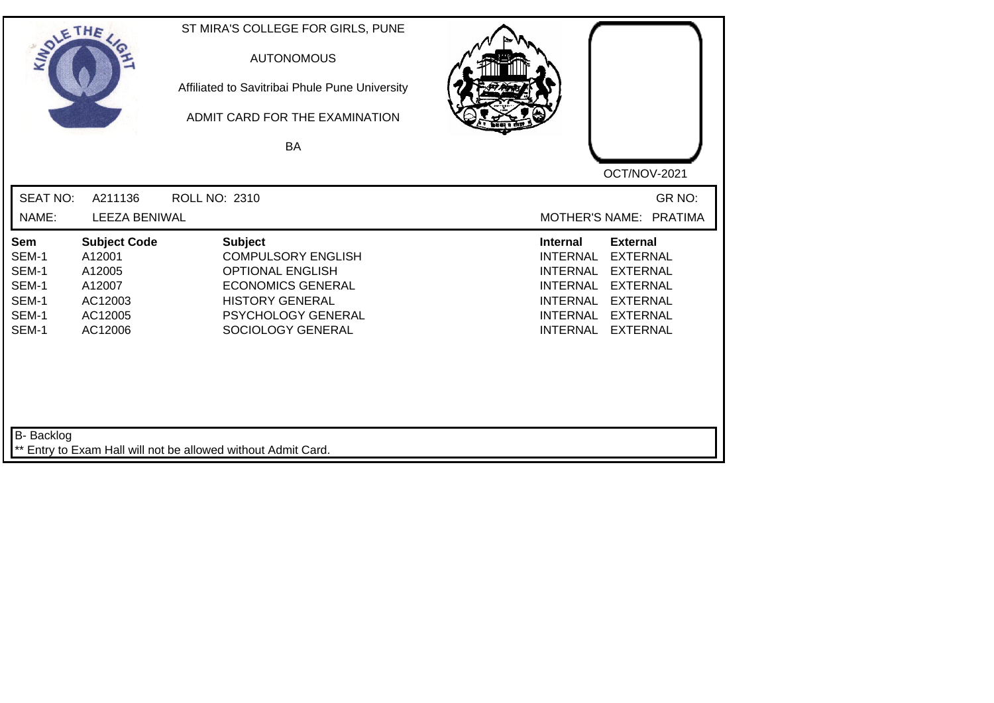| SOLE THE                                                  |                                                                                    | ST MIRA'S COLLEGE FOR GIRLS, PUNE<br><b>AUTONOMOUS</b><br>Affiliated to Savitribai Phule Pune University<br>ADMIT CARD FOR THE EXAMINATION<br>BA                        |                                                                                                                                                                                                                                                                        |
|-----------------------------------------------------------|------------------------------------------------------------------------------------|-------------------------------------------------------------------------------------------------------------------------------------------------------------------------|------------------------------------------------------------------------------------------------------------------------------------------------------------------------------------------------------------------------------------------------------------------------|
|                                                           |                                                                                    |                                                                                                                                                                         | OCT/NOV-2021                                                                                                                                                                                                                                                           |
| <b>SEAT NO:</b>                                           | A211136                                                                            | <b>ROLL NO: 2310</b>                                                                                                                                                    | GR NO:                                                                                                                                                                                                                                                                 |
| NAME:                                                     | <b>LEEZA BENIWAL</b>                                                               |                                                                                                                                                                         | MOTHER'S NAME: PRATIMA                                                                                                                                                                                                                                                 |
| Sem<br>SEM-1<br>SEM-1<br>SEM-1<br>SEM-1<br>SEM-1<br>SEM-1 | <b>Subject Code</b><br>A12001<br>A12005<br>A12007<br>AC12003<br>AC12005<br>AC12006 | <b>Subject</b><br><b>COMPULSORY ENGLISH</b><br><b>OPTIONAL ENGLISH</b><br><b>ECONOMICS GENERAL</b><br><b>HISTORY GENERAL</b><br>PSYCHOLOGY GENERAL<br>SOCIOLOGY GENERAL | <b>External</b><br><b>Internal</b><br><b>INTERNAL</b><br><b>EXTERNAL</b><br><b>INTERNAL</b><br><b>EXTERNAL</b><br><b>INTERNAL</b><br><b>EXTERNAL</b><br><b>INTERNAL</b><br><b>EXTERNAL</b><br><b>INTERNAL</b><br><b>EXTERNAL</b><br><b>INTERNAL</b><br><b>EXTERNAL</b> |
| <b>B-</b> Backlog                                         |                                                                                    | ** Entry to Exam Hall will not be allowed without Admit Card.                                                                                                           |                                                                                                                                                                                                                                                                        |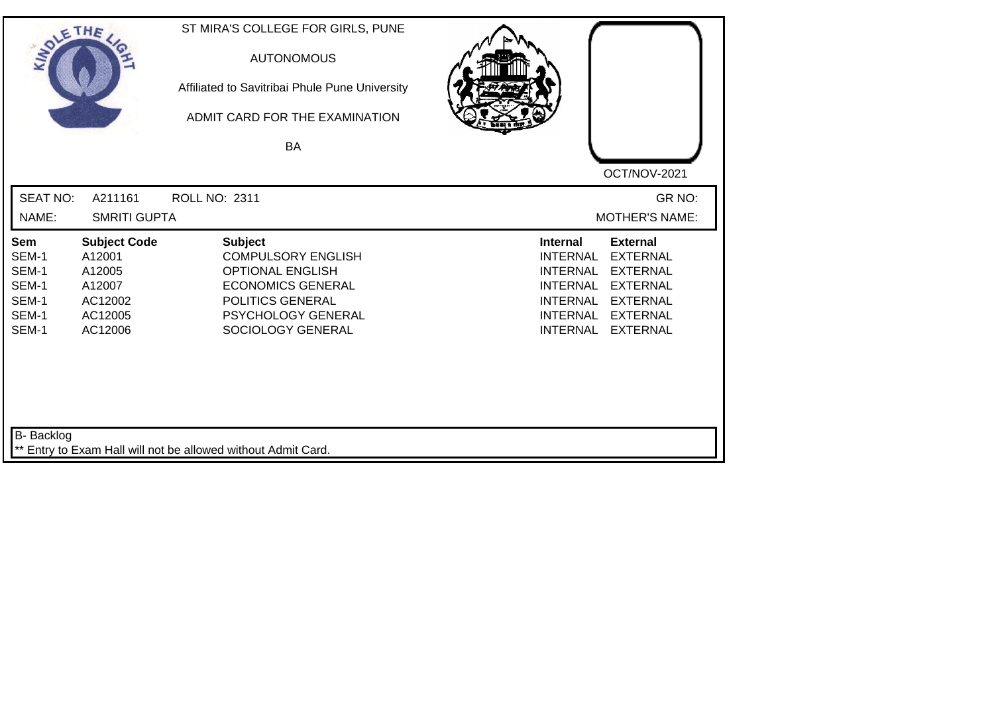| SOLE THE                                                  |                                                                                    | ST MIRA'S COLLEGE FOR GIRLS, PUNE<br><b>AUTONOMOUS</b><br>Affiliated to Savitribai Phule Pune University<br>ADMIT CARD FOR THE EXAMINATION                               |                                                                                                                                                                                                                                                                 |  |
|-----------------------------------------------------------|------------------------------------------------------------------------------------|--------------------------------------------------------------------------------------------------------------------------------------------------------------------------|-----------------------------------------------------------------------------------------------------------------------------------------------------------------------------------------------------------------------------------------------------------------|--|
|                                                           |                                                                                    | <b>BA</b>                                                                                                                                                                | OCT/NOV-2021                                                                                                                                                                                                                                                    |  |
| <b>SEAT NO:</b><br>NAME:                                  | A211161<br><b>SMRITI GUPTA</b>                                                     | ROLL NO: 2311                                                                                                                                                            | GR NO:<br><b>MOTHER'S NAME:</b>                                                                                                                                                                                                                                 |  |
| Sem<br>SEM-1<br>SEM-1<br>SEM-1<br>SEM-1<br>SEM-1<br>SEM-1 | <b>Subject Code</b><br>A12001<br>A12005<br>A12007<br>AC12002<br>AC12005<br>AC12006 | <b>Subject</b><br><b>COMPULSORY ENGLISH</b><br><b>OPTIONAL ENGLISH</b><br><b>ECONOMICS GENERAL</b><br>POLITICS GENERAL<br><b>PSYCHOLOGY GENERAL</b><br>SOCIOLOGY GENERAL | Internal<br><b>External</b><br><b>EXTERNAL</b><br><b>INTERNAL</b><br><b>EXTERNAL</b><br><b>INTERNAL</b><br><b>INTERNAL</b><br><b>EXTERNAL</b><br><b>INTERNAL</b><br><b>EXTERNAL</b><br><b>INTERNAL</b><br><b>EXTERNAL</b><br><b>EXTERNAL</b><br><b>INTERNAL</b> |  |
| <b>B-</b> Backlog                                         |                                                                                    | ** Entry to Exam Hall will not be allowed without Admit Card.                                                                                                            |                                                                                                                                                                                                                                                                 |  |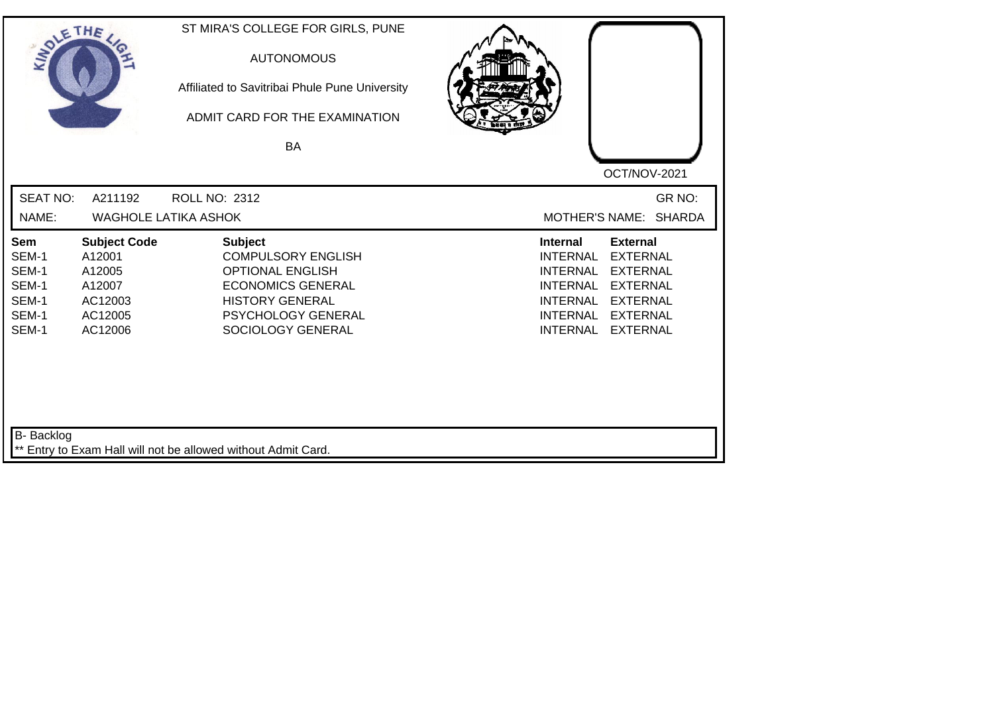| SOLETHE .                                                        |                                                                                    | ST MIRA'S COLLEGE FOR GIRLS, PUNE<br><b>AUTONOMOUS</b><br>Affiliated to Savitribai Phule Pune University<br>ADMIT CARD FOR THE EXAMINATION<br>BA                               | OCT/NOV-2021                                                                                                                                                                                                                                                           |
|------------------------------------------------------------------|------------------------------------------------------------------------------------|--------------------------------------------------------------------------------------------------------------------------------------------------------------------------------|------------------------------------------------------------------------------------------------------------------------------------------------------------------------------------------------------------------------------------------------------------------------|
| <b>SEAT NO:</b><br>NAME:                                         | A211192                                                                            | ROLL NO: 2312<br><b>WAGHOLE LATIKA ASHOK</b>                                                                                                                                   | GR NO:<br>MOTHER'S NAME: SHARDA                                                                                                                                                                                                                                        |
| <b>Sem</b><br>SEM-1<br>SEM-1<br>SEM-1<br>SEM-1<br>SEM-1<br>SEM-1 | <b>Subject Code</b><br>A12001<br>A12005<br>A12007<br>AC12003<br>AC12005<br>AC12006 | <b>Subject</b><br><b>COMPULSORY ENGLISH</b><br><b>OPTIONAL ENGLISH</b><br><b>ECONOMICS GENERAL</b><br><b>HISTORY GENERAL</b><br><b>PSYCHOLOGY GENERAL</b><br>SOCIOLOGY GENERAL | <b>External</b><br><b>Internal</b><br><b>INTERNAL</b><br><b>EXTERNAL</b><br><b>EXTERNAL</b><br><b>INTERNAL</b><br><b>INTERNAL</b><br><b>EXTERNAL</b><br><b>INTERNAL</b><br><b>EXTERNAL</b><br><b>INTERNAL</b><br><b>EXTERNAL</b><br><b>EXTERNAL</b><br><b>INTERNAL</b> |
| B- Backlog                                                       |                                                                                    | ** Entry to Exam Hall will not be allowed without Admit Card.                                                                                                                  |                                                                                                                                                                                                                                                                        |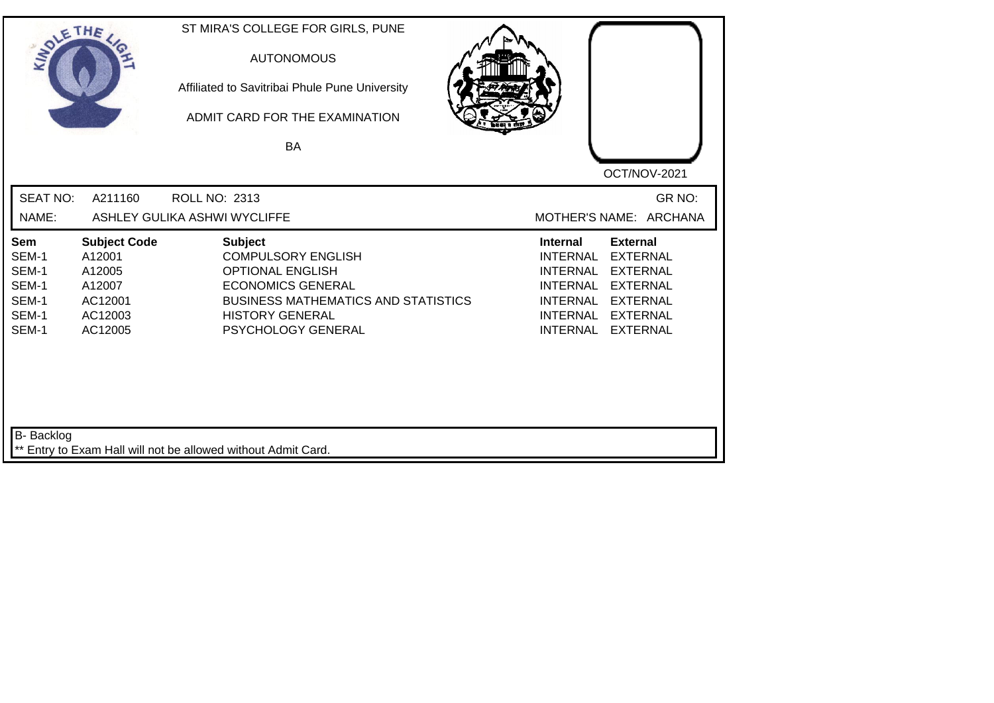| SOLE THE                                                         |                                                                                    | ST MIRA'S COLLEGE FOR GIRLS, PUNE<br><b>AUTONOMOUS</b><br>Affiliated to Savitribai Phule Pune University<br>ADMIT CARD FOR THE EXAMINATION<br>BA                                                 | OCT/NOV-2021                                                                                                                                                                                                                                             |
|------------------------------------------------------------------|------------------------------------------------------------------------------------|--------------------------------------------------------------------------------------------------------------------------------------------------------------------------------------------------|----------------------------------------------------------------------------------------------------------------------------------------------------------------------------------------------------------------------------------------------------------|
| <b>SEAT NO:</b><br>NAME:                                         | A211160                                                                            | <b>ROLL NO: 2313</b><br>ASHLEY GULIKA ASHWI WYCLIFFE                                                                                                                                             | GR NO:<br>MOTHER'S NAME: ARCHANA                                                                                                                                                                                                                         |
| <b>Sem</b><br>SEM-1<br>SEM-1<br>SEM-1<br>SEM-1<br>SEM-1<br>SEM-1 | <b>Subject Code</b><br>A12001<br>A12005<br>A12007<br>AC12001<br>AC12003<br>AC12005 | <b>Subject</b><br><b>COMPULSORY ENGLISH</b><br><b>OPTIONAL ENGLISH</b><br><b>ECONOMICS GENERAL</b><br><b>BUSINESS MATHEMATICS AND STATISTICS</b><br><b>HISTORY GENERAL</b><br>PSYCHOLOGY GENERAL | <b>Internal</b><br><b>External</b><br><b>INTERNAL</b><br><b>EXTERNAL</b><br><b>INTERNAL</b><br><b>EXTERNAL</b><br><b>EXTERNAL</b><br><b>INTERNAL</b><br><b>EXTERNAL</b><br>INTERNAL<br><b>INTERNAL</b><br><b>EXTERNAL</b><br><b>EXTERNAL</b><br>INTERNAL |
| <b>B-</b> Backlog                                                |                                                                                    | ** Entry to Exam Hall will not be allowed without Admit Card.                                                                                                                                    |                                                                                                                                                                                                                                                          |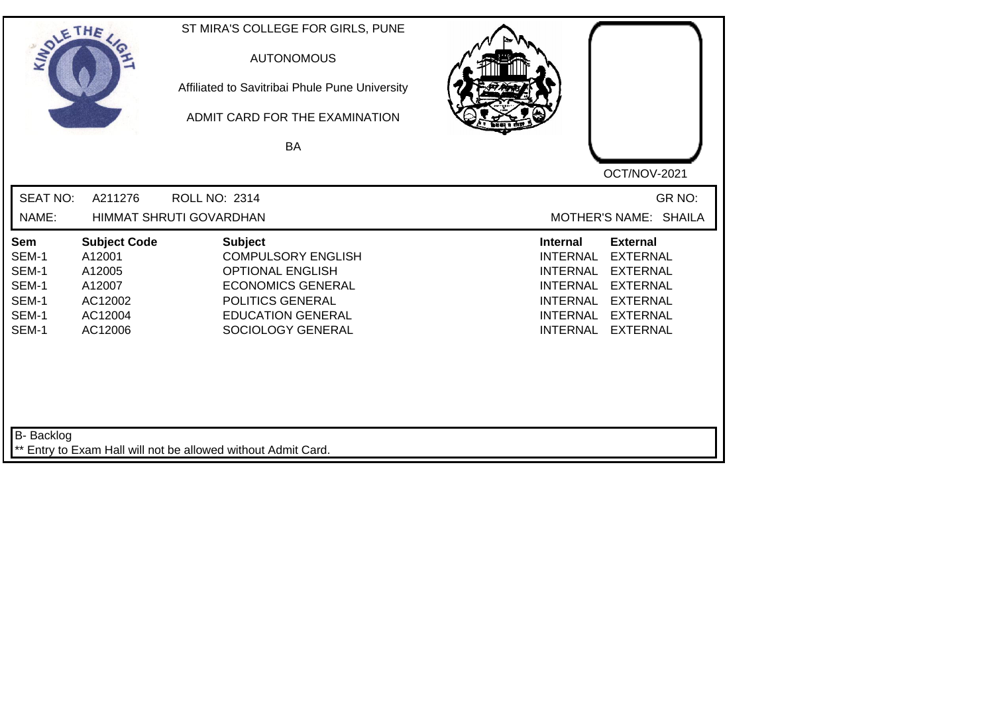| SOLE THE                                                  |                                                                                    | ST MIRA'S COLLEGE FOR GIRLS, PUNE<br><b>AUTONOMOUS</b><br>Affiliated to Savitribai Phule Pune University<br>ADMIT CARD FOR THE EXAMINATION<br><b>BA</b>                 | OCT/NOV-2021                                                                                                                                                                                                                                                           |
|-----------------------------------------------------------|------------------------------------------------------------------------------------|-------------------------------------------------------------------------------------------------------------------------------------------------------------------------|------------------------------------------------------------------------------------------------------------------------------------------------------------------------------------------------------------------------------------------------------------------------|
| <b>SEAT NO:</b><br>NAME:                                  | A211276                                                                            | <b>ROLL NO: 2314</b><br><b>HIMMAT SHRUTI GOVARDHAN</b>                                                                                                                  | GR NO:<br>MOTHER'S NAME: SHAILA                                                                                                                                                                                                                                        |
| Sem<br>SEM-1<br>SEM-1<br>SEM-1<br>SEM-1<br>SEM-1<br>SEM-1 | <b>Subject Code</b><br>A12001<br>A12005<br>A12007<br>AC12002<br>AC12004<br>AC12006 | <b>Subject</b><br><b>COMPULSORY ENGLISH</b><br><b>OPTIONAL ENGLISH</b><br><b>ECONOMICS GENERAL</b><br>POLITICS GENERAL<br><b>EDUCATION GENERAL</b><br>SOCIOLOGY GENERAL | <b>Internal</b><br><b>External</b><br><b>INTERNAL</b><br><b>EXTERNAL</b><br><b>INTERNAL</b><br><b>EXTERNAL</b><br><b>INTERNAL</b><br><b>EXTERNAL</b><br><b>INTERNAL</b><br><b>EXTERNAL</b><br><b>INTERNAL</b><br><b>EXTERNAL</b><br><b>INTERNAL</b><br><b>EXTERNAL</b> |
| <b>B-</b> Backlog                                         |                                                                                    | ** Entry to Exam Hall will not be allowed without Admit Card.                                                                                                           |                                                                                                                                                                                                                                                                        |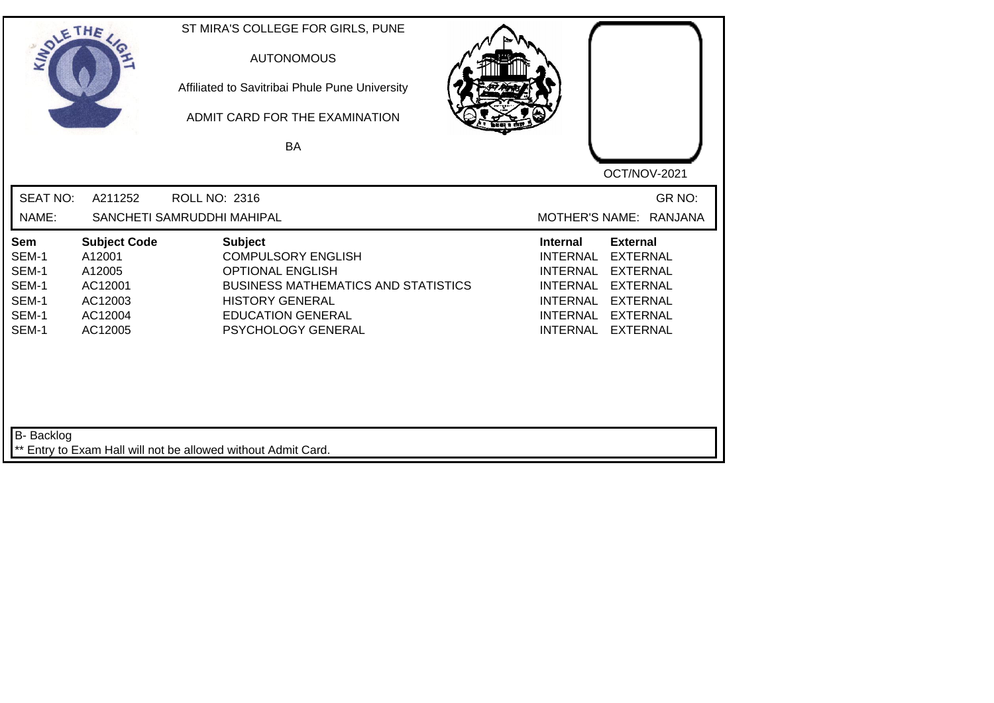| SOLE THE                                                  |                                                                                     | ST MIRA'S COLLEGE FOR GIRLS, PUNE<br><b>AUTONOMOUS</b><br>Affiliated to Savitribai Phule Pune University<br>ADMIT CARD FOR THE EXAMINATION<br><b>BA</b>                                          | OCT/NOV-2021                                                                                                                                                                                                                                                    |
|-----------------------------------------------------------|-------------------------------------------------------------------------------------|--------------------------------------------------------------------------------------------------------------------------------------------------------------------------------------------------|-----------------------------------------------------------------------------------------------------------------------------------------------------------------------------------------------------------------------------------------------------------------|
| <b>SEAT NO:</b><br>NAME:                                  | A211252                                                                             | <b>ROLL NO: 2316</b><br>SANCHETI SAMRUDDHI MAHIPAL                                                                                                                                               | GR NO:<br>MOTHER'S NAME: RANJANA                                                                                                                                                                                                                                |
| Sem<br>SEM-1<br>SEM-1<br>SEM-1<br>SEM-1<br>SEM-1<br>SEM-1 | <b>Subject Code</b><br>A12001<br>A12005<br>AC12001<br>AC12003<br>AC12004<br>AC12005 | <b>Subject</b><br><b>COMPULSORY ENGLISH</b><br><b>OPTIONAL ENGLISH</b><br><b>BUSINESS MATHEMATICS AND STATISTICS</b><br><b>HISTORY GENERAL</b><br><b>EDUCATION GENERAL</b><br>PSYCHOLOGY GENERAL | <b>External</b><br><b>Internal</b><br><b>EXTERNAL</b><br><b>INTERNAL</b><br><b>EXTERNAL</b><br>INTERNAL<br><b>INTERNAL</b><br><b>EXTERNAL</b><br><b>INTERNAL</b><br><b>EXTERNAL</b><br><b>INTERNAL</b><br><b>EXTERNAL</b><br><b>INTERNAL</b><br><b>EXTERNAL</b> |
| <b>B-</b> Backlog                                         |                                                                                     | ** Entry to Exam Hall will not be allowed without Admit Card.                                                                                                                                    |                                                                                                                                                                                                                                                                 |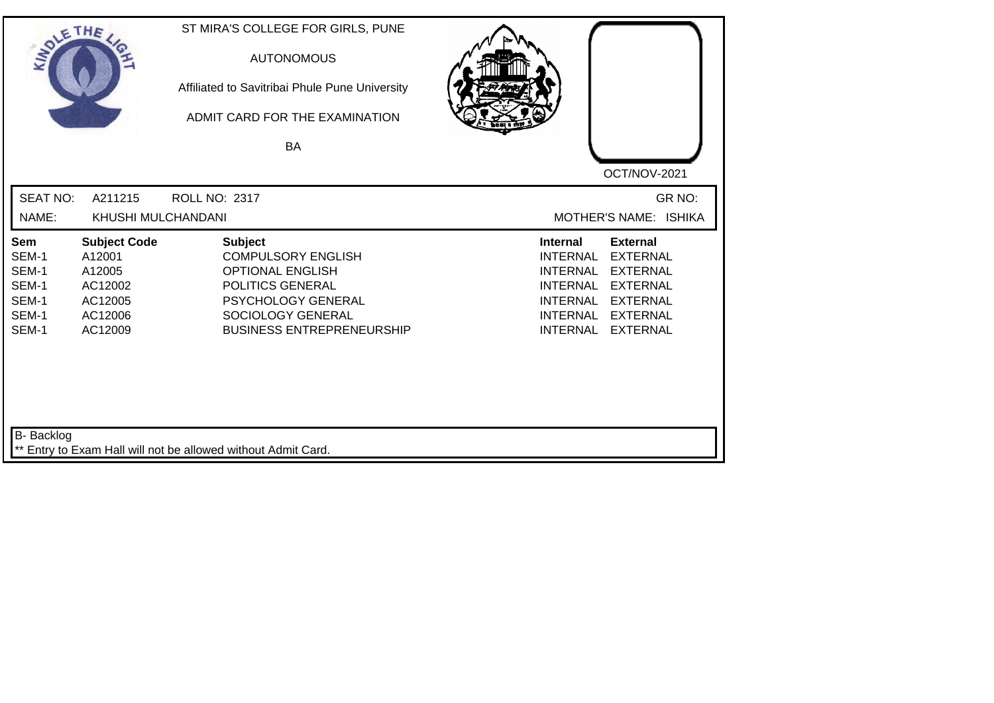| SOLE THE                 |                               | ST MIRA'S COLLEGE FOR GIRLS, PUNE<br><b>AUTONOMOUS</b><br>Affiliated to Savitribai Phule Pune University<br>ADMIT CARD FOR THE EXAMINATION<br><b>BA</b> |                                                                          |
|--------------------------|-------------------------------|---------------------------------------------------------------------------------------------------------------------------------------------------------|--------------------------------------------------------------------------|
| <b>SEAT NO:</b><br>NAME: | A211215<br>KHUSHI MULCHANDANI | <b>ROLL NO: 2317</b>                                                                                                                                    | OCT/NOV-2021<br>GR NO:<br>MOTHER'S NAME: ISHIKA                          |
|                          |                               |                                                                                                                                                         |                                                                          |
| Sem<br>SEM-1             | <b>Subject Code</b><br>A12001 | <b>Subject</b><br><b>COMPULSORY ENGLISH</b>                                                                                                             | <b>External</b><br><b>Internal</b><br><b>INTERNAL</b><br><b>EXTERNAL</b> |
| SEM-1                    | A12005                        | <b>OPTIONAL ENGLISH</b>                                                                                                                                 | <b>INTERNAL</b><br><b>EXTERNAL</b>                                       |
| SEM-1                    | AC12002                       | POLITICS GENERAL                                                                                                                                        | <b>INTERNAL</b><br><b>EXTERNAL</b>                                       |
| SEM-1                    | AC12005                       | PSYCHOLOGY GENERAL                                                                                                                                      | <b>INTERNAL</b><br><b>EXTERNAL</b>                                       |
| SEM-1                    | AC12006                       | SOCIOLOGY GENERAL                                                                                                                                       | <b>INTERNAL</b><br><b>EXTERNAL</b>                                       |
| SEM-1                    | AC12009                       | <b>BUSINESS ENTREPRENEURSHIP</b>                                                                                                                        | <b>INTERNAL</b><br><b>EXTERNAL</b>                                       |
|                          |                               |                                                                                                                                                         |                                                                          |
| <b>B-</b> Backlog        |                               | ** Entry to Exam Hall will not be allowed without Admit Card.                                                                                           |                                                                          |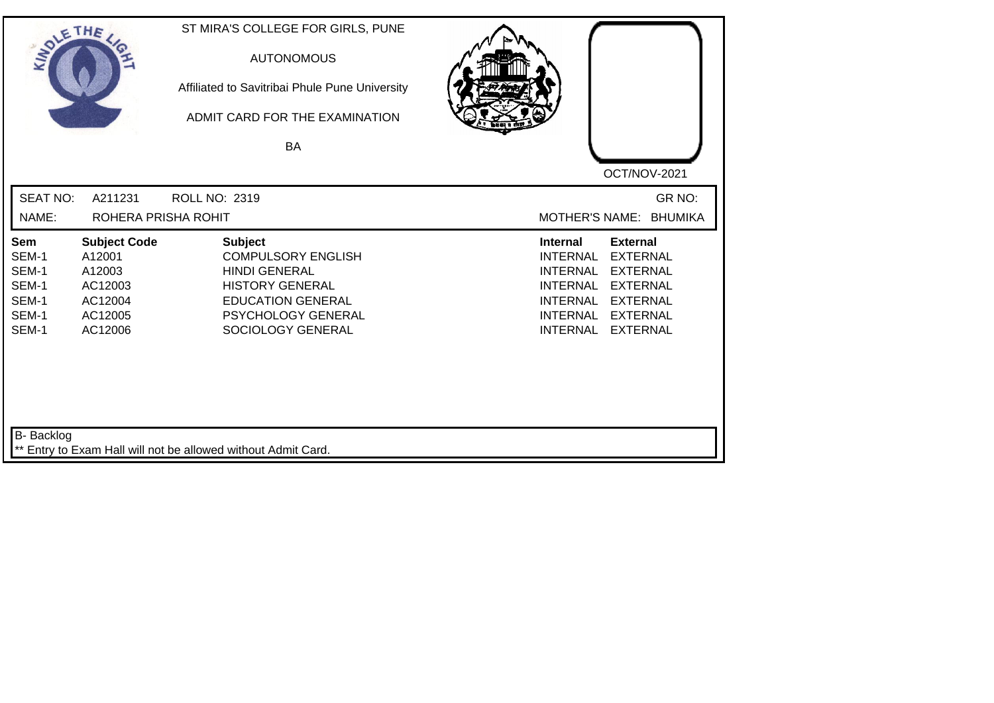| SOLETHE ,                                                        |                                                                                     | ST MIRA'S COLLEGE FOR GIRLS, PUNE<br><b>AUTONOMOUS</b><br>Affiliated to Savitribai Phule Pune University<br>ADMIT CARD FOR THE EXAMINATION<br><b>BA</b>              |                                                                                                                                                                                                                                                                        |
|------------------------------------------------------------------|-------------------------------------------------------------------------------------|----------------------------------------------------------------------------------------------------------------------------------------------------------------------|------------------------------------------------------------------------------------------------------------------------------------------------------------------------------------------------------------------------------------------------------------------------|
| <b>SEAT NO:</b>                                                  | A211231                                                                             | <b>ROLL NO: 2319</b>                                                                                                                                                 | OCT/NOV-2021<br>GR NO:                                                                                                                                                                                                                                                 |
| NAME:                                                            | ROHERA PRISHA ROHIT                                                                 |                                                                                                                                                                      | MOTHER'S NAME: BHUMIKA                                                                                                                                                                                                                                                 |
| <b>Sem</b><br>SEM-1<br>SEM-1<br>SEM-1<br>SEM-1<br>SEM-1<br>SEM-1 | <b>Subject Code</b><br>A12001<br>A12003<br>AC12003<br>AC12004<br>AC12005<br>AC12006 | <b>Subject</b><br><b>COMPULSORY ENGLISH</b><br><b>HINDI GENERAL</b><br><b>HISTORY GENERAL</b><br><b>EDUCATION GENERAL</b><br>PSYCHOLOGY GENERAL<br>SOCIOLOGY GENERAL | <b>External</b><br><b>Internal</b><br><b>INTERNAL</b><br><b>EXTERNAL</b><br><b>INTERNAL</b><br><b>EXTERNAL</b><br><b>INTERNAL</b><br><b>EXTERNAL</b><br><b>INTERNAL</b><br><b>EXTERNAL</b><br><b>EXTERNAL</b><br><b>INTERNAL</b><br><b>INTERNAL</b><br><b>EXTERNAL</b> |
| <b>B-</b> Backlog                                                |                                                                                     | ** Entry to Exam Hall will not be allowed without Admit Card.                                                                                                        |                                                                                                                                                                                                                                                                        |